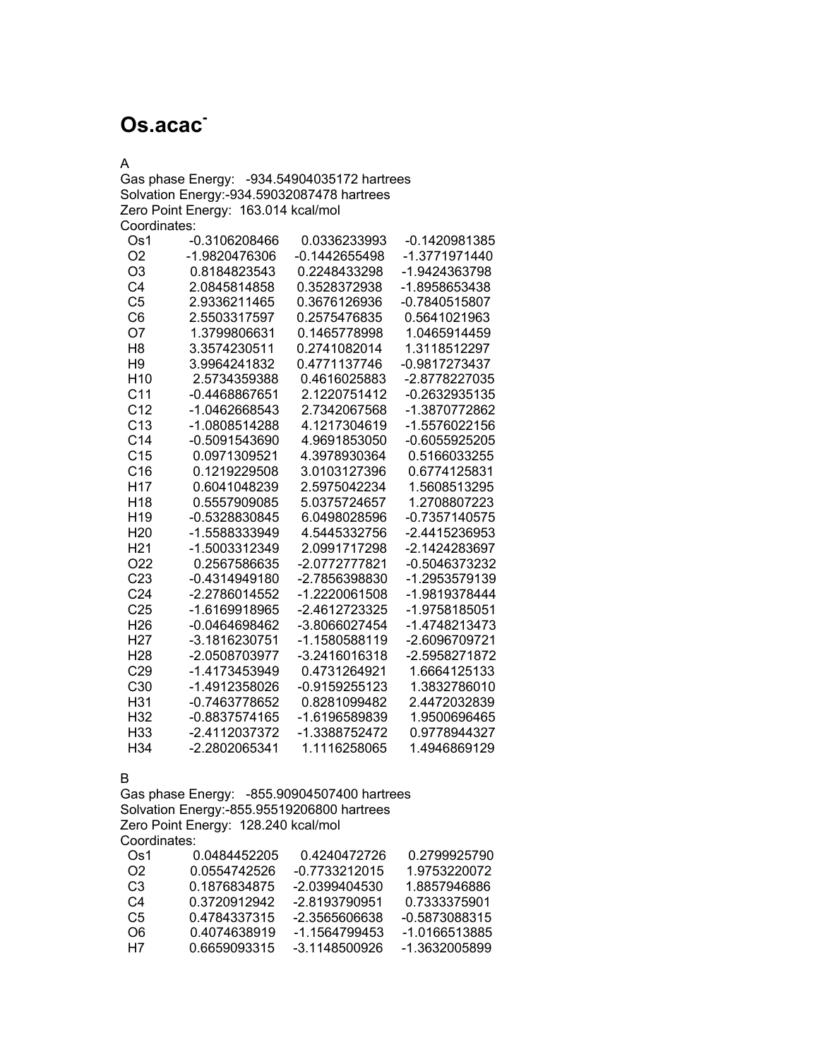## **Os.acac-**

A

Gas phase Energy: -934.54904035172 hartrees Solvation Energy:-934.59032087478 hartrees Zero Point Energy: 163.014 kcal/mol Coordinates:

| Os1             | -0.3106208466   | 0.0336233993    | -0.1420981385 |
|-----------------|-----------------|-----------------|---------------|
| O <sub>2</sub>  | -1.9820476306   | $-0.1442655498$ | -1.3771971440 |
| O <sub>3</sub>  | 0.8184823543    | 0.2248433298    | -1.9424363798 |
| C <sub>4</sub>  | 2.0845814858    | 0.3528372938    | -1.8958653438 |
| C <sub>5</sub>  | 2.9336211465    | 0.3676126936    | -0.7840515807 |
| C <sub>6</sub>  | 2.5503317597    | 0.2575476835    | 0.5641021963  |
| O7              | 1.3799806631    | 0.1465778998    | 1.0465914459  |
| H <sub>8</sub>  | 3.3574230511    | 0.2741082014    | 1.3118512297  |
| H <sub>9</sub>  | 3.9964241832    | 0.4771137746    | -0.9817273437 |
| H <sub>10</sub> | 2.5734359388    | 0.4616025883    | -2.8778227035 |
| C <sub>11</sub> | -0.4468867651   | 2.1220751412    | -0.2632935135 |
| C <sub>12</sub> | -1.0462668543   | 2.7342067568    | -1.3870772862 |
| C <sub>13</sub> | -1.0808514288   | 4.1217304619    | -1.5576022156 |
| C <sub>14</sub> | -0.5091543690   | 4.9691853050    | -0.6055925205 |
| C <sub>15</sub> | 0.0971309521    | 4.3978930364    | 0.5166033255  |
| C16             | 0.1219229508    | 3.0103127396    | 0.6774125831  |
| H17             | 0.6041048239    | 2.5975042234    | 1.5608513295  |
| H <sub>18</sub> | 0.5557909085    | 5.0375724657    | 1.2708807223  |
| H <sub>19</sub> | -0.5328830845   | 6.0498028596    | -0.7357140575 |
| H <sub>20</sub> | -1.5588333949   | 4.5445332756    | -2.4415236953 |
| H <sub>21</sub> | -1.5003312349   | 2.0991717298    | -2.1424283697 |
| O <sub>22</sub> | 0.2567586635    | -2.0772777821   | -0.5046373232 |
| C <sub>23</sub> | -0.4314949180   | -2.7856398830   | -1.2953579139 |
| C <sub>24</sub> | -2.2786014552   | -1.2220061508   | -1.9819378444 |
| C <sub>25</sub> | -1.6169918965   | -2.4612723325   | -1.9758185051 |
| H26             | -0.0464698462   | -3.8066027454   | -1.4748213473 |
| H <sub>27</sub> | -3.1816230751   | -1.1580588119   | -2.6096709721 |
| H <sub>28</sub> | -2.0508703977   | -3.2416016318   | -2.5958271872 |
| C29             | -1.4173453949   | 0.4731264921    | 1.6664125133  |
| C30             | -1.4912358026   | -0.9159255123   | 1.3832786010  |
| H31             | -0.7463778652   | 0.8281099482    | 2.4472032839  |
| H32             | $-0.8837574165$ | -1.6196589839   | 1.9500696465  |
| H <sub>33</sub> | -2.4112037372   | -1.3388752472   | 0.9778944327  |
| H <sub>34</sub> | -2.2802065341   | 1.1116258065    | 1.4946869129  |

B

Gas phase Energy: -855.90904507400 hartrees Solvation Energy:-855.95519206800 hartrees Zero Point Energy: 128.240 kcal/mol Coordinates:

| Os1            | 0.0484452205 | 0.4240472726    | 0.2799925790  |
|----------------|--------------|-----------------|---------------|
| O2.            | 0.0554742526 | -0.7733212015   | 1.9753220072  |
| C <sub>3</sub> | 0.1876834875 | -2.0399404530   | 1.8857946886  |
| C4             | 0.3720912942 | -2.8193790951   | 0.7333375901  |
| C5             | 0.4784337315 | -2.3565606638   | -0.5873088315 |
| റഞ             | 0.4074638919 | -1 1564799453   | -1.0166513885 |
| H7             | 0.6659093315 | $-3.1148500926$ | -1.3632005899 |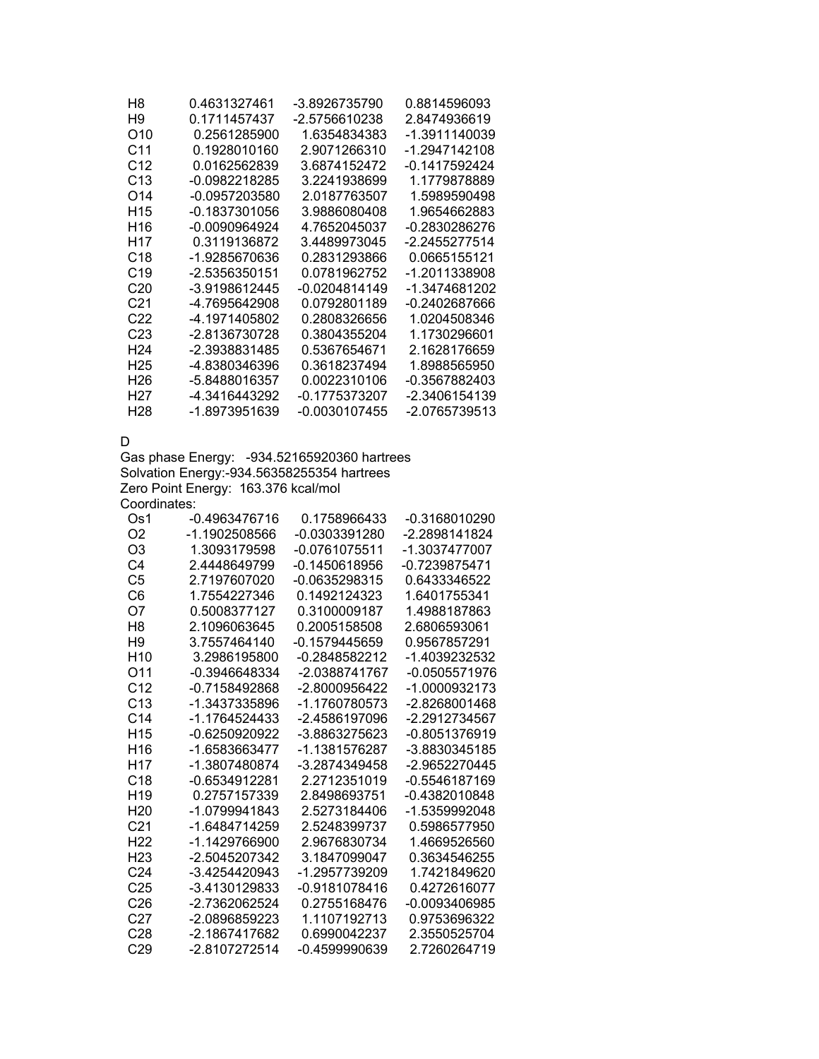| H8              | 0.4631327461  | -3.8926735790 | 0.8814596093  |
|-----------------|---------------|---------------|---------------|
| H9              | 0.1711457437  | -2.5756610238 | 2.8474936619  |
| O10             | 0.2561285900  | 1.6354834383  | -1.3911140039 |
| C11             | 0.1928010160  | 2.9071266310  | -1.2947142108 |
| C <sub>12</sub> | 0.0162562839  | 3.6874152472  | -0.1417592424 |
| C <sub>13</sub> | -0.0982218285 | 3.2241938699  | 1.1779878889  |
| O14             | -0.0957203580 | 2.0187763507  | 1.5989590498  |
| H <sub>15</sub> | -0.1837301056 | 3.9886080408  | 1.9654662883  |
| H16             | -0.0090964924 | 4.7652045037  | -0.2830286276 |
| H17             | 0.3119136872  | 3.4489973045  | -2.2455277514 |
| C18             | -1.9285670636 | 0.2831293866  | 0.0665155121  |
| C <sub>19</sub> | -2.5356350151 | 0.0781962752  | -1.2011338908 |
| C <sub>20</sub> | -3.9198612445 | -0.0204814149 | -1.3474681202 |
| C21             | -4.7695642908 | 0.0792801189  | -0.2402687666 |
| C22             | -4.1971405802 | 0.2808326656  | 1.0204508346  |
| C <sub>23</sub> | -2.8136730728 | 0.3804355204  | 1.1730296601  |
| H <sub>24</sub> | -2.3938831485 | 0.5367654671  | 2.1628176659  |
| H <sub>25</sub> | -4.8380346396 | 0.3618237494  | 1.8988565950  |
| H26             | -5.8488016357 | 0.0022310106  | -0.3567882403 |
| H27             | -4.3416443292 | -0.1775373207 | -2.3406154139 |
| H <sub>28</sub> | -1.8973951639 | -0.0030107455 | -2.0765739513 |

D

Gas phase Energy: -934.52165920360 hartrees Solvation Energy:-934.56358255354 hartrees Zero Point Energy: 163.376 kcal/mol Coordinates:

| Os1             | -0.4963476716   | 0.1758966433    | -0.3168010290   |
|-----------------|-----------------|-----------------|-----------------|
| O <sub>2</sub>  | -1.1902508566   | -0.0303391280   | -2.2898141824   |
| O <sub>3</sub>  | 1.3093179598    | -0.0761075511   | -1.3037477007   |
| C4              | 24448649799     | -0.1450618956   | $-0.7239875471$ |
| C5              | 2.7197607020    | -0.0635298315   | 0.6433346522    |
| C6              | 1.7554227346    | 0.1492124323    | 1.6401755341    |
| O7              | 0.5008377127    | 0.3100009187    | 1.4988187863    |
| H8              | 2.1096063645    | 0.2005158508    | 2.6806593061    |
| H <sub>9</sub>  | 3.7557464140    | $-0.1579445659$ | 0.9567857291    |
| H <sub>10</sub> | 3.2986195800    | -0.2848582212   | -1.4039232532   |
| O11             | -0.3946648334   | -2.0388741767   | $-0.0505571976$ |
| C <sub>12</sub> | $-0.7158492868$ | -2.8000956422   | -1.0000932173   |
| C <sub>13</sub> | -1.3437335896   | -1.1760780573   | $-2.8268001468$ |
| C <sub>14</sub> | -1.1764524433   | -2.4586197096   | -2.2912734567   |
| H <sub>15</sub> | $-0.6250920922$ | -3.8863275623   | -0.8051376919   |
| H <sub>16</sub> | -1.6583663477   | -1.1381576287   | -3.8830345185   |
| H <sub>17</sub> | -1.3807480874   | -3.2874349458   | -2.9652270445   |
| C <sub>18</sub> | -0.6534912281   | 2 2712351019    | $-0.5546187169$ |
| H <sub>19</sub> | 0.2757157339    | 2.8498693751    | -0.4382010848   |
| H <sub>20</sub> | -1.0799941843   | 2.5273184406    | -1.5359992048   |
| C21             | -1.6484714259   | 2.5248399737    | 0.5986577950    |
| H <sub>22</sub> | -1.1429766900   | 2.9676830734    | 1.4669526560    |
| H <sub>23</sub> | -2.5045207342   | 3.1847099047    | 0.3634546255    |
| C <sub>24</sub> | -3.4254420943   | -1.2957739209   | 1.7421849620    |
| C25             | -3.4130129833   | $-0.9181078416$ | 0.4272616077    |
| C <sub>26</sub> | -2.7362062524   | 0.2755168476    | -0.0093406985   |
| C <sub>27</sub> | -2.0896859223   | 1.1107192713    | 0.9753696322    |
| C28             | -2.1867417682   | 0.6990042237    | 2.3550525704    |
| C <sub>29</sub> | -2.8107272514   | $-0.4599990639$ | 2.7260264719    |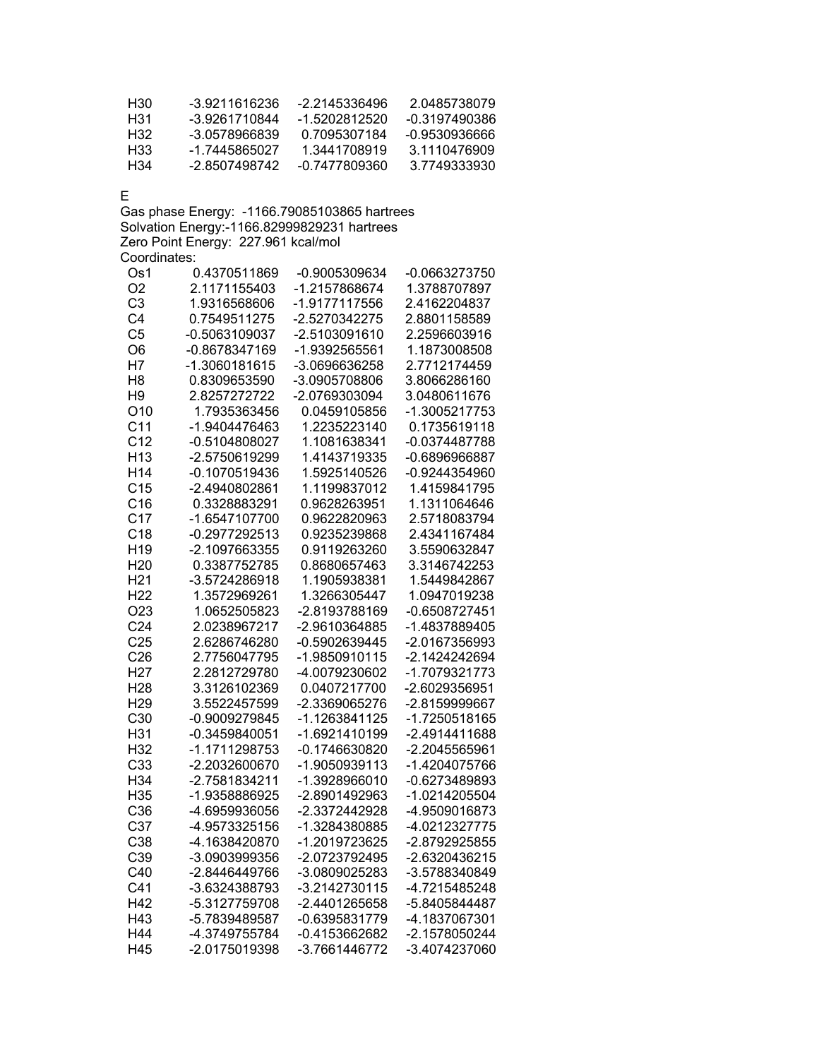| H30 | -3.9211616236 | -2 2145336496 | 2 0485738079  |
|-----|---------------|---------------|---------------|
| H31 | -3.9261710844 | -1.5202812520 | -0.3197490386 |
| H32 | -3 0578966839 | 0.7095307184  | -0.9530936666 |
| H33 | -1 7445865027 | 1.3441708919  | 3 1110476909  |
| H34 | -2 8507498742 | -0.7477809360 | 3.7749333930  |

E

Gas phase Energy: -1166.79085103865 hartrees Solvation Energy:-1166.82999829231 hartrees Zero Point Energy: 227.961 kcal/mol Coordinates:

| Os1             | 0.4370511869    | -0.9005309634   | -0.0663273750 |
|-----------------|-----------------|-----------------|---------------|
| O <sub>2</sub>  | 2.1171155403    | -1.2157868674   | 1.3788707897  |
| C <sub>3</sub>  | 1.9316568606    | -1.9177117556   | 2.4162204837  |
| C <sub>4</sub>  | 0.7549511275    | -2.5270342275   | 2.8801158589  |
| C <sub>5</sub>  | -0.5063109037   | -2.5103091610   | 2.2596603916  |
| O <sub>6</sub>  | -0.8678347169   | -1.9392565561   | 1.1873008508  |
| H7              | -1.3060181615   | -3.0696636258   | 2.7712174459  |
| H <sub>8</sub>  | 0.8309653590    | -3.0905708806   | 3.8066286160  |
| H <sub>9</sub>  | 2.8257272722    | -2.0769303094   | 3.0480611676  |
| O10             | 1.7935363456    | 0.0459105856    | -1.3005217753 |
| C <sub>11</sub> | -1.9404476463   | 1.2235223140    | 0.1735619118  |
| C <sub>12</sub> | $-0.5104808027$ | 1.1081638341    | -0.0374487788 |
| H <sub>13</sub> | -2.5750619299   | 1.4143719335    | -0.6896966887 |
| H <sub>14</sub> | -0.1070519436   | 1.5925140526    | -0.9244354960 |
| C <sub>15</sub> | -2.4940802861   | 1.1199837012    | 1.4159841795  |
| C16             | 0.3328883291    | 0.9628263951    | 1.1311064646  |
| C <sub>17</sub> | -1.6547107700   | 0.9622820963    | 2.5718083794  |
| C18             | -0.2977292513   | 0.9235239868    | 2.4341167484  |
| H <sub>19</sub> | -2.1097663355   | 0.9119263260    | 3.5590632847  |
| H <sub>20</sub> | 0.3387752785    | 0.8680657463    | 3.3146742253  |
| H <sub>21</sub> | -3.5724286918   | 1.1905938381    | 1.5449842867  |
| H <sub>22</sub> | 1.3572969261    | 1.3266305447    | 1.0947019238  |
| O <sub>23</sub> | 1.0652505823    | -2.8193788169   | -0.6508727451 |
| C <sub>24</sub> | 2.0238967217    | -2.9610364885   | -1.4837889405 |
| C <sub>25</sub> | 2.6286746280    | $-0.5902639445$ | -2.0167356993 |
| C <sub>26</sub> | 2.7756047795    | -1.9850910115   | -2.1424242694 |
| H <sub>27</sub> | 2.2812729780    | -4.0079230602   | -1.7079321773 |
| H <sub>28</sub> | 3.3126102369    | 0.0407217700    | -2.6029356951 |
| H <sub>29</sub> | 3.5522457599    | -2.3369065276   | -2.8159999667 |
| C30             | -0.9009279845   | -1.1263841125   | -1.7250518165 |
| H31             | $-0.3459840051$ | -1.6921410199   | -2.4914411688 |
| H32             | -1.1711298753   | -0.1746630820   | -2.2045565961 |
| C33             | -2.2032600670   | -1.9050939113   | -1.4204075766 |
| H34             | -2.7581834211   | -1.3928966010   | -0.6273489893 |
| H35             | -1.9358886925   | -2.8901492963   | -1.0214205504 |
| C36             | -4.6959936056   | -2.3372442928   | -4.9509016873 |
| C <sub>37</sub> | -4.9573325156   | -1.3284380885   | -4.0212327775 |
| C38             | -4.1638420870   | -1.2019723625   | -2.8792925855 |
| C39             | -3.0903999356   | -2.0723792495   | -2.6320436215 |
| C40             | -2.8446449766   | -3.0809025283   | -3.5788340849 |
| C <sub>41</sub> | -3.6324388793   | -3.2142730115   | -4.7215485248 |
| H42             | -5.3127759708   | -2.4401265658   | -5.8405844487 |
| H43             | -5.7839489587   | -0.6395831779   | -4.1837067301 |
| H44             | -4.3749755784   | -0.4153662682   | -2.1578050244 |
| H45             | -2.0175019398   | -3.7661446772   | -3.4074237060 |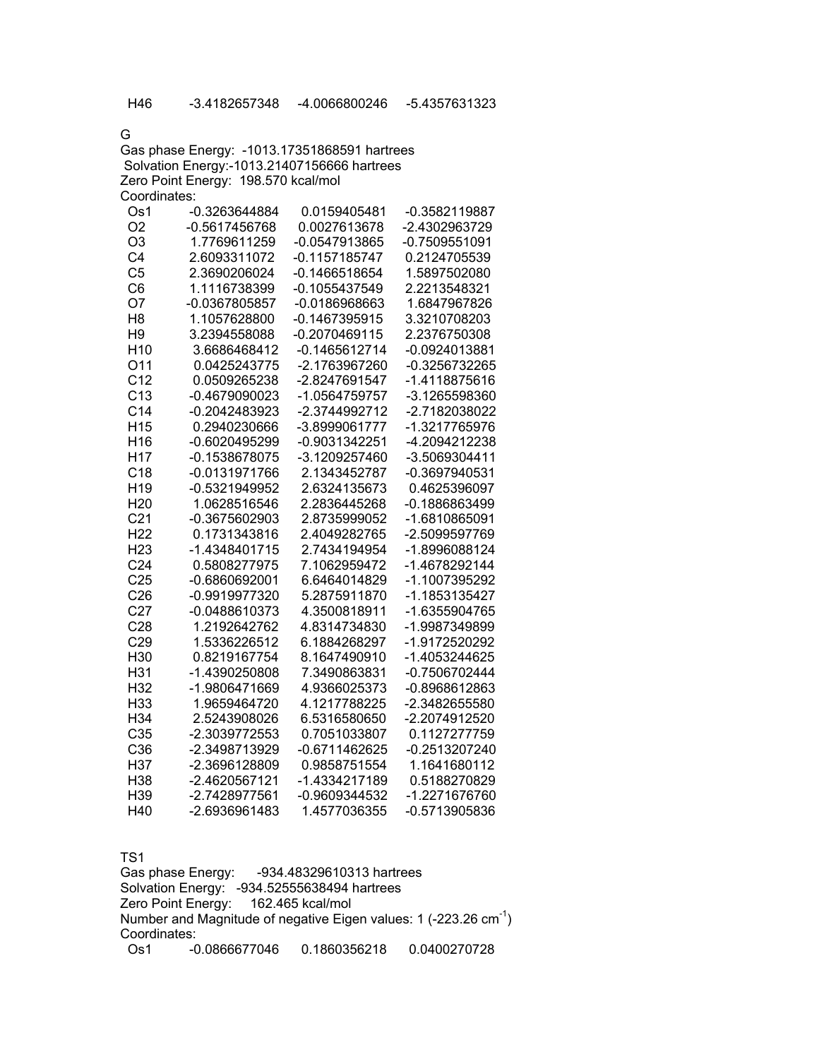G

Gas phase Energy: -1013.17351868591 hartrees Solvation Energy:-1013.21407156666 hartrees Zero Point Energy: 198.570 kcal/mol Coordinates: Os1 -0.3263644884 0.0159405481 -0.3582119887 O2 -0.5617456768 0.0027613678 -2.4302963729 O3 1.7769611259 -0.0547913865 -0.7509551091 C4 2.6093311072 -0.1157185747 0.2124705539 C5 2.3690206024 -0.1466518654 1.5897502080 C6 1.1116738399 -0.1055437549 2.2213548321 O7 -0.0367805857 -0.0186968663 1.6847967826 H8 1.1057628800 -0.1467395915 3.3210708203 H9 3.2394558088 -0.2070469115 2.2376750308 H10 3.6686468412 -0.1465612714 -0.0924013881 O11 0.0425243775 -2.1763967260 -0.3256732265 C12 0.0509265238 -2.8247691547 -1.4118875616 C13 -0.4679090023 -1.0564759757 -3.1265598360 C14 -0.2042483923 -2.3744992712 -2.7182038022 H15 0.2940230666 -3.8999061777 -1.3217765976 H16 -0.6020495299 -0.9031342251 -4.2094212238 H17 -0.1538678075 -3.1209257460 -3.5069304411 C18 -0.0131971766 2.1343452787 -0.3697940531 H19 -0.5321949952 2.6324135673 0.4625396097 H20 1.0628516546 2.2836445268 -0.1886863499 C21 -0.3675602903 2.8735999052 -1.6810865091 H22 0.1731343816 2.4049282765 -2.5099597769 H23 -1.4348401715 2.7434194954 -1.8996088124 C24 0.5808277975 7.1062959472 -1.4678292144 C25 -0.6860692001 6.6464014829 -1.1007395292 C26 -0.9919977320 5.2875911870 -1.1853135427 C27 -0.0488610373 4.3500818911 -1.6355904765 C28 1.2192642762 4.8314734830 -1.9987349899 C29 1.5336226512 6.1884268297 -1.9172520292 H30 0.8219167754 8.1647490910 -1.4053244625 H31 -1.4390250808 7.3490863831 -0.7506702444 H32 -1.9806471669 4.9366025373 -0.8968612863 H33 1.9659464720 4.1217788225 -2.3482655580 H34 2.5243908026 6.5316580650 -2.2074912520

| H39                      | -2.7428977561     | $-0.9609344532$           | -1.2271676760                                                                |
|--------------------------|-------------------|---------------------------|------------------------------------------------------------------------------|
| H40                      | -2.6936961483     | 1.4577036355              | -0.5713905836                                                                |
|                          |                   |                           |                                                                              |
|                          |                   |                           |                                                                              |
| TS <sub>1</sub>          |                   |                           |                                                                              |
|                          | Gas phase Energy: | -934.48329610313 hartrees |                                                                              |
| <b>Solvation Energy:</b> |                   | -934.52555638494 hartrees |                                                                              |
| Zero Point Energy:       |                   | 162.465 kcal/mol          |                                                                              |
|                          |                   |                           | Number and Magnitude of negative Eigen values: 1 (-223.26 cm <sup>-1</sup> ) |
| Coordinates:             |                   |                           |                                                                              |

| Os1 | $-0.0866677046$ | 0.1860356218 | 0.0400270728 |
|-----|-----------------|--------------|--------------|
|     |                 |              |              |

 C35 -2.3039772553 0.7051033807 0.1127277759 C36 -2.3498713929 -0.6711462625 -0.2513207240 H37 -2.3696128809 0.9858751554 1.1641680112 H38 -2.4620567121 -1.4334217189 0.5188270829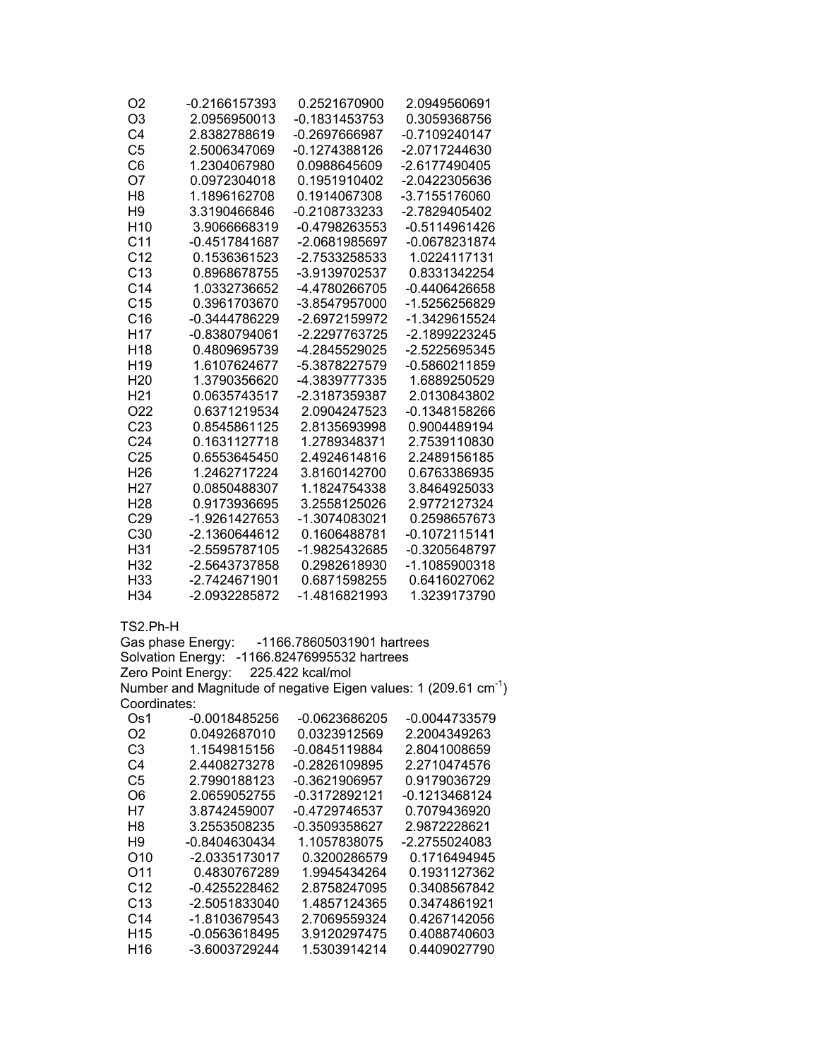| O2              | -0.2166157393   | 0.2521670900  | 2.0949560691    |
|-----------------|-----------------|---------------|-----------------|
| O <sub>3</sub>  | 2.0956950013    | -0.1831453753 | 0.3059368756    |
| C4              | 2.8382788619    | -0.2697666987 | $-0.7109240147$ |
| C <sub>5</sub>  | 2.5006347069    | -0.1274388126 | -2.0717244630   |
| C6              | 1.2304067980    | 0.0988645609  | -2.6177490405   |
| O7              | 0.0972304018    | 0.1951910402  | -2.0422305636   |
| H <sub>8</sub>  | 1.1896162708    | 0.1914067308  | -3.7155176060   |
| H <sub>9</sub>  | 3.3190466846    | -0.2108733233 | -2.7829405402   |
| H <sub>10</sub> | 3.9066668319    | -0.4798263553 | -0.5114961426   |
| C <sub>11</sub> | $-0.4517841687$ | -2.0681985697 | -0.0678231874   |
| C <sub>12</sub> | 0.1536361523    | -2.7533258533 | 1.0224117131    |
| C <sub>13</sub> | 0.8968678755    | -3.9139702537 | 0.8331342254    |
| C <sub>14</sub> | 1.0332736652    | -4.4780266705 | -0.4406426658   |
| C <sub>15</sub> | 0.3961703670    | -3.8547957000 | -1.5256256829   |
| C16             | -0.3444786229   | -2.6972159972 | -1.3429615524   |
| H <sub>17</sub> | $-0.8380794061$ | -2.2297763725 | -2.1899223245   |
| H <sub>18</sub> | 0.4809695739    | -4.2845529025 | -2.5225695345   |
| H <sub>19</sub> | 1.6107624677    | -5.3878227579 | -0.5860211859   |
| H <sub>20</sub> | 1.3790356620    | -4.3839777335 | 1.6889250529    |
| H <sub>21</sub> | 0.0635743517    | -2.3187359387 | 2.0130843802    |
| O <sub>22</sub> | 0.6371219534    | 2.0904247523  | -0.1348158266   |
| C <sub>23</sub> | 0.8545861125    | 2.8135693998  | 0.9004489194    |
| C <sub>24</sub> | 0.1631127718    | 1.2789348371  | 2.7539110830    |
| C <sub>25</sub> | 0.6553645450    | 2.4924614816  | 2.2489156185    |
| H <sub>26</sub> | 1.2462717224    | 3.8160142700  | 0.6763386935    |
| H27             | 0.0850488307    | 1.1824754338  | 3.8464925033    |
| H <sub>28</sub> | 0.9173936695    | 3.2558125026  | 2.9772127324    |
| C <sub>29</sub> | -1.9261427653   | -1.3074083021 | 0.2598657673    |
| C <sub>30</sub> | -2.1360644612   | 0.1606488781  | -0.1072115141   |
| H31             | -2.5595787105   | -1.9825432685 | -0.3205648797   |
| H <sub>32</sub> | -2.5643737858   | 0.2982618930  | -1.1085900318   |
| H <sub>33</sub> | -2.7424671901   | 0.6871598255  | 0.6416027062    |
| H <sub>34</sub> | -2.0932285872   | -1.4816821993 | 1.3239173790    |

TS2.Ph-H

Gas phase Energy: -1166.78605031901 hartrees Solvation Energy: -1166.82476995532 hartrees Zero Point Energy: 225.422 kcal/mol Number and Magnitude of negative Eigen values: 1 (209.61  $cm^{-1}$ ) Coordinates:

| Os1             | $-0.0018485256$ | -0.0623686205 | -0.0044733579 |
|-----------------|-----------------|---------------|---------------|
| O2              | 0.0492687010    | 0.0323912569  | 2.2004349263  |
| C3              | 1.1549815156    | -0.0845119884 | 2.8041008659  |
| C4              | 2.4408273278    | -0.2826109895 | 2.2710474576  |
| C5              | 2.7990188123    | -0.3621906957 | 0.9179036729  |
| O6              | 2.0659052755    | -0.3172892121 | -0.1213468124 |
| H7              | 3.8742459007    | -0.4729746537 | 0.7079436920  |
| H <sub>8</sub>  | 3.2553508235    | -0.3509358627 | 2.9872228621  |
| H9              | -0.8404630434   | 1.1057838075  | -2.2755024083 |
| O <sub>10</sub> | -2.0335173017   | 0.3200286579  | 0.1716494945  |
| O <sub>11</sub> | 0.4830767289    | 1.9945434264  | 0.1931127362  |
| C <sub>12</sub> | -0.4255228462   | 2.8758247095  | 0.3408567842  |
| C <sub>13</sub> | -2.5051833040   | 1.4857124365  | 0.3474861921  |
| C <sub>14</sub> | -1.8103679543   | 2.7069559324  | 0.4267142056  |
| H <sub>15</sub> | $-0.0563618495$ | 3.9120297475  | 0.4088740603  |
| H <sub>16</sub> | -3.6003729244   | 1.5303914214  | 0.4409027790  |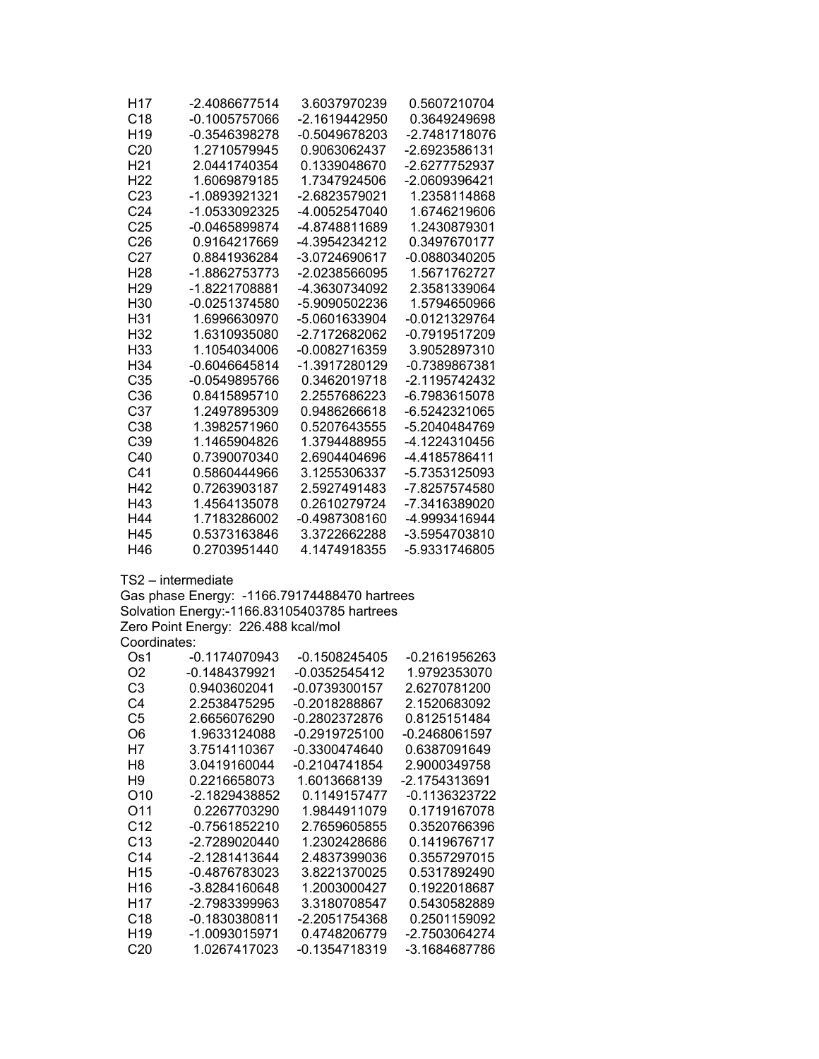| H <sub>17</sub>                    | -2.4086677514                                | 3.6037970239                   | 0.5607210704                 |
|------------------------------------|----------------------------------------------|--------------------------------|------------------------------|
| C <sub>18</sub>                    | $-0.1005757066$                              | -2.1619442950                  | 0.3649249698                 |
| H <sub>19</sub><br>C <sub>20</sub> | -0.3546398278                                | -0.5049678203                  | -2.7481718076                |
| H <sub>21</sub>                    | 1.2710579945                                 | 0.9063062437<br>0.1339048670   | -2.6923586131                |
|                                    | 2.0441740354<br>1.6069879185                 |                                | -2.6277752937                |
| H <sub>22</sub><br>C <sub>23</sub> |                                              | 1.7347924506                   | -2.0609396421                |
| C <sub>24</sub>                    | -1.0893921321<br>-1.0533092325               | -2.6823579021                  | 1.2358114868                 |
| C <sub>25</sub>                    | $-0.0465899874$                              | -4.0052547040                  | 1.6746219606<br>1.2430879301 |
| C <sub>26</sub>                    | 0.9164217669                                 | -4.8748811689<br>-4.3954234212 | 0.3497670177                 |
| C <sub>27</sub>                    | 0.8841936284                                 | -3.0724690617                  | -0.0880340205                |
| H <sub>28</sub>                    | -1.8862753773                                | -2.0238566095                  | 1.5671762727                 |
| H <sub>29</sub>                    | -1.8221708881                                | -4.3630734092                  | 2.3581339064                 |
| H <sub>30</sub>                    | $-0.0251374580$                              | -5.9090502236                  | 1.5794650966                 |
| H <sub>31</sub>                    | 1.6996630970                                 | -5.0601633904                  | -0.0121329764                |
| H <sub>32</sub>                    | 1.6310935080                                 | -2.7172682062                  | -0.7919517209                |
| H <sub>33</sub>                    | 1.1054034006                                 | -0.0082716359                  | 3.9052897310                 |
| H <sub>34</sub>                    | $-0.6046645814$                              | -1.3917280129                  | -0.7389867381                |
| C35                                | $-0.0549895766$                              | 0.3462019718                   | -2.1195742432                |
| C36                                | 0.8415895710                                 | 2.2557686223                   | -6.7983615078                |
| C <sub>37</sub>                    | 1.2497895309                                 | 0.9486266618                   | -6.5242321065                |
| C38                                | 1.3982571960                                 | 0.5207643555                   | -5.2040484769                |
| C39                                | 1.1465904826                                 | 1.3794488955                   | -4.1224310456                |
| C40                                | 0.7390070340                                 | 2.6904404696                   | -4.4185786411                |
| C41                                | 0.5860444966                                 | 3.1255306337                   | -5.7353125093                |
| H42                                | 0.7263903187                                 | 2.5927491483                   | -7.8257574580                |
| H43                                | 1.4564135078                                 | 0.2610279724                   | -7.3416389020                |
| H44                                | 1.7183286002                                 | -0.4987308160                  | -4.9993416944                |
| H45                                | 0.5373163846                                 | 3.3722662288                   | -3.5954703810                |
| H46                                | 0.2703951440                                 | 4.1474918355                   | -5.9331746805                |
|                                    | TS2 – intermediate                           |                                |                              |
|                                    | Gas phase Energy: -1166.79174488470 hartrees |                                |                              |
|                                    | Solvation Energy:-1166.83105403785 hartrees  |                                |                              |
|                                    | Zero Point Energy: 226.488 kcal/mol          |                                |                              |
| Coordinates:                       |                                              |                                |                              |
| Os1                                | $-0.1174070943$                              | $-0.1508245405$                | -0.2161956263                |
| O <sub>2</sub>                     | $-0.1484379921$                              | $-0.0352545412$                | 1.9792353070                 |
| C <sub>3</sub>                     | 0.9403602041                                 | -0.0739300157                  | 2.6270781200                 |
| C4                                 | 2.2538475295                                 | -0.2018288867                  | 2.1520683092                 |
| C <sub>5</sub>                     | 2.6656076290                                 | $-0.2802372876$                | 0.8125151484                 |
| O <sub>6</sub>                     | 1.9633124088                                 | $-0.2919725100$                | $-0.2468061597$              |
| H7                                 | 3.7514110367                                 | -0.3300474640                  | 0.6387091649                 |
| H <sub>8</sub>                     | 3.0419160044                                 | $-0.2104741854$                | 2.9000349758                 |
| H <sub>9</sub>                     | 0.2216658073                                 | 1.6013668139                   | -2.1754313691                |
| O <sub>10</sub>                    | -2.1829438852                                | 0.1149157477                   | -0.1136323722                |
| O11                                | 0.2267703290                                 | 1.9844911079                   | 0.1719167078                 |
| C <sub>12</sub>                    | -0.7561852210                                | 2.7659605855                   | 0.3520766396                 |
| C13                                | -2.7289020440                                | 1.2302428686                   | 0.1419676717                 |
| C <sub>14</sub>                    | -2.1281413644                                | 2.4837399036                   | 0.3557297015                 |
| H <sub>15</sub>                    | -0.4876783023                                | 3.8221370025                   | 0.5317892490                 |
| H16                                | -3.8284160648                                | 1.2003000427                   | 0.1922018687                 |
| H <sub>17</sub>                    | -2.7983399963                                | 3.3180708547                   | 0.5430582889                 |
| C18                                | $-0.1830380811$                              | -2.2051754368                  | 0.2501159092                 |
| H <sub>19</sub>                    | -1.0093015971                                | 0.4748206779                   | -2.7503064274                |
| C <sub>20</sub>                    | 1.0267417023                                 | -0.1354718319                  | -3.1684687786                |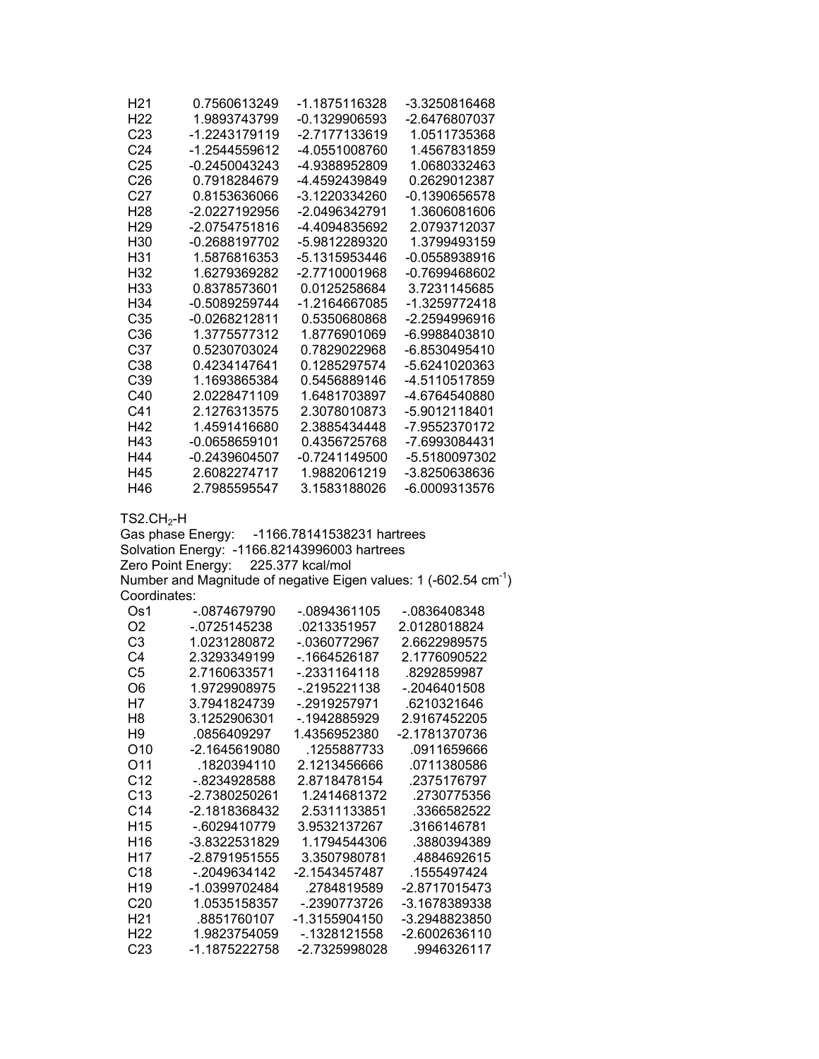| H <sub>21</sub> | 0.7560613249                                 | -1.1875116328              | -3.3250816468                                                                |
|-----------------|----------------------------------------------|----------------------------|------------------------------------------------------------------------------|
| H <sub>22</sub> | 1.9893743799                                 | -0.1329906593              | -2.6476807037                                                                |
| C <sub>23</sub> | -1.2243179119                                | -2.7177133619              | 1.0511735368                                                                 |
| C <sub>24</sub> | -1.2544559612                                | -4.0551008760              | 1.4567831859                                                                 |
| C <sub>25</sub> | $-0.2450043243$                              | -4.9388952809              | 1.0680332463                                                                 |
| C <sub>26</sub> | 0.7918284679                                 | -4.4592439849              | 0.2629012387                                                                 |
| C <sub>27</sub> | 0.8153636066                                 | -3.1220334260              | $-0.1390656578$                                                              |
| H <sub>28</sub> | -2.0227192956                                | -2.0496342791              | 1.3606081606                                                                 |
| H <sub>29</sub> | -2.0754751816                                | -4.4094835692              | 2.0793712037                                                                 |
| H30             | -0.2688197702                                | -5.9812289320              | 1.3799493159                                                                 |
| H31             | 1.5876816353                                 | -5.1315953446              | -0.0558938916                                                                |
| H32             | 1.6279369282                                 | -2.7710001968              | -0.7699468602                                                                |
| H33             | 0.8378573601                                 | 0.0125258684               | 3.7231145685                                                                 |
| H34             | -0.5089259744                                | -1.2164667085              | -1.3259772418                                                                |
| C35             | -0.0268212811                                | 0.5350680868               | -2.2594996916                                                                |
| C36             | 1.3775577312                                 | 1.8776901069               | -6.9988403810                                                                |
| C37             | 0.5230703024                                 | 0.7829022968               | -6.8530495410                                                                |
| C38             | 0.4234147641                                 | 0.1285297574               | -5.6241020363                                                                |
| C39             | 1.1693865384                                 | 0.5456889146               | -4.5110517859                                                                |
| C40             | 2.0228471109                                 | 1.6481703897               | -4.6764540880                                                                |
| C41             | 2.1276313575                                 | 2.3078010873               | -5.9012118401                                                                |
| H42             | 1.4591416680                                 | 2.3885434448               | -7.9552370172                                                                |
| H43             | $-0.0658659101$                              | 0.4356725768               | -7.6993084431                                                                |
| H44             | $-0.2439604507$                              | $-0.7241149500$            | -5.5180097302                                                                |
| H45             | 2.6082274717                                 | 1.9882061219               | -3.8250638636                                                                |
| H46             | 2.7985595547                                 | 3.1583188026               | -6.0009313576                                                                |
|                 |                                              |                            |                                                                              |
| $TS2.CH2-H$     | Gas phase Energy:                            | -1166.78141538231 hartrees |                                                                              |
|                 | Solvation Energy: -1166.82143996003 hartrees |                            |                                                                              |
|                 | Zero Point Energy:                           | 225.377 kcal/mol           |                                                                              |
|                 |                                              |                            | Number and Magnitude of negative Eigen values: 1 (-602.54 cm <sup>-1</sup> ) |
| Coordinates:    |                                              |                            |                                                                              |
| Os1             | -.0874679790                                 | -.0894361105               | -.0836408348                                                                 |
| O <sub>2</sub>  | $-0725145238$                                | .0213351957                | 2.0128018824                                                                 |
| C <sub>3</sub>  | 1.0231280872                                 | -.0360772967               | 2.6622989575                                                                 |
| C <sub>4</sub>  | 2.3293349199                                 | -. 1664526187              | 2.1776090522                                                                 |
| C <sub>5</sub>  | 2.7160633571                                 | -.2331164118               | .8292859987                                                                  |
| O <sub>6</sub>  | 1.9729908975                                 | $-2195221138$              | -.2046401508                                                                 |
| H7              | 3.7941824739                                 | -.2919257971               | .6210321646                                                                  |
| H <sub>8</sub>  | 3.1252906301                                 | -.1942885929               | 2.9167452205                                                                 |
| H <sub>9</sub>  | .0856409297                                  | 1.4356952380               | -2.1781370736                                                                |
| O10             | -2.1645619080                                | .1255887733                | .0911659666                                                                  |
| O11             | .1820394110                                  | 2.1213456666               | 0711380586                                                                   |
| C <sub>12</sub> | -.8234928588                                 | 2.8718478154               | .2375176797                                                                  |
| C13             | -2.7380250261                                | 1.2414681372               | .2730775356                                                                  |
| C <sub>14</sub> | -2.1818368432                                | 2.5311133851               | .3366582522                                                                  |
| H <sub>15</sub> | -.6029410779                                 | 3.9532137267               | .3166146781                                                                  |
| H <sub>16</sub> | -3.8322531829                                | 1.1794544306               | .3880394389                                                                  |
| H <sub>17</sub> | -2.8791951555                                | 3.3507980781               | .4884692615                                                                  |
| C18             | $-2049634142$                                | -2.1543457487              | .1555497424                                                                  |
| H <sub>19</sub> | -1.0399702484                                | .2784819589                | -2.8717015473                                                                |
| C20             | 1.0535158357                                 | -.2390773726               | -3.1678389338                                                                |
| H <sub>21</sub> | .8851760107                                  | -1.3155904150              | -3.2948823850                                                                |
| H <sub>22</sub> | 1.9823754059                                 | -.1328121558               | -2.6002636110                                                                |
| C <sub>23</sub> | -1.1875222758                                | -2.7325998028              | .9946326117                                                                  |
|                 |                                              |                            |                                                                              |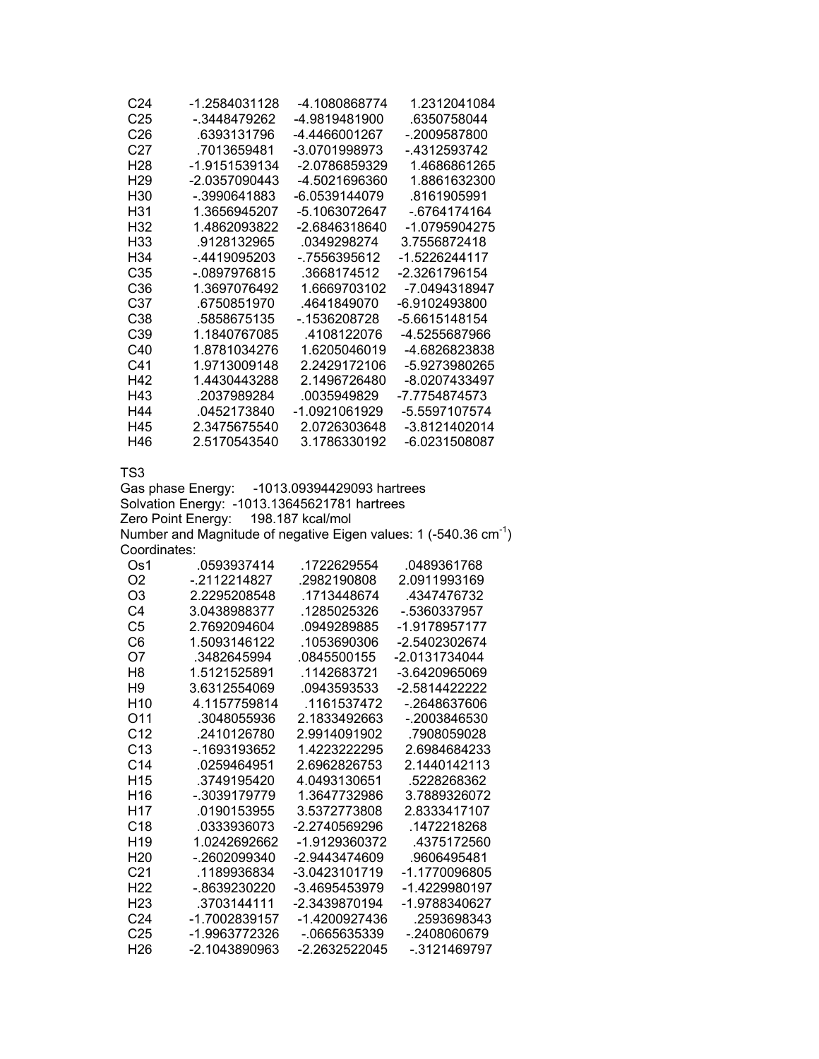| C <sub>24</sub> | -1 2584031128 | -4 1080868774 | 1 2312041084  |
|-----------------|---------------|---------------|---------------|
| C <sub>25</sub> | - 3448479262  | -4 9819481900 | .6350758044   |
| C <sub>26</sub> | 6393131796    | -4 4466001267 | - 2009587800  |
| C27             | 7013659481    | -3 0701998973 | - 4312593742  |
| H28             | -1.9151539134 | -2 0786859329 | 1 4686861265  |
| H <sub>29</sub> | -2 0357090443 | -4 5021696360 | 1 8861632300  |
| H30             | - 3990641883  | -6 0539144079 | 8161905991    |
| H31             | 1.3656945207  | -5.1063072647 | - 6764174164  |
| H32             | 1 4862093822  | -2 6846318640 | -1 0795904275 |
| H33             | 9128132965    | 0349298274    | 3 7556872418  |
| H34             | - 4419095203  | - 7556395612  | -1.5226244117 |
| C35             | - 0897976815  | 3668174512    | -2.3261796154 |
| C36             | 1.3697076492  | 1 6669703102  | -7 0494318947 |
| C37             | 6750851970    | 4641849070    | -6.9102493800 |
| C38             | 5858675135    | - 1536208728  | -5.6615148154 |
| C39             | 1 1840767085  | 4108122076    | -4 5255687966 |
| C40             | 1 8781034276  | 1 6205046019  | -4 6826823838 |
| C41             | 1 9713009148  | 2 2429172106  | -5 9273980265 |
| H42             | 1 4430443288  | 2 1496726480  | -8.0207433497 |
| H43             | .2037989284   | 0035949829    | -7.7754874573 |
| H44             | 0452173840    | -1 0921061929 | -5 5597107574 |
| H45             | 2.3475675540  | 2.0726303648  | -3.8121402014 |
| H46             | 2 5170543540  | 3.1786330192  | -6.0231508087 |

Gas phase Energy: -1013.09394429093 hartrees Solvation Energy: -1013.13645621781 hartrees Zero Point Energy: 198.187 kcal/mol Number and Magnitude of negative Eigen values: 1 (-540.36  $cm^{-1}$ ) Coordinates:

| Os1             | .0593937414   | .1722629554   | .0489361768   |
|-----------------|---------------|---------------|---------------|
| O <sub>2</sub>  | - 2112214827  | 2982190808    | 2.0911993169  |
| O3              | 2 2295208548  | 1713448674    | 4347476732    |
| C4              | 3 0438988377  | 1285025326    | - 5360337957  |
| C5              | 2 7692094604  | 0949289885    | -1 9178957177 |
| C6              | 1 5093146122  | .1053690306   | -2.5402302674 |
| O7              | .3482645994   | .0845500155   | -2.0131734044 |
| H8              | 1 5121525891  | 1142683721    | -3 6420965069 |
| H9              | 3 6312554069  | 0943593533    | -2.5814422222 |
| H10             | 4 1157759814  | 1161537472    | - 2648637606  |
| O11             | .3048055936   | 2 1833492663  | - 2003846530  |
| C <sub>12</sub> | 2410126780    | 2 9914091902  | 7908059028    |
| C <sub>13</sub> | - 1693193652  | 1.4223222295  | 2.6984684233  |
| C <sub>14</sub> | 0259464951    | 2 6962826753  | 2 1440142113  |
| H <sub>15</sub> | 3749195420    | 4 0493130651  | 5228268362    |
| H16             | - 3039179779  | 1.3647732986  | 3 7889326072  |
| H17             | 0190153955    | 3.5372773808  | 2 8333417107  |
| C <sub>18</sub> | 0333936073    | -2 2740569296 | 1472218268    |
| H <sub>19</sub> |               | -1.9129360372 | 4375172560    |
| H <sub>20</sub> | - 2602099340  | -2 9443474609 | 9606495481    |
| C <sub>21</sub> | 1189936834    | -3 0423101719 | -1 1770096805 |
| H22             | - 8639230220  | -3.4695453979 | -1.4229980197 |
| H23             | 3703144111    | -2.3439870194 | -1 9788340627 |
| C <sub>24</sub> | -1 7002839157 | -1 4200927436 | .2593698343   |
| C <sub>25</sub> | -1 9963772326 | - 0665635339  | - 2408060679  |
| H26             | -2.1043890963 | -2 2632522045 | - 3121469797  |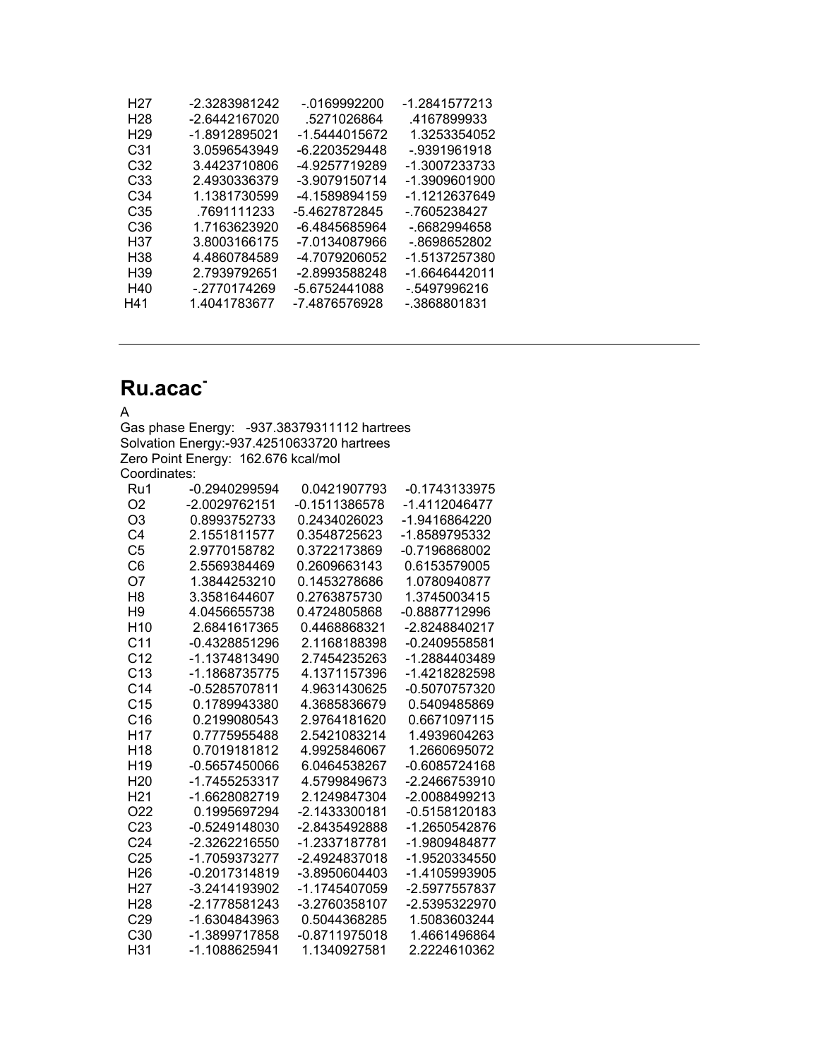| H27             | -2.3283981242 | -.0169992200  | -1.2841577213 |
|-----------------|---------------|---------------|---------------|
| H <sub>28</sub> | -2.6442167020 | .5271026864   | 4167899933    |
| H <sub>29</sub> | -1.8912895021 | -1.5444015672 | 1.3253354052  |
| C31             | 3.0596543949  | -6.2203529448 | -.9391961918  |
| C32             | 3.4423710806  | -4.9257719289 | -1.3007233733 |
| C <sub>33</sub> | 2.4930336379  | -3.9079150714 | -1.3909601900 |
| C34             | 1.1381730599  | -4.1589894159 | -1 1212637649 |
| C35             | .7691111233   | -5.4627872845 | - 7605238427  |
| C <sub>36</sub> | 1.7163623920  | -6.4845685964 | - 6682994658  |
| H37             | 3.8003166175  | -7.0134087966 | - 8698652802  |
| H38             | 4.4860784589  | -4.7079206052 | -1.5137257380 |
| H <sub>39</sub> | 2.7939792651  | -2.8993588248 | -1.6646442011 |
| H40             | - 2770174269  | -5.6752441088 | - 5497996216  |
| H41             | 1.4041783677  | -7.4876576928 | - 3868801831  |

# **Ru.acac-**

| <b>Ru.acac</b>         |                                            |                                 |                              |
|------------------------|--------------------------------------------|---------------------------------|------------------------------|
| А                      |                                            |                                 |                              |
|                        | Gas phase Energy:                          | -937.38379311112 hartrees       |                              |
|                        | Solvation Energy:-937.42510633720 hartrees |                                 |                              |
|                        | Zero Point Energy: 162.676 kcal/mol        |                                 |                              |
| Coordinates:           |                                            |                                 |                              |
| Ru1                    | -0.2940299594                              | 0.0421907793                    | -0.1743133975                |
| O <sub>2</sub>         | -2.0029762151                              | $-0.1511386578$                 | -1.4112046477                |
| O <sub>3</sub>         | 0.8993752733                               | 0.2434026023                    | -1.9416864220                |
| C <sub>4</sub>         | 2.1551811577                               | 0.3548725623                    | -1.8589795332                |
| C <sub>5</sub>         | 2.9770158782                               | 0.3722173869                    | $-0.7196868002$              |
| C <sub>6</sub>         | 2.5569384469                               | 0.2609663143                    | 0.6153579005                 |
| O7                     | 1.3844253210                               | 0.1453278686                    | 1.0780940877                 |
| H <sub>8</sub>         | 3.3581644607                               | 0.2763875730                    | 1.3745003415                 |
| H9                     | 4.0456655738                               | 0.4724805868                    | -0.8887712996                |
| H <sub>10</sub>        | 2.6841617365                               | 0.4468868321                    | -2.8248840217                |
| C <sub>11</sub>        | -0.4328851296                              | 2.1168188398                    | $-0.2409558581$              |
| C <sub>12</sub>        | -1.1374813490                              | 2.7454235263                    | -1.2884403489                |
| C <sub>13</sub>        | -1.1868735775                              | 4.1371157396                    | -1.4218282598                |
| C <sub>14</sub>        | -0.5285707811                              | 4.9631430625                    | -0.5070757320                |
| C <sub>15</sub>        | 0.1789943380                               | 4.3685836679                    | 0.5409485869                 |
| C16                    | 0.2199080543                               | 2.9764181620                    | 0.6671097115                 |
| H <sub>17</sub>        | 0.7775955488                               | 2.5421083214                    | 1.4939604263                 |
| H <sub>18</sub>        | 0.7019181812                               | 4.9925846067                    | 1.2660695072                 |
| H <sub>19</sub>        | -0.5657450066                              | 6.0464538267                    | -0.6085724168                |
| H <sub>20</sub>        | -1.7455253317                              | 4.5799849673                    | -2.2466753910                |
| H <sub>21</sub>        | -1.6628082719                              | 2.1249847304                    | -2.0088499213                |
| O <sub>22</sub>        | 0.1995697294                               | -2.1433300181                   | $-0.5158120183$              |
| C <sub>23</sub>        | -0.5249148030                              | -2.8435492888                   | -1.2650542876                |
| C <sub>24</sub>        | -2.3262216550                              | -1.2337187781                   | -1.9809484877                |
| C <sub>25</sub>        | -1.7059373277                              | -2.4924837018                   | -1.9520334550                |
| H <sub>26</sub>        | -0.2017314819                              | -3.8950604403                   | -1.4105993905                |
| H <sub>27</sub>        | -3.2414193902                              | -1.1745407059                   | -2.5977557837                |
| H <sub>28</sub>        | -2.1778581243                              | -3.2760358107                   | -2.5395322970                |
| C29<br>C <sub>30</sub> | -1.6304843963<br>-1.3899717858             | 0.5044368285<br>$-0.8711975018$ | 1.5083603244<br>1.4661496864 |
| H31                    | -1.1088625941                              | 1.1340927581                    | 2.2224610362                 |
|                        |                                            |                                 |                              |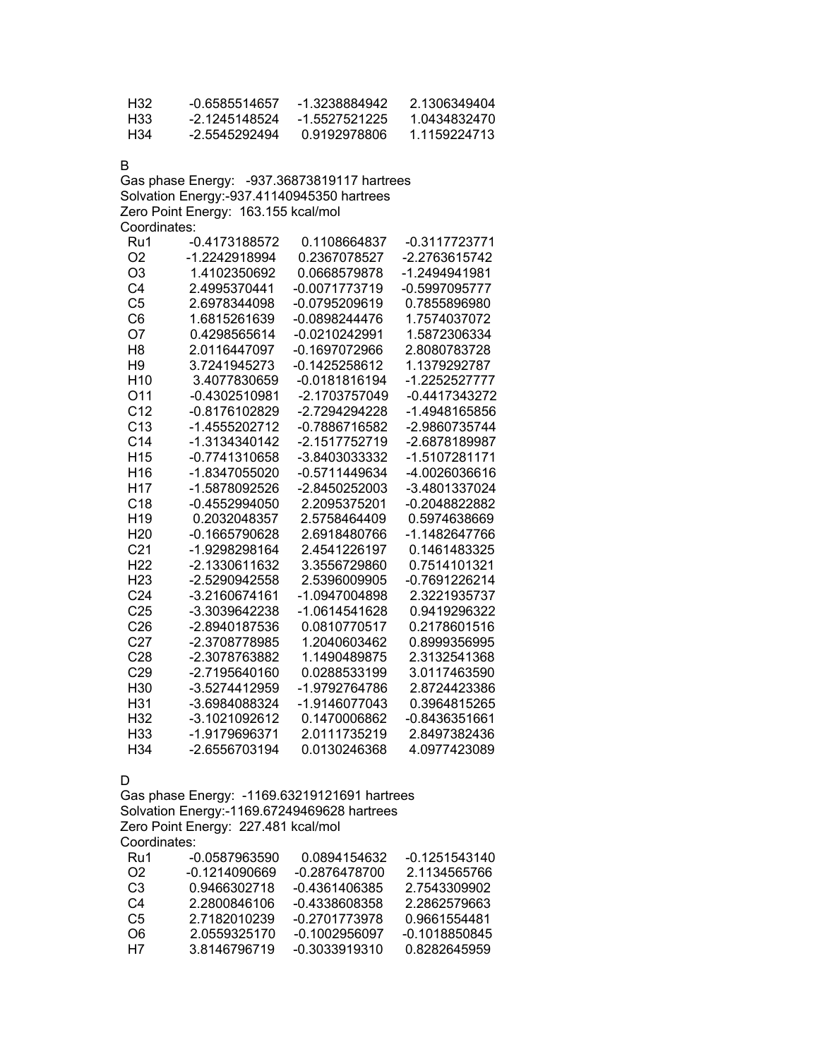| H32 | -0.6585514657 | -1.3238884942 | 2 1306349404 |
|-----|---------------|---------------|--------------|
| H33 | -2 1245148524 | -1.5527521225 | 1.0434832470 |
| H34 | -2.5545292494 | 0.9192978806  | 1 1159224713 |

B

Gas phase Energy: -937.36873819117 hartrees Solvation Energy:-937.41140945350 hartrees Zero Point Energy: 163.155 kcal/mol Coordinates:

| Ru1             | -0.4173188572   | 0.1108664837    | -0.3117723771   |
|-----------------|-----------------|-----------------|-----------------|
| O <sub>2</sub>  | -1.2242918994   | 0.2367078527    | -2.2763615742   |
| O <sub>3</sub>  | 1.4102350692    | 0.0668579878    | -1.2494941981   |
| C <sub>4</sub>  | 2.4995370441    | -0.0071773719   | -0.5997095777   |
| C <sub>5</sub>  | 2.6978344098    | -0.0795209619   | 0.7855896980    |
| C <sub>6</sub>  | 1.6815261639    | $-0.0898244476$ | 1.7574037072    |
| O7              | 0.4298565614    | -0.0210242991   | 1.5872306334    |
| H <sub>8</sub>  | 2.0116447097    | -0.1697072966   | 2.8080783728    |
| H <sub>9</sub>  | 3.7241945273    | -0.1425258612   | 1.1379292787    |
| H <sub>10</sub> | 3.4077830659    | $-0.0181816194$ | -1.2252527777   |
| O11             | $-0.4302510981$ | -2.1703757049   | -0.4417343272   |
| C <sub>12</sub> | -0.8176102829   | -2.7294294228   | -1.4948165856   |
| C13             | -1.4555202712   | -0.7886716582   | -2.9860735744   |
| C <sub>14</sub> | -1.3134340142   | -2.1517752719   | -2.6878189987   |
| H <sub>15</sub> | -0.7741310658   | -3.8403033332   | -1.5107281171   |
| H <sub>16</sub> | -1.8347055020   | -0.5711449634   | -4.0026036616   |
| H <sub>17</sub> | -1.5878092526   | -2.8450252003   | -3.4801337024   |
| C <sub>18</sub> | $-0.4552994050$ | 2.2095375201    | -0.2048822882   |
| H <sub>19</sub> | 0.2032048357    | 2.5758464409    | 0.5974638669    |
| H <sub>20</sub> | -0.1665790628   | 2.6918480766    | -1.1482647766   |
| C <sub>21</sub> | -1.9298298164   | 2.4541226197    | 0.1461483325    |
| H <sub>22</sub> | -2.1330611632   | 3.3556729860    | 0.7514101321    |
| H <sub>23</sub> | -2.5290942558   | 2.5396009905    | -0.7691226214   |
| C <sub>24</sub> | -3.2160674161   | -1.0947004898   | 2.3221935737    |
| C <sub>25</sub> | -3.3039642238   | -1.0614541628   | 0.9419296322    |
| C <sub>26</sub> | -2.8940187536   | 0.0810770517    | 0.2178601516    |
| C <sub>27</sub> | -2.3708778985   | 1.2040603462    | 0.8999356995    |
| C <sub>28</sub> | -2.3078763882   | 1.1490489875    | 2.3132541368    |
| C <sub>29</sub> | -2.7195640160   | 0.0288533199    | 3.0117463590    |
| H <sub>30</sub> | -3.5274412959   | -1.9792764786   | 2.8724423386    |
| H31             | -3.6984088324   | -1.9146077043   | 0.3964815265    |
| H <sub>32</sub> | -3.1021092612   | 0.1470006862    | $-0.8436351661$ |
| H <sub>33</sub> | -1.9179696371   | 2.0111735219    | 2.8497382436    |
| H34             | -2.6556703194   | 0.0130246368    | 4.0977423089    |
|                 |                 |                 |                 |

D

Gas phase Energy: -1169.63219121691 hartrees Solvation Energy:-1169.67249469628 hartrees Zero Point Energy: 227.481 kcal/mol Coordinates:

| Ru1 | -0.0587963590 | 0.0894154632    | $-0.1251543140$ |
|-----|---------------|-----------------|-----------------|
| O2. | -0.1214090669 | -0.2876478700   | 2.1134565766    |
| C3  | 0.9466302718  | -0.4361406385   | 2.7543309902    |
| C4  | 2.2800846106  | -0.4338608358   | 2.2862579663    |
| C5  | 2.7182010239  | $-0.2701773978$ | 0.9661554481    |
| O6  | 2.0559325170  | -0.1002956097   | -0.1018850845   |
| H7  | 38146796719   | $-0.3033919310$ | 0.8282645959    |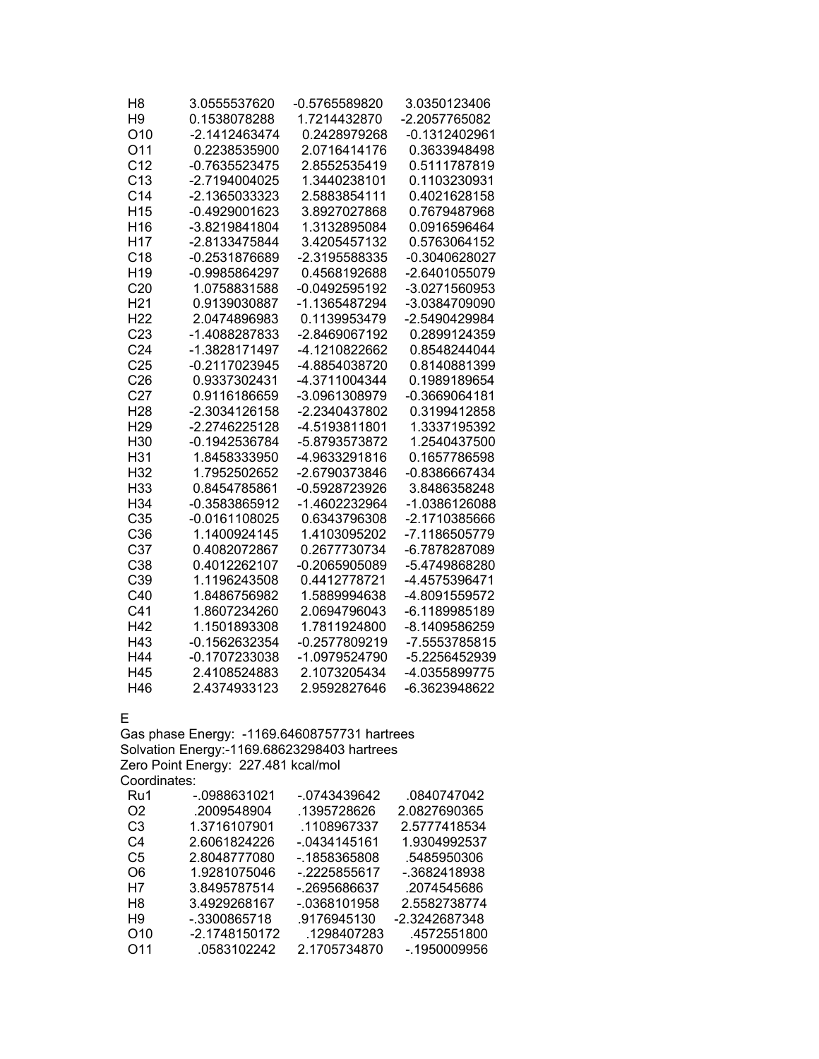| H <sub>8</sub>  | 3.0555537620    | -0.5765589820   | 3.0350123406  |
|-----------------|-----------------|-----------------|---------------|
| H <sub>9</sub>  | 0.1538078288    | 1.7214432870    | -2.2057765082 |
| O <sub>10</sub> | -2.1412463474   | 0.2428979268    | -0.1312402961 |
| O11             | 0.2238535900    | 2.0716414176    | 0.3633948498  |
| C <sub>12</sub> | $-0.7635523475$ | 2.8552535419    | 0.5111787819  |
| C <sub>13</sub> | -2.7194004025   | 1.3440238101    | 0.1103230931  |
| C <sub>14</sub> | -2.1365033323   | 2.5883854111    | 0.4021628158  |
| H <sub>15</sub> | $-0.4929001623$ | 3.8927027868    | 0.7679487968  |
| H <sub>16</sub> | -3.8219841804   | 1.3132895084    | 0.0916596464  |
| H <sub>17</sub> | -2.8133475844   | 3.4205457132    | 0.5763064152  |
| C <sub>18</sub> | -0.2531876689   | -2.3195588335   | -0.3040628027 |
| H <sub>19</sub> | -0.9985864297   | 0.4568192688    | -2.6401055079 |
| C <sub>20</sub> | 1.0758831588    | $-0.0492595192$ | -3.0271560953 |
| H <sub>21</sub> | 0.9139030887    | -1.1365487294   | -3.0384709090 |
| H <sub>22</sub> | 2.0474896983    | 0.1139953479    | -2.5490429984 |
| C <sub>23</sub> | -1.4088287833   | -2.8469067192   | 0.2899124359  |
| C <sub>24</sub> | -1.3828171497   | -4.1210822662   | 0.8548244044  |
| C <sub>25</sub> | -0.2117023945   | -4.8854038720   | 0.8140881399  |
| C <sub>26</sub> | 0.9337302431    | -4.3711004344   | 0.1989189654  |
| C <sub>27</sub> | 0.9116186659    | -3.0961308979   | -0.3669064181 |
| H <sub>28</sub> | -2.3034126158   | -2.2340437802   | 0.3199412858  |
| H <sub>29</sub> | -2.2746225128   | -4.5193811801   | 1.3337195392  |
| H30             | -0.1942536784   | -5.8793573872   | 1.2540437500  |
| H31             | 1.8458333950    | -4.9633291816   | 0.1657786598  |
| H <sub>32</sub> | 1.7952502652    | -2.6790373846   | -0.8386667434 |
| H33             | 0.8454785861    | -0.5928723926   | 3.8486358248  |
| H34             | -0.3583865912   | -1.4602232964   | -1.0386126088 |
| C35             | $-0.0161108025$ | 0.6343796308    | -2.1710385666 |
| C36             | 1.1400924145    | 1.4103095202    | -7.1186505779 |
| C <sub>37</sub> | 0.4082072867    | 0.2677730734    | -6.7878287089 |
| C <sub>38</sub> | 0.4012262107    | $-0.2065905089$ | -5.4749868280 |
| C39             | 1.1196243508    | 0.4412778721    | -4.4575396471 |
| C40             | 1.8486756982    | 1.5889994638    | -4.8091559572 |
| C <sub>41</sub> | 1.8607234260    | 2.0694796043    | -6.1189985189 |
| H42             | 1.1501893308    | 1.7811924800    | -8.1409586259 |
| H43             | -0.1562632354   | -0.2577809219   | -7.5553785815 |
| H44             | -0.1707233038   | -1.0979524790   | -5.2256452939 |
| H45             | 2.4108524883    | 2.1073205434    | -4.0355899775 |
| H46             | 2.4374933123    | 2.9592827646    | -6.3623948622 |

E

Gas phase Energy: -1169.64608757731 hartrees Solvation Energy:-1169.68623298403 hartrees Zero Point Energy: 227.481 kcal/mol Coordinates:

| Ru1             | -.0988631021  | -.0743439642    | .0840747042   |
|-----------------|---------------|-----------------|---------------|
| O <sub>2</sub>  | .2009548904   | .1395728626     | 2.0827690365  |
| C3              | 1.3716107901  | .1108967337     | 2.5777418534  |
| C4              | 2.6061824226  | -.0434145161    | 1.9304992537  |
| C5              | 2.8048777080  | -.1858365808    | .5485950306   |
| O6              | 1.9281075046  | $-2225855617$   | -.3682418938  |
| H7              | 3.8495787514  | -.2695686637    | .2074545686   |
| H <sub>8</sub>  | 3.4929268167  | $-0.0368101958$ | 2.5582738774  |
| H9              | -.3300865718  | .9176945130     | -2.3242687348 |
| O <sub>10</sub> | -2.1748150172 | .1298407283     | .4572551800   |
| O <sub>11</sub> | .0583102242   | 2.1705734870    | -.1950009956  |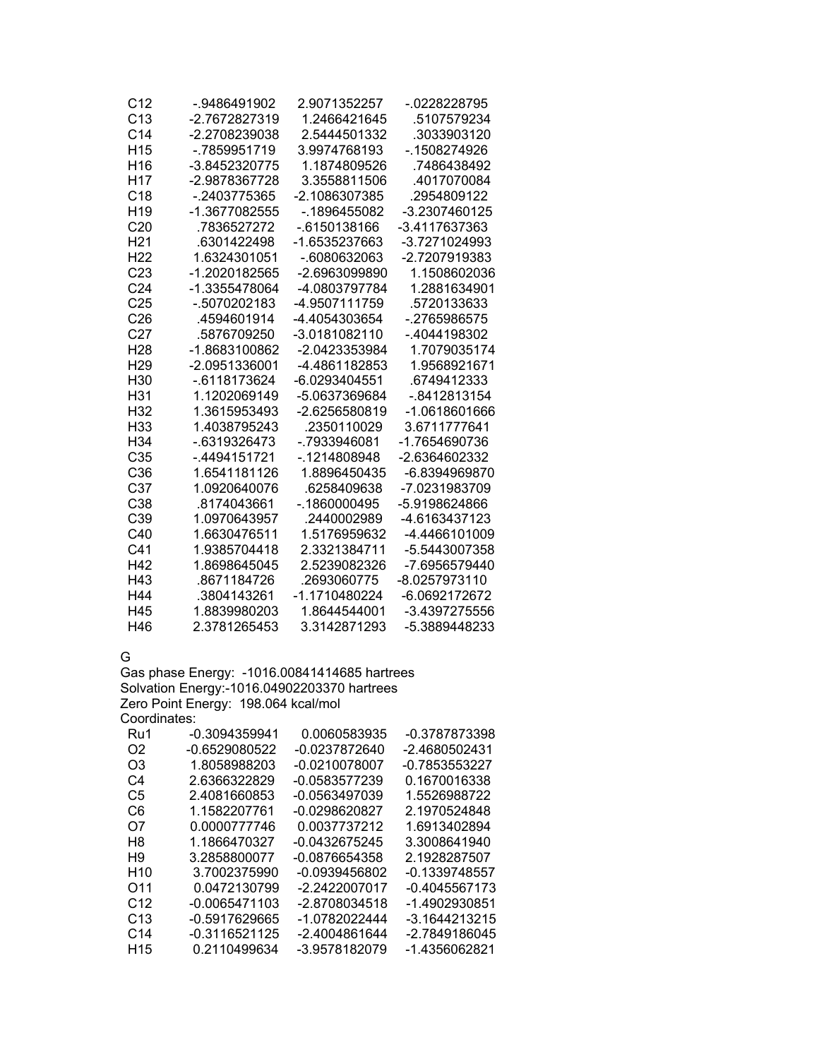| C12             | -.9486491902    | 2.9071352257    | -.0228228795  |
|-----------------|-----------------|-----------------|---------------|
| C13             | -2.7672827319   | 1.2466421645    | .5107579234   |
| C <sub>14</sub> | -2.2708239038   | 2.5444501332    | .3033903120   |
| H <sub>15</sub> | - 7859951719    | 3.9974768193    | -.1508274926  |
| H <sub>16</sub> | -3.8452320775   | 1.1874809526    | 7486438492    |
| H <sub>17</sub> | -2.9878367728   | 3.3558811506    | .4017070084   |
| C <sub>18</sub> | -.2403775365    | -2.1086307385   | .2954809122   |
| H <sub>19</sub> | -1.3677082555   | -.1896455082    | -3.2307460125 |
| C <sub>20</sub> | .7836527272     | -.6150138166    | -3.4117637363 |
| H <sub>21</sub> | 6301422498      | -1.6535237663   | -3.7271024993 |
| H <sub>22</sub> | 1.6324301051    | -.6080632063    | -2.7207919383 |
| C <sub>23</sub> | -1.2020182565   | -2.6963099890   | 1.1508602036  |
| C <sub>24</sub> | -1.3355478064   | -4.0803797784   | 1.2881634901  |
| C <sub>25</sub> | -.5070202183    | -4.9507111759   | .5720133633   |
| C <sub>26</sub> | .4594601914     | -4.4054303654   | - 2765986575  |
| C <sub>27</sub> | .5876709250     | -3.0181082110   | -.4044198302  |
| H <sub>28</sub> | -1.8683100862   | -2.0423353984   | 1.7079035174  |
| H <sub>29</sub> | -2.0951336001   | -4.4861182853   | 1.9568921671  |
| H <sub>30</sub> | -.6118173624    | -6.0293404551   | .6749412333   |
| H31             | 1.1202069149    | -5.0637369684   | -.8412813154  |
| H <sub>32</sub> | 1.3615953493    | -2.6256580819   | -1.0618601666 |
| H <sub>33</sub> | 1.4038795243    | .2350110029     | 3.6711777641  |
| H <sub>34</sub> | $-0.6319326473$ | -.7933946081    | -1.7654690736 |
| C <sub>35</sub> | -.4494151721    | -.1214808948    | -2.6364602332 |
| C <sub>36</sub> | 1.6541181126    | 1.8896450435    | -6.8394969870 |
| C <sub>37</sub> | 1.0920640076    | .6258409638     | -7.0231983709 |
| C <sub>38</sub> | .8174043661     | $-0.1860000495$ | -5.9198624866 |
| C <sub>39</sub> | 1.0970643957    | .2440002989     | -4.6163437123 |
| C40             | 1.6630476511    | 1.5176959632    | -4.4466101009 |
| C41             | 1.9385704418    | 2.3321384711    | -5.5443007358 |
| H42             | 1.8698645045    | 2.5239082326    | -7.6956579440 |
| H43             | .8671184726     | .2693060775     | -8.0257973110 |
| H44             | .3804143261     | -1.1710480224   | -6.0692172672 |
| H45             | 1.8839980203    | 1.8644544001    | -3.4397275556 |
| H46             | 2.3781265453    | 3.3142871293    | -5.3889448233 |

G

Gas phase Energy: -1016.00841414685 hartrees Solvation Energy:-1016.04902203370 hartrees Zero Point Energy: 198.064 kcal/mol

|  | Coordinates: |  |
|--|--------------|--|
|  |              |  |

| Ru1             | -0.3094359941   | 0.0060583935    | -0.3787873398   |
|-----------------|-----------------|-----------------|-----------------|
| O <sub>2</sub>  | $-0.6529080522$ | -0.0237872640   | -2.4680502431   |
| O3              | 1.8058988203    | $-0.0210078007$ | -0.7853553227   |
| C4              | 2.6366322829    | -0.0583577239   | 0.1670016338    |
| C5              | 2.4081660853    | -0.0563497039   | 1.5526988722    |
| C6              | 1.1582207761    | -0.0298620827   | 2.1970524848    |
| O7              | 0.0000777746    | 0.0037737212    | 1.6913402894    |
| H8              | 1.1866470327    | -0.0432675245   | 3.3008641940    |
| H9              | 3.2858800077    | -0.0876654358   | 2.1928287507    |
| H <sub>10</sub> | 3.7002375990    | -0.0939456802   | -0.1339748557   |
| O <sub>11</sub> | 0.0472130799    | -2.2422007017   | $-0.4045567173$ |
| C <sub>12</sub> | $-0.0065471103$ | -2.8708034518   | -1.4902930851   |
| C <sub>13</sub> | $-0.5917629665$ | -1.0782022444   | -3.1644213215   |
| C14             | -0.3116521125   | -2.4004861644   | -2.7849186045   |
| H <sub>15</sub> | 0.2110499634    | -3.9578182079   | -1.4356062821   |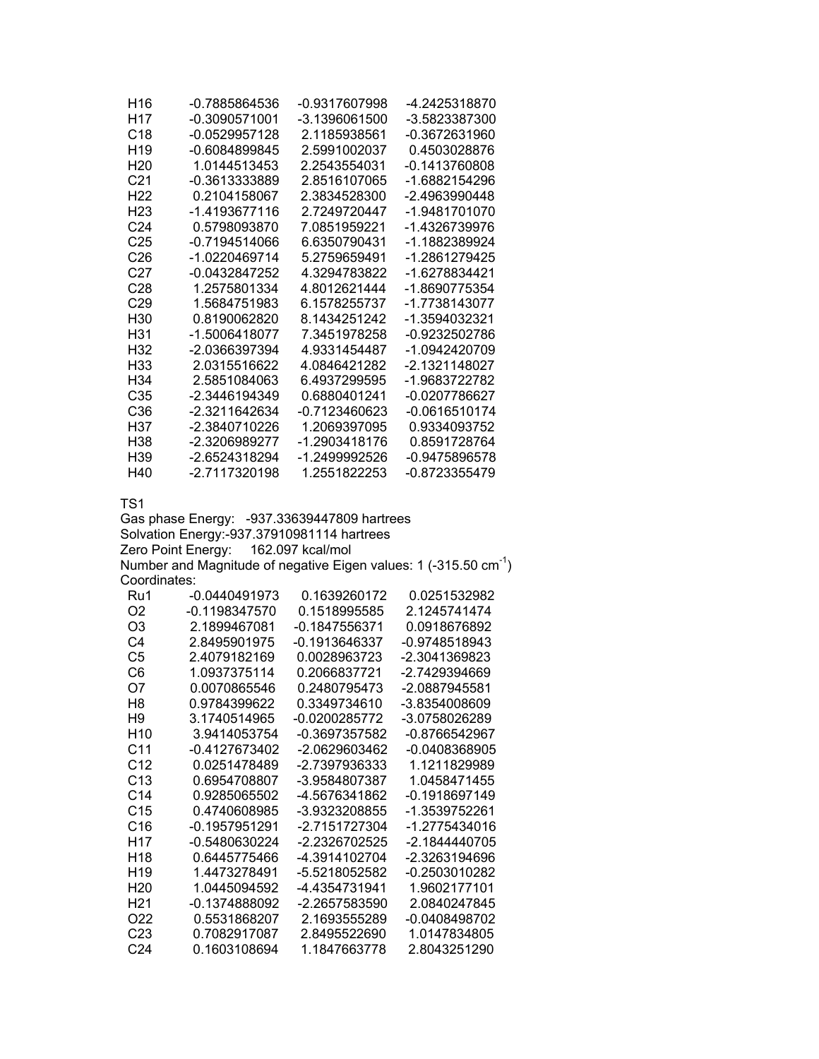| H16             | -0.7885864536   | -0.9317607998 | -4.2425318870 |
|-----------------|-----------------|---------------|---------------|
| H17             | -0.3090571001   | -3.1396061500 | -3.5823387300 |
| C18             | -0.0529957128   | 2.1185938561  | -0.3672631960 |
| H <sub>19</sub> | $-0.6084899845$ | 2.5991002037  | 0.4503028876  |
| H <sub>20</sub> | 1.0144513453    | 2.2543554031  | -0.1413760808 |
| C <sub>21</sub> | -0.3613333889   | 2.8516107065  | -1.6882154296 |
| H22             | 0.2104158067    | 2.3834528300  | -2 4963990448 |
| H <sub>23</sub> | -1.4193677116   | 2.7249720447  | -1.9481701070 |
| C24             | 0.5798093870    | 7.0851959221  | -1.4326739976 |
| C25             | -0.7194514066   | 6.6350790431  | -1.1882389924 |
| C <sub>26</sub> | -1.0220469714   | 5.2759659491  | -1.2861279425 |
| C27             | -0.0432847252   | 4.3294783822  | -1.6278834421 |
| C <sub>28</sub> | 1.2575801334    | 4.8012621444  | -1.8690775354 |
| C <sub>29</sub> | 1.5684751983    | 6.1578255737  | -1.7738143077 |
| H30             | 0.8190062820    | 8.1434251242  | -1.3594032321 |
| H31             | -1.5006418077   | 7.3451978258  | -0.9232502786 |
| H32             | -2.0366397394   | 4.9331454487  | -1.0942420709 |
| H33             | 2.0315516622    | 4.0846421282  | -2.1321148027 |
| H34             | 2.5851084063    | 6.4937299595  | -1.9683722782 |
| C35             | -2.3446194349   | 0.6880401241  | -0.0207786627 |
| C36             | -2.3211642634   | -0.7123460623 | -0.0616510174 |
| H37             | -2.3840710226   | 1.2069397095  | 0.9334093752  |
| H38             | -2.3206989277   | -1.2903418176 | 0.8591728764  |
| H39             | -2.6524318294   | -1.2499992526 | -0.9475896578 |
| H40             | -2.7117320198   | 1.2551822253  | -0.8723355479 |

Gas phase Energy: -937.33639447809 hartrees Solvation Energy:-937.37910981114 hartrees Zero Point Energy: 162.097 kcal/mol Number and Magnitude of negative Eigen values: 1 (-315.50  $cm^{-1}$ )

Coordinates:

| Ru1             | $-0.0440491973$ | 0.1639260172    | 0.0251532982  |
|-----------------|-----------------|-----------------|---------------|
| O2              | -0.1198347570   | 0.1518995585    | 2.1245741474  |
| O3              | 2.1899467081    | $-0.1847556371$ | 0.0918676892  |
| C4              | 2.8495901975    | -0.1913646337   | -0.9748518943 |
| C5              | 2.4079182169    | 0.0028963723    | -2.3041369823 |
| C6              | 1.0937375114    |                 | -2 7429394669 |
| O7              | 0.0070865546    | 0.2480795473    | -2.0887945581 |
| H8              | 0.9784399622    | 0.3349734610    | -3.8354008609 |
| H <sub>9</sub>  | 3.1740514965    | -0.0200285772   | -3.0758026289 |
| H <sub>10</sub> | 3.9414053754    | -0.3697357582   | -0.8766542967 |
| C11             | -0.4127673402   | -2.0629603462   | -0.0408368905 |
| C <sub>12</sub> | 0.0251478489    | -2.7397936333   | 1.1211829989  |
| C <sub>13</sub> | 0.6954708807    | -3.9584807387   | 1 0458471455  |
| C14             | 0.9285065502    | -4.5676341862   | -0.1918697149 |
| C15             | 0.4740608985    | -3.9323208855   | -1.3539752261 |
| C16             | -0.1957951291   | -2.7151727304   | -1.2775434016 |
| H17             | -0.5480630224   | -2.2326702525   | -2.1844440705 |
| H <sub>18</sub> | 0.6445775466    | -4.3914102704   | -2.3263194696 |
| H <sub>19</sub> | 1.4473278491    | -5.5218052582   | -0.2503010282 |
| H <sub>20</sub> | 1.0445094592    | -4.4354731941   | 1.9602177101  |
| H21             | $-0.1374888092$ | -2.2657583590   | 2.0840247845  |
| O22             | 0.5531868207    | 2.1693555289    | -0.0408498702 |
| C <sub>23</sub> | 0.7082917087    | 2.8495522690    | 1.0147834805  |
| C <sub>24</sub> | 0.1603108694    | 1.1847663778    | 2.8043251290  |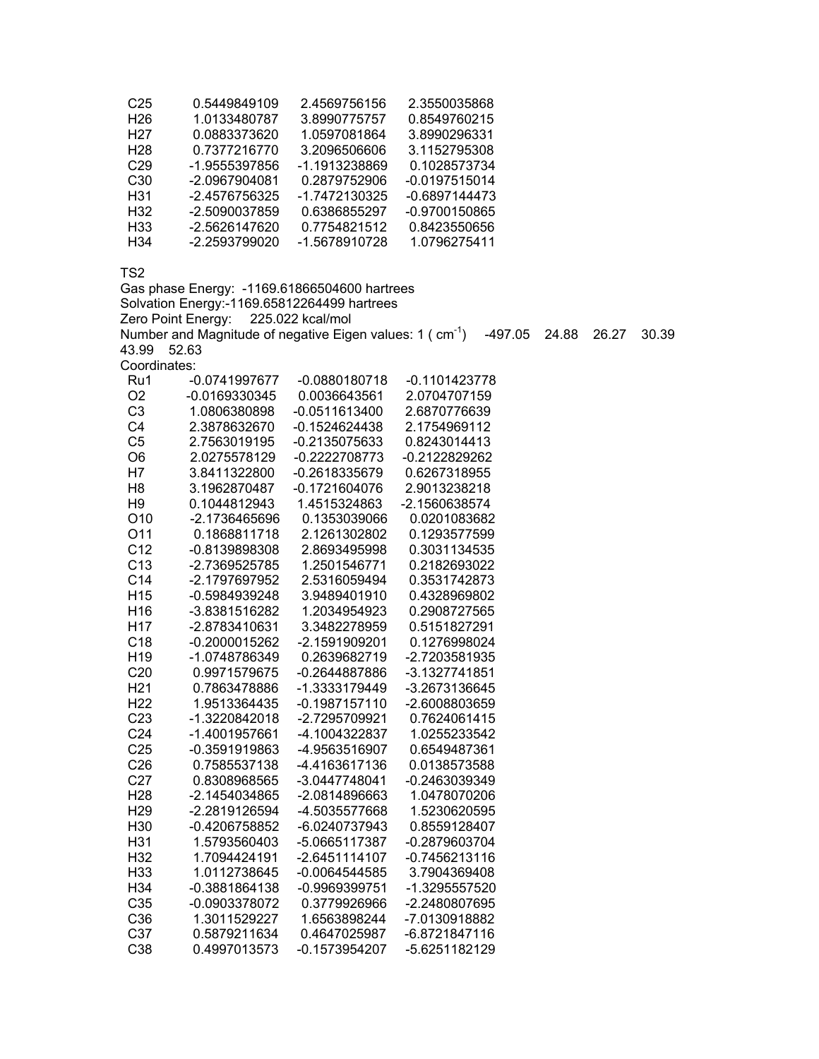| C25              | 0.5449849109  | 2.4569756156  | 2.3550035868    |
|------------------|---------------|---------------|-----------------|
| H <sub>26</sub>  | 1.0133480787  | 3.8990775757  | 0.8549760215    |
| H <sub>2</sub> 7 | 0.0883373620  | 1.0597081864  | 3.8990296331    |
| H <sub>28</sub>  | 0.7377216770  | 3.2096506606  | 3.1152795308    |
| C <sub>29</sub>  | -1.9555397856 | -1.1913238869 | 0.1028573734    |
| C <sub>30</sub>  | -2.0967904081 | 0.2879752906  | $-0.0197515014$ |
| H31              | -2.4576756325 | -1.7472130325 | $-0.6897144473$ |
| H32              | -2.5090037859 | 0.6386855297  | -0.9700150865   |
| H <sub>33</sub>  | -2.5626147620 | 0.7754821512  | 0.8423550656    |
| H34              | -2.2593799020 | -1.5678910728 | 1.0796275411    |

Gas phase Energy: -1169.61866504600 hartrees

Solvation Energy:-1169.65812264499 hartrees

Zero Point Energy: 225.022 kcal/mol

Number and Magnitude of negative Eigen values: 1 ( $\text{ cm}^{-1}$ )  $\text{--}497.05$  24.88 26.27 30.39 43.99 52.63

Coordinates:

| <b>CUULUILIQICS.</b> |               |                 |                 |
|----------------------|---------------|-----------------|-----------------|
| Ru1                  | -0.0741997677 | $-0.0880180718$ | $-0.1101423778$ |
| O <sub>2</sub>       | -0.0169330345 | 0.0036643561    | 2.0704707159    |
| C <sub>3</sub>       | 1.0806380898  | $-0.0511613400$ | 2.6870776639    |
| C <sub>4</sub>       | 2.3878632670  | $-0.1524624438$ | 2.1754969112    |
| C <sub>5</sub>       | 2.7563019195  | -0.2135075633   | 0.8243014413    |
| O <sub>6</sub>       | 2.0275578129  | $-0.2222708773$ | -0.2122829262   |
| H7                   | 3.8411322800  | $-0.2618335679$ | 0.6267318955    |
| H8                   | 3.1962870487  | -0.1721604076   | 2.9013238218    |
| H <sub>9</sub>       | 0.1044812943  | 1.4515324863    | -2.1560638574   |
| O <sub>10</sub>      | -2.1736465696 | 0.1353039066    | 0.0201083682    |
| O11                  | 0.1868811718  | 2.1261302802    | 0.1293577599    |
| C <sub>12</sub>      | -0.8139898308 | 2.8693495998    | 0.3031134535    |
| C13                  | -2.7369525785 | 1.2501546771    | 0.2182693022    |
| C <sub>14</sub>      | -2.1797697952 | 2.5316059494    | 0.3531742873    |
| H <sub>15</sub>      | -0.5984939248 | 3.9489401910    | 0.4328969802    |
| H <sub>16</sub>      | -3.8381516282 | 1.2034954923    | 0.2908727565    |
| H <sub>17</sub>      | -2.8783410631 | 3.3482278959    | 0.5151827291    |
| C <sub>18</sub>      | -0.2000015262 | -2.1591909201   | 0.1276998024    |
| H <sub>19</sub>      | -1.0748786349 | 0.2639682719    | -2.7203581935   |
| C <sub>20</sub>      | 0.9971579675  | $-0.2644887886$ | -3.1327741851   |
| H <sub>21</sub>      | 0.7863478886  | -1.3333179449   | -3.2673136645   |
| H <sub>22</sub>      | 1.9513364435  | $-0.1987157110$ | -2.6008803659   |
| C <sub>23</sub>      | -1.3220842018 | -2.7295709921   | 0.7624061415    |
| C <sub>24</sub>      | -1.4001957661 | -4.1004322837   | 1.0255233542    |
| C <sub>25</sub>      | -0.3591919863 | -4.9563516907   | 0.6549487361    |
| C <sub>26</sub>      | 0.7585537138  | -4.4163617136   | 0.0138573588    |
| C <sub>27</sub>      | 0.8308968565  | -3.0447748041   | -0.2463039349   |
| H <sub>28</sub>      | -2.1454034865 | -2.0814896663   | 1.0478070206    |
| H <sub>29</sub>      | -2.2819126594 | -4.5035577668   | 1.5230620595    |
| H <sub>30</sub>      | -0.4206758852 | -6.0240737943   | 0.8559128407    |
| H31                  | 1.5793560403  | -5.0665117387   | -0.2879603704   |
| H32                  | 1.7094424191  | $-2.6451114107$ | $-0.7456213116$ |
| H33                  | 1.0112738645  | $-0.0064544585$ | 3.7904369408    |
| H34                  | -0.3881864138 | -0.9969399751   | -1.3295557520   |
| C35                  | -0.0903378072 | 0.3779926966    | -2.2480807695   |
| C36                  | 1.3011529227  | 1.6563898244    | -7.0130918882   |
| C <sub>37</sub>      | 0.5879211634  | 0.4647025987    | -6.8721847116   |
| C <sub>38</sub>      | 0.4997013573  | -0.1573954207   | -5.6251182129   |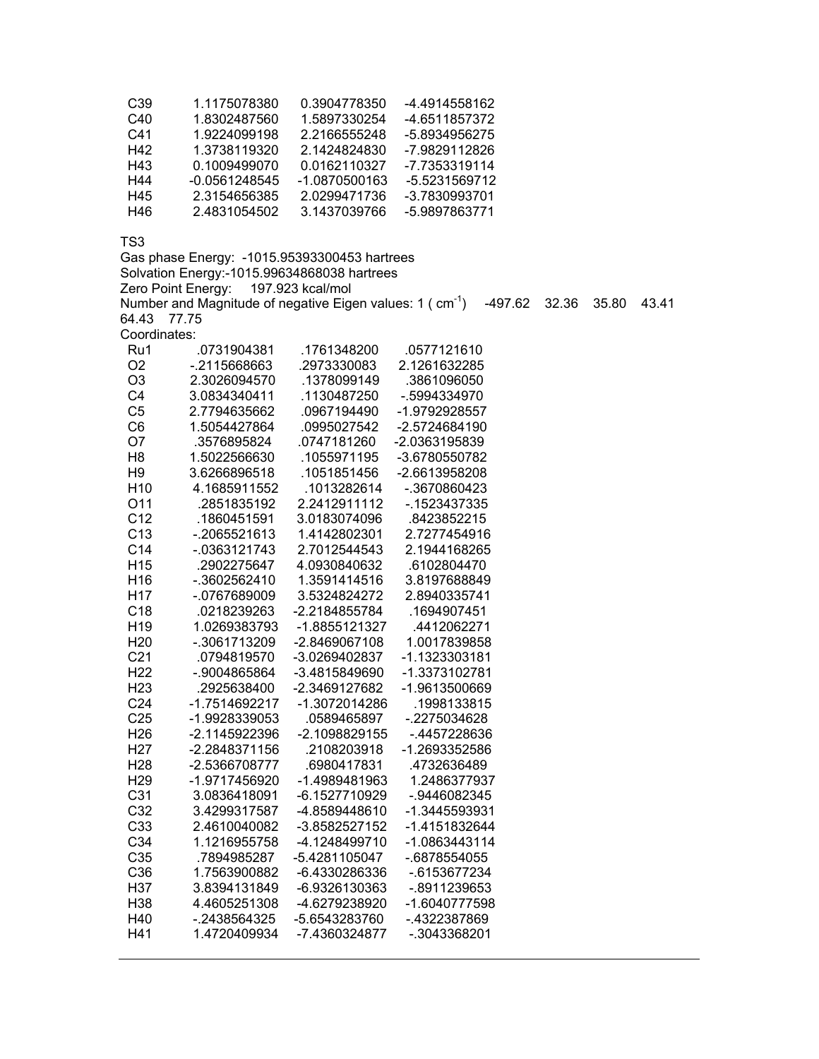| C39 | 1.1175078380  | 0.3904778350  | -4.4914558162 |
|-----|---------------|---------------|---------------|
| C40 | 1.8302487560  | 1.5897330254  | -4.6511857372 |
| C41 | 1.9224099198  | 2.2166555248  | -5.8934956275 |
| H42 | 1.3738119320  | 2.1424824830  | -7.9829112826 |
| H43 | 0.1009499070  | 0.0162110327  | -7.7353319114 |
| H44 | -0.0561248545 | -1.0870500163 | -5.5231569712 |
| H45 | 2.3154656385  | 2.0299471736  | -3.7830993701 |
| H46 | 2.4831054502  | 3.1437039766  | -5.9897863771 |

Gas phase Energy: -1015.95393300453 hartrees Solvation Energy:-1015.99634868038 hartrees Zero Point Energy: 197.923 kcal/mol Number and Magnitude of negative Eigen values: 1 ( $\text{ cm}^1$ )  $\text{--}497.62$  32.36 35.80 43.41 64.43 77.75 Coordinates:<br>Ru1 0731904381 1761348200 .0577121610

| ru i            | .u <i>i</i> 51904501 | . 1701340ZUU  | <u>. 737 112 1017</u> |
|-----------------|----------------------|---------------|-----------------------|
| O <sub>2</sub>  | -.2115668663         | .2973330083   | 2.1261632285          |
| O <sub>3</sub>  | 2.3026094570         | 1378099149    | .3861096050           |
| C <sub>4</sub>  | 3.0834340411         | .1130487250   | -.5994334970          |
| C <sub>5</sub>  | 2.7794635662         | .0967194490   | -1.9792928557         |
| C <sub>6</sub>  | 1.5054427864         | .0995027542   | -2.5724684190         |
| O <sub>7</sub>  | .3576895824          | .0747181260   | -2.0363195839         |
| H <sub>8</sub>  | 1.5022566630         | .1055971195   | -3.6780550782         |
| H <sub>9</sub>  | 3.6266896518         | .1051851456   | -2.6613958208         |
| H <sub>10</sub> | 4.1685911552         | .1013282614   | -.3670860423          |
| O11             | .2851835192          | 2.2412911112  | -.1523437335          |
| C <sub>12</sub> | .1860451591          | 3.0183074096  | .8423852215           |
| C <sub>13</sub> | -.2065521613         | 1.4142802301  | 2.7277454916          |
| C <sub>14</sub> | $-0.0363121743$      | 2.7012544543  | 2.1944168265          |
| H <sub>15</sub> | .2902275647          | 4.0930840632  | .6102804470           |
| H <sub>16</sub> | -.3602562410         | 1.3591414516  | 3.8197688849          |
| H <sub>17</sub> | -.0767689009         | 3.5324824272  | 2.8940335741          |
| C18             | .0218239263          | -2.2184855784 | .1694907451           |
| H <sub>19</sub> | 1.0269383793         | -1.8855121327 | .4412062271           |
| H <sub>20</sub> | -.3061713209         | -2.8469067108 | 1.0017839858          |
| C <sub>21</sub> | .0794819570          | -3.0269402837 | -1.1323303181         |
| H <sub>22</sub> | -.9004865864         | -3.4815849690 | -1.3373102781         |
| H <sub>23</sub> | .2925638400          | -2.3469127682 | -1.9613500669         |
| C <sub>24</sub> | -1.7514692217        | -1.3072014286 | .1998133815           |
| C <sub>25</sub> | -1.9928339053        | .0589465897   | -.2275034628          |
| H <sub>26</sub> | -2.1145922396        | -2.1098829155 | -.4457228636          |
| H <sub>27</sub> | -2.2848371156        | .2108203918   | -1.2693352586         |
| H <sub>28</sub> | -2.5366708777        | .6980417831   | 4732636489            |
| H <sub>29</sub> | -1.9717456920        | -1.4989481963 | 1.2486377937          |
| C <sub>31</sub> | 3.0836418091         | -6.1527710929 | -.9446082345          |
| C <sub>32</sub> | 3.4299317587         | -4.8589448610 | -1.3445593931         |
| C33             | 2.4610040082         | -3.8582527152 | -1.4151832644         |
| C <sub>34</sub> | 1.1216955758         | -4.1248499710 | -1.0863443114         |
| C <sub>35</sub> | .7894985287          | -5.4281105047 | -.6878554055          |
| C36             | 1.7563900882         | -6.4330286336 | $-0.6153677234$       |
| H37             | 3.8394131849         | -6.9326130363 | -.8911239653          |
| H38             | 4.4605251308         | -4.6279238920 | -1.6040777598         |
| H40             | -.2438564325         | -5.6543283760 | -.4322387869          |
| H41             | 1.4720409934         | -7.4360324877 | -.3043368201          |
|                 |                      |               |                       |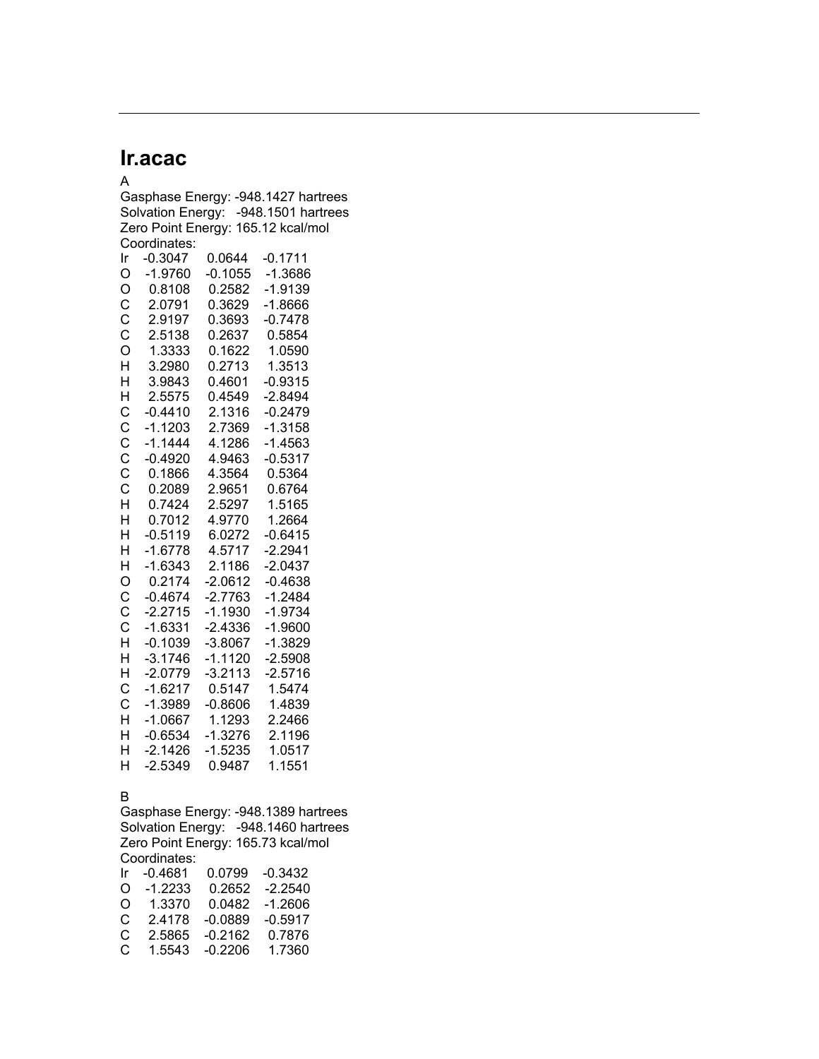## **Ir.acac**

A Gasphase Energy: -948.1427 hartrees Solvation Energy: -948.1501 hartrees Zero Point Energy: 165.12 kcal/mol Coordinates: Ir -0.3047 0.0644 -0.1711 O -1.9760 -0.1055 -1.3686 O 0.8108 0.2582 -1.9139 C 2.0791 0.3629 -1.8666 C 2.9197 0.3693 -0.7478 C 2.5138 0.2637 0.5854 O 1.3333 0.1622 1.0590 H 3.2980 0.2713 1.3513 H 3.9843 0.4601 -0.9315 H 2.5575 0.4549 -2.8494 C -0.4410 2.1316 -0.2479 C -1.1203 2.7369 -1.3158 C -1.1444 4.1286 -1.4563 C -0.4920 4.9463 -0.5317 C 0.1866 4.3564 0.5364 C 0.2089 2.9651 0.6764 H 0.7424 2.5297 1.5165 H 0.7012 4.9770 1.2664 H -0.5119 6.0272 -0.6415 H -1.6778 4.5717 -2.2941 H -1.6343 2.1186 -2.0437 O 0.2174 -2.0612 -0.4638 C -0.4674 -2.7763 -1.2484 C -2.2715 -1.1930 -1.9734 C -1.6331 -2.4336 -1.9600 H -0.1039 -3.8067 -1.3829 H -3.1746 -1.1120 -2.5908 H -2.0779 -3.2113 -2.5716 C -1.6217 0.5147 1.5474 C -1.3989 -0.8606 1.4839 H -1.0667 1.1293 2.2466 H -0.6534 -1.3276 2.1196 H -2.1426 -1.5235 1.0517 H -2.5349 0.9487 1.1551

### B

Gasphase Energy: -948.1389 hartrees Solvation Energy: -948.1460 hartrees Zero Point Energy: 165.73 kcal/mol Coordinates: Ir -0.4681 0.0799 -0.3432 O -1.2233 0.2652 -2.2540 O 1.3370 0.0482 -1.2606 C 2.4178 -0.0889 -0.5917 C 2.5865 -0.2162 0.7876 C 1.5543 -0.2206 1.7360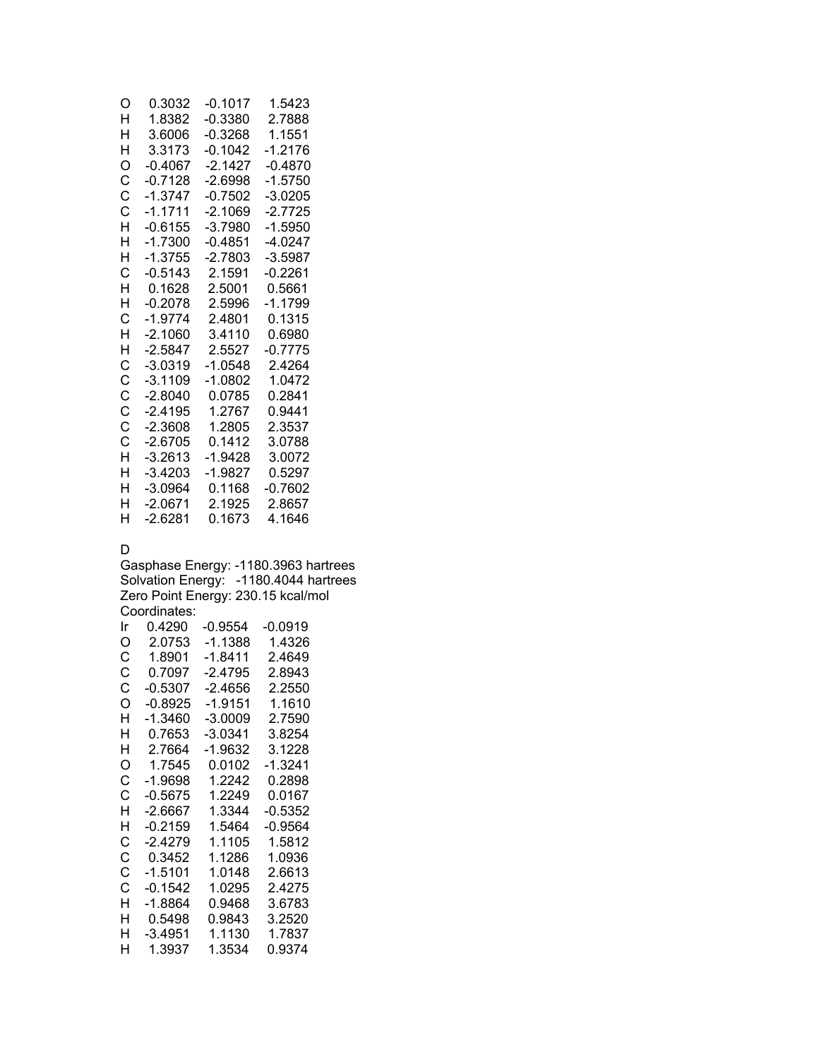| O | 0.3032    | $-0.1017$ | 1.5423         |
|---|-----------|-----------|----------------|
| н | 1.8382    | $-0.3380$ | 2.7888         |
| н | 3.6006    | $-0.3268$ | 1.1551         |
| н | 3.3173    | $-0.1042$ | $-1.2176$      |
| O | $-0.4067$ | $-2.1427$ | $-0.4870$      |
| C | $-0.7128$ | $-2.6998$ | $-1.5750$      |
| Ċ | $-1.3747$ | $-0.7502$ | $-3.0205$      |
| C | $-1.1711$ | $-2.1069$ | $-2.7725$      |
| н | $-0.6155$ | $-3.7980$ | -1.5950        |
| н | $-1.7300$ | $-0.4851$ | -4 0247        |
| Н | $-1.3755$ | $-2.7803$ | $-3.5987$      |
| C | $-0.5143$ | 2.1591    | $-0.2261$      |
| н | በ 1628    | 25001     | 0.5661         |
| H | $-0.2078$ | 2.5996    | $-1.1799$      |
| C | $-1.9774$ | 2.4801    | 0.1315         |
| н | -2 1060   | 34110     | <u> በ 6980</u> |
| н | $-2.5847$ | 2.5527    | $-0.7775$      |
| C | $-3.0319$ | $-1.0548$ | 2.4264         |
| Ċ | $-3.1109$ | $-1.0802$ | 1.0472         |
| C | $-2.8040$ | 0.0785    | 0.2841         |
| Ċ | $-2.4195$ | 1.2767    | 0.9441         |
| Ċ | $-2.3608$ | 1 2805    | 2.3537         |
| Ċ | $-2.6705$ | 0.1412    | 3.0788         |
| H | $-3.2613$ | $-1.9428$ | 3.0072         |
| н | $-3.4203$ | $-1.9827$ | 0.5297         |
| Н | $-3.0964$ | 0.1168    | -0.7602        |
| н | $-2.0671$ | 2.1925    | 2.8657         |
| н | -2 6281   | በ 1673    | 4 1646         |

## D

Gasphase Energy: -1180.3963 hartrees Solvation Energy: -1180.4044 hartrees Zero Point Energy: 230.15 kcal/mol Coordinates:

| Ir | 0.4290    | $-0.9554$ | $-0.0919$ |
|----|-----------|-----------|-----------|
| O  | 2.0753    | -1.1388   | 1.4326    |
| С  | 1.8901    | -1.8411   | 2.4649    |
| C  | 0.7097    | -2.4795   | 2.8943    |
| С  | $-0.5307$ | $-2.4656$ | 2.2550    |
| O  | $-0.8925$ | $-1.9151$ | 1.1610    |
| н  | $-1.3460$ | $-3.0009$ | 2.7590    |
| н  | 0.7653    | $-3.0341$ | 3.8254    |
| н  | 2.7664    | $-1.9632$ | 3.1228    |
| O  | 1.7545    | 0.0102    | $-1.3241$ |
| С  | $-1.9698$ | 1 2242    | 0.2898    |
| С  | $-0.5675$ | 1.2249    | 0.0167    |
| н  | -2.6667   | 1.3344    | $-0.5352$ |
| н  | $-0.2159$ | 1.5464    | $-0.9564$ |
| С  | -2.4279   | 1.1105    | 1.5812    |
| C  | 0.3452    | 1.1286    | 1.0936    |
| C  | $-1.5101$ | 1.0148    | 2.6613    |
| С  | $-0.1542$ | 1.0295    | 2.4275    |
| н  | -1.8864   | 0.9468    | 3.6783    |
| н  | 0.5498    | 0.9843    | 3.2520    |
| н  | $-3.4951$ | 1.1130    | 1.7837    |
| н  | 1.3937    | 1.3534    | 0.9374    |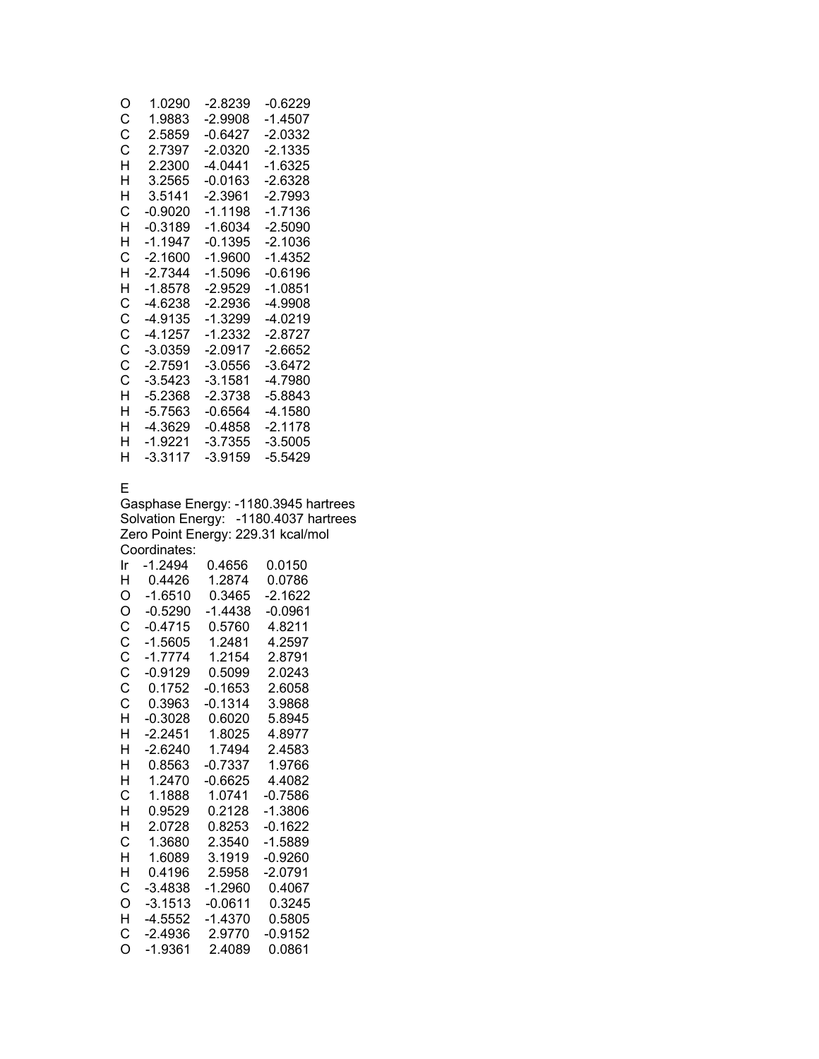| O | 1.0290    | -2.8239   | -0.6229   |
|---|-----------|-----------|-----------|
| С | 1.9883    | -2.9908   | -1 4507   |
| С | 2.5859    | -0 6427   | -2 0332   |
| С | 2.7397    | -2.0320   | $-2.1335$ |
| н | 2 2300    | -4 0441   | -1.6325   |
| н | 3.2565    | -0.0163   | -2.6328   |
| н | 3.5141    | $-2.3961$ | -2.7993   |
| С | -0.9020   | -1.1198   | -1.7136   |
| Н | $-0.3189$ | -1.6034   | $-2.5090$ |
| н | -1 1947   | $-0.1395$ | -2 1036   |
| С | -2 1600   | -1.9600   | -1 4352   |
| н | -2 7344   | -1.5096   | -0 6196   |
| н | $-1.8578$ | -2 9529   | -1 0851   |
| С | -4.6238   | -2 2936   | -4.9908   |
| С | $-4.9135$ | -1.3299   | $-4.0219$ |
| C | -4 1257   | -1 2332   | -2 8727   |
| C | -3.0359   | -2 0917   | $-2.6652$ |
| C | -2 7591   | $-3.0556$ | $-3.6472$ |
| C | -3.5423   | $-3.1581$ | -4 7980   |
| н | -5.2368   | -2.3738   | -5.8843   |
| н | -5.7563   | -0.6564   | -4.1580   |
| н | -4 3629   | -0 4858   | -2 1178   |
| н | -1.9221   | -3.7355   | -3.5005   |
| н | -3.3117   | -3.9159   | -5.5429   |
|   |           |           |           |

## E

Gasphase Energy: -1180.3945 hartrees Solvation Energy: -1180.4037 hartrees Zero Point Energy: 229.31 kcal/mol Coordinates:

| Ir | $-1.2494$ | 0.4656    | 0.0150    |
|----|-----------|-----------|-----------|
| Н  | 0.4426    | 1.2874    | 0.0786    |
| O  | $-1.6510$ | 0.3465    | $-2.1622$ |
| Ο  | $-0.5290$ | -1.4438   | -0.0961   |
| C  | $-0.4715$ | 0.5760    | 4.8211    |
| C  | $-1.5605$ | 1.2481    | 4.2597    |
| C  | $-1.7774$ | 1.2154    | 2.8791    |
| Ċ  | $-0.9129$ | 0.5099    | 2.0243    |
| C  | 0.1752    | $-0.1653$ | 2.6058    |
| Ċ  | 0.3963    | $-0.1314$ | 3.9868    |
| H  | $-0.3028$ | 0.6020    | 5.8945    |
| н  | $-2.2451$ | 1.8025    | 4.8977    |
| н  | $-2.6240$ | 1.7494    | 2.4583    |
| н  | 0.8563    | $-0.7337$ | 1.9766    |
| Н  | 1.2470    | $-0.6625$ | 4.4082    |
| С  | 1.1888    | 1.0741    | $-0.7586$ |
| H  | 0.9529    | 0.2128    | $-1.3806$ |
| н  | 2.0728    | 0.8253    | $-0.1622$ |
| С  | 1.3680    | 2.3540    | $-1.5889$ |
| H  | 1.6089    | 3.1919    | $-0.9260$ |
| Н  | 0.4196    | 2.5958    | $-2.0791$ |
| С  | $-3.4838$ | -1.2960   | 0.4067    |
| O  | $-3.1513$ | $-0.0611$ | 0.3245    |
| H  | $-4.5552$ | $-1.4370$ | 0.5805    |
| С  | -2.4936   | 2.9770    | -0.9152   |
| O  | -1.9361   | 2.4089    | 0.0861    |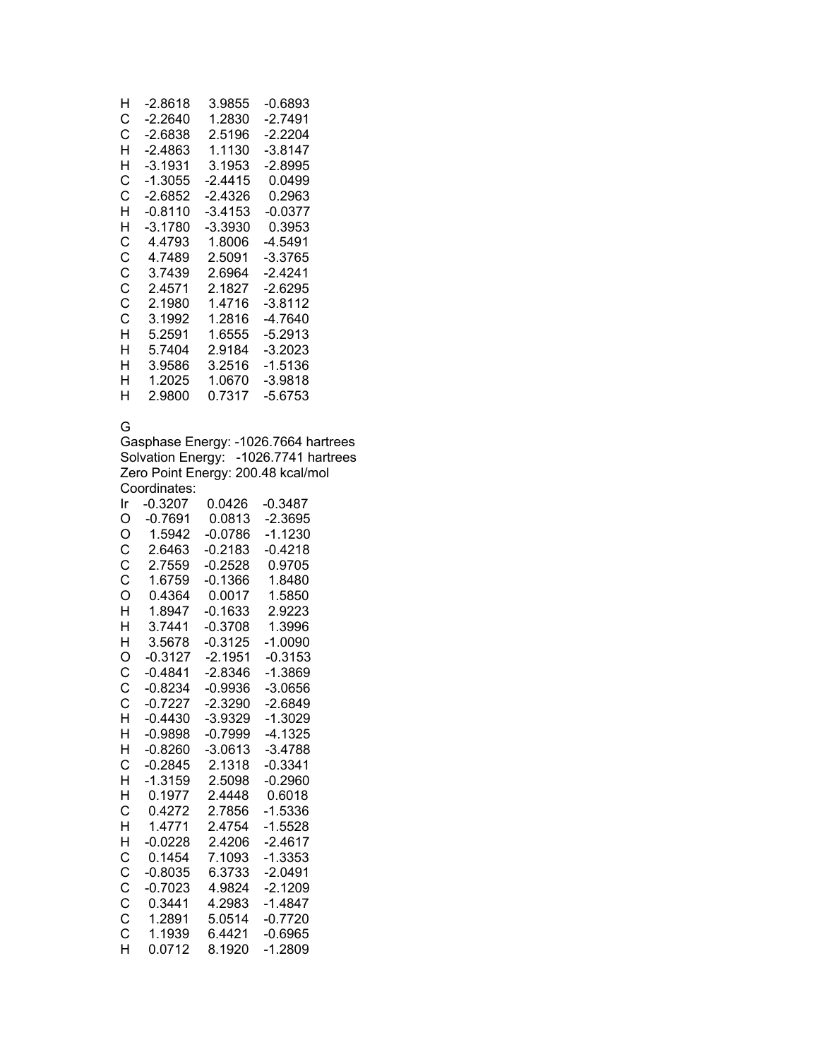| -2.8618   | 3.9855  | -0.6893   |
|-----------|---------|-----------|
| -2.2640   | 1.2830  | -2.7491   |
| -2.6838   | 2.5196  | -2.2204   |
| -2 4863   | 1.1130  | $-3.8147$ |
| -3.1931   | 3.1953  | $-2.8995$ |
| -1.3055   | -2.4415 | 0.0499    |
| $-2.6852$ | -2.4326 | 0.2963    |
| $-0.8110$ | -3.4153 | $-0.0377$ |
| -3.1780   | -3.3930 | 0.3953    |
| 4.4793    | 1.8006  | -4.5491   |
| 4.7489    | 2.5091  | -3.3765   |
| 3.7439    | 2.6964  | -2.4241   |
| 24571     | 2.1827  | $-2.6295$ |
| 2.1980    | 1.4716  | -3.8112   |
| 3.1992    | 1 2816  | -4.7640   |
| 5.2591    | 1.6555  | -5.2913   |
| 5.7404    | 2.9184  | -3.2023   |
| 3.9586    | 3.2516  | -1.5136   |
| 1.2025    | 1.0670  | -3.9818   |
| 2.9800    | 0.7317  | -5.6753   |
|           |         |           |

## G

Gasphase Energy: -1026.7664 hartrees Solvation Energy: -1026.7741 hartrees Zero Point Energy: 200.48 kcal/mol Coordinates: Ir -0.3207 0.0426 -0.3487

| O            | $-0.7691$ | 0.0813    | $-2.3695$ |
|--------------|-----------|-----------|-----------|
| O            | 1.5942    | $-0.0786$ | $-1.1230$ |
| Ċ            | 2.6463    | $-0.2183$ | $-0.4218$ |
| $\mathsf{C}$ | 2.7559    | $-0.2528$ | 0.9705    |
| Ċ            | 1.6759    | $-0.1366$ | 1.8480    |
| Ō            | 0.4364    | 0.0017    | 1.5850    |
| H            | 1.8947    | $-0.1633$ | 2.9223    |
| H            | 3.7441    | $-0.3708$ | 1.3996    |
| H            | 3.5678    | $-0.3125$ | $-1.0090$ |
| O            | $-0.3127$ | $-2.1951$ | $-0.3153$ |
| C            | $-0.4841$ | $-2.8346$ | $-1.3869$ |
| Ć            | $-0.8234$ | $-0.9936$ | $-3.0656$ |
| Ċ            | $-0.7227$ | $-2.3290$ | $-2.6849$ |
| H            | $-0.4430$ | $-3.9329$ | $-1.3029$ |
| H            | $-0.9898$ | $-0.7999$ | $-4.1325$ |
| H            | -0.8260   | $-3.0613$ | $-3.4788$ |
| Ć            | $-0.2845$ | 2.1318    | $-0.3341$ |
| H            | $-1.3159$ | 2.5098    | $-0.2960$ |
| H            | 0.1977    | 2.4448    | 0.6018    |
| С            | 0.4272    | 2.7856    | $-1.5336$ |
| H            | 1.4771    | 2.4754    | $-1.5528$ |
| H            | $-0.0228$ | 2.4206    | $-2.4617$ |
| C            | 0.1454    | 7.1093    | $-1.3353$ |
| C            | -0.8035   | 6.3733    | $-2.0491$ |
| C            | $-0.7023$ | 4.9824    | $-2.1209$ |
| C            | 0.3441    | 4.2983    | $-1.4847$ |
| C<br>C       | 1.2891    | 5.0514    | $-0.7720$ |
|              | 1.1939    | 6.4421    | $-0.6965$ |
| H            | 0.0712    | 8.1920    | $-1.2809$ |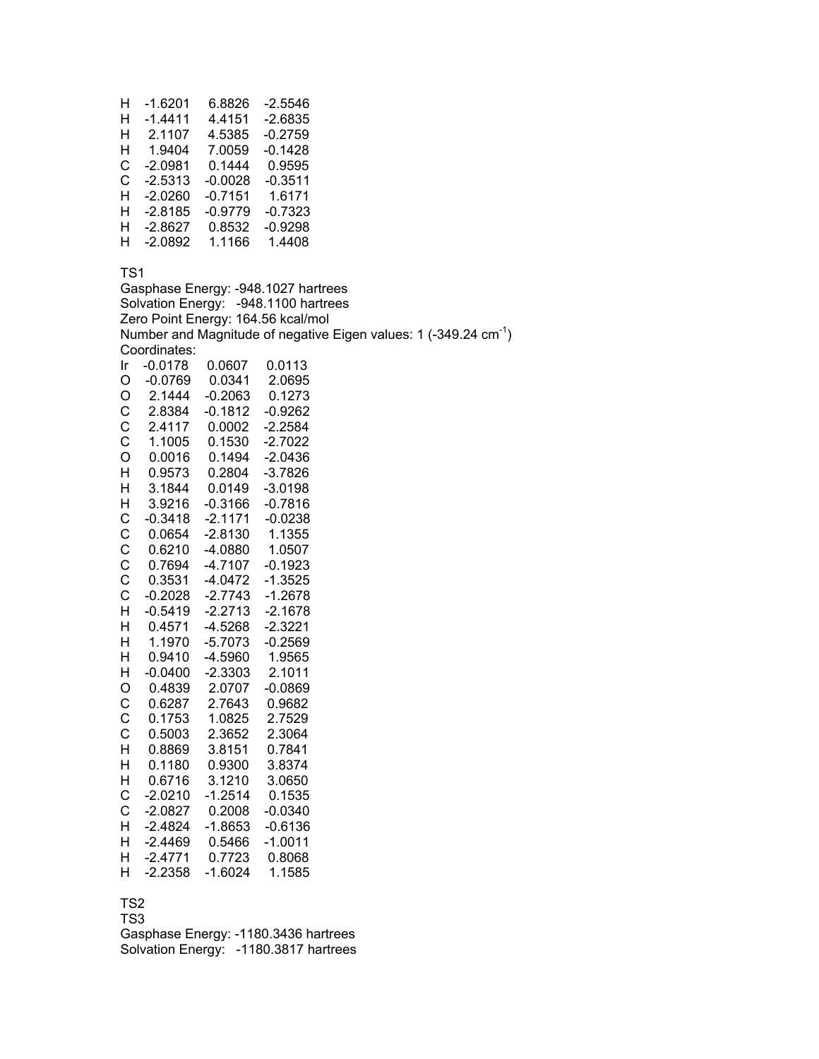| н | $-1.6201$ | 6.8826    | -2.5546   |
|---|-----------|-----------|-----------|
| н | $-1.4411$ | 4.4151    | -2.6835   |
| н | 2.1107    | 4.5385    | -0.2759   |
| н | 1.9404    | 7.0059    | $-0.1428$ |
| C | $-2.0981$ | 0.1444    | 0.9595    |
| C | $-2.5313$ | $-0.0028$ | $-0.3511$ |
| н | $-2.0260$ | $-0.7151$ | 1.6171    |
| н | $-2.8185$ | $-0.9779$ | -0.7323   |
| н | $-2.8627$ | 0.8532    | -0.9298   |
| н | $-2.0892$ | 1.1166    | 1.4408    |

Gasphase Energy: -948.1027 hartrees Solvation Energy: -948.1100 hartrees Zero Point Energy: 164.56 kcal/mol Number and Magnitude of negative Eigen values: 1 (-349.24 cm-1) Coordinates: Ir -0.0178 0.0607 0.0113 O -0.0769 0.0341 2.0695 O 2.1444 -0.2063 0.1273 -0.1812 -0.9262 C 2.4117 0.0002 -2.2584 C 1.1005 0.1530 -2.7022 O 0.0016 0.1494 -2.0436 H 0.9573 0.2804 -3.7826 H 3.1844 0.0149 -3.0198 H 3.9216 -0.3166 -0.7816 C -0.3418 -2.1171 -0.0238 C 0.0654 -2.8130 1.1355 C 0.6210 -4.0880 1.0507 C 0.7694 -4.7107 -0.1923 C 0.3531 -4.0472 -1.3525 C -0.2028 -2.7743 -1.2678 H -0.5419 -2.2713 -2.1678 H 0.4571 -4.5268 -2.3221 H 1.1970 -5.7073 -0.2569 H 0.9410 -4.5960 1.9565 H -0.0400 -2.3303 2.1011 O 0.4839 2.0707 -0.0869 C 0.6287 2.7643 0.9682 C 0.1753 1.0825 2.7529 C 0.5003 2.3652 2.3064 0.8869 3.8151 0.7841 H 0.1180 0.9300 3.8374 H 0.6716 3.1210 3.0650 C -2.0210 -1.2514 0.1535 C -2.0827 0.2008 -0.0340 H -2.4824 -1.8653 -0.6136 H -2.4469 0.5466 -1.0011 H -2.4771 0.7723 0.8068 H -2.2358 -1.6024 1.1585

## TS2

TS3 Gasphase Energy: -1180.3436 hartrees Solvation Energy: -1180.3817 hartrees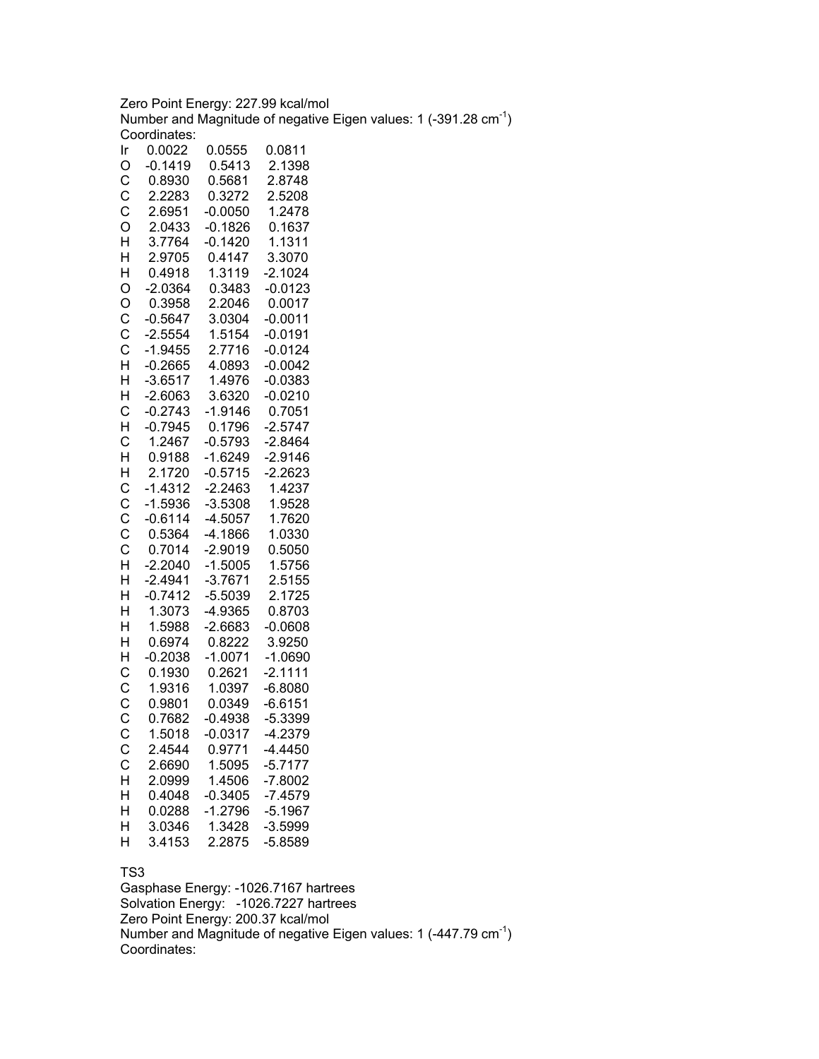Zero Point Energy: 227.99 kcal/mol Number and Magnitude of negative Eigen values: 1 (-391.28  $cm^{-1}$ ) Coordinates:

| Ir               | 0.0022           | 0.0555              | 0.0811                 |
|------------------|------------------|---------------------|------------------------|
| O                | $-0.1419$        | 0.5413              | 2.1398                 |
|                  | 0.8930           | 0.5681              | 2.8748                 |
|                  | 2.2283           | 0.3272              | 2.5208                 |
|                  | 2.6951           | $-0.0050$           | 1.2478                 |
| CCCOHHH          | 2.0433           | $-0.1826$           | 0.1637                 |
|                  | 3.7764           | $-0.1420$           | 1.1311                 |
|                  | 2.9705           | 0.4147              | 3.3070                 |
|                  | 0.4918           | 1.3119              | $-2.1024$              |
| O                | $-2.0364$        | 0.3483              | $-0.0123$              |
| O<br>C<br>C<br>C | 0.3958           | 2.2046              | 0.0017                 |
|                  | $-0.5647$        | 3.0304              | $-0.0011$              |
|                  | $-2.5554$        | 1.5154              | $-0.0191$              |
|                  | $-1.9455$        | 2.7716              | $-0.0124$              |
| H                | $-0.2665$        | 4.0893              | $-0.0042$              |
| H                | $-3.6517$        | 1.4976              | $-0.0383$              |
| H                | $-2.6063$        | 3.6320              | $-0.0210$              |
| $\mathsf{C}$     | $-0.2743$        | $-1.9146$           | 0.7051                 |
| $\mathsf{H}$     | $-0.7945$        | 0.1796              | $-2.5747$              |
|                  | 1.2467           | $-0.5793$           | $-2.8464$              |
| C<br>H<br>H      | 0.9188           | $-1.6249$           | $-2.9146$              |
|                  | 2.1720           | $-0.5715$           | $-2.2623$              |
| CCCCCHH          | $-1.4312$        | $-2.2463$           | 1.4237                 |
|                  | $-1.5936$        | $-3.5308$           | 1.9528                 |
|                  | $-0.6114$        | $-4.5057$           | 1.7620                 |
|                  | 0.5364           | $-4.1866$           | 1.0330                 |
|                  | 0.7014           | $-2.9019$           | 0.5050                 |
|                  | $-2.2040$        | $-1.5005$           | 1.5756                 |
|                  | $-2.4941$        | $-3.7671$           | 2.5155                 |
| $\mathsf{H}$     | $-0.7412$        | $-5.5039$           | 2.1725                 |
|                  | 1.3073           | $-4.9365$           | 0.8703                 |
| H<br>H<br>H      | 1.5988           | $-2.6683$           | $-0.0608$              |
|                  | 0.6974           | 0.8222              | 3.9250                 |
| HCCCC            | $-0.2038$        | $-1.0071$           | $-1.0690$              |
|                  | 0.1930           | 0.2621              | $-2.1111$              |
|                  | 1.9316           | 1.0397              | $-6.8080$              |
|                  | 0.9801           | 0.0349<br>$-0.4938$ | $-6.6151$<br>$-5.3399$ |
|                  | 0.7682           | $-0.0317$           |                        |
|                  | 1.5018<br>2.4544 |                     | $-4.2379$<br>$-4.4450$ |
| C                |                  | 0.9771              |                        |
| C                | 2.6690           | 1.5095              | $-5.7177$              |
| H<br>H           | 2.0999           | 1.4506              | $-7.8002$              |
| H                | 0.4048<br>0.0288 | $-0.3405$           | $-7.4579$              |
| H                | 3.0346           | $-1.2796$<br>1.3428 | $-5.1967$<br>$-3.5999$ |
| H                | 3.4153           | 2.2875              | $-5.8589$              |
|                  |                  |                     |                        |

### TS3

Gasphase Energy: -1026.7167 hartrees Solvation Energy: -1026.7227 hartrees Zero Point Energy: 200.37 kcal/mol Number and Magnitude of negative Eigen values: 1  $(-447.79 \text{ cm}^{-1})$ Coordinates: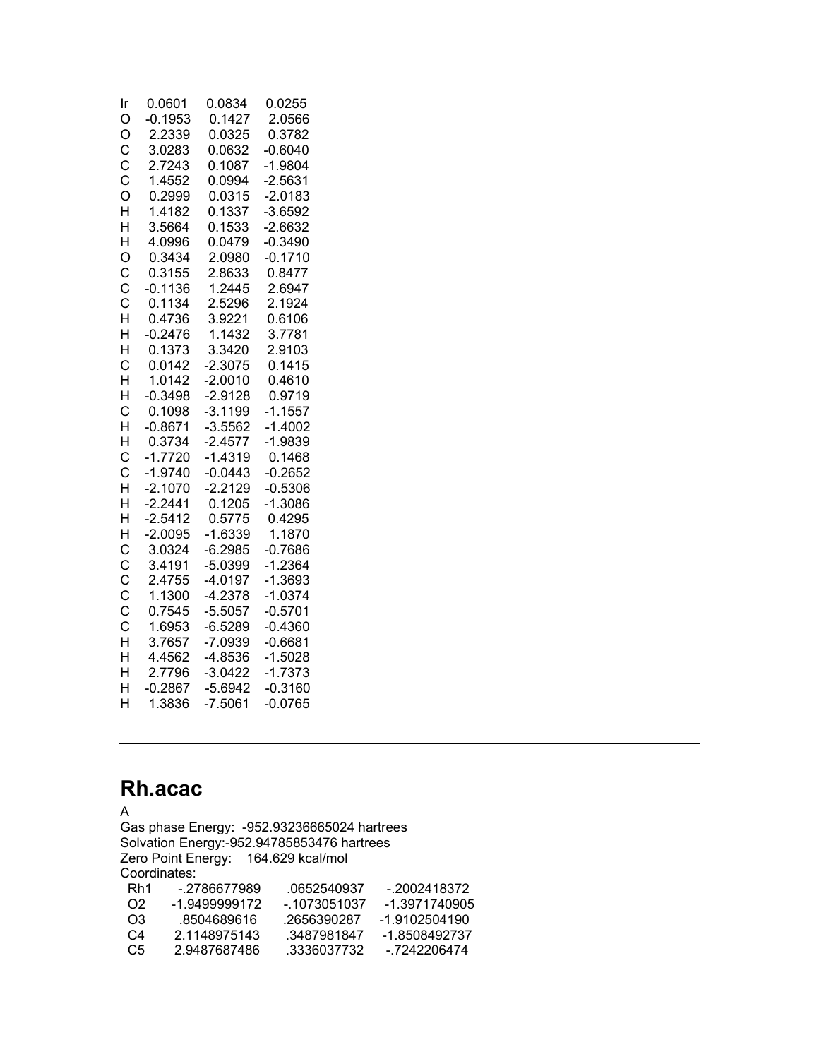| Ir                      | 0.0601    | 0.0834    | 0.0255    |
|-------------------------|-----------|-----------|-----------|
| O                       | $-0.1953$ | 0.1427    | 2.0566    |
| O                       | 2.2339    | 0.0325    | 0.3782    |
|                         | 3.0283    | 0.0632    | $-0.6040$ |
|                         | 2.7243    | 0.1087    | $-1.9804$ |
| C<br>C<br>C<br>O        | 1.4552    | 0.0994    | $-2.5631$ |
|                         | 0.2999    | 0.0315    | $-2.0183$ |
| H                       | 1.4182    | 0.1337    | $-3.6592$ |
| H                       | 3.5664    | 0.1533    | $-2.6632$ |
| H                       | 4.0996    | 0.0479    | $-0.3490$ |
| O                       | 0.3434    | 2.0980    | $-0.1710$ |
| C<br>C<br>C<br>H        | 0.3155    | 2.8633    | 0.8477    |
|                         | $-0.1136$ | 1.2445    | 2.6947    |
|                         | 0.1134    | 2.5296    | 2.1924    |
|                         | 0.4736    | 3.9221    | 0.6106    |
| $\overline{H}$          | $-0.2476$ | 1.1432    | 3.7781    |
| H                       | 0.1373    | 3.3420    | 2.9103    |
| C                       | 0.0142    | $-2.3075$ | 0.1415    |
| $\overline{\mathsf{H}}$ | 1.0142    | $-2.0010$ | 0.4610    |
| H                       | $-0.3498$ | $-2.9128$ | 0.9719    |
| C                       | 0.1098    | $-3.1199$ | $-1.1557$ |
| H                       | $-0.8671$ | $-3.5562$ | $-1.4002$ |
| H                       | 0.3734    | $-2.4577$ | $-1.9839$ |
| C                       | $-1.7720$ | $-1.4319$ | 0.1468    |
| C                       | $-1.9740$ | $-0.0443$ | $-0.2652$ |
| H                       | $-2.1070$ | $-2.2129$ | $-0.5306$ |
| H                       | $-2.2441$ | 0.1205    | $-1.3086$ |
| H                       | $-2.5412$ | 0.5775    | 0.4295    |
| H                       | $-2.0095$ | $-1.6339$ | 1.1870    |
| C                       | 3.0324    | $-6.2985$ | $-0.7686$ |
| CCCCHH                  | 3.4191    | $-5.0399$ | $-1.2364$ |
|                         | 2.4755    | $-4.0197$ | $-1.3693$ |
|                         | 1.1300    | $-4.2378$ | $-1.0374$ |
|                         | 0.7545    | $-5.5057$ | $-0.5701$ |
|                         | 1.6953    | $-6.5289$ | $-0.4360$ |
|                         | 3.7657    | $-7.0939$ | $-0.6681$ |
|                         | 4.4562    | $-4.8536$ | $-1.5028$ |
| H                       | 2.7796    | $-3.0422$ | $-1.7373$ |
| H                       | $-0.2867$ | $-5.6942$ | $-0.3160$ |
| H                       | 1.3836    | $-7.5061$ | $-0.0765$ |

## **Rh.acac**

A Gas phase Energy: -952.93236665024 hartrees Solvation Energy:-952.94785853476 hartrees Zero Point Energy: 164.629 kcal/mol Coordinates:<br>Rh1 -.27 Rh1 -.2786677989 .0652540937 -.2002418372 O2 -1.9499999172 -.1073051037 -1.3971740905 O3 .8504689616 .2656390287 -1.9102504190<br>C4 2.1148975143 .3487981847 -1.8508492737 C4 2.1148975143 .3487981847<br>C5 2.9487687486 .3336037732 C5 2.9487687486 .3336037732 -.7242206474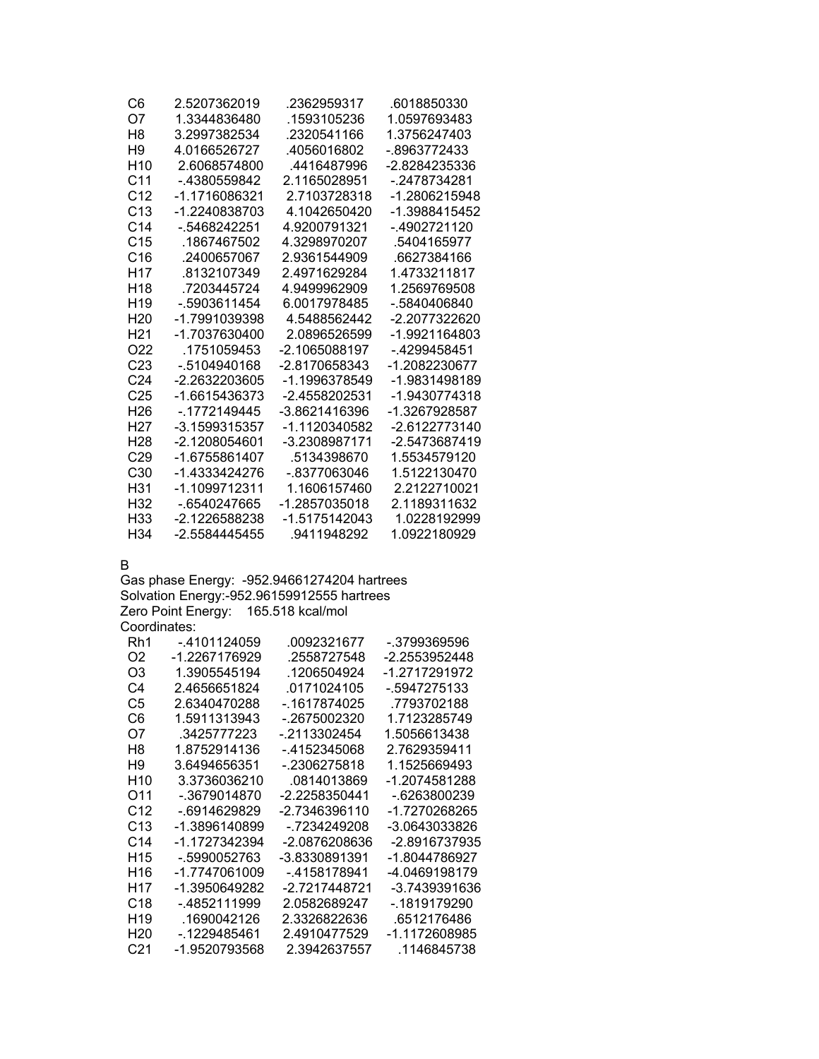| C6              | 2.5207362019  | .2362959317   | .6018850330     |
|-----------------|---------------|---------------|-----------------|
| Ω7              | 1.3344836480  | .1593105236   | 1.0597693483    |
| H8              | 3.2997382534  | .2320541166   | 1.3756247403    |
| H9              | 4 0166526727  | 4056016802    | - 8963772433    |
| H <sub>10</sub> | 2 6068574800  | 4416487996    | -2 8284235336   |
| C <sub>11</sub> | - 4380559842  | 2 1165028951  | - 2478734281    |
| C <sub>12</sub> | -1 1716086321 | 2.7103728318  | -1 2806215948   |
| C <sub>13</sub> | -1.2240838703 | 4.1042650420  | -1.3988415452   |
| C <sub>14</sub> | - 5468242251  | 4.9200791321  | - 4902721120    |
| C <sub>15</sub> | .1867467502   | 4.3298970207  | .5404165977     |
| C16             | 2400657067    | 2.9361544909  | .6627384166     |
| H <sub>17</sub> | 8132107349    | 2 4971629284  | 1.4733211817    |
| H <sub>18</sub> | .7203445724   | 4.9499962909  | 1.2569769508    |
| H <sub>19</sub> | - 5903611454  | 6.0017978485  | $-0.5840406840$ |
| H <sub>20</sub> | -1 7991039398 | 45488562442   | -2 2077322620   |
| H21             | -1 7037630400 | 2.0896526599  | -1.9921164803   |
| O22             | .1751059453   | -2.1065088197 | - 4299458451    |
| C <sub>23</sub> | - 5104940168  | -2 8170658343 | -1.2082230677   |
| C <sub>24</sub> | -2.2632203605 | -1.1996378549 | -1.9831498189   |
| C <sub>25</sub> | -1.6615436373 | -2 4558202531 | -1 9430774318   |
| H <sub>26</sub> | -.1772149445  | -3 8621416396 | -1.3267928587   |
| H27             | -3 1599315357 | -1.1120340582 | -2 6122773140   |
| H28             | -2.1208054601 | -3.2308987171 | -2.5473687419   |
| C <sub>29</sub> | -1.6755861407 | .5134398670   | 1.5534579120    |
| C30             | -1 4333424276 | - 8377063046  | 1 5122130470    |
| H31             | -1.1099712311 | 1.1606157460  | 2.2122710021    |
| H32             | - 6540247665  | -1.2857035018 | 2.1189311632    |
| H33             | -2.1226588238 | -1.5175142043 | 1.0228192999    |
| H34             | -2 5584445455 | .9411948292   | 1.0922180929    |

B

Gas phase Energy: -952.94661274204 hartrees Solvation Energy:-952.96159912555 hartrees Zero Point Energy: 165.518 kcal/mol Coordinates:

| Rh1             | - 4101124059  | 0092321677    | -.3799369596  |
|-----------------|---------------|---------------|---------------|
| O <sub>2</sub>  | -1.2267176929 | .2558727548   | -2.2553952448 |
| O3              | 1.3905545194  | .1206504924   | -1 2717291972 |
| C4              | 2 4656651824  | 0171024105    | -.5947275133  |
| C5              | 2.6340470288  | - 1617874025  | .7793702188   |
| C6              | 1.5911313943  | - 2675002320  | 1.7123285749  |
| O7              | 3425777223    | - 2113302454  | 1.5056613438  |
| H8              | 1 8752914136  | - 4152345068  | 2 7629359411  |
| Η9              | 3 6494656351  | - 2306275818  | 1 1525669493  |
| H <sub>10</sub> | 3 3736036210  | 0814013869    | -1 2074581288 |
| O11             | - 3679014870  | -2.2258350441 | - 6263800239  |
| C <sub>12</sub> | - 6914629829  | -2 7346396110 | -1 7270268265 |
| C <sub>13</sub> | -1.3896140899 | - 7234249208  | -3 0643033826 |
| C <sub>14</sub> | -1.1727342394 | -2.0876208636 | -2.8916737935 |
| H <sub>15</sub> | - 5990052763  | -3.8330891391 | -1.8044786927 |
| H16             | -1 7747061009 | - 4158178941  | -4.0469198179 |
| H17             | -1 3950649282 | -2 7217448721 | -3.7439391636 |
| C <sub>18</sub> | - 4852111999  | 2 0582689247  | - 1819179290  |
| H <sub>19</sub> | 1690042126    | 2 3326822636  | 6512176486    |
| H20             | - 1229485461  | 2.4910477529  | -1.1172608985 |
| C21             | -1.9520793568 | 2.3942637557  | .1146845738   |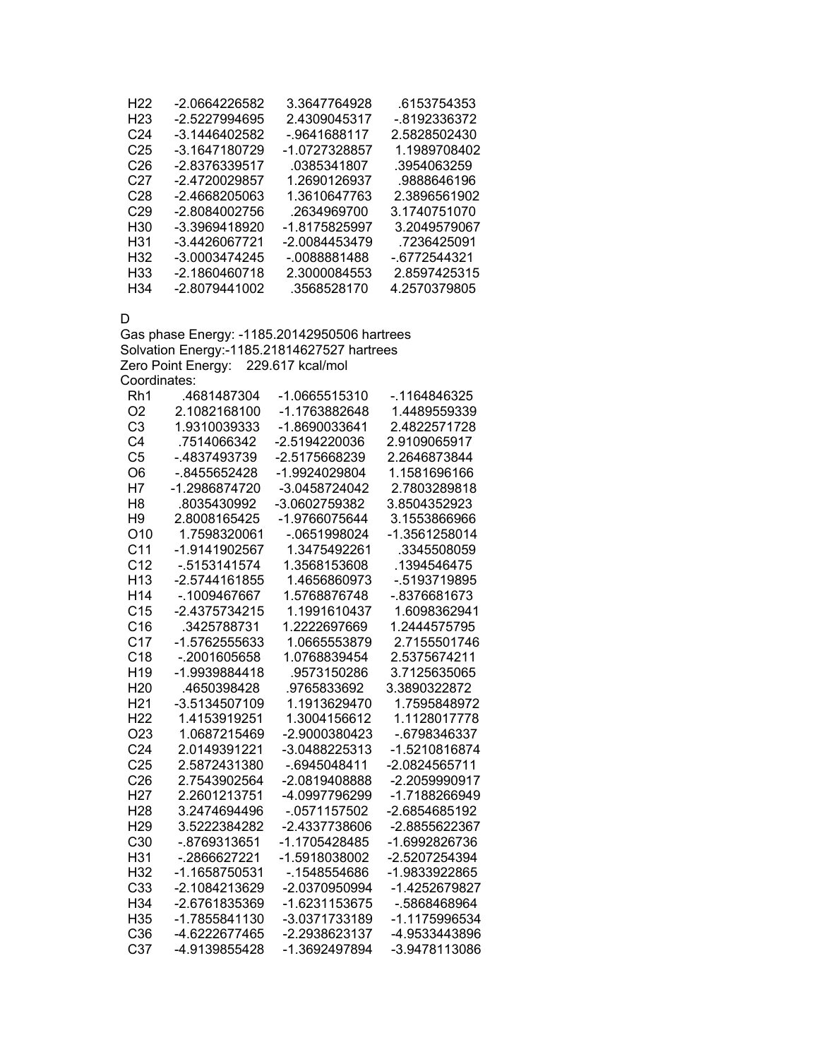| H <sub>22</sub> | -2.0664226582 | 3.3647764928  | 6153754353   |
|-----------------|---------------|---------------|--------------|
| H <sub>23</sub> | -2.5227994695 | 2.4309045317  | - 8192336372 |
| C24             | -3.1446402582 | - 9641688117  | 2.5828502430 |
| C25             | -3.1647180729 | -1.0727328857 | 1.1989708402 |
| C26             | -2.8376339517 | .0385341807   | .3954063259  |
| C27             | -2.4720029857 | 1.2690126937  | .9888646196  |
| C28             | -2.4668205063 | 1.3610647763  | 2.3896561902 |
| C <sub>29</sub> | -2.8084002756 | .2634969700   | 3.1740751070 |
| H30             | -3.3969418920 | -1.8175825997 | 3.2049579067 |
| H31             | -3.4426067721 | -2.0084453479 | .7236425091  |
| H32             | -3.0003474245 | - 0088881488  | - 6772544321 |
| H33             | -2.1860460718 | 2.3000084553  | 2.8597425315 |
| H34             | -2.8079441002 | .3568528170   | 4.2570379805 |

D

Gas phase Energy: -1185.20142950506 hartrees Solvation Energy:-1185.21814627527 hartrees Zero Point Energy: 229.617 kcal/mol Coordinates:

| Rh1             | .4681487304     | -1.0665515310   | -.1164846325  |
|-----------------|-----------------|-----------------|---------------|
| O <sub>2</sub>  | 2.1082168100    | -1.1763882648   | 1.4489559339  |
| C <sub>3</sub>  | 1.9310039333    | -1.8690033641   | 2.4822571728  |
| C <sub>4</sub>  | .7514066342     | -2.5194220036   | 2.9109065917  |
| C <sub>5</sub>  | - 4837493739    | -2.5175668239   | 2.2646873844  |
| O <sub>6</sub>  | -.8455652428    | -1.9924029804   | 1.1581696166  |
| H7              | -1.2986874720   | -3.0458724042   | 2.7803289818  |
| H <sub>8</sub>  | .8035430992     | -3.0602759382   | 3.8504352923  |
| H <sub>9</sub>  | 2.8008165425    | -1.9766075644   | 3.1553866966  |
| O <sub>10</sub> | 1.7598320061    | -.0651998024    | -1.3561258014 |
| C <sub>11</sub> | -1.9141902567   | 1.3475492261    | .3345508059   |
| C <sub>12</sub> | $-0.5153141574$ | 1.3568153608    | .1394546475   |
| H <sub>13</sub> | -2.5744161855   | 1.4656860973    | -.5193719895  |
| H <sub>14</sub> | -.1009467667    | 1.5768876748    | -.8376681673  |
| C <sub>15</sub> | -2.4375734215   | 1.1991610437    | 1.6098362941  |
| C <sub>16</sub> | 3425788731      | 1.2222697669    | 1.2444575795  |
| C <sub>17</sub> | -1.5762555633   | 1.0665553879    | 2.7155501746  |
| C18             | -.2001605658    | 1.0768839454    | 2.5375674211  |
| H <sub>19</sub> | $-1.9939884418$ | .9573150286     | 3.7125635065  |
| H <sub>20</sub> | .4650398428     | .9765833692     | 3.3890322872  |
| H <sub>21</sub> | -3.5134507109   | 1.1913629470    | 1.7595848972  |
| H <sub>22</sub> | 1.4153919251    | 1.3004156612    | 1.1128017778  |
| O <sub>23</sub> | 1.0687215469    | $-2.9000380423$ | -.6798346337  |
| C <sub>24</sub> | 2.0149391221    | -3.0488225313   | -1.5210816874 |
| C <sub>25</sub> | 2.5872431380    | -.6945048411    | -2.0824565711 |
| C <sub>26</sub> | 2.7543902564    | -2.0819408888   | -2.2059990917 |
| H <sub>27</sub> | 2.2601213751    | -4.0997796299   | -1.7188266949 |
| H <sub>28</sub> | 3.2474694496    | -.0571157502    | -2.6854685192 |
| H <sub>29</sub> | 3.5222384282    | -2.4337738606   | -2.8855622367 |
| C30             | -.8769313651    | -1.1705428485   | -1.6992826736 |
| H31             | -.2866627221    | -1.5918038002   | -2.5207254394 |
| H <sub>32</sub> | -1.1658750531   | $-1548554686$   | -1.9833922865 |
| C <sub>33</sub> | -2.1084213629   | -2.0370950994   | -1.4252679827 |
| H <sub>34</sub> | -2.6761835369   | -1.6231153675   | -.5868468964  |
| H <sub>35</sub> | -1.7855841130   | -3.0371733189   | -1.1175996534 |
| C36             | -4.6222677465   | -2.2938623137   | -4.9533443896 |
| C <sub>37</sub> | -4.9139855428   | -1.3692497894   | -3.9478113086 |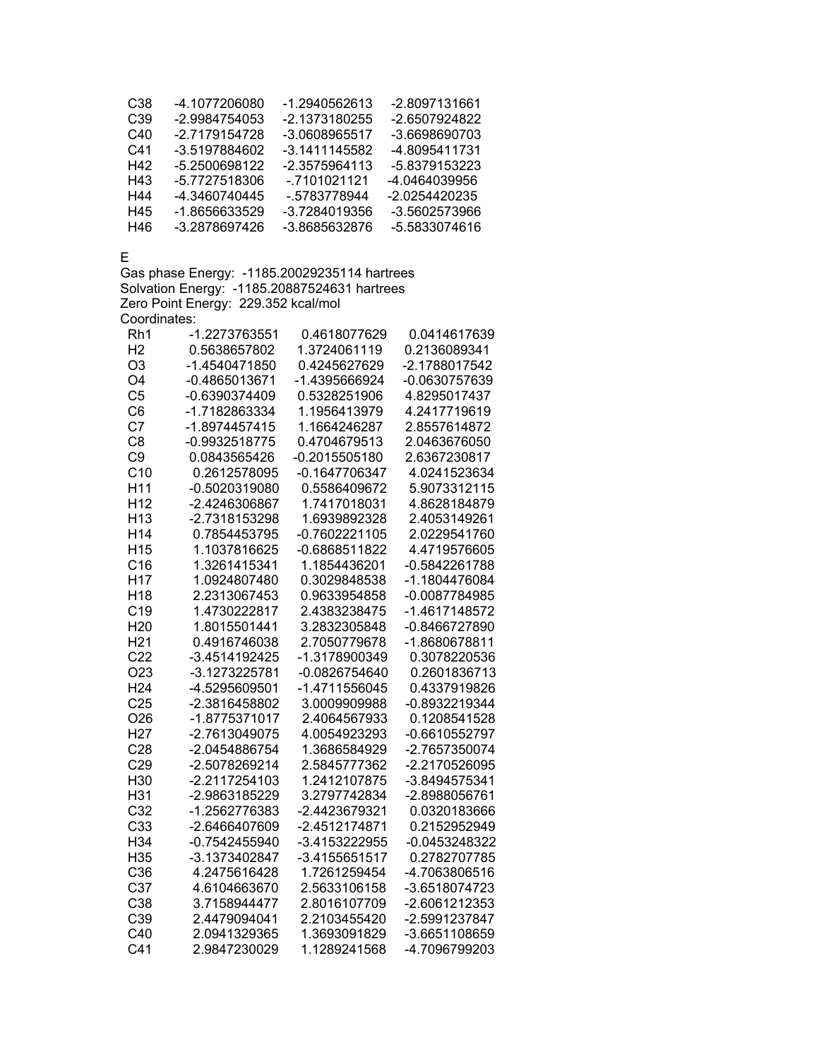| C38 | -4.1077206080 | -1.2940562613 | -2.8097131661 |
|-----|---------------|---------------|---------------|
| C39 | -2.9984754053 | -2.1373180255 | -2.6507924822 |
| C40 | -2 7179154728 | -3.0608965517 | -3 6698690703 |
| C41 | -3.5197884602 | -3 1411145582 | -4.8095411731 |
| H42 | -5.2500698122 | -2.3575964113 | -5.8379153223 |
| H43 | -5.7727518306 | $-7101021121$ | -4.0464039956 |
| H44 | -4.3460740445 | - 5783778944  | -2.0254420235 |
| H45 | -1 8656633529 | -3 7284019356 | -3.5602573966 |
| H46 | -3 2878697426 | -3 8685632876 | -5.5833074616 |

E

Gas phase Energy: -1185.20029235114 hartrees Solvation Energy: -1185.20887524631 hartrees Zero Point Energy: 229.352 kcal/mol Coordinates:

| Rh1             | -1.2273763551   | 0.4618077629    | 0.0414617639  |
|-----------------|-----------------|-----------------|---------------|
| H <sub>2</sub>  | 0.5638657802    | 1.3724061119    | 0.2136089341  |
| O <sub>3</sub>  | -1.4540471850   | 0.4245627629    | -2.1788017542 |
| O <sub>4</sub>  | $-0.4865013671$ | -1.4395666924   | -0.0630757639 |
| C <sub>5</sub>  | -0.6390374409   | 0.5328251906    | 4.8295017437  |
| C <sub>6</sub>  | -1.7182863334   | 1.1956413979    | 4.2417719619  |
| C <sub>7</sub>  | -1.8974457415   | 1.1664246287    | 2.8557614872  |
| C <sub>8</sub>  | $-0.9932518775$ | 0.4704679513    | 2.0463676050  |
| C <sub>9</sub>  | 0.0843565426    | $-0.2015505180$ | 2.6367230817  |
| C10             | 0.2612578095    | $-0.1647706347$ | 4.0241523634  |
| H11             | -0.5020319080   | 0.5586409672    | 5.9073312115  |
| H <sub>12</sub> | -2.4246306867   | 1.7417018031    | 4.8628184879  |
| H <sub>13</sub> | -2.7318153298   | 1.6939892328    | 2.4053149261  |
| H14             | 0.7854453795    | $-0.7602221105$ | 2.0229541760  |
| H <sub>15</sub> | 1.1037816625    | -0.6868511822   | 4.4719576605  |
| C16             | 1.3261415341    | 1.1854436201    | -0.5842261788 |
| H <sub>17</sub> | 1.0924807480    | 0.3029848538    | -1.1804476084 |
| H <sub>18</sub> | 2.2313067453    | 0.9633954858    | -0.0087784985 |
| C <sub>19</sub> | 1.4730222817    | 2.4383238475    | -1.4617148572 |
| H <sub>20</sub> | 1.8015501441    | 3.2832305848    | -0.8466727890 |
| H <sub>21</sub> | 0.4916746038    | 2.7050779678    | -1.8680678811 |
| C <sub>22</sub> | -3.4514192425   | -1.3178900349   | 0.3078220536  |
| O <sub>23</sub> | -3.1273225781   | -0.0826754640   | 0.2601836713  |
| H <sub>24</sub> | -4.5295609501   | -1.4711556045   | 0.4337919826  |
| C <sub>25</sub> | -2.3816458802   | 3.0009909988    | -0.8932219344 |
| O <sub>26</sub> | -1.8775371017   | 2.4064567933    | 0.1208541528  |
| H <sub>27</sub> | -2.7613049075   | 4.0054923293    | -0.6610552797 |
| C28             | -2.0454886754   | 1.3686584929    | -2.7657350074 |
| C29             | -2.5078269214   | 2.5845777362    | -2.2170526095 |
| H30             | -2.2117254103   | 1.2412107875    | -3.8494575341 |
| H31             | -2.9863185229   | 3.2797742834    | -2.8988056761 |
| C <sub>32</sub> | -1.2562776383   | -2.4423679321   | 0.0320183666  |
| C33             | -2.6466407609   | -2.4512174871   | 0.2152952949  |
| H34             | -0.7542455940   | -3.4153222955   | -0.0453248322 |
| H35             | -3.1373402847   | -3.4155651517   | 0.2782707785  |
| C36             | 4.2475616428    | 1.7261259454    | -4.7063806516 |
| C37             | 4.6104663670    | 2.5633106158    | -3.6518074723 |
| C38             | 3.7158944477    | 2.8016107709    | -2.6061212353 |
| C39             | 2.4479094041    | 2.2103455420    | -2.5991237847 |
| C40             | 2.0941329365    | 1.3693091829    | -3.6651108659 |
| C <sub>41</sub> | 2.9847230029    | 1.1289241568    | -4.7096799203 |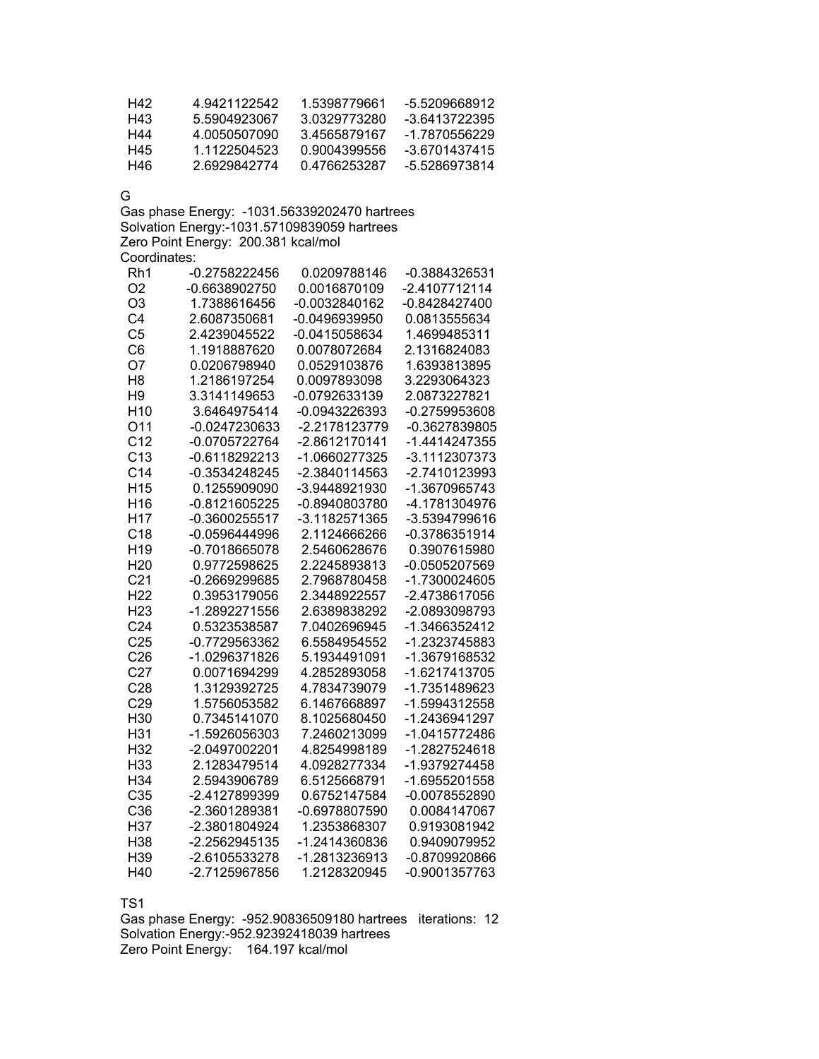| H42 | 4 9421122542 | 1.5398779661 | -5.5209668912 |
|-----|--------------|--------------|---------------|
| H43 | 5 5904923067 | 3 0329773280 | -3.6413722395 |
| H44 | 4 0050507090 | 34565879167  | -1.7870556229 |
| H45 | 1.1122504523 | 0.9004399556 | -3 6701437415 |
| H46 | 26929842774  | 04766253287  | -5 5286973814 |

G

Gas phase Energy: -1031.56339202470 hartrees Solvation Energy:-1031.57109839059 hartrees Zero Point Energy: 200.381 kcal/mol Coordinates:

| Rh1             | -0.2758222456 | 0.0209788146  | -0.3884326531 |
|-----------------|---------------|---------------|---------------|
| O <sub>2</sub>  | -0.6638902750 | 0.0016870109  | -2.4107712114 |
| O <sub>3</sub>  | 1.7388616456  | -0.0032840162 | -0.8428427400 |
| C <sub>4</sub>  | 2.6087350681  | -0.0496939950 | 0.0813555634  |
| C <sub>5</sub>  | 2.4239045522  | -0.0415058634 | 1.4699485311  |
| C <sub>6</sub>  | 1.1918887620  | 0.0078072684  | 2.1316824083  |
| O7              | 0.0206798940  | 0.0529103876  | 1.6393813895  |
| H <sub>8</sub>  | 1.2186197254  | 0.0097893098  | 3.2293064323  |
| H <sub>9</sub>  | 3.3141149653  | -0.0792633139 | 2.0873227821  |
| H <sub>10</sub> | 3.6464975414  | -0.0943226393 | -0.2759953608 |
| O11             | -0.0247230633 | -2.2178123779 | -0.3627839805 |
| C <sub>12</sub> | -0.0705722764 | -2.8612170141 | -1.4414247355 |
| C <sub>13</sub> | -0.6118292213 | -1.0660277325 | -3.1112307373 |
| C <sub>14</sub> | -0.3534248245 | -2.3840114563 | -2.7410123993 |
| H <sub>15</sub> | 0.1255909090  | -3.9448921930 | -1.3670965743 |
| H <sub>16</sub> | -0.8121605225 | -0.8940803780 | -4.1781304976 |
| H <sub>17</sub> | -0.3600255517 | -3.1182571365 | -3.5394799616 |
| C <sub>18</sub> | -0.0596444996 | 2.1124666266  | -0.3786351914 |
| H <sub>19</sub> | -0.7018665078 | 2.5460628676  | 0.3907615980  |
| H <sub>20</sub> | 0.9772598625  | 2.2245893813  | -0.0505207569 |
| C <sub>21</sub> | -0.2669299685 | 2.7968780458  | -1.7300024605 |
| H <sub>22</sub> | 0.3953179056  | 2.3448922557  | -2.4738617056 |
| H <sub>23</sub> | -1.2892271556 | 2.6389838292  | -2.0893098793 |
| C <sub>24</sub> | 0.5323538587  | 7.0402696945  | -1.3466352412 |
| C <sub>25</sub> | -0.7729563362 | 6.5584954552  | -1.2323745883 |
| C <sub>26</sub> | -1.0296371826 | 5.1934491091  | -1.3679168532 |
| C <sub>27</sub> | 0.0071694299  | 4.2852893058  | -1.6217413705 |
| C <sub>28</sub> | 1.3129392725  | 4.7834739079  | -1.7351489623 |
| C <sub>29</sub> | 1.5756053582  | 6.1467668897  | -1.5994312558 |
| H30             | 0.7345141070  | 8.1025680450  | -1.2436941297 |
| H31             | -1.5926056303 | 7.2460213099  | -1.0415772486 |
| H32             | -2.0497002201 | 4.8254998189  | -1.2827524618 |
| H33             | 2.1283479514  | 4.0928277334  | -1.9379274458 |
| H34             | 2.5943906789  | 6.5125668791  | -1.6955201558 |
| C35             | -2.4127899399 | 0.6752147584  | -0.0078552890 |
| C36             | -2.3601289381 | -0.6978807590 | 0.0084147067  |
| H37             | -2.3801804924 | 1.2353868307  | 0.9193081942  |
| H38             | -2.2562945135 | -1.2414360836 | 0.9409079952  |
| H39             | -2.6105533278 | -1.2813236913 | -0.8709920866 |
| H40             | -2.7125967856 | 1.2128320945  | -0.9001357763 |

TS1

Gas phase Energy: -952.90836509180 hartrees iterations: 12 Solvation Energy:-952.92392418039 hartrees Zero Point Energy: 164.197 kcal/mol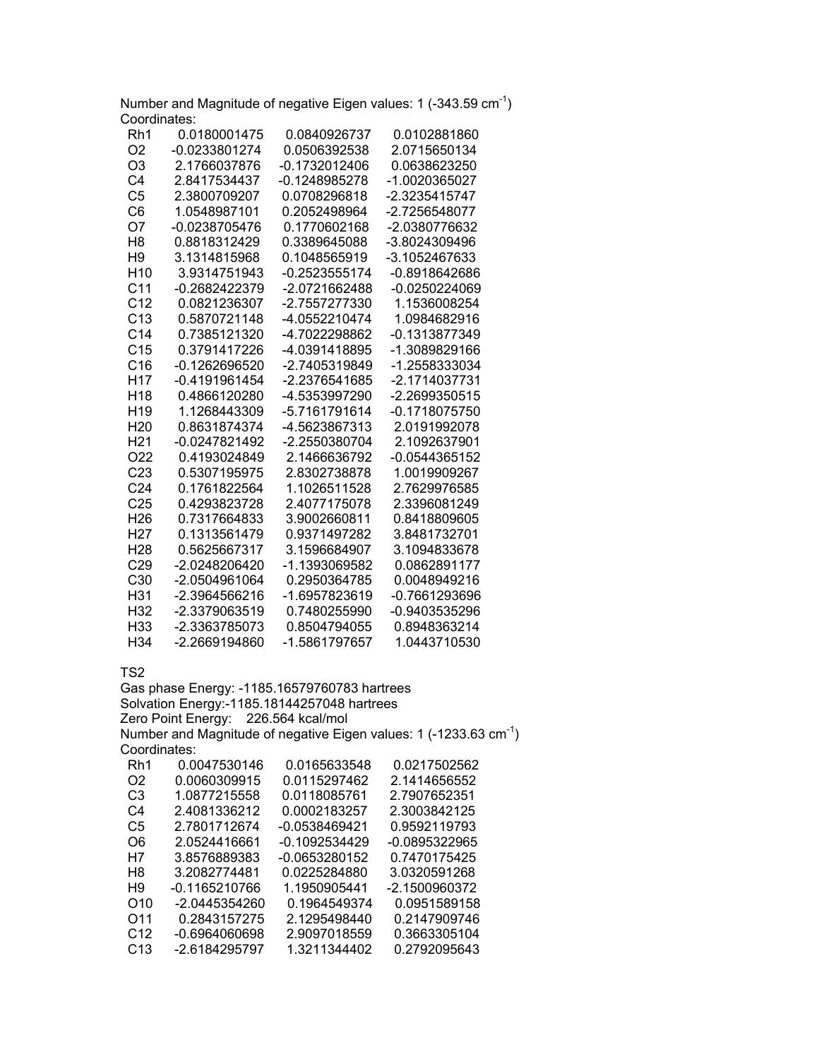Number and Magnitude of negative Eigen values: 1  $(-343.59 \text{ cm}^{-1})$ Coordinates:

| Rh1             | 0.0180001475  | 0.0840926737    | 0.0102881860    |
|-----------------|---------------|-----------------|-----------------|
| O <sub>2</sub>  | -0.0233801274 | 0.0506392538    | 2.0715650134    |
| O <sub>3</sub>  | 2.1766037876  | -0.1732012406   | 0.0638623250    |
| C4              | 2.8417534437  | $-0.1248985278$ | -1.0020365027   |
| C <sub>5</sub>  | 2.3800709207  | 0.0708296818    | -2.3235415747   |
| C6              | 1.0548987101  | 0.2052498964    | -2.7256548077   |
| O7              | -0.0238705476 | 0.1770602168    | -2.0380776632   |
| H8              | 0.8818312429  | 0.3389645088    | -3.8024309496   |
| H <sub>9</sub>  | 3.1314815968  | 0.1048565919    | -3.1052467633   |
| H <sub>10</sub> | 3.9314751943  | $-0.2523555174$ | -0.8918642686   |
| C <sub>11</sub> | -0.2682422379 | -2.0721662488   | -0.0250224069   |
| C <sub>12</sub> | 0.0821236307  | -2.7557277330   | 1.1536008254    |
| C <sub>13</sub> | 0.5870721148  | -4.0552210474   | 1.0984682916    |
| C <sub>14</sub> | 0.7385121320  | -4.7022298862   | -0.1313877349   |
| C <sub>15</sub> | 0.3791417226  | -4.0391418895   | -1.3089829166   |
| C16             | -0.1262696520 | -2.7405319849   | -1.2558333034   |
| H <sub>17</sub> | -0.4191961454 | -2.2376541685   | -2.1714037731   |
| H <sub>18</sub> | 0.4866120280  | -4.5353997290   | -2.2699350515   |
| H <sub>19</sub> | 1.1268443309  | -5.7161791614   | -0.1718075750   |
| H <sub>20</sub> | 0.8631874374  | -4.5623867313   | 2.0191992078    |
| H <sub>21</sub> | -0.0247821492 | -2.2550380704   | 2.1092637901    |
| O <sub>22</sub> | 0.4193024849  | 2.1466636792    | $-0.0544365152$ |
| C <sub>23</sub> | 0.5307195975  | 2.8302738878    | 1.0019909267    |
| C <sub>24</sub> | 0.1761822564  | 1.1026511528    | 2.7629976585    |
| C <sub>25</sub> | 0.4293823728  | 2.4077175078    | 2.3396081249    |
| H <sub>26</sub> | 0.7317664833  | 3.9002660811    | 0.8418809605    |
| H27             | 0.1313561479  | 0.9371497282    | 3.8481732701    |
| H <sub>28</sub> | 0.5625667317  | 3.1596684907    | 3.1094833678    |
| C <sub>29</sub> | -2.0248206420 | -1.1393069582   | 0.0862891177    |
| C <sub>30</sub> | -2.0504961064 | 0.2950364785    | 0.0048949216    |
| H31             | -2.3964566216 | -1.6957823619   | -0.7661293696   |
| H <sub>32</sub> | -2.3379063519 | 0.7480255990    | -0.9403535296   |
| H <sub>33</sub> | -2.3363785073 | 0.8504794055    | 0.8948363214    |
| H <sub>34</sub> | -2.2669194860 | -1.5861797657   | 1.0443710530    |

TS2

Gas phase Energy: -1185.16579760783 hartrees Solvation Energy:-1185.18144257048 hartrees Zero Point Energy: 226.564 kcal/mol Number and Magnitude of negative Eigen values: 1 (-1233.63 cm-1) Coordinates: Rh1 0.0047530146 0.0165633548 0.0217502562 O2 0.0060309915 0.0115297462 2.1414656552 C3 1.0877215558 0.0118085761 2.7907652351 C4 2.4081336212 0.0002183257 2.3003842125 C5 2.7801712674 -0.0538469421 0.9592119793 O6 2.0524416661 -0.1092534429 -0.0895322965 H7 3.8576889383 -0.0653280152 0.7470175425 H8 3.2082774481 0.0225284880 3.0320591268 H9 -0.1165210766 1.1950905441 -2.1500960372 O10 -2.0445354260 0.1964549374 0.0951589158 O11 0.2843157275 2.1295498440<br>C12 -0.6964060698 2.9097018559 C12 -0.6964060698 2.9097018559 0.3663305104 C13 -2.6184295797 1.3211344402 0.2792095643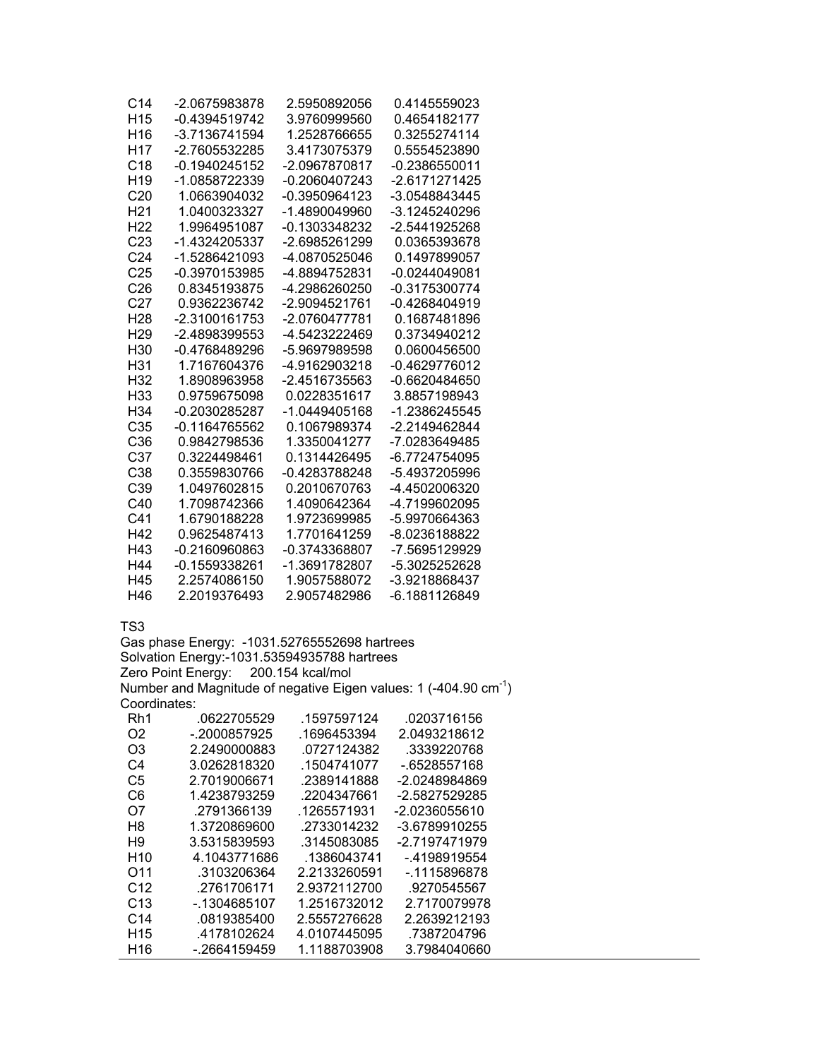| C14             | -2.0675983878   | 2.5950892056  | 0.4145559023  |
|-----------------|-----------------|---------------|---------------|
| H <sub>15</sub> | -0.4394519742   | 3.9760999560  | 0.4654182177  |
| H <sub>16</sub> | -3.7136741594   | 1.2528766655  | 0.3255274114  |
| H <sub>17</sub> | -2.7605532285   | 3.4173075379  | 0.5554523890  |
| C <sub>18</sub> | -0.1940245152   | -2.0967870817 | -0.2386550011 |
| H <sub>19</sub> | -1.0858722339   | -0.2060407243 | -2.6171271425 |
| C20             | 1.0663904032    | -0.3950964123 | -3.0548843445 |
| H <sub>21</sub> | 1.0400323327    | -1.4890049960 | -3.1245240296 |
| H22             | 1.9964951087    | -0.1303348232 | -2.5441925268 |
| C <sub>23</sub> | -1.4324205337   | -2.6985261299 | 0.0365393678  |
| C <sub>24</sub> | -1.5286421093   | -4.0870525046 | 0.1497899057  |
| C <sub>25</sub> | -0.3970153985   | -4.8894752831 | -0.0244049081 |
| C26             | 0.8345193875    | -4.2986260250 | -0.3175300774 |
| C <sub>27</sub> | 0.9362236742    | -2.9094521761 | -0.4268404919 |
| H <sub>28</sub> | -2.3100161753   | -2.0760477781 | 0.1687481896  |
| H <sub>29</sub> | -2.4898399553   | -4.5423222469 | 0.3734940212  |
| H30             | -0.4768489296   | -5.9697989598 | 0.0600456500  |
| H31             | 1.7167604376    | -4.9162903218 | -0.4629776012 |
| H <sub>32</sub> | 1.8908963958    | -2.4516735563 | -0.6620484650 |
| H <sub>33</sub> | 0.9759675098    | 0.0228351617  | 3.8857198943  |
| H <sub>34</sub> | -0.2030285287   | -1.0449405168 | -1.2386245545 |
| C <sub>35</sub> | $-0.1164765562$ | 0.1067989374  | -2.2149462844 |
| C <sub>36</sub> | 0.9842798536    | 1.3350041277  | -7.0283649485 |
| C <sub>37</sub> | 0.3224498461    | 0.1314426495  | -6.7724754095 |
| C <sub>38</sub> | 0.3559830766    | -0.4283788248 | -5.4937205996 |
| C <sub>39</sub> | 1.0497602815    | 0.2010670763  | -4.4502006320 |
| C40             | 1.7098742366    | 1.4090642364  | -4.7199602095 |
| C41             | 1.6790188228    | 1.9723699985  | -5.9970664363 |
| H42             | 0.9625487413    | 1.7701641259  | -8.0236188822 |
| H43             | -0.2160960863   | -0.3743368807 | -7.5695129929 |
| H44             | -0.1559338261   | -1.3691782807 | -5.3025252628 |
| H45             | 2.2574086150    | 1.9057588072  | -3.9218868437 |
| H46             | 2.2019376493    | 2.9057482986  | -6.1881126849 |

Gas phase Energy: -1031.52765552698 hartrees Solvation Energy:-1031.53594935788 hartrees Zero Point Energy: 200.154 kcal/mol Number and Magnitude of negative Eigen values: 1  $(-404.90 \text{ cm}^{-1})$ Coordinates:

| Rh1             | .0622705529  | .1597597124  | .0203716156   |
|-----------------|--------------|--------------|---------------|
| O2              | -.2000857925 | .1696453394  | 2.0493218612  |
| O3              | 2.2490000883 | .0727124382  | .3339220768   |
| C4              | 3.0262818320 | .1504741077  | -.6528557168  |
| C5              | 2.7019006671 | .2389141888  | -2.0248984869 |
| C6              | 1.4238793259 | .2204347661  | -2.5827529285 |
| O7              | .2791366139  | .1265571931  | -2.0236055610 |
| H8              | 1.3720869600 | .2733014232  | -3.6789910255 |
| H9              | 3.5315839593 | .3145083085  | -2.7197471979 |
| H <sub>10</sub> | 4.1043771686 | .1386043741  | - 4198919554  |
| O <sub>11</sub> | .3103206364  | 2.2133260591 | -.1115896878  |
| C <sub>12</sub> | .2761706171  | 2.9372112700 | .9270545567   |
| C <sub>13</sub> | -.1304685107 | 1.2516732012 | 2.7170079978  |
| C <sub>14</sub> | .0819385400  | 2.5557276628 | 2.2639212193  |
| H <sub>15</sub> | .4178102624  | 4.0107445095 | .7387204796   |
| H <sub>16</sub> | -.2664159459 | 1.1188703908 | 3.7984040660  |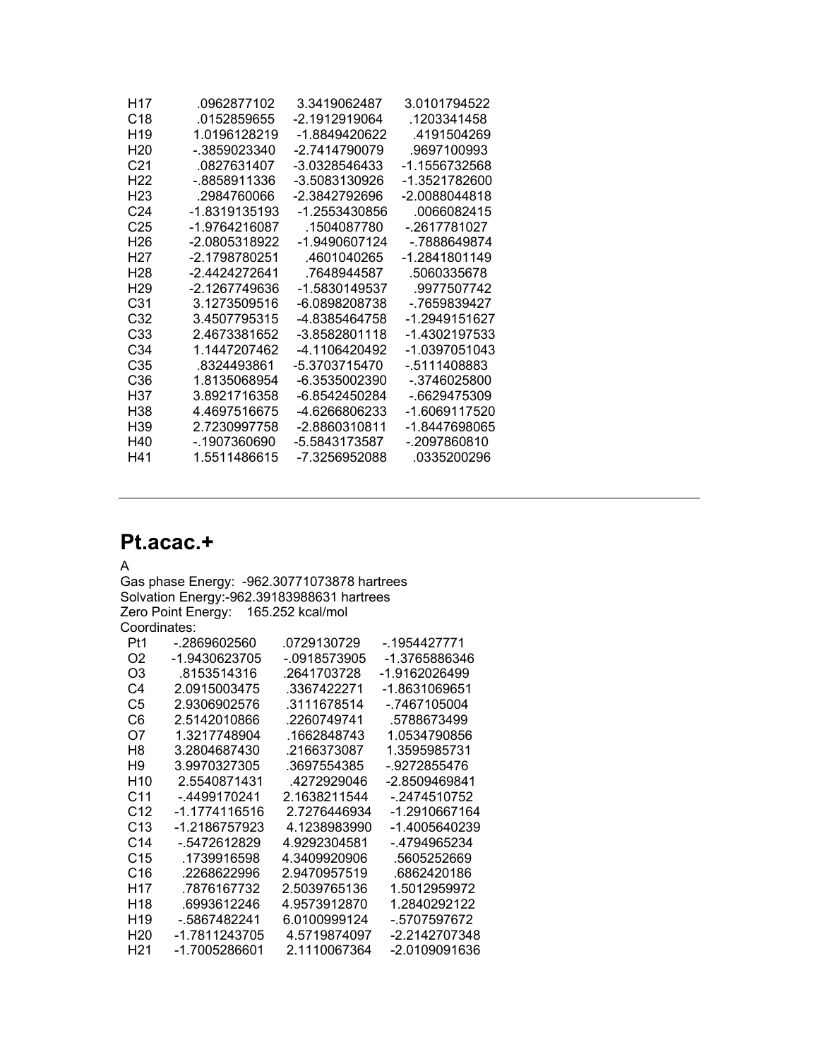| H17             | 0962877102    | 3 3419062487  | 3 0101794522  |
|-----------------|---------------|---------------|---------------|
| C <sub>18</sub> | 0152859655    | -2 1912919064 | 1203341458    |
| H <sub>19</sub> | 1 0196128219  | -1 8849420622 | 4191504269    |
| H20             | - 3859023340  | -2 7414790079 | 9697100993    |
| C <sub>21</sub> | 0827631407    | -3 0328546433 | -1.1556732568 |
| H22             | - 8858911336  | -3.5083130926 | -1.3521782600 |
| H23             | 2984760066    | -2 3842792696 | -2 0088044818 |
| C24             | -1 8319135193 | -1 2553430856 | 0066082415    |
| C25             | -1.9764216087 | 1504087780    | - 2617781027  |
| H26             | -2 0805318922 | -1.9490607124 | - 7888649874  |
| H27             | -2 1798780251 | 4601040265    | -1 2841801149 |
| H28             | -2 4424272641 | 7648944587    | 5060335678    |
| H <sub>29</sub> | -2 1267749636 | -1 5830149537 | 9977507742    |
| C31             | 3.1273509516  | -6.0898208738 | -.7659839427  |
| C32             | 3 4507795315  | -4 8385464758 | -1 2949151627 |
| C33             | 24673381652   | -3 8582801118 | -1 4302197533 |
| C34             | 1 1447207462  | -4 1106420492 | -1 0397051043 |
| C35             | 8324493861    | -5 3703715470 | - 5111408883  |
| C36             | 1 8135068954  | -6 3535002390 | - 3746025800  |
| H37             | 3 8921716358  | -6 8542450284 | - 6629475309  |
| H38             | 44697516675   | -4 6266806233 | -1 6069117520 |
| H39             | 2 7230997758  | -2 8860310811 | -1 8447698065 |
| H40             | - 1907360690  | -5.5843173587 | - 2097860810  |
| H41             | 1 5511486615  | -7.3256952088 | .0335200296   |
|                 |               |               |               |

## **Pt.acac.+**

## A

Gas phase Energy: -962.30771073878 hartrees Solvation Energy:-962.39183988631 hartrees Zero Point Energy: 165.252 kcal/mol Coordinates:

| Pt1             | - 2869602560  | .0729130729  | - 1954427771  |
|-----------------|---------------|--------------|---------------|
| O <sub>2</sub>  | -1.9430623705 | - 0918573905 | -1.3765886346 |
| O3              | .8153514316   | .2641703728  | -1.9162026499 |
| C4              | 2.0915003475  | .3367422271  | -1.8631069651 |
| C5              | 2.9306902576  | .3111678514  | - 7467105004  |
| C6              | 2.5142010866  | .2260749741  | .5788673499   |
| Ω7              | 1.3217748904  | .1662848743  | 1.0534790856  |
| H8              | 3.2804687430  | .2166373087  | 1.3595985731  |
| H9              | 3.9970327305  | .3697554385  | - 9272855476  |
| H <sub>10</sub> | 2.5540871431  | 4272929046   | -2.8509469841 |
| C11             | - 4499170241  | 2.1638211544 | - 2474510752  |
| C <sub>12</sub> | -1.1774116516 | 2.7276446934 | -1.2910667164 |
| C <sub>13</sub> | -1.2186757923 | 4.1238983990 | -1.4005640239 |
| C <sub>14</sub> | - 5472612829  | 4.9292304581 | - 4794965234  |
| C <sub>15</sub> | .1739916598   | 4.3409920906 | .5605252669   |
| C16             | .2268622996   | 2.9470957519 | .6862420186   |
| H17             | .7876167732   | 2.5039765136 | 1.5012959972  |
| H18             | .6993612246   | 4.9573912870 | 1.2840292122  |
| H <sub>19</sub> | - 5867482241  | 6.0100999124 | - 5707597672  |
| H <sub>20</sub> | -1.7811243705 | 4.5719874097 | -2.2142707348 |
| H21             | -1.7005286601 | 2.1110067364 | -2.0109091636 |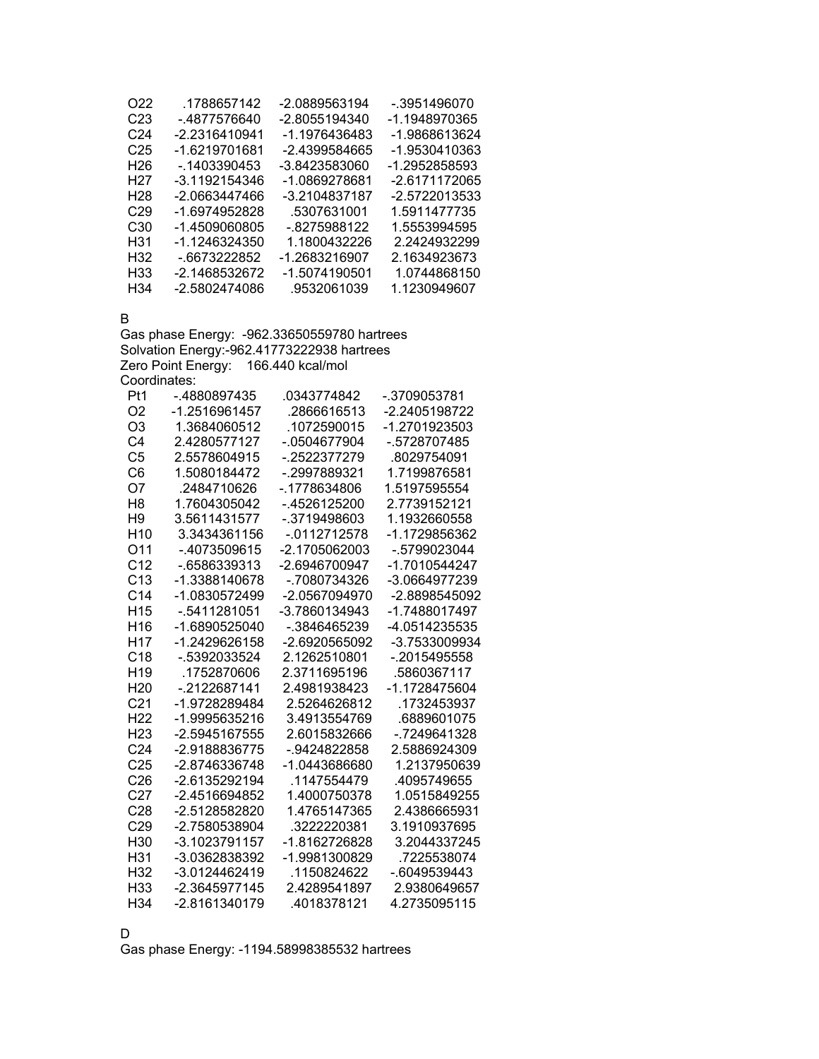| O22             | .1788657142   | -2.0889563194 | - 3951496070  |
|-----------------|---------------|---------------|---------------|
| C23             | - 4877576640  | -2.8055194340 | -1.1948970365 |
| C24             | -2.2316410941 | -1.1976436483 | -1.9868613624 |
| C <sub>25</sub> | -1.6219701681 | -2.4399584665 | -1.9530410363 |
| H <sub>26</sub> | - 1403390453  | -3.8423583060 | -1.2952858593 |
| H27             | -3.1192154346 | -1.0869278681 | -2.6171172065 |
| H28             | -2.0663447466 | -3.2104837187 | -2.5722013533 |
| C <sub>29</sub> | -1.6974952828 | .5307631001   | 1.5911477735  |
| C <sub>30</sub> | -1.4509060805 | - 8275988122  | 1.5553994595  |
| H31             | -1.1246324350 | 1.1800432226  | 2.2424932299  |
| H32             | -.6673222852  | -1.2683216907 | 2.1634923673  |
| H33             | -2.1468532672 | -1.5074190501 | 1.0744868150  |
| H34             | -2.5802474086 | .9532061039   | 1.1230949607  |

B

Gas phase Energy: -962.33650559780 hartrees Solvation Energy:-962.41773222938 hartrees Zero Point Energy: 166.440 kcal/mol Coordinates:

| -.4880897435  | .0343774842     | -.3709053781  |
|---------------|-----------------|---------------|
| -1.2516961457 | .2866616513     | -2.2405198722 |
| 1.3684060512  | .1072590015     | -1.2701923503 |
| 2.4280577127  | - 0504677904    | - 5728707485  |
| 2.5578604915  | - 2522377279    | .8029754091   |
| 1.5080184472  | - 2997889321    | 1.7199876581  |
| .2484710626   | - 1778634806    | 1.5197595554  |
| 1.7604305042  | - 4526125200    | 2.7739152121  |
| 3.5611431577  | -.3719498603    | 1.1932660558  |
| 3.3434361156  | $-0.0112712578$ | -1.1729856362 |
| - 4073509615  | -2.1705062003   | - 5799023044  |
| - 6586339313  | -2 6946700947   | -1 7010544247 |
| -1.3388140678 | - 7080734326    | -3.0664977239 |
| -1.0830572499 | $-2.0567094970$ | -2.8898545092 |
| - 5411281051  | $-3.7860134943$ | -1.7488017497 |
| -1.6890525040 | - 3846465239    | -4.0514235535 |
| -1.2429626158 | $-2.6920565092$ | -3.7533009934 |
| - 5392033524  | 2.1262510801    | $-2015495558$ |
| .1752870606   | 2.3711695196    | .5860367117   |
| - 2122687141  | 2.4981938423    | -1.1728475604 |
| -1.9728289484 | 2.5264626812    | 1732453937    |
|               | 3.4913554769    | .6889601075   |
| -2.5945167555 | 2 6015832666    | - 7249641328  |
| -2.9188836775 | - 9424822858    | 2.5886924309  |
| -2.8746336748 | -1.0443686680   | 1.2137950639  |
| -2.6135292194 | .1147554479     | .4095749655   |
| -2.4516694852 | 1.4000750378    | 1.0515849255  |
| -2.5128582820 | 1 4765147365    | 2.4386665931  |
| -2.7580538904 | .3222220381     | 3.1910937695  |
| -3.1023791157 | -1.8162726828   | 3.2044337245  |
| -3.0362838392 | -1.9981300829   | .7225538074   |
| -3.0124462419 | 1150824622      | $-6049539443$ |
| -2.3645977145 | 2.4289541897    | 2.9380649657  |
| -2.8161340179 | .4018378121     | 4.2735095115  |
|               | -1.9995635216   |               |

D

Gas phase Energy: -1194.58998385532 hartrees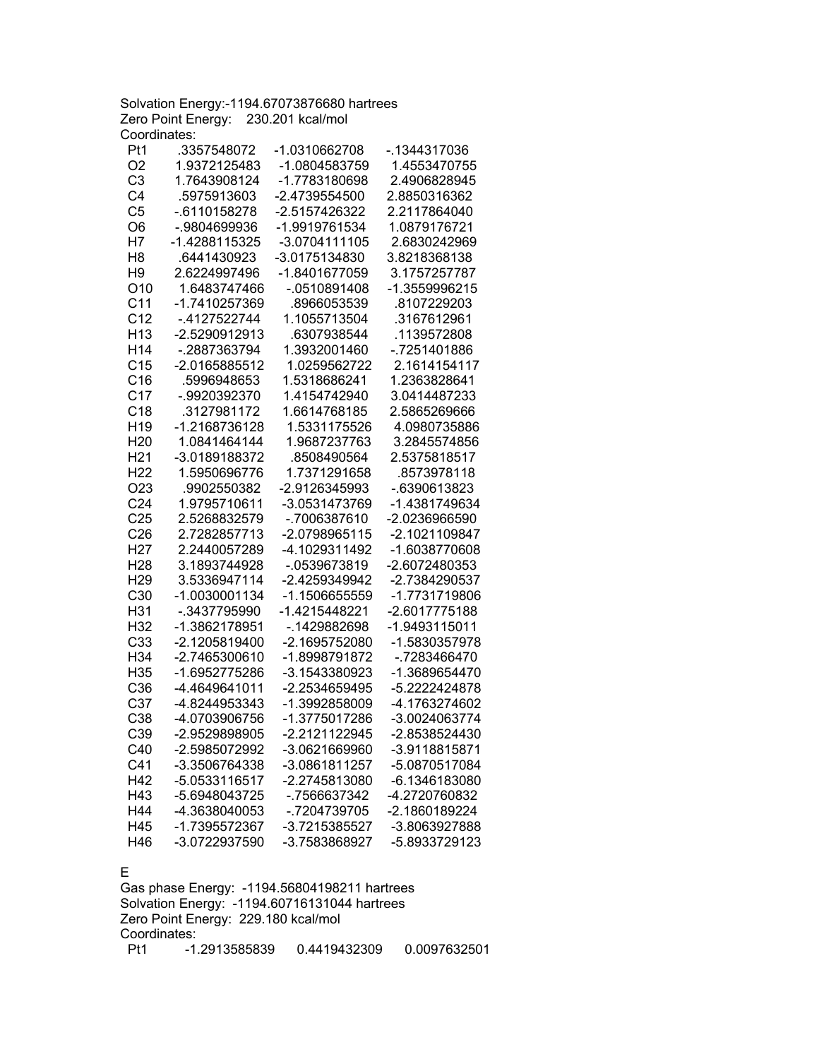Solvation Energy:-1194.67073876680 hartrees Zero Point Energy: 230.201 kcal/mol Coordinates:

| Pt1              | .3357548072     | -1.0310662708 | -.1344317036  |
|------------------|-----------------|---------------|---------------|
| O <sub>2</sub>   | 1.9372125483    | -1.0804583759 | 1.4553470755  |
| C <sub>3</sub>   | 1.7643908124    | -1.7783180698 | 2.4906828945  |
| C <sub>4</sub>   | .5975913603     | -2.4739554500 | 2.8850316362  |
| C <sub>5</sub>   | $-0.6110158278$ | -2.5157426322 | 2.2117864040  |
| O6               | -.9804699936    | -1.9919761534 | 1.0879176721  |
| H7               | -1.4288115325   | -3.0704111105 | 2.6830242969  |
| H <sub>8</sub>   | .6441430923     | -3.0175134830 | 3.8218368138  |
| H <sub>9</sub>   | 2.6224997496    | -1.8401677059 | 3.1757257787  |
| O <sub>10</sub>  | 1.6483747466    | $-0510891408$ | -1.3559996215 |
| C <sub>11</sub>  | -1.7410257369   | .8966053539   | .8107229203   |
| C <sub>12</sub>  | -.4127522744    | 1.1055713504  | .3167612961   |
| H <sub>13</sub>  | -2.5290912913   | .6307938544   | 1139572808    |
| H14              | -.2887363794    | 1.3932001460  | -.7251401886  |
| C <sub>15</sub>  | -2.0165885512   | 1.0259562722  | 2.1614154117  |
| C16              | .5996948653     | 1.5318686241  | 1.2363828641  |
| C <sub>17</sub>  | -.9920392370    | 1.4154742940  | 3.0414487233  |
| C18              | .3127981172     | 1.6614768185  | 2.5865269666  |
| H <sub>19</sub>  | -1.2168736128   | 1.5331175526  | 4.0980735886  |
| H <sub>20</sub>  | 1.0841464144    | 1.9687237763  | 3.2845574856  |
| H <sub>21</sub>  | -3.0189188372   | .8508490564   | 2.5375818517  |
| H <sub>22</sub>  | 1.5950696776    | 1.7371291658  | .8573978118   |
| O <sub>2</sub> 3 | .9902550382     | -2.9126345993 | -.6390613823  |
| C <sub>24</sub>  | 1.9795710611    | -3.0531473769 | -1.4381749634 |
| C <sub>25</sub>  | 2.5268832579    | -.7006387610  | -2.0236966590 |
| C <sub>26</sub>  | 2.7282857713    | -2.0798965115 | -2.1021109847 |
| H <sub>27</sub>  | 2.2440057289    | -4.1029311492 | -1.6038770608 |
| H <sub>28</sub>  | 3.1893744928    | -.0539673819  | -2.6072480353 |
| H <sub>29</sub>  | 3.5336947114    | -2.4259349942 | -2.7384290537 |
| C30              | -1.0030001134   | -1.1506655559 | -1.7731719806 |
| H31              | -.3437795990    | -1.4215448221 | -2.6017775188 |
| H32              | -1.3862178951   | -.1429882698  | -1.9493115011 |
| C33              | -2.1205819400   | -2.1695752080 | -1.5830357978 |
| H34              | -2.7465300610   | -1.8998791872 | -.7283466470  |
| H35              | -1.6952775286   | -3.1543380923 | -1.3689654470 |
| C36              | -4.4649641011   | -2.2534659495 | -5.2222424878 |
| C37              | -4.8244953343   | -1.3992858009 | -4.1763274602 |
| C38              | -4.0703906756   | -1.3775017286 | -3.0024063774 |
| C39              | -2.9529898905   | -2.2121122945 | -2.8538524430 |
| C40              | -2.5985072992   | -3.0621669960 | -3.9118815871 |
| C41              | -3.3506764338   | -3.0861811257 | -5.0870517084 |
| H42              | -5.0533116517   | -2.2745813080 | -6.1346183080 |
| H43              | -5.6948043725   | -.7566637342  | -4.2720760832 |
| H44              | -4.3638040053   | -.7204739705  | -2.1860189224 |
| H45              | -1.7395572367   | -3.7215385527 | -3.8063927888 |
| H46              | -3.0722937590   | -3.7583868927 | -5.8933729123 |

## E

Gas phase Energy: -1194.56804198211 hartrees Solvation Energy: -1194.60716131044 hartrees Zero Point Energy: 229.180 kcal/mol Coordinates:<br>Pt1 -1. Pt1 -1.2913585839 0.4419432309 0.0097632501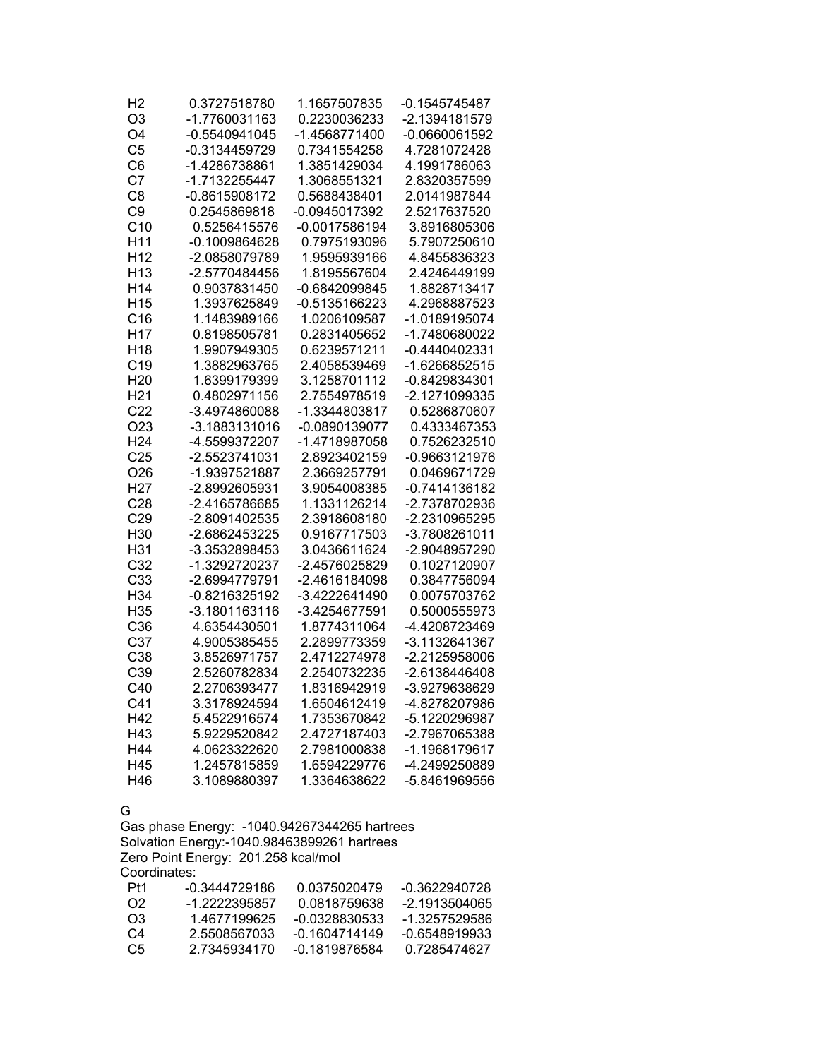| H2              | 0.3727518780    | 1.1657507835    | -0.1545745487   |
|-----------------|-----------------|-----------------|-----------------|
| O3              | -1.7760031163   | 0.2230036233    | -2.1394181579   |
| O <sub>4</sub>  | $-0.5540941045$ | -1.4568771400   | $-0.0660061592$ |
| C <sub>5</sub>  | -0.3134459729   | 0.7341554258    | 4.7281072428    |
| C <sub>6</sub>  | -1.4286738861   | 1.3851429034    | 4.1991786063    |
| C7              | -1.7132255447   | 1.3068551321    | 2.8320357599    |
| C <sub>8</sub>  | -0.8615908172   | 0.5688438401    | 2.0141987844    |
| C <sub>9</sub>  | 0.2545869818    | -0.0945017392   | 2.5217637520    |
| C <sub>10</sub> | 0.5256415576    | $-0.0017586194$ | 3.8916805306    |
| H <sub>11</sub> | $-0.1009864628$ | 0.7975193096    | 5.7907250610    |
| H <sub>12</sub> | -2.0858079789   | 1.9595939166    | 4.8455836323    |
| H <sub>13</sub> | -2.5770484456   | 1.8195567604    | 2.4246449199    |
| H <sub>14</sub> | 0.9037831450    | -0.6842099845   | 1.8828713417    |
| H <sub>15</sub> | 1.3937625849    | $-0.5135166223$ | 4.2968887523    |
| C16             | 1.1483989166    | 1.0206109587    | -1.0189195074   |
| H <sub>17</sub> | 0.8198505781    | 0.2831405652    | -1.7480680022   |
| H <sub>18</sub> | 1.9907949305    | 0.6239571211    | $-0.4440402331$ |
| C <sub>19</sub> | 1.3882963765    | 2.4058539469    | -1.6266852515   |
| H <sub>20</sub> | 1.6399179399    | 3.1258701112    | -0.8429834301   |
| H <sub>21</sub> | 0.4802971156    | 2.7554978519    | -2.1271099335   |
| C <sub>22</sub> | -3.4974860088   | -1.3344803817   | 0.5286870607    |
| O <sub>23</sub> | -3.1883131016   | $-0.0890139077$ | 0.4333467353    |
| H <sub>24</sub> | -4.5599372207   | -1.4718987058   | 0.7526232510    |
| C <sub>25</sub> | -2.5523741031   | 2.8923402159    | -0.9663121976   |
| O <sub>26</sub> | -1.9397521887   | 2.3669257791    | 0.0469671729    |
| H <sub>27</sub> | -2.8992605931   | 3.9054008385    | -0.7414136182   |
| C <sub>28</sub> | -2.4165786685   | 1.1331126214    | -2.7378702936   |
| C29             | -2.8091402535   | 2.3918608180    | -2.2310965295   |
| H30             | -2.6862453225   | 0.9167717503    | -3.7808261011   |
| H31             | -3.3532898453   | 3.0436611624    | -2.9048957290   |
| C <sub>32</sub> | -1.3292720237   | -2.4576025829   | 0.1027120907    |
| C33             | -2.6994779791   | -2.4616184098   | 0.3847756094    |
| H34             | -0.8216325192   | -3.4222641490   | 0.0075703762    |
| H35             | -3.1801163116   | -3.4254677591   | 0.5000555973    |
| C36             | 4.6354430501    | 1.8774311064    | -4.4208723469   |
| C <sub>37</sub> | 4.9005385455    | 2.2899773359    | -3.1132641367   |
| C38             | 3.8526971757    | 2.4712274978    | -2.2125958006   |
| C39             | 2.5260782834    | 2.2540732235    | -2.6138446408   |
| C40             | 2.2706393477    | 1.8316942919    | -3.9279638629   |
| C <sub>41</sub> | 3.3178924594    | 1.6504612419    | -4.8278207986   |
| H42             | 5.4522916574    | 1.7353670842    | -5.1220296987   |
| H43             | 5.9229520842    | 2.4727187403    | -2.7967065388   |
| H44             | 4.0623322620    | 2.7981000838    | -1.1968179617   |
| H45             | 1.2457815859    | 1.6594229776    | -4.2499250889   |
| H46             | 3.1089880397    | 1.3364638622    | -5.8461969556   |

G

Gas phase Energy: -1040.94267344265 hartrees Solvation Energy:-1040.98463899261 hartrees Zero Point Energy: 201.258 kcal/mol Coordinates: Pt1 -0.3444729186 0.0375020479 -0.3622940728

| Pt1 | -0.3444729186 | 0.0375020479  | -0.3622940728 |
|-----|---------------|---------------|---------------|
| O2. | -1 2222395857 | 0.0818759638  | -2 1913504065 |
| O3  | 1 4677199625  | -0.0328830533 | -1 3257529586 |
| C4  | 2.5508567033  | -0 1604714149 | -0.6548919933 |
| C5  | 2 7345934170  | -0 1819876584 | 0.7285474627  |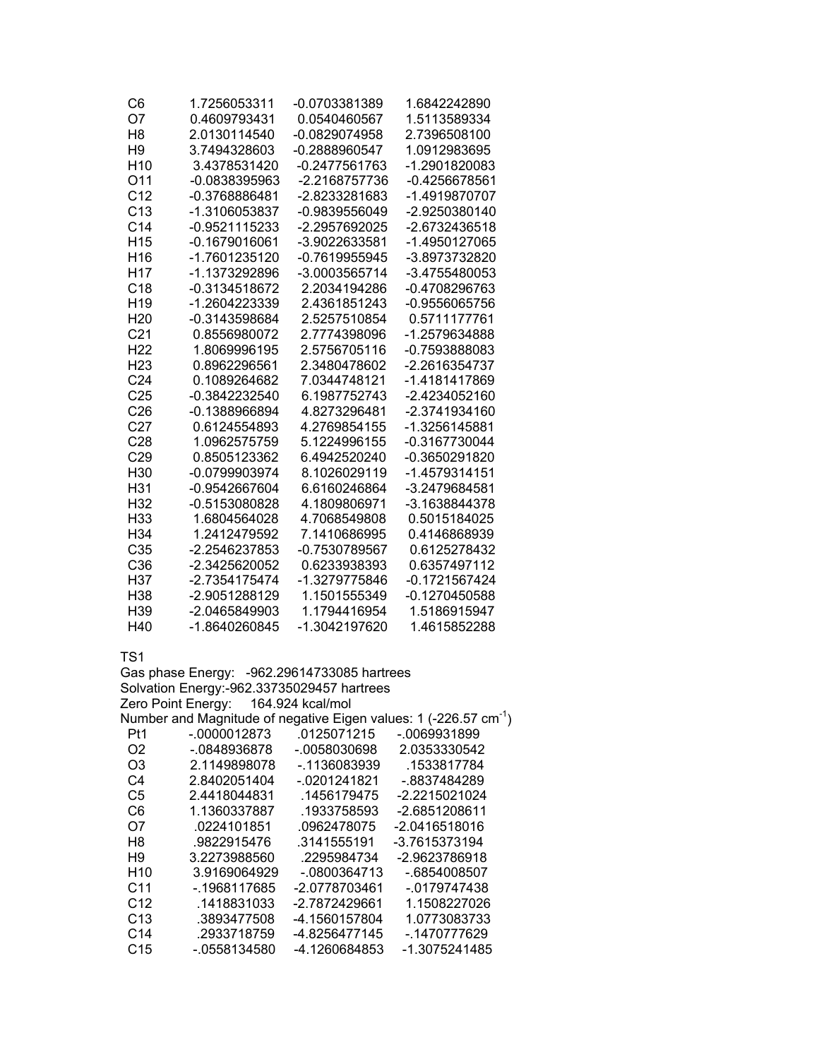| C6              | 1.7256053311    | -0.0703381389   | 1.6842242890  |
|-----------------|-----------------|-----------------|---------------|
| O7              | 0.4609793431    | 0.0540460567    | 1.5113589334  |
| H8              | 2.0130114540    | $-0.0829074958$ | 2.7396508100  |
| H <sub>9</sub>  | 3.7494328603    | -0.2888960547   | 1.0912983695  |
| H <sub>10</sub> | 3.4378531420    | -0.2477561763   | -1.2901820083 |
| O11             | -0.0838395963   | -2.2168757736   | -0.4256678561 |
| C <sub>12</sub> | -0.3768886481   | -2.8233281683   | -1.4919870707 |
| C <sub>13</sub> | -1.3106053837   | -0.9839556049   | -2.9250380140 |
| C <sub>14</sub> | -0.9521115233   | -2.2957692025   | -2.6732436518 |
| H <sub>15</sub> | -0.1679016061   | -3.9022633581   | -1.4950127065 |
| H <sub>16</sub> | -1.7601235120   | -0.7619955945   | -3.8973732820 |
| H17             | -1.1373292896   | -3.0003565714   | -3.4755480053 |
| C18             | -0.3134518672   | 2.2034194286    | -0.4708296763 |
| H <sub>19</sub> | -1.2604223339   | 2.4361851243    | -0.9556065756 |
| H <sub>20</sub> | -0.3143598684   | 2.5257510854    | 0.5711177761  |
| C <sub>21</sub> | 0.8556980072    | 2.7774398096    | -1.2579634888 |
| H <sub>22</sub> | 1.8069996195    | 2.5756705116    | -0.7593888083 |
| H <sub>23</sub> | 0.8962296561    | 2.3480478602    | -2.2616354737 |
| C <sub>24</sub> | 0.1089264682    | 7.0344748121    | -1.4181417869 |
| C <sub>25</sub> | -0.3842232540   | 6.1987752743    | -2.4234052160 |
| C <sub>26</sub> | $-0.1388966894$ | 4.8273296481    | -2.3741934160 |
| C <sub>27</sub> | 0.6124554893    | 4.2769854155    | -1.3256145881 |
| C <sub>28</sub> | 1.0962575759    | 5.1224996155    | -0.3167730044 |
| C <sub>29</sub> | 0.8505123362    | 6.4942520240    | -0.3650291820 |
| H30             | -0.0799903974   | 8.1026029119    | -1.4579314151 |
| H31             | -0.9542667604   | 6.6160246864    | -3.2479684581 |
| H <sub>32</sub> | -0.5153080828   | 4.1809806971    | -3.1638844378 |
| H33             | 1.6804564028    | 4.7068549808    | 0.5015184025  |
| H34             | 1.2412479592    | 7.1410686995    | 0.4146868939  |
| C35             | -2.2546237853   | -0.7530789567   | 0.6125278432  |
| C <sub>36</sub> | -2.3425620052   | 0.6233938393    | 0.6357497112  |
| H37             | -2.7354175474   | -1.3279775846   | -0.1721567424 |
| H38             | -2.9051288129   | 1.1501555349    | -0.1270450588 |
| H39             | -2.0465849903   | 1.1794416954    | 1.5186915947  |
| H40             | -1.8640260845   | -1.3042197620   | 1.4615852288  |

| Gas phase Energy: -962.29614733085 hartrees |                                            |               |                                                                       |
|---------------------------------------------|--------------------------------------------|---------------|-----------------------------------------------------------------------|
|                                             | Solvation Energy:-962.33735029457 hartrees |               |                                                                       |
|                                             | Zero Point Energy: 164.924 kcal/mol        |               |                                                                       |
|                                             |                                            |               | Number and Magnitude of negative Eigen values: 1 (-226.57 $cm^{-1}$ ) |
| Pt1                                         | $-0.0000012873$ $0.0125071215$             |               | -.0069931899                                                          |
| O <sub>2</sub>                              | -.0848936878                               | -.0058030698  | 2.0353330542                                                          |
| O3                                          | 2.1149898078                               | -.1136083939  | .1533817784                                                           |
| C4                                          | 2.8402051404                               | -.0201241821  | -.8837484289                                                          |
| C5                                          | 2.4418044831                               | .1456179475   | -2.2215021024                                                         |
| C6                                          | 1.1360337887                               | .1933758593   | -2.6851208611                                                         |
| O7                                          | .0224101851                                | .0962478075   | -2.0416518016                                                         |
| H8                                          | .9822915476                                | .3141555191   | -3.7615373194                                                         |
| H9                                          | 3.2273988560                               | .2295984734   | -2.9623786918                                                         |
| H <sub>10</sub>                             | 3.9169064929                               | -.0800364713  | -.6854008507                                                          |
| C <sub>11</sub>                             | - 1968117685                               | -2.0778703461 | -.0179747438                                                          |
| C <sub>12</sub>                             | .1418831033                                | -2.7872429661 | 1.1508227026                                                          |
| C <sub>13</sub>                             | .3893477508                                | -4.1560157804 | 1.0773083733                                                          |
| C <sub>14</sub>                             | .2933718759                                | -4.8256477145 | - 1470777629                                                          |
| C <sub>15</sub>                             | -.0558134580                               | -4.1260684853 | -1.3075241485                                                         |
|                                             |                                            |               |                                                                       |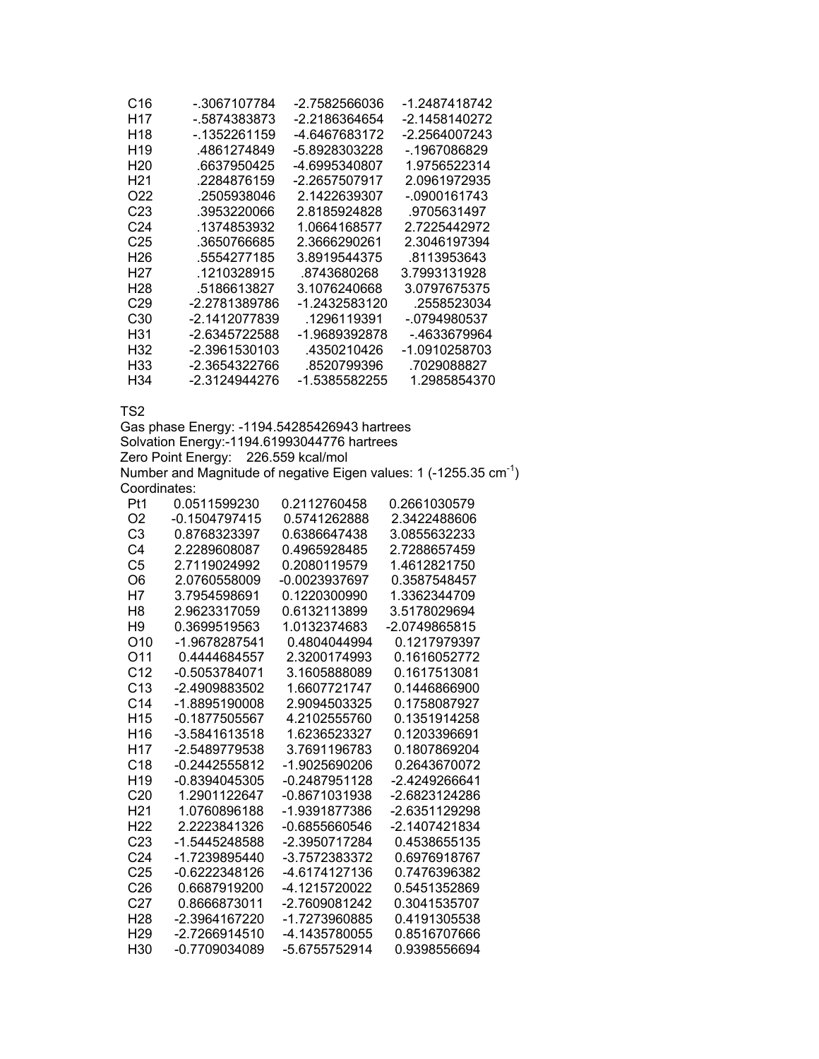| C16             | - 3067107784  | -2.7582566036 | -1.2487418742 |
|-----------------|---------------|---------------|---------------|
| H17             | - 5874383873  | -2.2186364654 | -2.1458140272 |
| H <sub>18</sub> | $-1352261159$ | -4.6467683172 | -2.2564007243 |
| H <sub>19</sub> | 4861274849    | -5.8928303228 | - 1967086829  |
| H20             | .6637950425   | -4.6995340807 | 1.9756522314  |
| H <sub>21</sub> | .2284876159   | -2.2657507917 | 2.0961972935  |
| O22             | .2505938046   | 2.1422639307  | -.0900161743  |
| C23             | .3953220066   | 2.8185924828  | .9705631497   |
| C24             | .1374853932   | 1.0664168577  | 2.7225442972  |
| C25             | .3650766685   | 2.3666290261  | 2.3046197394  |
| H26             | .5554277185   | 3.8919544375  | .8113953643   |
| H27             | .1210328915   | .8743680268   | 3.7993131928  |
| H28             | .5186613827   | 3.1076240668  | 3.0797675375  |
| C <sub>29</sub> | -2.2781389786 | -1.2432583120 | .2558523034   |
| C30             | -2.1412077839 | .1296119391   | -.0794980537  |
| H31             | -2.6345722588 | -1.9689392878 | -.4633679964  |
| H32             | -2.3961530103 | .4350210426   | -1.0910258703 |
| H33             | -2.3654322766 | .8520799396   | .7029088827   |
| H34             | -2.3124944276 | -1.5385582255 | 1.2985854370  |

Gas phase Energy: -1194.54285426943 hartrees Solvation Energy:-1194.61993044776 hartrees Zero Point Energy: 226.559 kcal/mol Number and Magnitude of negative Eigen values: 1 (-1255.35  $cm^{-1}$ ) Coordinates:

| Pt1             | 0.0511599230    | 0.2112760458  | 0.2661030579  |
|-----------------|-----------------|---------------|---------------|
| O2              | $-0.1504797415$ | 0.5741262888  | 2.3422488606  |
| C3              | 0.8768323397    | 0.6386647438  | 3.0855632233  |
| C4              | 2.2289608087    | 0.4965928485  | 2.7288657459  |
| C <sub>5</sub>  | 2.7119024992    | 0.2080119579  | 1.4612821750  |
| O6              | 2.0760558009    | -0.0023937697 | 0.3587548457  |
| Η7              | 3.7954598691    | 0.1220300990  | 1.3362344709  |
| H8              | 2.9623317059    | 0.6132113899  | 3.5178029694  |
| H9              | 0.3699519563    | 1.0132374683  | -2.0749865815 |
| O10             | -1.9678287541   | 0.4804044994  | 0.1217979397  |
| O11             | 0.4444684557    | 2.3200174993  | 0.1616052772  |
| C <sub>12</sub> | -0.5053784071   | 3.1605888089  | 0.1617513081  |
| C <sub>13</sub> | -2.4909883502   | 1.6607721747  | 0.1446866900  |
| C <sub>14</sub> | -1.8895190008   | 2.9094503325  | 0.1758087927  |
| H15             | -0.1877505567   | 4.2102555760  | 0.1351914258  |
| H <sub>16</sub> | -3.5841613518   | 1.6236523327  | 0.1203396691  |
| H17             | -2.5489779538   | 3.7691196783  | 0.1807869204  |
| C <sub>18</sub> | -0.2442555812   | -1.9025690206 | 0.2643670072  |
| H <sub>19</sub> | $-0.8394045305$ | -0.2487951128 | -2.4249266641 |
| C <sub>20</sub> | 1.2901122647    | -0.8671031938 | -2.6823124286 |
| H21             | 1.0760896188    | -1.9391877386 | -2.6351129298 |
| H <sub>22</sub> | 2.2223841326    | -0.6855660546 | -2.1407421834 |
| C23             | -1.5445248588   | -2.3950717284 | 0.4538655135  |
| C <sub>24</sub> | -1.7239895440   | -3.7572383372 | 0.6976918767  |
| C <sub>25</sub> | -0.6222348126   | -4.6174127136 | 0.7476396382  |
| C <sub>26</sub> | 0.6687919200    | -4.1215720022 | 0.5451352869  |
| C <sub>27</sub> | 0.8666873011    | -2.7609081242 | 0.3041535707  |
| H <sub>28</sub> | -2.3964167220   | -1.7273960885 | 0.4191305538  |
| H <sub>29</sub> | -2.7266914510   | -4.1435780055 | 0.8516707666  |
| H30             | -0.7709034089   | -5.6755752914 | 0.9398556694  |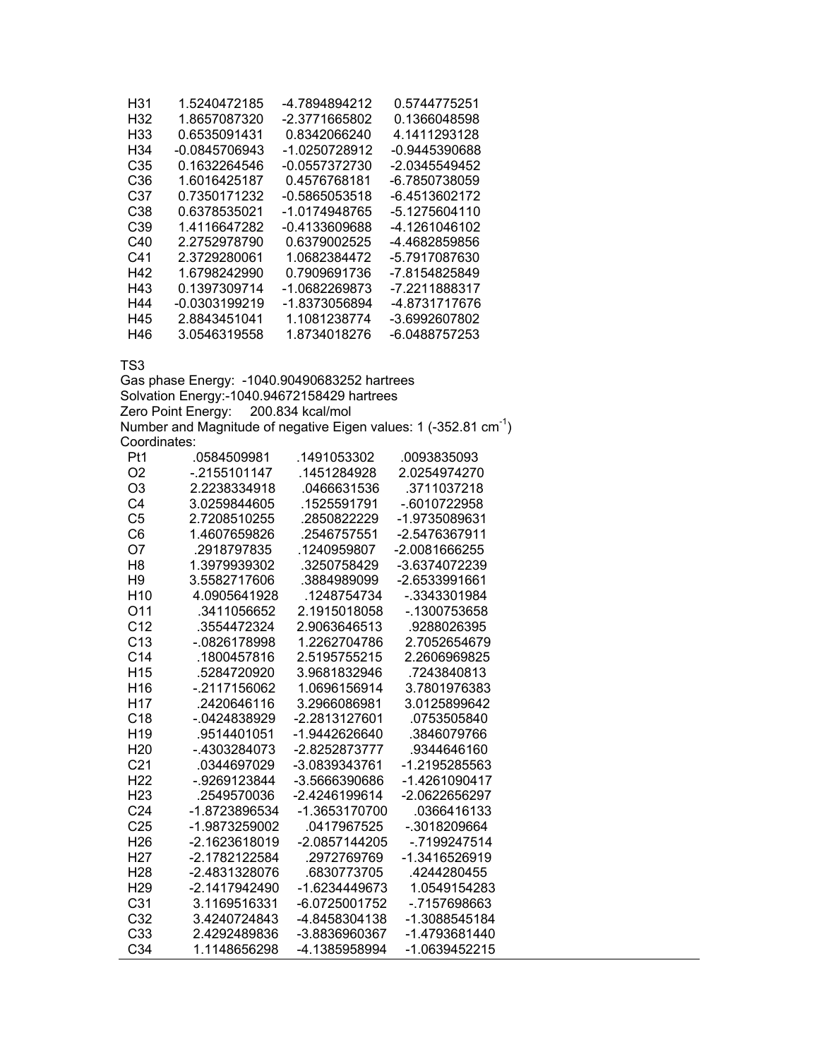| H31             | 1.5240472185    | -4.7894894212 | 0.5744775251  |
|-----------------|-----------------|---------------|---------------|
| H <sub>32</sub> | 1.8657087320    | -2.3771665802 | 0.1366048598  |
| H33             | 0.6535091431    | 0.8342066240  | 4.1411293128  |
| H34             | $-0.0845706943$ | -1.0250728912 | -0.9445390688 |
| C35             | 0.1632264546    | -0.0557372730 | -2.0345549452 |
| C36             | 1.6016425187    | 0.4576768181  | -6.7850738059 |
| C37             | 0.7350171232    | -0.5865053518 | -6.4513602172 |
| C38             | 0.6378535021    | -1.0174948765 | -5.1275604110 |
| C39             | 1.4116647282    | -0.4133609688 | -4.1261046102 |
| C40             | 2.2752978790    | 0.6379002525  | -4.4682859856 |
| C41             | 2.3729280061    | 1.0682384472  | -5.7917087630 |
| H42             | 1.6798242990    | 0.7909691736  | -7.8154825849 |
| H43             | 0.1397309714    | -1.0682269873 | -7.2211888317 |
| H44             | -0.0303199219   | -1.8373056894 | -4.8731717676 |
| H45             | 2.8843451041    | 1.1081238774  | -3.6992607802 |
| H46             | 3.0546319558    | 1.8734018276  | -6.0488757253 |

Gas phase Energy: -1040.90490683252 hartrees Solvation Energy:-1040.94672158429 hartrees Zero Point Energy: 200.834 kcal/mol Number and Magnitude of negative Eigen values: 1 (-352.81  $cm^{-1}$ ) Coordinates:

| Pt1             | .0584509981   | .1491053302     | .0093835093     |
|-----------------|---------------|-----------------|-----------------|
| O <sub>2</sub>  | $-2155101147$ | .1451284928     | 2.0254974270    |
| O <sub>3</sub>  | 2.2238334918  | .0466631536     | .3711037218     |
| C <sub>4</sub>  | 3.0259844605  | .1525591791     | -.6010722958    |
| C <sub>5</sub>  | 2.7208510255  | .2850822229     | -1.9735089631   |
| C <sub>6</sub>  | 1.4607659826  | .2546757551     | -2.5476367911   |
| O7              | .2918797835   | .1240959807     | -2.0081666255   |
| H <sub>8</sub>  | 1.3979939302  | .3250758429     | -3.6374072239   |
| H <sub>9</sub>  | 3.5582717606  | .3884989099     | -2.6533991661   |
| H <sub>10</sub> | 4.0905641928  | .1248754734     | -.3343301984    |
| O11             | .3411056652   | 2.1915018058    | -.1300753658    |
| C <sub>12</sub> | .3554472324   | 2.9063646513    | .9288026395     |
| C <sub>13</sub> | -.0826178998  | 1.2262704786    | 2.7052654679    |
| C <sub>14</sub> | .1800457816   | 2.5195755215    | 2.2606969825    |
| H <sub>15</sub> | .5284720920   | 3.9681832946    | .7243840813     |
| H <sub>16</sub> | -.2117156062  | 1.0696156914    | 3.7801976383    |
| H <sub>17</sub> | .2420646116   | 3.2966086981    | 3.0125899642    |
| C <sub>18</sub> | -.0424838929  | -2.2813127601   | .0753505840     |
| H <sub>19</sub> | .9514401051   | $-1.9442626640$ | .3846079766     |
| H <sub>20</sub> | -.4303284073  | -2.8252873777   | .9344646160     |
| C <sub>21</sub> | .0344697029   | -3.0839343761   | -1.2195285563   |
| H <sub>22</sub> | - 9269123844  | -3.5666390686   | $-1.4261090417$ |
| H <sub>23</sub> | .2549570036   | -2.4246199614   | -2.0622656297   |
| C <sub>24</sub> | -1.8723896534 | -1.3653170700   | .0366416133     |
| C <sub>25</sub> | -1.9873259002 | .0417967525     | -.3018209664    |
| H <sub>26</sub> | -2.1623618019 | -2.0857144205   | -.7199247514    |
| H <sub>27</sub> | -2.1782122584 | .2972769769     | -1.3416526919   |
| H <sub>28</sub> | -2.4831328076 | .6830773705     | .4244280455     |
| H <sub>29</sub> | -2.1417942490 | -1.6234449673   | 1.0549154283    |
| C <sub>31</sub> | 3.1169516331  | -6.0725001752   | -.7157698663    |
| C <sub>32</sub> | 3.4240724843  | -4.8458304138   | -1.3088545184   |
| C33             | 2.4292489836  | -3.8836960367   | -1.4793681440   |
| C <sub>34</sub> | 1.1148656298  | -4.1385958994   | -1.0639452215   |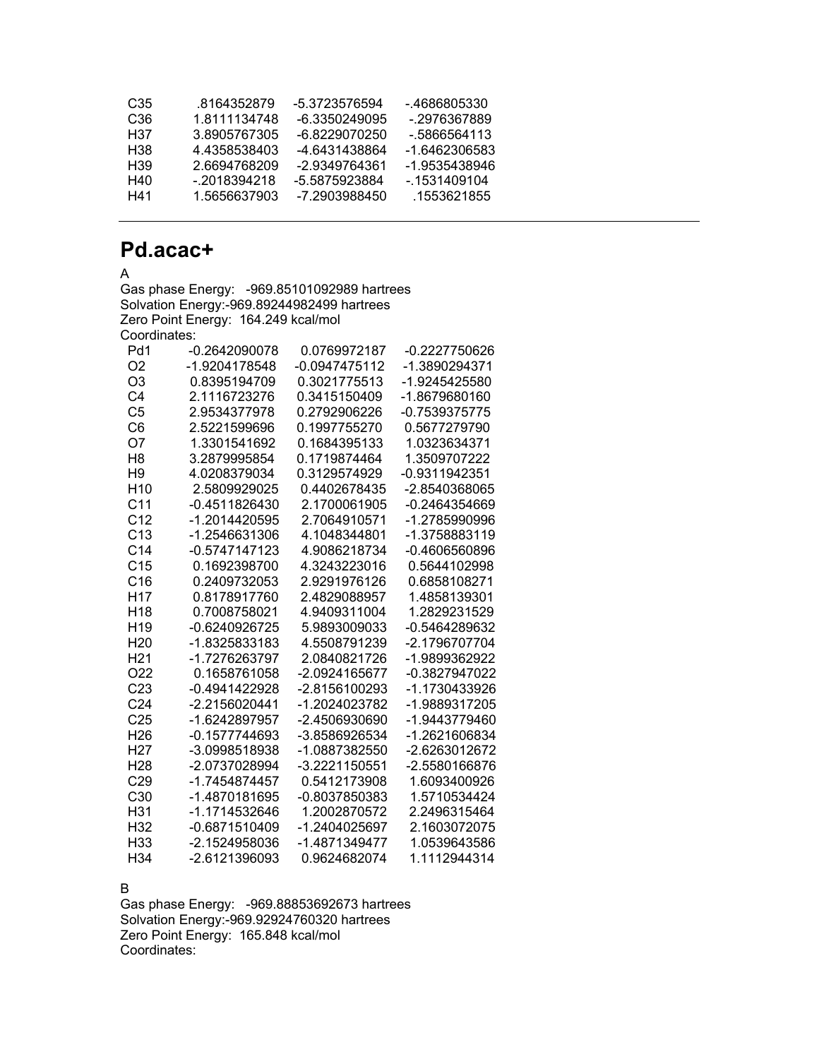| C35 | 8164352879   | -5.3723576594 | - 4686805330  |
|-----|--------------|---------------|---------------|
| C36 | 1.8111134748 | -6.3350249095 | - 2976367889  |
| H37 | 3.8905767305 | -6 8229070250 | - 5866564113  |
| H38 | 4.4358538403 | -4.6431438864 | -1 6462306583 |
| H39 | 2.6694768209 | -2.9349764361 | -1.9535438946 |
| H40 | - 2018394218 | -5.5875923884 | - 1531409104  |
| H41 | 1.5656637903 | -7 2903988450 | .1553621855   |

## **Pd.acac+**

A

Gas phase Energy: -969.85101092989 hartrees Solvation Energy:-969.89244982499 hartrees Zero Point Energy: 164.249 kcal/mol Coordinates:

| Pd1             | -0.2642090078   | 0.0769972187  | -0.2227750626   |
|-----------------|-----------------|---------------|-----------------|
| O <sub>2</sub>  | -1.9204178548   | -0.0947475112 | -1.3890294371   |
| O <sub>3</sub>  | 0.8395194709    | 0.3021775513  | -1.9245425580   |
| C <sub>4</sub>  | 2.1116723276    | 0.3415150409  | -1.8679680160   |
| C <sub>5</sub>  | 2.9534377978    | 0.2792906226  | -0.7539375775   |
| C <sub>6</sub>  | 2.5221599696    | 0.1997755270  | 0.5677279790    |
| O7              | 1.3301541692    | 0.1684395133  | 1.0323634371    |
| H <sub>8</sub>  | 3.2879995854    | 0.1719874464  | 1.3509707222    |
| H9              | 4.0208379034    | 0.3129574929  | -0.9311942351   |
| H <sub>10</sub> | 2.5809929025    | 0.4402678435  | -2.8540368065   |
| C <sub>11</sub> | $-0.4511826430$ | 2.1700061905  | $-0.2464354669$ |
| C <sub>12</sub> | -1.2014420595   | 2.7064910571  | -1.2785990996   |
| C <sub>13</sub> | -1.2546631306   | 4.1048344801  | -1.3758883119   |
| C <sub>14</sub> | -0.5747147123   | 4.9086218734  | -0.4606560896   |
| C <sub>15</sub> | 0.1692398700    | 4.3243223016  | 0.5644102998    |
| C16             | 0.2409732053    | 2.9291976126  | 0.6858108271    |
| H17             | 0.8178917760    | 2.4829088957  | 1.4858139301    |
| H <sub>18</sub> | 0.7008758021    | 4.9409311004  | 1.2829231529    |
| H <sub>19</sub> | -0.6240926725   | 5.9893009033  | -0.5464289632   |
| H <sub>20</sub> | -1.8325833183   | 4.5508791239  | -2.1796707704   |
| H <sub>21</sub> | -1.7276263797   | 2.0840821726  | -1.9899362922   |
| O <sub>22</sub> | 0.1658761058    | -2.0924165677 | -0.3827947022   |
| C <sub>23</sub> | -0.4941422928   | -2.8156100293 | -1.1730433926   |
| C <sub>24</sub> | -2.2156020441   | -1.2024023782 | -1.9889317205   |
| C <sub>25</sub> | -1.6242897957   | -2.4506930690 | -1.9443779460   |
| H <sub>26</sub> | -0.1577744693   | -3.8586926534 | -1.2621606834   |
| H <sub>27</sub> | -3.0998518938   | -1.0887382550 | -2.6263012672   |
| H <sub>28</sub> | -2.0737028994   | -3.2221150551 | -2.5580166876   |
| C29             | -1.7454874457   | 0.5412173908  | 1.6093400926    |
| C30             | -1.4870181695   | -0.8037850383 | 1.5710534424    |
| H31             | -1.1714532646   | 1.2002870572  | 2.2496315464    |
| H32             | -0.6871510409   | -1.2404025697 | 2.1603072075    |
| H <sub>33</sub> | -2.1524958036   | -1.4871349477 | 1.0539643586    |
| H34             | -2.6121396093   | 0.9624682074  | 1.1112944314    |

B

Gas phase Energy: -969.88853692673 hartrees Solvation Energy:-969.92924760320 hartrees Zero Point Energy: 165.848 kcal/mol Coordinates: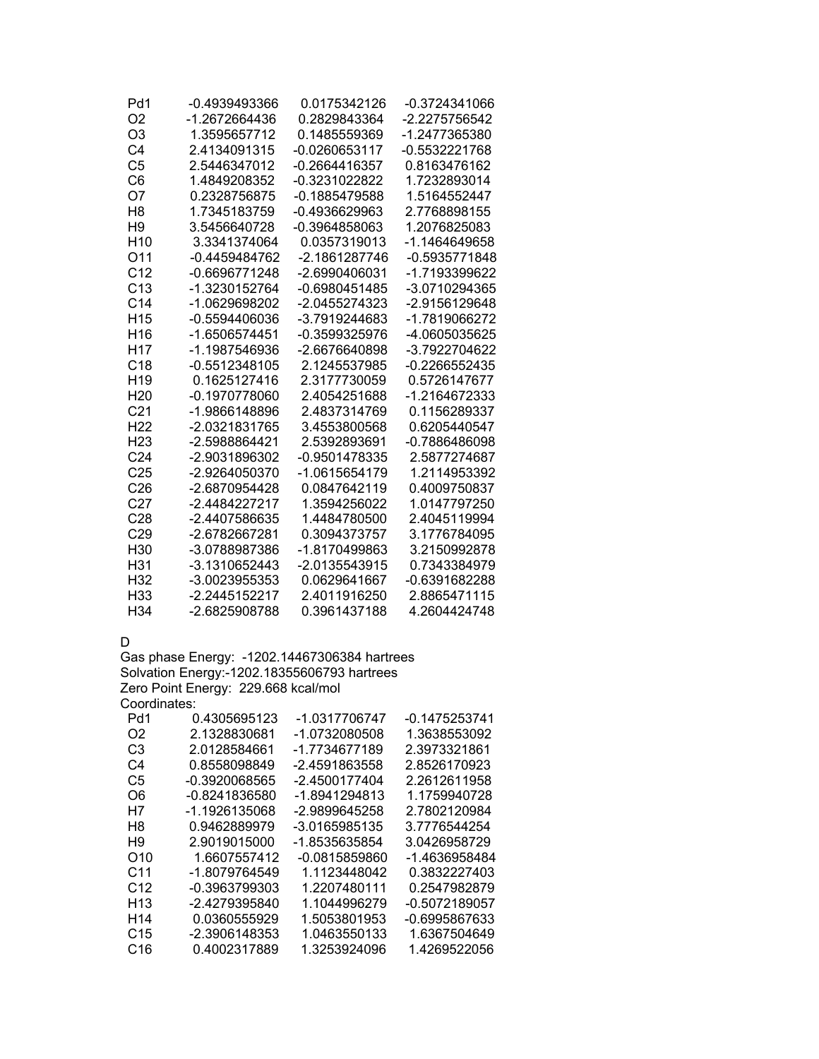| Pd1             | -0.4939493366   | 0.0175342126    | -0.3724341066 |
|-----------------|-----------------|-----------------|---------------|
| O <sub>2</sub>  | -1.2672664436   | 0.2829843364    | -2.2275756542 |
| O <sub>3</sub>  | 1.3595657712    | 0.1485559369    | -1.2477365380 |
| C <sub>4</sub>  | 2.4134091315    | -0.0260653117   | -0.5532221768 |
| C <sub>5</sub>  | 2.5446347012    | -0.2664416357   | 0.8163476162  |
| C6              | 1.4849208352    | -0.3231022822   | 1.7232893014  |
| O7              | 0.2328756875    | -0.1885479588   | 1.5164552447  |
| H <sub>8</sub>  | 1.7345183759    | $-0.4936629963$ | 2.7768898155  |
| H <sub>9</sub>  | 3.5456640728    | -0.3964858063   | 1.2076825083  |
| H <sub>10</sub> | 3.3341374064    | 0.0357319013    | -1.1464649658 |
| O11             | $-0.4459484762$ | -2.1861287746   | -0.5935771848 |
| C <sub>12</sub> | -0.6696771248   | -2.6990406031   | -1.7193399622 |
| C13             | -1.3230152764   | -0.6980451485   | -3.0710294365 |
| C <sub>14</sub> | -1.0629698202   | -2.0455274323   | -2.9156129648 |
| H <sub>15</sub> | $-0.5594406036$ | -3.7919244683   | -1.7819066272 |
| H <sub>16</sub> | -1.6506574451   | -0.3599325976   | -4.0605035625 |
| H17             | -1.1987546936   | -2.6676640898   | -3.7922704622 |
| C18             | $-0.5512348105$ | 2.1245537985    | -0.2266552435 |
| H <sub>19</sub> | 0.1625127416    | 2.3177730059    | 0.5726147677  |
| H <sub>20</sub> | -0.1970778060   | 2.4054251688    | -1.2164672333 |
| C <sub>21</sub> | -1.9866148896   | 2.4837314769    | 0.1156289337  |
| H <sub>22</sub> | -2.0321831765   | 3.4553800568    | 0.6205440547  |
| H <sub>23</sub> | -2.5988864421   | 2.5392893691    | -0.7886486098 |
| C <sub>24</sub> | -2.9031896302   | -0.9501478335   | 2.5877274687  |
| C <sub>25</sub> | -2.9264050370   | -1.0615654179   | 1.2114953392  |
| C <sub>26</sub> | -2.6870954428   | 0.0847642119    | 0.4009750837  |
| C <sub>27</sub> | -2.4484227217   | 1.3594256022    | 1.0147797250  |
| C <sub>28</sub> | -2.4407586635   | 1.4484780500    | 2.4045119994  |
| C29             | -2.6782667281   | 0.3094373757    | 3.1776784095  |
| H <sub>30</sub> | -3.0788987386   | -1.8170499863   | 3.2150992878  |
| H31             | -3.1310652443   | $-2.0135543915$ | 0.7343384979  |
| H32             | -3.0023955353   | 0.0629641667    | -0.6391682288 |
| H <sub>33</sub> | -2.2445152217   | 2.4011916250    | 2.8865471115  |
| H <sub>34</sub> | -2.6825908788   | 0.3961437188    | 4.2604424748  |

D

Gas phase Energy: -1202.14467306384 hartrees Solvation Energy:-1202.18355606793 hartrees Zero Point Energy: 229.668 kcal/mol Coordinates:

| Pd1             | 0.4305695123  | -1.0317706747 | -0.1475253741 |
|-----------------|---------------|---------------|---------------|
| O2              | 2.1328830681  | -1.0732080508 | 1.3638553092  |
| C3              | 2.0128584661  | -1.7734677189 | 2.3973321861  |
| C4              | 0.8558098849  | -2.4591863558 | 2.8526170923  |
| C5              | -0.3920068565 | -2.4500177404 | 2.2612611958  |
| O6              | -0.8241836580 | -1.8941294813 | 1.1759940728  |
| H7              | -1.1926135068 | -2.9899645258 | 2.7802120984  |
| H8              | 0.9462889979  | -3.0165985135 | 3.7776544254  |
| H9              | 2.9019015000  | -1.8535635854 | 3.0426958729  |
| O10             | 1.6607557412  | -0.0815859860 | -1.4636958484 |
| C <sub>11</sub> | -1.8079764549 | 1.1123448042  | 0.3832227403  |
| C <sub>12</sub> | -0.3963799303 | 1.2207480111  | 0.2547982879  |
| H <sub>13</sub> | -2.4279395840 | 1.1044996279  | -0.5072189057 |
| H <sub>14</sub> | 0.0360555929  | 1.5053801953  | -0.6995867633 |
| C <sub>15</sub> | -2.3906148353 | 1.0463550133  | 1.6367504649  |
| C16             | 0.4002317889  | 1.3253924096  | 1.4269522056  |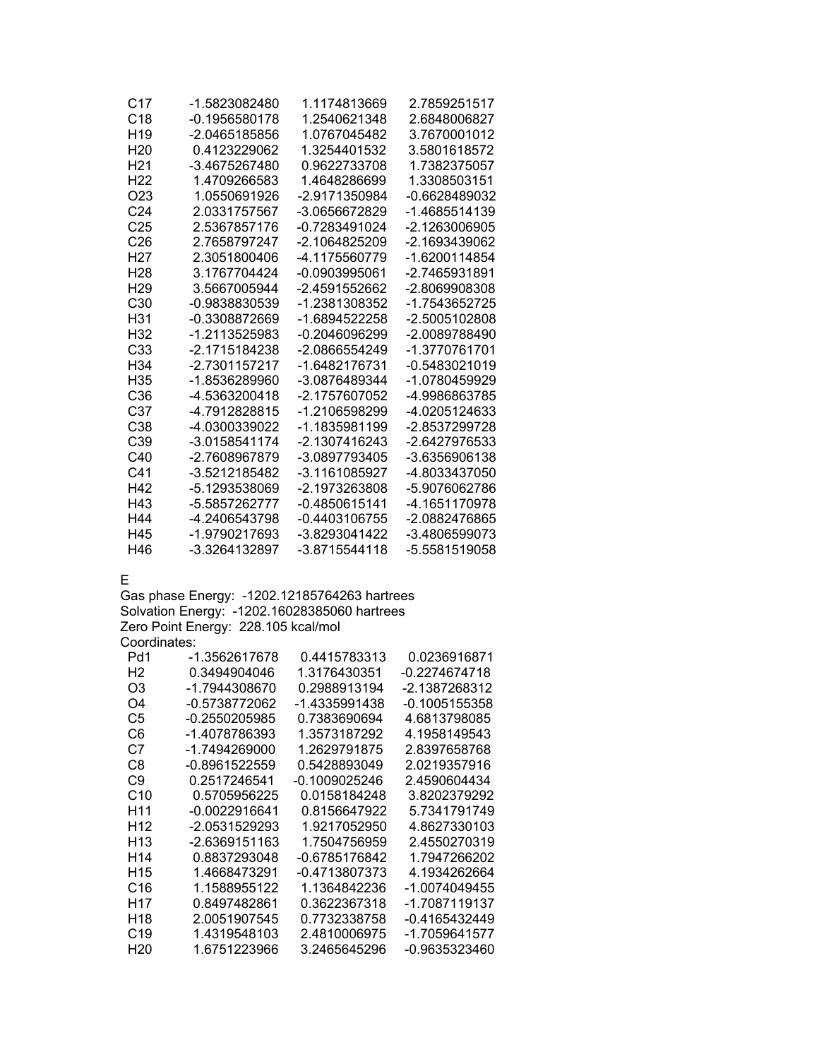| C17             | -1.5823082480   | 1.1174813669  | 2.7859251517  |
|-----------------|-----------------|---------------|---------------|
| C <sub>18</sub> | $-0.1956580178$ | 1.2540621348  | 2.6848006827  |
| H <sub>19</sub> | -2.0465185856   | 1.0767045482  | 3.7670001012  |
| H <sub>20</sub> | 0.4123229062    | 1.3254401532  | 3.5801618572  |
| H21             | -3.4675267480   | 0.9622733708  | 1.7382375057  |
| H22             | 1.4709266583    | 1.4648286699  | 1.3308503151  |
| O23             | 1.0550691926    | -2.9171350984 | -0.6628489032 |
| C <sub>24</sub> | 2.0331757567    | -3.0656672829 | -1.4685514139 |
| C <sub>25</sub> | 2.5367857176    | -0.7283491024 | -2.1263006905 |
| C <sub>26</sub> | 2.7658797247    | -2.1064825209 | -2.1693439062 |
| H27             | 2.3051800406    | -4.1175560779 | -1.6200114854 |
| H28             | 3.1767704424    | -0.0903995061 | -2.7465931891 |
| H <sub>29</sub> | 3.5667005944    | -2.4591552662 | -2.8069908308 |
| C30             | -0.9838830539   | -1.2381308352 | -1.7543652725 |
| H31             | -0.3308872669   | -1.6894522258 | -2.5005102808 |
| H32             | -1.2113525983   | -0.2046096299 | -2.0089788490 |
| C33             | -2.1715184238   | -2.0866554249 | -1.3770761701 |
| H <sub>34</sub> | -2.7301157217   | -1.6482176731 | -0.5483021019 |
| H35             | -1.8536289960   | -3.0876489344 | -1.0780459929 |
| C36             | -4.5363200418   | -2.1757607052 | -4.9986863785 |
| C37             | -4.7912828815   | -1.2106598299 | -4.0205124633 |
| C <sub>38</sub> | -4.0300339022   | -1.1835981199 | -2.8537299728 |
| C39             | -3.0158541174   | -2.1307416243 | -2.6427976533 |
| C40             | -2.7608967879   | -3.0897793405 | -3.6356906138 |
| C41             | -3.5212185482   | -3.1161085927 | -4.8033437050 |
| H42             | -5.1293538069   | -2.1973263808 | -5.9076062786 |
| H43             | -5.5857262777   | -0.4850615141 | -4.1651170978 |
| H44             | -4.2406543798   | -0.4403106755 | -2.0882476865 |
| H45             | -1.9790217693   | -3.8293041422 | -3.4806599073 |
| H46             | -3.3264132897   | -3.8715544118 | -5.5581519058 |

E

Gas phase Energy: -1202.12185764263 hartrees Solvation Energy: -1202.16028385060 hartrees Zero Point Energy: 228.105 kcal/mol Coordinates:

| -1.3562617678 | 0.4415783313  | 0.0236916871  |
|---------------|---------------|---------------|
| 0.3494904046  | 1.3176430351  | -0.2274674718 |
| -1.7944308670 | 0.2988913194  | -2.1387268312 |
| -0.5738772062 | -1.4335991438 | -0.1005155358 |
| -0.2550205985 | 0.7383690694  | 4.6813798085  |
| -1.4078786393 | 1.3573187292  | 4.1958149543  |
| -1.7494269000 | 1.2629791875  | 2.8397658768  |
| -0.8961522559 | 0.5428893049  | 2.0219357916  |
| 0.2517246541  | -0.1009025246 | 2.4590604434  |
| 0.5705956225  | 0.0158184248  | 3.8202379292  |
| -0.0022916641 | 0.8156647922  | 5.7341791749  |
| -2.0531529293 | 1.9217052950  | 4.8627330103  |
| -2.6369151163 | 1.7504756959  | 2.4550270319  |
| 0.8837293048  | -0.6785176842 | 1.7947266202  |
| 1.4668473291  | -0.4713807373 | 4.1934262664  |
| 1.1588955122  | 1.1364842236  | -1.0074049455 |
| 0.8497482861  | 0.3622367318  | -1.7087119137 |
| 2.0051907545  | 0.7732338758  | -0.4165432449 |
| 1.4319548103  | 2.4810006975  | -1.7059641577 |
| 1.6751223966  | 3.2465645296  | -0.9635323460 |
|               |               |               |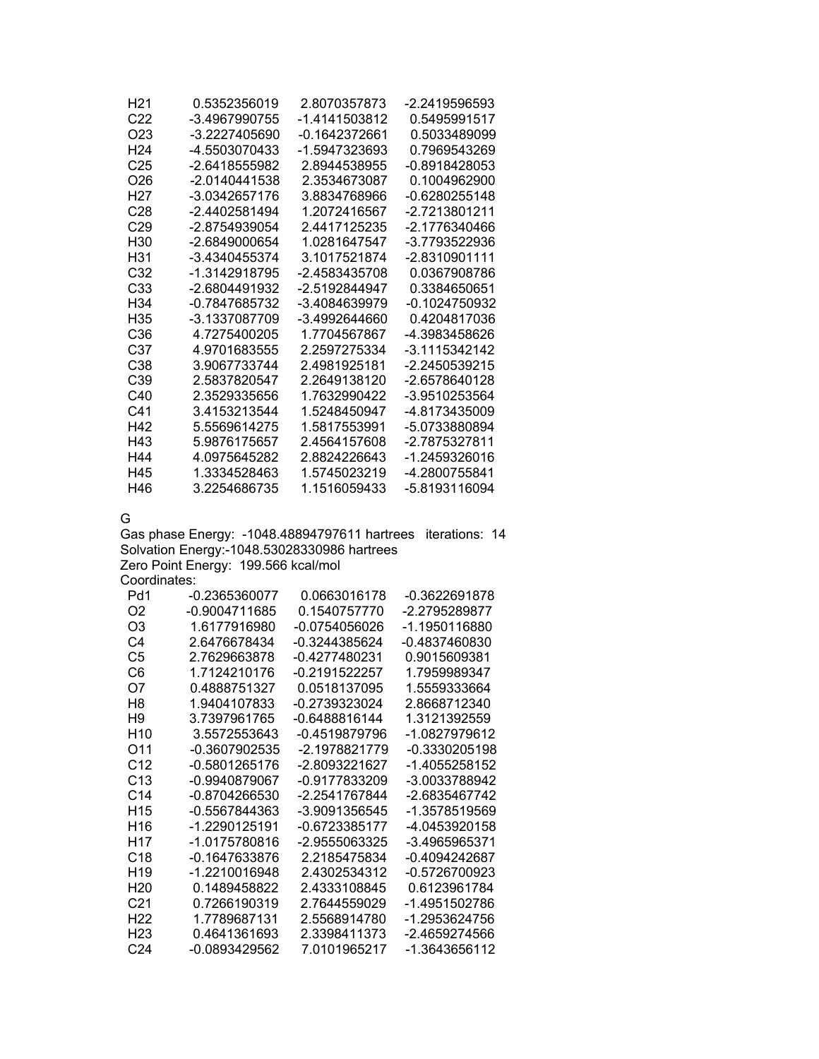| H <sub>21</sub> | 0.5352356019    | 2.8070357873  | -2.2419596593 |
|-----------------|-----------------|---------------|---------------|
| C <sub>22</sub> | -3.4967990755   | -1.4141503812 | 0.5495991517  |
| O23             | -3.2227405690   | -0.1642372661 | 0.5033489099  |
| H <sub>24</sub> | -4.5503070433   | -1.5947323693 | 0.7969543269  |
| C <sub>25</sub> | -2.6418555982   | 2.8944538955  | -0.8918428053 |
| O26             | $-2.0140441538$ | 2.3534673087  | 0.1004962900  |
| H27             | -3.0342657176   | 3.8834768966  | -0.6280255148 |
| C28             | -2.4402581494   | 1.2072416567  | -2.7213801211 |
| C <sub>29</sub> | -2.8754939054   | 2.4417125235  | -2.1776340466 |
| H30             | -2.6849000654   | 1.0281647547  | -3.7793522936 |
| H31             | -3.4340455374   | 3.1017521874  | -2.8310901111 |
| C32             | -1.3142918795   | -2.4583435708 | 0.0367908786  |
| C <sub>33</sub> | -2.6804491932   | -2.5192844947 | 0.3384650651  |
| H34             | -0.7847685732   | -3.4084639979 | -0.1024750932 |
| H35             | -3.1337087709   | -3.4992644660 | 0.4204817036  |
| C36             | 4.7275400205    | 1.7704567867  | -4.3983458626 |
| C37             | 4.9701683555    | 2.2597275334  | -3.1115342142 |
| C38             | 3.9067733744    | 2.4981925181  | -2.2450539215 |
| C39             | 2.5837820547    | 2.2649138120  | -2.6578640128 |
| C40             | 2.3529335656    | 1.7632990422  | -3.9510253564 |
| C41             | 3.4153213544    | 1.5248450947  | -4.8173435009 |
| H42             | 5.5569614275    | 1.5817553991  | -5.0733880894 |
| H43             | 5.9876175657    | 2.4564157608  | -2.7875327811 |
| H44             | 4.0975645282    | 2.8824226643  | -1.2459326016 |
| H45             | 1.3334528463    | 1.5745023219  | -4.2800755841 |
| H46             | 3.2254686735    | 1.1516059433  | -5.8193116094 |

G

Gas phase Energy: -1048.48894797611 hartrees iterations: 14 Solvation Energy:-1048.53028330986 hartrees Zero Point Energy: 199.566 kcal/mol

Coordinates:

| Pd1             | -0.2365360077   | 0.0663016178    | -0.3622691878 |
|-----------------|-----------------|-----------------|---------------|
| O2              | -0.9004711685   | 0 1540757770    | -2.2795289877 |
| O <sub>3</sub>  | 1.6177916980    | -0.0754056026   | -1.1950116880 |
| C4              | 2.6476678434    | $-0.3244385624$ | -0.4837460830 |
| C5              | 2.7629663878    | -0.4277480231   | 0.9015609381  |
| C6              | 1 7124210176    | -0 2191522257   | 1 7959989347  |
| O7              | 0.4888751327    | 0.0518137095    | 1.5559333664  |
| H8              | 1.9404107833    | -0.2739323024   | 2.8668712340  |
| H9              | 3.7397961765    | -0.6488816144   | 1.3121392559  |
| H10             | 3.5572553643    | -0 4519879796   | -1 0827979612 |
| O11             | -0.3607902535   | -2.1978821779   | -0.3330205198 |
| C <sub>12</sub> | -0.5801265176   | -2.8093221627   | -1.4055258152 |
| C <sub>13</sub> | $-0.9940879067$ | -0.9177833209   | -3.0033788942 |
| C <sub>14</sub> | -0.8704266530   | -2.2541767844   | -2.6835467742 |
| H <sub>15</sub> | -0.5567844363   | -3.9091356545   | -1.3578519569 |
| H16             | -1 2290125191   | -0.6723385177   | -4 0453920158 |
| H17             | -1.0175780816   | -2 9555063325   | -3.4965965371 |
| C <sub>18</sub> | $-0.1647633876$ | 2 2185475834    | -0.4094242687 |
| H <sub>19</sub> | -1.2210016948   | 2.4302534312    | -0.5726700923 |
| H <sub>20</sub> | 0.1489458822    | 2.4333108845    | 0.6123961784  |
| C <sub>21</sub> | 0.7266190319    | 2 7644559029    | -1.4951502786 |
| H <sub>22</sub> | 1.7789687131    | 2.5568914780    | -1.2953624756 |
| H23             | 0.4641361693    | 2.3398411373    | -2.4659274566 |
| C24             | -0.0893429562   | 7.0101965217    | -1.3643656112 |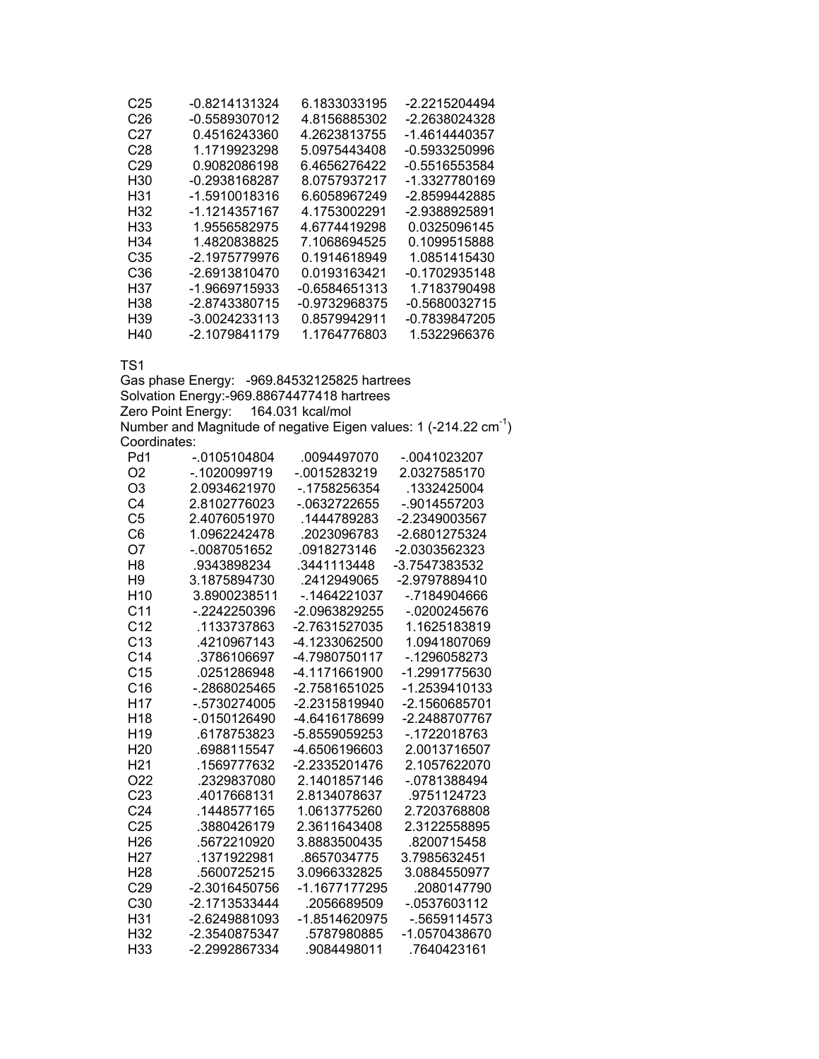| C <sub>25</sub> | -0.8214131324   | 6.1833033195    | -2.2215204494   |
|-----------------|-----------------|-----------------|-----------------|
| C26             | -0.5589307012   | 4.8156885302    | -2.2638024328   |
| C27             | 0.4516243360    | 4.2623813755    | -1.4614440357   |
| C28             | 1.1719923298    | 5.0975443408    | -0.5933250996   |
| C <sub>29</sub> | 0.9082086198    | 6.4656276422    | -0.5516553584   |
| H <sub>30</sub> | -0.2938168287   | 8.0757937217    | -1.3327780169   |
| H <sub>31</sub> | $-1.5910018316$ | 6.6058967249    | -2.8599442885   |
| H <sub>32</sub> | -1.1214357167   | 4.1753002291    | -2.9388925891   |
| H <sub>33</sub> | 1.9556582975    | 4.6774419298    | 0.0325096145    |
| H34             | 1.4820838825    | 7.1068694525    | 0.1099515888    |
| C35             | -2.1975779976   | 0.1914618949    | 1.0851415430    |
| C <sub>36</sub> | -2.6913810470   | 0.0193163421    | $-0.1702935148$ |
| H37             | $-1.9669715933$ | $-0.6584651313$ | 1.7183790498    |
| H38             | -2.8743380715   | -0.9732968375   | -0.5680032715   |
| H <sub>39</sub> | -3.0024233113   | 0.8579942911    | -0.7839847205   |
| H40             | -2.1079841179   | 1.1764776803    | 1.5322966376    |

Gas phase Energy: -969.84532125825 hartrees Solvation Energy:-969.88674477418 hartrees Zero Point Energy: 164.031 kcal/mol Number and Magnitude of negative Eigen values: 1 (-214.22  $cm^{-1}$ ) Coordinates:

| Pd1             | -.0105104804    | .0094497070   | -.0041023207    |
|-----------------|-----------------|---------------|-----------------|
| O2              | -.1020099719    | $-0015283219$ | 2.0327585170    |
| O <sub>3</sub>  | 2.0934621970    | -.1758256354  | .1332425004     |
| C <sub>4</sub>  | 2.8102776023    | -.0632722655  | $-0.9014557203$ |
| C <sub>5</sub>  | 2.4076051970    | .1444789283   | -2.2349003567   |
| C <sub>6</sub>  | 1.0962242478    | .2023096783   | -2.6801275324   |
| O7              | -.0087051652    | .0918273146   | -2.0303562323   |
| H8              | .9343898234     | 3441113448    | -3.7547383532   |
| H <sub>9</sub>  | 3.1875894730    | .2412949065   | -2.9797889410   |
| H <sub>10</sub> | 3.8900238511    | $-1464221037$ | -.7184904666    |
| C <sub>11</sub> | -.2242250396    | -2.0963829255 | -.0200245676    |
| C <sub>12</sub> | .1133737863     | -2.7631527035 | 1.1625183819    |
| C <sub>13</sub> | 4210967143      | -4.1233062500 | 1.0941807069    |
| C <sub>14</sub> | .3786106697     | -4.7980750117 | -.1296058273    |
| C <sub>15</sub> | .0251286948     | -4.1171661900 | -1.2991775630   |
| C16             | -.2868025465    | -2.7581651025 | -1.2539410133   |
| H <sub>17</sub> | $-.5730274005$  | -2.2315819940 | -2.1560685701   |
| H <sub>18</sub> | -.0150126490    | -4.6416178699 | -2.2488707767   |
| H <sub>19</sub> | .6178753823     | -5.8559059253 | -.1722018763    |
| H <sub>20</sub> | .6988115547     | -4.6506196603 | 2.0013716507    |
| H21             | .1569777632     | -2.2335201476 | 2.1057622070    |
| O22             | .2329837080     | 2.1401857146  | -.0781388494    |
| C <sub>23</sub> | .4017668131     | 2.8134078637  | .9751124723     |
| C <sub>24</sub> | .1448577165     | 1.0613775260  | 2.7203768808    |
| C <sub>25</sub> | .3880426179     | 2.3611643408  | 2.3122558895    |
| H <sub>26</sub> | .5672210920     | 3.8883500435  | .8200715458     |
| H <sub>27</sub> | .1371922981     | .8657034775   | 3.7985632451    |
| H <sub>28</sub> | .5600725215     | 3.0966332825  | 3.0884550977    |
| C29             | -2.3016450756   | -1.1677177295 | .2080147790     |
| C <sub>30</sub> | -2.1713533444   | .2056689509   | -.0537603112    |
| H31             | $-2.6249881093$ | -1.8514620975 | $-0.5659114573$ |
| H32             | -2.3540875347   | .5787980885   | -1.0570438670   |
| H33             | -2.2992867334   | .9084498011   | .7640423161     |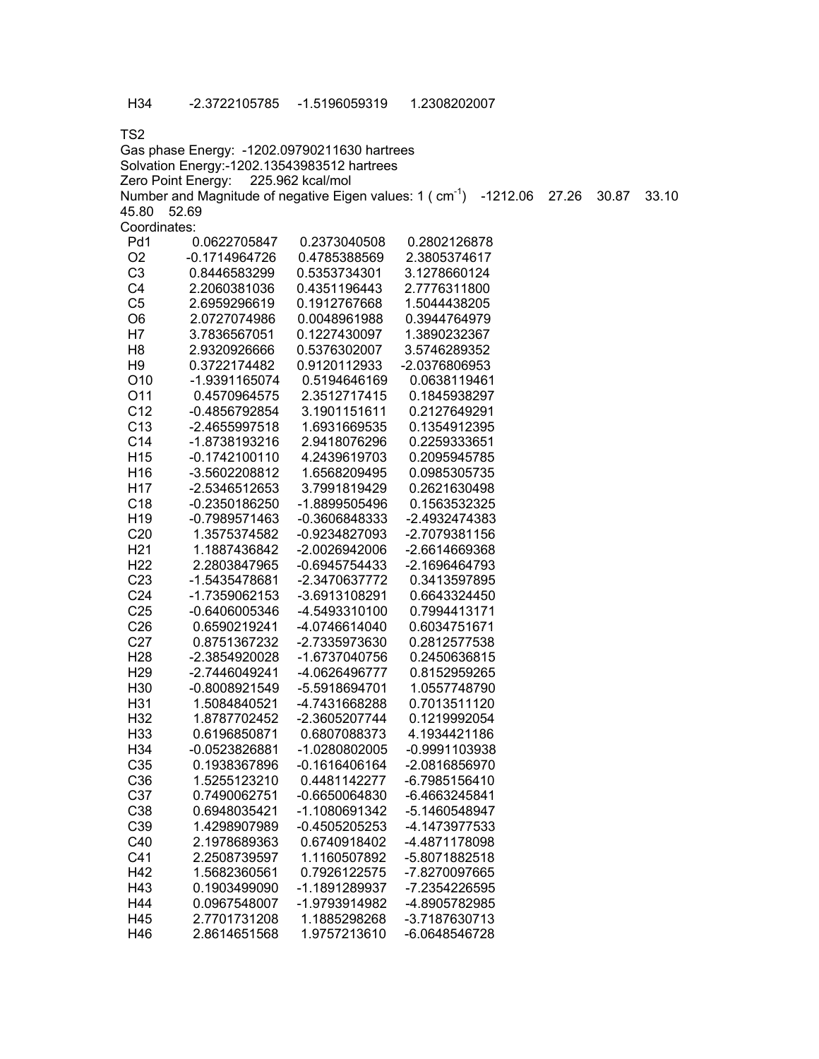| Gas phase Energy: -1202.09790211630 hartrees |                                             |                  |                                                                                 |       |       |       |
|----------------------------------------------|---------------------------------------------|------------------|---------------------------------------------------------------------------------|-------|-------|-------|
|                                              | Solvation Energy:-1202.13543983512 hartrees |                  |                                                                                 |       |       |       |
|                                              | Zero Point Energy:                          | 225.962 kcal/mol |                                                                                 |       |       |       |
|                                              |                                             |                  | Number and Magnitude of negative Eigen values: $1$ (cm <sup>-1</sup> ) -1212.06 | 27.26 | 30.87 | 33.10 |
| 45.80                                        | 52.69                                       |                  |                                                                                 |       |       |       |
| Coordinates:                                 |                                             |                  |                                                                                 |       |       |       |
| Pd1                                          | 0.0622705847                                | 0.2373040508     | 0.2802126878                                                                    |       |       |       |
| O <sub>2</sub>                               | $-0.1714964726$                             | 0.4785388569     | 2.3805374617                                                                    |       |       |       |
| C <sub>3</sub>                               | 0.8446583299                                | 0.5353734301     | 3.1278660124                                                                    |       |       |       |
| C <sub>4</sub>                               | 2.2060381036                                | 0.4351196443     | 2.7776311800                                                                    |       |       |       |
| C <sub>5</sub>                               | 2.6959296619                                | 0.1912767668     | 1.5044438205                                                                    |       |       |       |
| O <sub>6</sub>                               | 2.0727074986                                | 0.0048961988     | 0.3944764979                                                                    |       |       |       |
| H7                                           | 3.7836567051                                | 0.1227430097     | 1.3890232367                                                                    |       |       |       |
| H <sub>8</sub>                               | 2.9320926666                                | 0.5376302007     | 3.5746289352                                                                    |       |       |       |
| H <sub>9</sub>                               | 0.3722174482                                | 0.9120112933     | -2.0376806953                                                                   |       |       |       |
| O10                                          | -1.9391165074                               | 0.5194646169     | 0.0638119461                                                                    |       |       |       |
| O11                                          | 0.4570964575                                | 2.3512717415     | 0.1845938297                                                                    |       |       |       |
| C <sub>12</sub>                              | $-0.4856792854$                             | 3.1901151611     | 0.2127649291                                                                    |       |       |       |
| C <sub>13</sub>                              | -2.4655997518                               | 1.6931669535     | 0.1354912395                                                                    |       |       |       |
| C14                                          | -1.8738193216                               | 2.9418076296     | 0.2259333651                                                                    |       |       |       |
| H <sub>15</sub>                              | $-0.1742100110$                             | 4.2439619703     | 0.2095945785                                                                    |       |       |       |
|                                              | -3.5602208812                               | 1.6568209495     |                                                                                 |       |       |       |
| H16                                          |                                             |                  | 0.0985305735                                                                    |       |       |       |
| H <sub>17</sub>                              | -2.5346512653                               | 3.7991819429     | 0.2621630498                                                                    |       |       |       |
| C <sub>18</sub>                              | $-0.2350186250$                             | -1.8899505496    | 0.1563532325                                                                    |       |       |       |
| H <sub>19</sub>                              | -0.7989571463                               | -0.3606848333    | -2.4932474383                                                                   |       |       |       |
| C <sub>20</sub>                              | 1.3575374582                                | -0.9234827093    | -2.7079381156                                                                   |       |       |       |
| H <sub>21</sub>                              | 1.1887436842                                | -2.0026942006    | -2.6614669368                                                                   |       |       |       |
| H <sub>22</sub>                              | 2.2803847965                                | $-0.6945754433$  | -2.1696464793                                                                   |       |       |       |
| C <sub>23</sub>                              | -1.5435478681                               | -2.3470637772    | 0.3413597895                                                                    |       |       |       |
| C <sub>24</sub>                              | -1.7359062153                               | -3.6913108291    | 0.6643324450                                                                    |       |       |       |
| C <sub>25</sub>                              | -0.6406005346                               | -4.5493310100    | 0.7994413171                                                                    |       |       |       |
| C <sub>26</sub>                              | 0.6590219241                                | -4.0746614040    | 0.6034751671                                                                    |       |       |       |
| C <sub>27</sub>                              | 0.8751367232                                | -2.7335973630    | 0.2812577538                                                                    |       |       |       |
| H <sub>28</sub>                              | -2.3854920028                               | -1.6737040756    | 0.2450636815                                                                    |       |       |       |
| H <sub>29</sub>                              | -2.7446049241                               | -4.0626496777    | 0.8152959265                                                                    |       |       |       |
| H30                                          | -0.8008921549                               | -5.5918694701    | 1.0557748790                                                                    |       |       |       |
| H31                                          | 1.5084840521                                | -4.7431668288    | 0.7013511120                                                                    |       |       |       |
| H32                                          | 1.8787702452                                | -2.3605207744    | 0.1219992054                                                                    |       |       |       |
| H33                                          | 0.6196850871                                | 0.6807088373     | 4.1934421186                                                                    |       |       |       |
| H34                                          | -0.0523826881                               | -1.0280802005    | $-0.9991103938$                                                                 |       |       |       |
| C35                                          | 0.1938367896                                | $-0.1616406164$  | -2.0816856970                                                                   |       |       |       |
| C36                                          | 1.5255123210                                | 0.4481142277     | -6.7985156410                                                                   |       |       |       |
| C37                                          | 0.7490062751                                | $-0.6650064830$  | -6.4663245841                                                                   |       |       |       |
| C38                                          | 0.6948035421                                | -1.1080691342    | -5.1460548947                                                                   |       |       |       |
| C39                                          | 1.4298907989                                | $-0.4505205253$  | -4.1473977533                                                                   |       |       |       |
| C40                                          | 2.1978689363                                | 0.6740918402     | -4.4871178098                                                                   |       |       |       |
| C41                                          | 2.2508739597                                | 1.1160507892     | -5.8071882518                                                                   |       |       |       |
| H42                                          | 1.5682360561                                | 0.7926122575     | -7.8270097665                                                                   |       |       |       |
| H43                                          | 0.1903499090                                | -1.1891289937    | -7.2354226595                                                                   |       |       |       |
| H44                                          | 0.0967548007                                | -1.9793914982    | -4.8905782985                                                                   |       |       |       |
| H45                                          | 2.7701731208                                | 1.1885298268     | -3.7187630713                                                                   |       |       |       |
| H46                                          | 2.8614651568                                | 1.9757213610     | -6.0648546728                                                                   |       |       |       |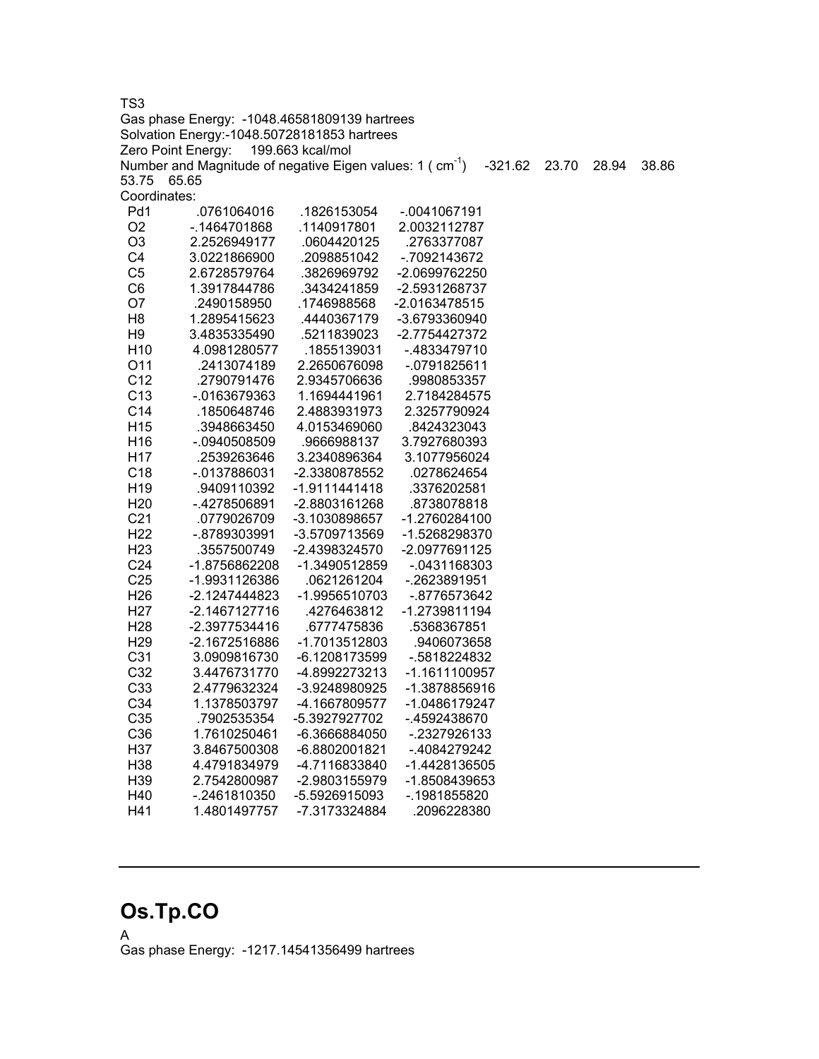Gas phase Energy: -1048.46581809139 hartrees Solvation Energy:-1048.50728181853 hartrees Zero Point Energy: 199.663 kcal/mol Number and Magnitude of negative Eigen values: 1 (cm<sup>-1</sup>) -321.62 23.70 28.94 38.86 53.75 65.65 Coordinates: Pd1 .0761064016 .1826153054 -.0041067191 O2 -.1464701868 .1140917801 2.0032112787 O3 2.2526949177 .0604420125 .2763377087 C4 3.0221866900 .2098851042 -.7092143672 C5 2.6728579764 .3826969792 -2.0699762250 C6 1.3917844786 .3434241859 -2.5931268737 O7 .2490158950 .1746988568 -2.0163478515 H8 1.2895415623 .4440367179 -3.6793360940 H9 3.4835335490 .5211839023 -2.7754427372 H10 4.0981280577 .1855139031 -.4833479710 O11 .2413074189 2.2650676098 -.0791825611 C12 .2790791476 2.9345706636 .9980853357 C13 -.0163679363 1.1694441961 2.7184284575 C14 .1850648746 2.4883931973 2.3257790924 H15 .3948663450 4.0153469060 .8424323043 H16 -.0940508509 .9666988137 3.7927680393 H17 .2539263646 3.2340896364 3.1077956024 C18 -.0137886031 -2.3380878552 .0278624654 H19 .9409110392 -1.9111441418 .3376202581 H20 -.4278506891 -2.8803161268 .8738078818 C21 .0779026709 -3.1030898657 -1.2760284100 H22 -.8789303991 -3.5709713569 -1.5268298370 H23 .3557500749 -2.4398324570 -2.0977691125 C24 -1.8756862208 -1.3490512859 -.0431168303 C25 -1.9931126386 .0621261204 -.2623891951 H26 -2.1247444823 -1.9956510703 -.8776573642 H27 -2.1467127716 .4276463812 -1.2739811194 H28 -2.3977534416 .6777475836 .5368367851 H29 -2.1672516886 -1.7013512803 .9406073658 C31 3.0909816730 -6.1208173599 -.5818224832 C32 3.4476731770 -4.8992273213 -1.1611100957 C33 2.4779632324 -3.9248980925 -1.3878856916 C34 1.1378503797 -4.1667809577 -1.0486179247 C35 .7902535354 -5.3927927702 -.4592438670 C36 1.7610250461 -6.3666884050 -.2327926133 H37 3.8467500308 -6.8802001821 -.4084279242 H38 4.4791834979 -4.7116833840 -1.4428136505 H39 2.7542800987 -2.9803155979 -1.8508439653 H40 -.2461810350 -5.5926915093 -.1981855820

### **Os.Tp.CO**

A Gas phase Energy: -1217.14541356499 hartrees

H41 1.4801497757 -7.3173324884 .2096228380

TS3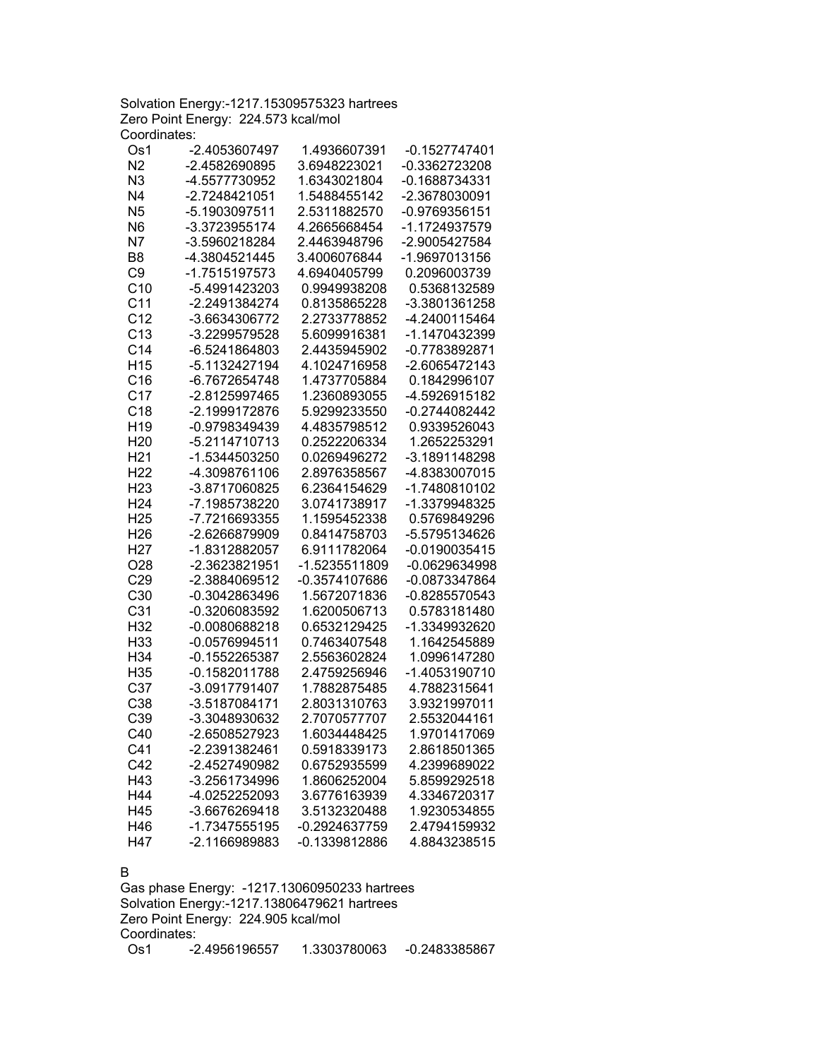Solvation Energy:-1217.15309575323 hartrees Zero Point Energy: 224.573 kcal/mol Coordinates:

| Os1             | -2.4053607497   | 1.4936607391  | -0.1527747401   |
|-----------------|-----------------|---------------|-----------------|
| N <sub>2</sub>  | -2.4582690895   | 3.6948223021  | -0.3362723208   |
| N <sub>3</sub>  | -4.5577730952   | 1.6343021804  | -0.1688734331   |
| N <sub>4</sub>  | -2.7248421051   | 1.5488455142  | -2.3678030091   |
| N <sub>5</sub>  | -5.1903097511   | 2.5311882570  | -0.9769356151   |
| N <sub>6</sub>  | -3.3723955174   | 4.2665668454  | -1.1724937579   |
| N7              | -3.5960218284   | 2.4463948796  | -2.9005427584   |
| B <sub>8</sub>  | -4.3804521445   | 3.4006076844  | -1.9697013156   |
| C <sub>9</sub>  | -1.7515197573   | 4.6940405799  | 0.2096003739    |
| C <sub>10</sub> | -5.4991423203   | 0.9949938208  | 0.5368132589    |
| C <sub>11</sub> | -2.2491384274   | 0.8135865228  | -3.3801361258   |
| C <sub>12</sub> | -3.6634306772   | 2.2733778852  | -4.2400115464   |
| C <sub>13</sub> | -3.2299579528   | 5.6099916381  | -1.1470432399   |
| C <sub>14</sub> | -6.5241864803   | 2.4435945902  | -0.7783892871   |
| H <sub>15</sub> | -5.1132427194   | 4.1024716958  | -2.6065472143   |
| C16             | -6.7672654748   | 1.4737705884  | 0.1842996107    |
| C <sub>17</sub> | -2.8125997465   | 1.2360893055  | -4.5926915182   |
| C18             | -2.1999172876   | 5.9299233550  | -0.2744082442   |
| H <sub>19</sub> | -0.9798349439   | 4.4835798512  | 0.9339526043    |
| H <sub>20</sub> | -5.2114710713   | 0.2522206334  | 1.2652253291    |
| H <sub>21</sub> | -1.5344503250   | 0.0269496272  | -3.1891148298   |
| H <sub>22</sub> | -4.3098761106   | 2.8976358567  | -4.8383007015   |
| H <sub>23</sub> | -3.8717060825   | 6.2364154629  | -1.7480810102   |
| H <sub>24</sub> | -7.1985738220   | 3.0741738917  | -1.3379948325   |
| H <sub>25</sub> | -7.7216693355   | 1.1595452338  | 0.5769849296    |
| H <sub>26</sub> | -2.6266879909   | 0.8414758703  | -5.5795134626   |
| H <sub>27</sub> | -1.8312882057   | 6.9111782064  | $-0.0190035415$ |
| O28             | -2.3623821951   | -1.5235511809 | -0.0629634998   |
| C29             | -2.3884069512   | -0.3574107686 | -0.0873347864   |
| C30             | -0.3042863496   | 1.5672071836  | -0.8285570543   |
| C <sub>31</sub> | -0.3206083592   | 1.6200506713  | 0.5783181480    |
| H32             | -0.0080688218   | 0.6532129425  | -1.3349932620   |
| H33             | $-0.0576994511$ | 0.7463407548  | 1.1642545889    |
| H34             | -0.1552265387   | 2.5563602824  | 1.0996147280    |
| H35             | -0.1582011788   | 2.4759256946  | -1.4053190710   |
| C37             | -3.0917791407   | 1.7882875485  | 4.7882315641    |
| C38             | -3.5187084171   | 2.8031310763  | 3.9321997011    |
| C39             | -3.3048930632   | 2.7070577707  | 2.5532044161    |
| C40             | -2.6508527923   | 1.6034448425  | 1.9701417069    |
| C41             | -2.2391382461   | 0.5918339173  | 2.8618501365    |
| C42             | -2.4527490982   | 0.6752935599  | 4.2399689022    |
| H43             | -3.2561734996   | 1.8606252004  | 5.8599292518    |
| H44             | -4.0252252093   | 3.6776163939  | 4.3346720317    |
| H45             | -3.6676269418   | 3.5132320488  | 1.9230534855    |
| H46             | -1.7347555195   | -0.2924637759 | 2.4794159932    |
| H47             | -2.1166989883   | -0.1339812886 | 4.8843238515    |

#### B

Gas phase Energy: -1217.13060950233 hartrees Solvation Energy:-1217.13806479621 hartrees Zero Point Energy: 224.905 kcal/mol Coordinates: Os1 -2.4956196557 1.3303780063 -0.2483385867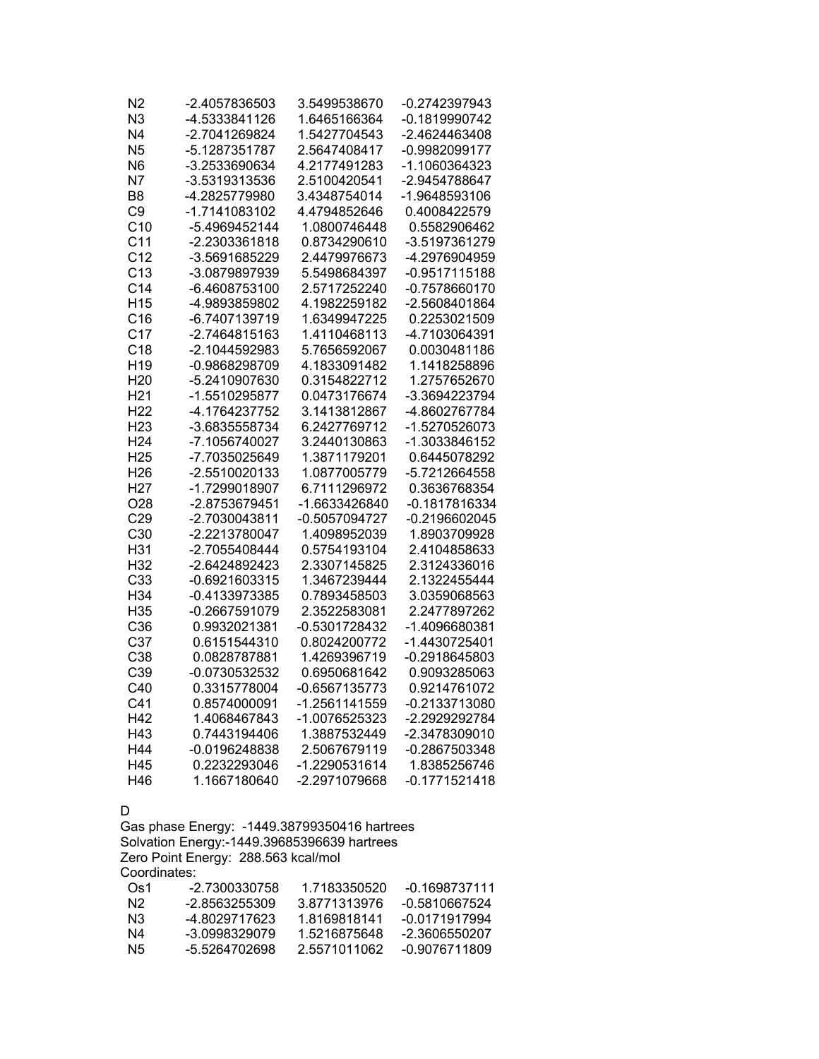| N2              | -2.4057836503   | 3.5499538670    | -0.2742397943   |
|-----------------|-----------------|-----------------|-----------------|
| N <sub>3</sub>  | -4.5333841126   | 1.6465166364    | -0.1819990742   |
| N <sub>4</sub>  | -2.7041269824   | 1.5427704543    | -2.4624463408   |
| N <sub>5</sub>  | -5.1287351787   | 2.5647408417    | -0.9982099177   |
| N <sub>6</sub>  | -3.2533690634   | 4.2177491283    | -1.1060364323   |
| N <sub>7</sub>  | -3.5319313536   | 2.5100420541    | -2.9454788647   |
| B <sub>8</sub>  | -4.2825779980   | 3.4348754014    | -1.9648593106   |
| C <sub>9</sub>  | -1.7141083102   | 4.4794852646    | 0.4008422579    |
| C <sub>10</sub> | -5.4969452144   | 1.0800746448    | 0.5582906462    |
| C <sub>11</sub> | -2.2303361818   | 0.8734290610    | -3.5197361279   |
| C <sub>12</sub> | -3.5691685229   | 2.4479976673    | -4.2976904959   |
| C <sub>13</sub> | -3.0879897939   | 5.5498684397    | -0.9517115188   |
| C <sub>14</sub> | -6.4608753100   | 2.5717252240    | -0.7578660170   |
| H <sub>15</sub> | -4.9893859802   | 4.1982259182    | -2.5608401864   |
| C16             | -6.7407139719   | 1.6349947225    | 0.2253021509    |
| C <sub>17</sub> | -2.7464815163   | 1.4110468113    | -4.7103064391   |
| C <sub>18</sub> | -2.1044592983   | 5.7656592067    | 0.0030481186    |
| H <sub>19</sub> | -0.9868298709   | 4.1833091482    | 1.1418258896    |
| H <sub>20</sub> | -5.2410907630   | 0.3154822712    | 1.2757652670    |
| H <sub>21</sub> | -1.5510295877   | 0.0473176674    | -3.3694223794   |
| H <sub>22</sub> | -4.1764237752   | 3.1413812867    | -4.8602767784   |
| H <sub>23</sub> | -3.6835558734   | 6.2427769712    | -1.5270526073   |
| H <sub>24</sub> | -7.1056740027   | 3.2440130863    | -1.3033846152   |
| H <sub>25</sub> | -7.7035025649   | 1.3871179201    | 0.6445078292    |
| H <sub>26</sub> | -2.5510020133   | 1.0877005779    | -5.7212664558   |
| H <sub>27</sub> | -1.7299018907   | 6.7111296972    | 0.3636768354    |
| O <sub>28</sub> | -2.8753679451   | -1.6633426840   | -0.1817816334   |
| C29             | -2.7030043811   | -0.5057094727   | $-0.2196602045$ |
| C30             | -2.2213780047   | 1.4098952039    | 1.8903709928    |
| H31             | -2.7055408444   | 0.5754193104    | 2.4104858633    |
| H <sub>32</sub> | -2.6424892423   | 2.3307145825    | 2.3124336016    |
| C <sub>33</sub> | $-0.6921603315$ | 1.3467239444    | 2.1322455444    |
| H34             | -0.4133973385   | 0.7893458503    | 3.0359068563    |
| H <sub>35</sub> | -0.2667591079   | 2.3522583081    | 2.2477897262    |
| C36             | 0.9932021381    | -0.5301728432   | -1.4096680381   |
| C37             | 0.6151544310    | 0.8024200772    | -1.4430725401   |
| C38             | 0.0828787881    | 1.4269396719    | -0.2918645803   |
| C39             | -0.0730532532   | 0.6950681642    | 0.9093285063    |
| C40             | 0.3315778004    | $-0.6567135773$ | 0.9214761072    |
| C <sub>41</sub> | 0.8574000091    | -1.2561141559   | -0.2133713080   |
| H42             | 1.4068467843    | -1.0076525323   | -2.2929292784   |
| H43             | 0.7443194406    | 1.3887532449    | -2.3478309010   |
| H44             | -0.0196248838   | 2.5067679119    | -0.2867503348   |
| H45             | 0.2232293046    | -1.2290531614   | 1.8385256746    |
| H46             | 1.1667180640    | -2.2971079668   | $-0.1771521418$ |

#### D

Gas phase Energy: -1449.38799350416 hartrees Solvation Energy:-1449.39685396639 hartrees Zero Point Energy: 288.563 kcal/mol Coordinates:

| -2 7300330758 | 1 7183350520 | $-0.1698737111$ |
|---------------|--------------|-----------------|
| -2.8563255309 | 3.8771313976 | -0.5810667524   |
| -4 8029717623 | 1 8169818141 | -0.0171917994   |
| -3.0998329079 | 1.5216875648 | -2.3606550207   |
| -5 5264702698 | 2.5571011062 | -0.9076711809   |
|               |              |                 |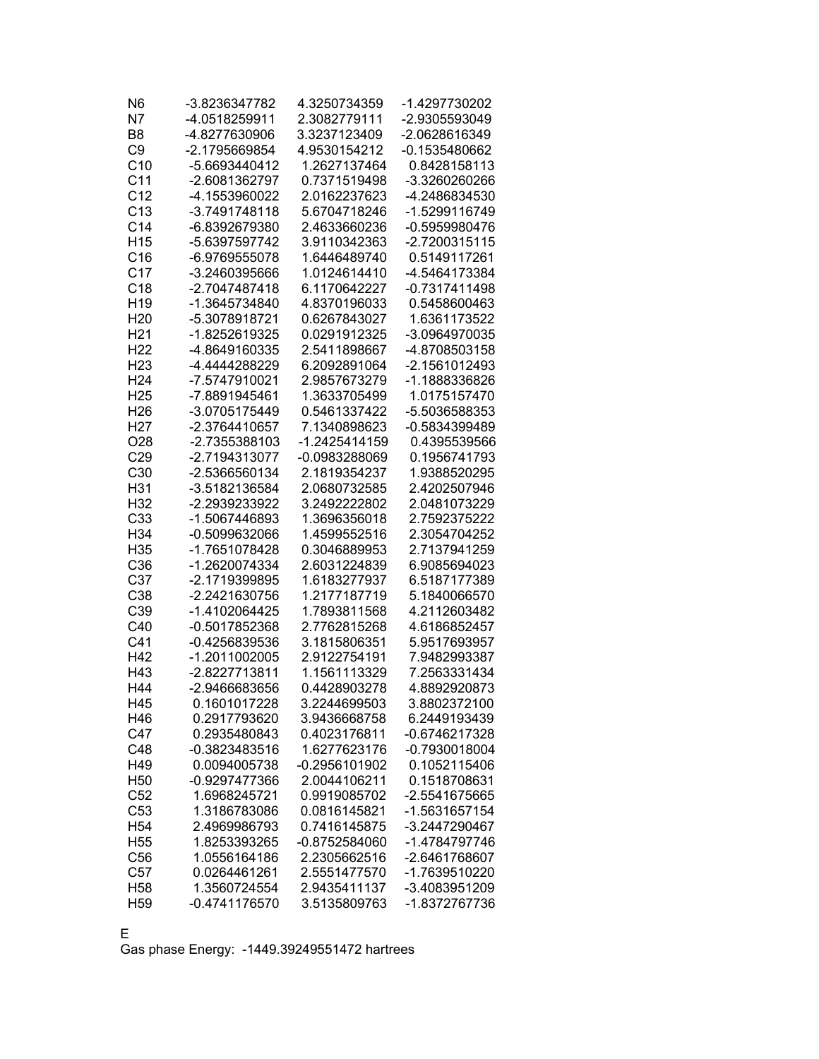| N7<br>-4.0518259911<br>2.3082779111<br>-2.9305593049<br>B <sub>8</sub><br>3.3237123409<br>-2.0628616349<br>-4.8277630906<br>C <sub>9</sub><br>-0.1535480662<br>-2.1795669854<br>4.9530154212<br>C10<br>-5.6693440412<br>1.2627137464<br>0.8428158113<br>C <sub>11</sub><br>-2.6081362797<br>0.7371519498<br>-3.3260260266<br>C <sub>12</sub><br>-4.1553960022<br>2.0162237623<br>-4.2486834530<br>C13<br>-3.7491748118<br>5.6704718246<br>-1.5299116749<br>C <sub>14</sub><br>-6.8392679380<br>2.4633660236<br>-0.5959980476<br>H <sub>15</sub><br>-5.6397597742<br>3.9110342363<br>-2.7200315115<br>C16<br>1.6446489740<br>0.5149117261<br>-6.9769555078<br>C <sub>17</sub><br>-4.5464173384<br>-3.2460395666<br>1.0124614410<br>C <sub>18</sub><br>-2.7047487418<br>-0.7317411498<br>6.1170642227<br>H <sub>19</sub><br>-1.3645734840<br>4.8370196033<br>0.5458600463<br>0.6267843027<br>1.6361173522<br>H <sub>20</sub><br>-5.3078918721<br>H <sub>21</sub><br>-1.8252619325<br>0.0291912325<br>-3.0964970035<br>H <sub>22</sub><br>2.5411898667<br>-4.8649160335<br>-4.8708503158<br>H <sub>23</sub><br>-4.4444288229<br>6.2092891064<br>-2.1561012493<br>H <sub>24</sub><br>-7.5747910021<br>2.9857673279<br>-1.1888336826<br>H <sub>25</sub><br>-7.8891945461<br>1.3633705499<br>1.0175157470<br>H <sub>26</sub><br>-3.0705175449<br>0.5461337422<br>-5.5036588353<br>H <sub>27</sub><br>-2.3764410657<br>7.1340898623<br>-0.5834399489<br>O28<br>-2.7355388103<br>-1.2425414159<br>0.4395539566<br>C29<br>-2.7194313077<br>-0.0983288069<br>0.1956741793<br>C30<br>-2.5366560134<br>2.1819354237<br>1.9388520295<br>H31<br>-3.5182136584<br>2.4202507946<br>2.0680732585<br>H32<br>-2.2939233922<br>3.2492222802<br>2.0481073229<br>C <sub>33</sub><br>-1.5067446893<br>1.3696356018<br>2.7592375222<br>H34<br>-0.5099632066<br>1.4599552516<br>2.3054704252<br>H35<br>-1.7651078428<br>0.3046889953<br>2.7137941259<br>C36<br>2.6031224839<br>-1.2620074334<br>6.9085694023<br>C37<br>-2.1719399895<br>1.6183277937<br>6.5187177389<br>C38<br>-2.2421630756<br>1.2177187719<br>5.1840066570<br>C39<br>-1.4102064425<br>1.7893811568<br>4.2112603482<br>C40<br>-0.5017852368<br>2.7762815268<br>4.6186852457<br>C <sub>41</sub><br>-0.4256839536<br>3.1815806351<br>5.9517693957<br>H42<br>2.9122754191<br>-1.2011002005<br>7.9482993387<br>H43<br>-2.8227713811<br>1.1561113329<br>7.2563331434<br>H44<br>-2.9466683656<br>0.4428903278<br>4.8892920873<br>3.2244699503<br>3.8802372100<br>H45<br>0.1601017228<br>H46<br>0.2917793620<br>3.9436668758<br>6.2449193439<br>C47<br>0.4023176811<br>-0.6746217328<br>0.2935480843<br>C48<br>-0.3823483516<br>1.6277623176<br>-0.7930018004<br>H49<br>$-0.2956101902$<br>0.1052115406<br>0.0094005738<br>H <sub>50</sub><br>2.0044106211<br>0.1518708631<br>-0.9297477366<br>C <sub>52</sub><br>1.6968245721<br>0.9919085702<br>-2.5541675665<br>C <sub>53</sub><br>1.3186783086<br>0.0816145821<br>-1.5631657154<br>H <sub>54</sub><br>0.7416145875<br>-3.2447290467<br>2.4969986793<br>H <sub>55</sub><br>1.8253393265<br>$-0.8752584060$<br>-1.4784797746<br>C56<br>1.0556164186<br>2.2305662516<br>-2.6461768607<br>C <sub>57</sub><br>0.0264461261<br>2.5551477570<br>-1.7639510220<br>H <sub>58</sub><br>-3.4083951209<br>1.3560724554<br>2.9435411137<br>-1.8372767736<br>H <sub>59</sub><br>-0.4741176570<br>3.5135809763 | N <sub>6</sub> | -3.8236347782 | 4.3250734359 | -1.4297730202 |
|--------------------------------------------------------------------------------------------------------------------------------------------------------------------------------------------------------------------------------------------------------------------------------------------------------------------------------------------------------------------------------------------------------------------------------------------------------------------------------------------------------------------------------------------------------------------------------------------------------------------------------------------------------------------------------------------------------------------------------------------------------------------------------------------------------------------------------------------------------------------------------------------------------------------------------------------------------------------------------------------------------------------------------------------------------------------------------------------------------------------------------------------------------------------------------------------------------------------------------------------------------------------------------------------------------------------------------------------------------------------------------------------------------------------------------------------------------------------------------------------------------------------------------------------------------------------------------------------------------------------------------------------------------------------------------------------------------------------------------------------------------------------------------------------------------------------------------------------------------------------------------------------------------------------------------------------------------------------------------------------------------------------------------------------------------------------------------------------------------------------------------------------------------------------------------------------------------------------------------------------------------------------------------------------------------------------------------------------------------------------------------------------------------------------------------------------------------------------------------------------------------------------------------------------------------------------------------------------------------------------------------------------------------------------------------------------------------------------------------------------------------------------------------------------------------------------------------------------------------------------------------------------------------------------------------------------------------------------------------------------------------------------------------------------------------------------------------------------------------------------------------------------------------------------------------------------------------------------------------------------------------------------------------------------------------------------------------------------------------------------------------------|----------------|---------------|--------------|---------------|
|                                                                                                                                                                                                                                                                                                                                                                                                                                                                                                                                                                                                                                                                                                                                                                                                                                                                                                                                                                                                                                                                                                                                                                                                                                                                                                                                                                                                                                                                                                                                                                                                                                                                                                                                                                                                                                                                                                                                                                                                                                                                                                                                                                                                                                                                                                                                                                                                                                                                                                                                                                                                                                                                                                                                                                                                                                                                                                                                                                                                                                                                                                                                                                                                                                                                                                                                                                                      |                |               |              |               |
|                                                                                                                                                                                                                                                                                                                                                                                                                                                                                                                                                                                                                                                                                                                                                                                                                                                                                                                                                                                                                                                                                                                                                                                                                                                                                                                                                                                                                                                                                                                                                                                                                                                                                                                                                                                                                                                                                                                                                                                                                                                                                                                                                                                                                                                                                                                                                                                                                                                                                                                                                                                                                                                                                                                                                                                                                                                                                                                                                                                                                                                                                                                                                                                                                                                                                                                                                                                      |                |               |              |               |
|                                                                                                                                                                                                                                                                                                                                                                                                                                                                                                                                                                                                                                                                                                                                                                                                                                                                                                                                                                                                                                                                                                                                                                                                                                                                                                                                                                                                                                                                                                                                                                                                                                                                                                                                                                                                                                                                                                                                                                                                                                                                                                                                                                                                                                                                                                                                                                                                                                                                                                                                                                                                                                                                                                                                                                                                                                                                                                                                                                                                                                                                                                                                                                                                                                                                                                                                                                                      |                |               |              |               |
|                                                                                                                                                                                                                                                                                                                                                                                                                                                                                                                                                                                                                                                                                                                                                                                                                                                                                                                                                                                                                                                                                                                                                                                                                                                                                                                                                                                                                                                                                                                                                                                                                                                                                                                                                                                                                                                                                                                                                                                                                                                                                                                                                                                                                                                                                                                                                                                                                                                                                                                                                                                                                                                                                                                                                                                                                                                                                                                                                                                                                                                                                                                                                                                                                                                                                                                                                                                      |                |               |              |               |
|                                                                                                                                                                                                                                                                                                                                                                                                                                                                                                                                                                                                                                                                                                                                                                                                                                                                                                                                                                                                                                                                                                                                                                                                                                                                                                                                                                                                                                                                                                                                                                                                                                                                                                                                                                                                                                                                                                                                                                                                                                                                                                                                                                                                                                                                                                                                                                                                                                                                                                                                                                                                                                                                                                                                                                                                                                                                                                                                                                                                                                                                                                                                                                                                                                                                                                                                                                                      |                |               |              |               |
|                                                                                                                                                                                                                                                                                                                                                                                                                                                                                                                                                                                                                                                                                                                                                                                                                                                                                                                                                                                                                                                                                                                                                                                                                                                                                                                                                                                                                                                                                                                                                                                                                                                                                                                                                                                                                                                                                                                                                                                                                                                                                                                                                                                                                                                                                                                                                                                                                                                                                                                                                                                                                                                                                                                                                                                                                                                                                                                                                                                                                                                                                                                                                                                                                                                                                                                                                                                      |                |               |              |               |
|                                                                                                                                                                                                                                                                                                                                                                                                                                                                                                                                                                                                                                                                                                                                                                                                                                                                                                                                                                                                                                                                                                                                                                                                                                                                                                                                                                                                                                                                                                                                                                                                                                                                                                                                                                                                                                                                                                                                                                                                                                                                                                                                                                                                                                                                                                                                                                                                                                                                                                                                                                                                                                                                                                                                                                                                                                                                                                                                                                                                                                                                                                                                                                                                                                                                                                                                                                                      |                |               |              |               |
|                                                                                                                                                                                                                                                                                                                                                                                                                                                                                                                                                                                                                                                                                                                                                                                                                                                                                                                                                                                                                                                                                                                                                                                                                                                                                                                                                                                                                                                                                                                                                                                                                                                                                                                                                                                                                                                                                                                                                                                                                                                                                                                                                                                                                                                                                                                                                                                                                                                                                                                                                                                                                                                                                                                                                                                                                                                                                                                                                                                                                                                                                                                                                                                                                                                                                                                                                                                      |                |               |              |               |
|                                                                                                                                                                                                                                                                                                                                                                                                                                                                                                                                                                                                                                                                                                                                                                                                                                                                                                                                                                                                                                                                                                                                                                                                                                                                                                                                                                                                                                                                                                                                                                                                                                                                                                                                                                                                                                                                                                                                                                                                                                                                                                                                                                                                                                                                                                                                                                                                                                                                                                                                                                                                                                                                                                                                                                                                                                                                                                                                                                                                                                                                                                                                                                                                                                                                                                                                                                                      |                |               |              |               |
|                                                                                                                                                                                                                                                                                                                                                                                                                                                                                                                                                                                                                                                                                                                                                                                                                                                                                                                                                                                                                                                                                                                                                                                                                                                                                                                                                                                                                                                                                                                                                                                                                                                                                                                                                                                                                                                                                                                                                                                                                                                                                                                                                                                                                                                                                                                                                                                                                                                                                                                                                                                                                                                                                                                                                                                                                                                                                                                                                                                                                                                                                                                                                                                                                                                                                                                                                                                      |                |               |              |               |
|                                                                                                                                                                                                                                                                                                                                                                                                                                                                                                                                                                                                                                                                                                                                                                                                                                                                                                                                                                                                                                                                                                                                                                                                                                                                                                                                                                                                                                                                                                                                                                                                                                                                                                                                                                                                                                                                                                                                                                                                                                                                                                                                                                                                                                                                                                                                                                                                                                                                                                                                                                                                                                                                                                                                                                                                                                                                                                                                                                                                                                                                                                                                                                                                                                                                                                                                                                                      |                |               |              |               |
|                                                                                                                                                                                                                                                                                                                                                                                                                                                                                                                                                                                                                                                                                                                                                                                                                                                                                                                                                                                                                                                                                                                                                                                                                                                                                                                                                                                                                                                                                                                                                                                                                                                                                                                                                                                                                                                                                                                                                                                                                                                                                                                                                                                                                                                                                                                                                                                                                                                                                                                                                                                                                                                                                                                                                                                                                                                                                                                                                                                                                                                                                                                                                                                                                                                                                                                                                                                      |                |               |              |               |
|                                                                                                                                                                                                                                                                                                                                                                                                                                                                                                                                                                                                                                                                                                                                                                                                                                                                                                                                                                                                                                                                                                                                                                                                                                                                                                                                                                                                                                                                                                                                                                                                                                                                                                                                                                                                                                                                                                                                                                                                                                                                                                                                                                                                                                                                                                                                                                                                                                                                                                                                                                                                                                                                                                                                                                                                                                                                                                                                                                                                                                                                                                                                                                                                                                                                                                                                                                                      |                |               |              |               |
|                                                                                                                                                                                                                                                                                                                                                                                                                                                                                                                                                                                                                                                                                                                                                                                                                                                                                                                                                                                                                                                                                                                                                                                                                                                                                                                                                                                                                                                                                                                                                                                                                                                                                                                                                                                                                                                                                                                                                                                                                                                                                                                                                                                                                                                                                                                                                                                                                                                                                                                                                                                                                                                                                                                                                                                                                                                                                                                                                                                                                                                                                                                                                                                                                                                                                                                                                                                      |                |               |              |               |
|                                                                                                                                                                                                                                                                                                                                                                                                                                                                                                                                                                                                                                                                                                                                                                                                                                                                                                                                                                                                                                                                                                                                                                                                                                                                                                                                                                                                                                                                                                                                                                                                                                                                                                                                                                                                                                                                                                                                                                                                                                                                                                                                                                                                                                                                                                                                                                                                                                                                                                                                                                                                                                                                                                                                                                                                                                                                                                                                                                                                                                                                                                                                                                                                                                                                                                                                                                                      |                |               |              |               |
|                                                                                                                                                                                                                                                                                                                                                                                                                                                                                                                                                                                                                                                                                                                                                                                                                                                                                                                                                                                                                                                                                                                                                                                                                                                                                                                                                                                                                                                                                                                                                                                                                                                                                                                                                                                                                                                                                                                                                                                                                                                                                                                                                                                                                                                                                                                                                                                                                                                                                                                                                                                                                                                                                                                                                                                                                                                                                                                                                                                                                                                                                                                                                                                                                                                                                                                                                                                      |                |               |              |               |
|                                                                                                                                                                                                                                                                                                                                                                                                                                                                                                                                                                                                                                                                                                                                                                                                                                                                                                                                                                                                                                                                                                                                                                                                                                                                                                                                                                                                                                                                                                                                                                                                                                                                                                                                                                                                                                                                                                                                                                                                                                                                                                                                                                                                                                                                                                                                                                                                                                                                                                                                                                                                                                                                                                                                                                                                                                                                                                                                                                                                                                                                                                                                                                                                                                                                                                                                                                                      |                |               |              |               |
|                                                                                                                                                                                                                                                                                                                                                                                                                                                                                                                                                                                                                                                                                                                                                                                                                                                                                                                                                                                                                                                                                                                                                                                                                                                                                                                                                                                                                                                                                                                                                                                                                                                                                                                                                                                                                                                                                                                                                                                                                                                                                                                                                                                                                                                                                                                                                                                                                                                                                                                                                                                                                                                                                                                                                                                                                                                                                                                                                                                                                                                                                                                                                                                                                                                                                                                                                                                      |                |               |              |               |
|                                                                                                                                                                                                                                                                                                                                                                                                                                                                                                                                                                                                                                                                                                                                                                                                                                                                                                                                                                                                                                                                                                                                                                                                                                                                                                                                                                                                                                                                                                                                                                                                                                                                                                                                                                                                                                                                                                                                                                                                                                                                                                                                                                                                                                                                                                                                                                                                                                                                                                                                                                                                                                                                                                                                                                                                                                                                                                                                                                                                                                                                                                                                                                                                                                                                                                                                                                                      |                |               |              |               |
|                                                                                                                                                                                                                                                                                                                                                                                                                                                                                                                                                                                                                                                                                                                                                                                                                                                                                                                                                                                                                                                                                                                                                                                                                                                                                                                                                                                                                                                                                                                                                                                                                                                                                                                                                                                                                                                                                                                                                                                                                                                                                                                                                                                                                                                                                                                                                                                                                                                                                                                                                                                                                                                                                                                                                                                                                                                                                                                                                                                                                                                                                                                                                                                                                                                                                                                                                                                      |                |               |              |               |
|                                                                                                                                                                                                                                                                                                                                                                                                                                                                                                                                                                                                                                                                                                                                                                                                                                                                                                                                                                                                                                                                                                                                                                                                                                                                                                                                                                                                                                                                                                                                                                                                                                                                                                                                                                                                                                                                                                                                                                                                                                                                                                                                                                                                                                                                                                                                                                                                                                                                                                                                                                                                                                                                                                                                                                                                                                                                                                                                                                                                                                                                                                                                                                                                                                                                                                                                                                                      |                |               |              |               |
|                                                                                                                                                                                                                                                                                                                                                                                                                                                                                                                                                                                                                                                                                                                                                                                                                                                                                                                                                                                                                                                                                                                                                                                                                                                                                                                                                                                                                                                                                                                                                                                                                                                                                                                                                                                                                                                                                                                                                                                                                                                                                                                                                                                                                                                                                                                                                                                                                                                                                                                                                                                                                                                                                                                                                                                                                                                                                                                                                                                                                                                                                                                                                                                                                                                                                                                                                                                      |                |               |              |               |
|                                                                                                                                                                                                                                                                                                                                                                                                                                                                                                                                                                                                                                                                                                                                                                                                                                                                                                                                                                                                                                                                                                                                                                                                                                                                                                                                                                                                                                                                                                                                                                                                                                                                                                                                                                                                                                                                                                                                                                                                                                                                                                                                                                                                                                                                                                                                                                                                                                                                                                                                                                                                                                                                                                                                                                                                                                                                                                                                                                                                                                                                                                                                                                                                                                                                                                                                                                                      |                |               |              |               |
|                                                                                                                                                                                                                                                                                                                                                                                                                                                                                                                                                                                                                                                                                                                                                                                                                                                                                                                                                                                                                                                                                                                                                                                                                                                                                                                                                                                                                                                                                                                                                                                                                                                                                                                                                                                                                                                                                                                                                                                                                                                                                                                                                                                                                                                                                                                                                                                                                                                                                                                                                                                                                                                                                                                                                                                                                                                                                                                                                                                                                                                                                                                                                                                                                                                                                                                                                                                      |                |               |              |               |
|                                                                                                                                                                                                                                                                                                                                                                                                                                                                                                                                                                                                                                                                                                                                                                                                                                                                                                                                                                                                                                                                                                                                                                                                                                                                                                                                                                                                                                                                                                                                                                                                                                                                                                                                                                                                                                                                                                                                                                                                                                                                                                                                                                                                                                                                                                                                                                                                                                                                                                                                                                                                                                                                                                                                                                                                                                                                                                                                                                                                                                                                                                                                                                                                                                                                                                                                                                                      |                |               |              |               |
|                                                                                                                                                                                                                                                                                                                                                                                                                                                                                                                                                                                                                                                                                                                                                                                                                                                                                                                                                                                                                                                                                                                                                                                                                                                                                                                                                                                                                                                                                                                                                                                                                                                                                                                                                                                                                                                                                                                                                                                                                                                                                                                                                                                                                                                                                                                                                                                                                                                                                                                                                                                                                                                                                                                                                                                                                                                                                                                                                                                                                                                                                                                                                                                                                                                                                                                                                                                      |                |               |              |               |
|                                                                                                                                                                                                                                                                                                                                                                                                                                                                                                                                                                                                                                                                                                                                                                                                                                                                                                                                                                                                                                                                                                                                                                                                                                                                                                                                                                                                                                                                                                                                                                                                                                                                                                                                                                                                                                                                                                                                                                                                                                                                                                                                                                                                                                                                                                                                                                                                                                                                                                                                                                                                                                                                                                                                                                                                                                                                                                                                                                                                                                                                                                                                                                                                                                                                                                                                                                                      |                |               |              |               |
|                                                                                                                                                                                                                                                                                                                                                                                                                                                                                                                                                                                                                                                                                                                                                                                                                                                                                                                                                                                                                                                                                                                                                                                                                                                                                                                                                                                                                                                                                                                                                                                                                                                                                                                                                                                                                                                                                                                                                                                                                                                                                                                                                                                                                                                                                                                                                                                                                                                                                                                                                                                                                                                                                                                                                                                                                                                                                                                                                                                                                                                                                                                                                                                                                                                                                                                                                                                      |                |               |              |               |
|                                                                                                                                                                                                                                                                                                                                                                                                                                                                                                                                                                                                                                                                                                                                                                                                                                                                                                                                                                                                                                                                                                                                                                                                                                                                                                                                                                                                                                                                                                                                                                                                                                                                                                                                                                                                                                                                                                                                                                                                                                                                                                                                                                                                                                                                                                                                                                                                                                                                                                                                                                                                                                                                                                                                                                                                                                                                                                                                                                                                                                                                                                                                                                                                                                                                                                                                                                                      |                |               |              |               |
|                                                                                                                                                                                                                                                                                                                                                                                                                                                                                                                                                                                                                                                                                                                                                                                                                                                                                                                                                                                                                                                                                                                                                                                                                                                                                                                                                                                                                                                                                                                                                                                                                                                                                                                                                                                                                                                                                                                                                                                                                                                                                                                                                                                                                                                                                                                                                                                                                                                                                                                                                                                                                                                                                                                                                                                                                                                                                                                                                                                                                                                                                                                                                                                                                                                                                                                                                                                      |                |               |              |               |
|                                                                                                                                                                                                                                                                                                                                                                                                                                                                                                                                                                                                                                                                                                                                                                                                                                                                                                                                                                                                                                                                                                                                                                                                                                                                                                                                                                                                                                                                                                                                                                                                                                                                                                                                                                                                                                                                                                                                                                                                                                                                                                                                                                                                                                                                                                                                                                                                                                                                                                                                                                                                                                                                                                                                                                                                                                                                                                                                                                                                                                                                                                                                                                                                                                                                                                                                                                                      |                |               |              |               |
|                                                                                                                                                                                                                                                                                                                                                                                                                                                                                                                                                                                                                                                                                                                                                                                                                                                                                                                                                                                                                                                                                                                                                                                                                                                                                                                                                                                                                                                                                                                                                                                                                                                                                                                                                                                                                                                                                                                                                                                                                                                                                                                                                                                                                                                                                                                                                                                                                                                                                                                                                                                                                                                                                                                                                                                                                                                                                                                                                                                                                                                                                                                                                                                                                                                                                                                                                                                      |                |               |              |               |
|                                                                                                                                                                                                                                                                                                                                                                                                                                                                                                                                                                                                                                                                                                                                                                                                                                                                                                                                                                                                                                                                                                                                                                                                                                                                                                                                                                                                                                                                                                                                                                                                                                                                                                                                                                                                                                                                                                                                                                                                                                                                                                                                                                                                                                                                                                                                                                                                                                                                                                                                                                                                                                                                                                                                                                                                                                                                                                                                                                                                                                                                                                                                                                                                                                                                                                                                                                                      |                |               |              |               |
|                                                                                                                                                                                                                                                                                                                                                                                                                                                                                                                                                                                                                                                                                                                                                                                                                                                                                                                                                                                                                                                                                                                                                                                                                                                                                                                                                                                                                                                                                                                                                                                                                                                                                                                                                                                                                                                                                                                                                                                                                                                                                                                                                                                                                                                                                                                                                                                                                                                                                                                                                                                                                                                                                                                                                                                                                                                                                                                                                                                                                                                                                                                                                                                                                                                                                                                                                                                      |                |               |              |               |
|                                                                                                                                                                                                                                                                                                                                                                                                                                                                                                                                                                                                                                                                                                                                                                                                                                                                                                                                                                                                                                                                                                                                                                                                                                                                                                                                                                                                                                                                                                                                                                                                                                                                                                                                                                                                                                                                                                                                                                                                                                                                                                                                                                                                                                                                                                                                                                                                                                                                                                                                                                                                                                                                                                                                                                                                                                                                                                                                                                                                                                                                                                                                                                                                                                                                                                                                                                                      |                |               |              |               |
|                                                                                                                                                                                                                                                                                                                                                                                                                                                                                                                                                                                                                                                                                                                                                                                                                                                                                                                                                                                                                                                                                                                                                                                                                                                                                                                                                                                                                                                                                                                                                                                                                                                                                                                                                                                                                                                                                                                                                                                                                                                                                                                                                                                                                                                                                                                                                                                                                                                                                                                                                                                                                                                                                                                                                                                                                                                                                                                                                                                                                                                                                                                                                                                                                                                                                                                                                                                      |                |               |              |               |
|                                                                                                                                                                                                                                                                                                                                                                                                                                                                                                                                                                                                                                                                                                                                                                                                                                                                                                                                                                                                                                                                                                                                                                                                                                                                                                                                                                                                                                                                                                                                                                                                                                                                                                                                                                                                                                                                                                                                                                                                                                                                                                                                                                                                                                                                                                                                                                                                                                                                                                                                                                                                                                                                                                                                                                                                                                                                                                                                                                                                                                                                                                                                                                                                                                                                                                                                                                                      |                |               |              |               |
|                                                                                                                                                                                                                                                                                                                                                                                                                                                                                                                                                                                                                                                                                                                                                                                                                                                                                                                                                                                                                                                                                                                                                                                                                                                                                                                                                                                                                                                                                                                                                                                                                                                                                                                                                                                                                                                                                                                                                                                                                                                                                                                                                                                                                                                                                                                                                                                                                                                                                                                                                                                                                                                                                                                                                                                                                                                                                                                                                                                                                                                                                                                                                                                                                                                                                                                                                                                      |                |               |              |               |
|                                                                                                                                                                                                                                                                                                                                                                                                                                                                                                                                                                                                                                                                                                                                                                                                                                                                                                                                                                                                                                                                                                                                                                                                                                                                                                                                                                                                                                                                                                                                                                                                                                                                                                                                                                                                                                                                                                                                                                                                                                                                                                                                                                                                                                                                                                                                                                                                                                                                                                                                                                                                                                                                                                                                                                                                                                                                                                                                                                                                                                                                                                                                                                                                                                                                                                                                                                                      |                |               |              |               |
|                                                                                                                                                                                                                                                                                                                                                                                                                                                                                                                                                                                                                                                                                                                                                                                                                                                                                                                                                                                                                                                                                                                                                                                                                                                                                                                                                                                                                                                                                                                                                                                                                                                                                                                                                                                                                                                                                                                                                                                                                                                                                                                                                                                                                                                                                                                                                                                                                                                                                                                                                                                                                                                                                                                                                                                                                                                                                                                                                                                                                                                                                                                                                                                                                                                                                                                                                                                      |                |               |              |               |
|                                                                                                                                                                                                                                                                                                                                                                                                                                                                                                                                                                                                                                                                                                                                                                                                                                                                                                                                                                                                                                                                                                                                                                                                                                                                                                                                                                                                                                                                                                                                                                                                                                                                                                                                                                                                                                                                                                                                                                                                                                                                                                                                                                                                                                                                                                                                                                                                                                                                                                                                                                                                                                                                                                                                                                                                                                                                                                                                                                                                                                                                                                                                                                                                                                                                                                                                                                                      |                |               |              |               |
|                                                                                                                                                                                                                                                                                                                                                                                                                                                                                                                                                                                                                                                                                                                                                                                                                                                                                                                                                                                                                                                                                                                                                                                                                                                                                                                                                                                                                                                                                                                                                                                                                                                                                                                                                                                                                                                                                                                                                                                                                                                                                                                                                                                                                                                                                                                                                                                                                                                                                                                                                                                                                                                                                                                                                                                                                                                                                                                                                                                                                                                                                                                                                                                                                                                                                                                                                                                      |                |               |              |               |
|                                                                                                                                                                                                                                                                                                                                                                                                                                                                                                                                                                                                                                                                                                                                                                                                                                                                                                                                                                                                                                                                                                                                                                                                                                                                                                                                                                                                                                                                                                                                                                                                                                                                                                                                                                                                                                                                                                                                                                                                                                                                                                                                                                                                                                                                                                                                                                                                                                                                                                                                                                                                                                                                                                                                                                                                                                                                                                                                                                                                                                                                                                                                                                                                                                                                                                                                                                                      |                |               |              |               |
|                                                                                                                                                                                                                                                                                                                                                                                                                                                                                                                                                                                                                                                                                                                                                                                                                                                                                                                                                                                                                                                                                                                                                                                                                                                                                                                                                                                                                                                                                                                                                                                                                                                                                                                                                                                                                                                                                                                                                                                                                                                                                                                                                                                                                                                                                                                                                                                                                                                                                                                                                                                                                                                                                                                                                                                                                                                                                                                                                                                                                                                                                                                                                                                                                                                                                                                                                                                      |                |               |              |               |
|                                                                                                                                                                                                                                                                                                                                                                                                                                                                                                                                                                                                                                                                                                                                                                                                                                                                                                                                                                                                                                                                                                                                                                                                                                                                                                                                                                                                                                                                                                                                                                                                                                                                                                                                                                                                                                                                                                                                                                                                                                                                                                                                                                                                                                                                                                                                                                                                                                                                                                                                                                                                                                                                                                                                                                                                                                                                                                                                                                                                                                                                                                                                                                                                                                                                                                                                                                                      |                |               |              |               |
|                                                                                                                                                                                                                                                                                                                                                                                                                                                                                                                                                                                                                                                                                                                                                                                                                                                                                                                                                                                                                                                                                                                                                                                                                                                                                                                                                                                                                                                                                                                                                                                                                                                                                                                                                                                                                                                                                                                                                                                                                                                                                                                                                                                                                                                                                                                                                                                                                                                                                                                                                                                                                                                                                                                                                                                                                                                                                                                                                                                                                                                                                                                                                                                                                                                                                                                                                                                      |                |               |              |               |
|                                                                                                                                                                                                                                                                                                                                                                                                                                                                                                                                                                                                                                                                                                                                                                                                                                                                                                                                                                                                                                                                                                                                                                                                                                                                                                                                                                                                                                                                                                                                                                                                                                                                                                                                                                                                                                                                                                                                                                                                                                                                                                                                                                                                                                                                                                                                                                                                                                                                                                                                                                                                                                                                                                                                                                                                                                                                                                                                                                                                                                                                                                                                                                                                                                                                                                                                                                                      |                |               |              |               |
|                                                                                                                                                                                                                                                                                                                                                                                                                                                                                                                                                                                                                                                                                                                                                                                                                                                                                                                                                                                                                                                                                                                                                                                                                                                                                                                                                                                                                                                                                                                                                                                                                                                                                                                                                                                                                                                                                                                                                                                                                                                                                                                                                                                                                                                                                                                                                                                                                                                                                                                                                                                                                                                                                                                                                                                                                                                                                                                                                                                                                                                                                                                                                                                                                                                                                                                                                                                      |                |               |              |               |
|                                                                                                                                                                                                                                                                                                                                                                                                                                                                                                                                                                                                                                                                                                                                                                                                                                                                                                                                                                                                                                                                                                                                                                                                                                                                                                                                                                                                                                                                                                                                                                                                                                                                                                                                                                                                                                                                                                                                                                                                                                                                                                                                                                                                                                                                                                                                                                                                                                                                                                                                                                                                                                                                                                                                                                                                                                                                                                                                                                                                                                                                                                                                                                                                                                                                                                                                                                                      |                |               |              |               |
|                                                                                                                                                                                                                                                                                                                                                                                                                                                                                                                                                                                                                                                                                                                                                                                                                                                                                                                                                                                                                                                                                                                                                                                                                                                                                                                                                                                                                                                                                                                                                                                                                                                                                                                                                                                                                                                                                                                                                                                                                                                                                                                                                                                                                                                                                                                                                                                                                                                                                                                                                                                                                                                                                                                                                                                                                                                                                                                                                                                                                                                                                                                                                                                                                                                                                                                                                                                      |                |               |              |               |
|                                                                                                                                                                                                                                                                                                                                                                                                                                                                                                                                                                                                                                                                                                                                                                                                                                                                                                                                                                                                                                                                                                                                                                                                                                                                                                                                                                                                                                                                                                                                                                                                                                                                                                                                                                                                                                                                                                                                                                                                                                                                                                                                                                                                                                                                                                                                                                                                                                                                                                                                                                                                                                                                                                                                                                                                                                                                                                                                                                                                                                                                                                                                                                                                                                                                                                                                                                                      |                |               |              |               |
|                                                                                                                                                                                                                                                                                                                                                                                                                                                                                                                                                                                                                                                                                                                                                                                                                                                                                                                                                                                                                                                                                                                                                                                                                                                                                                                                                                                                                                                                                                                                                                                                                                                                                                                                                                                                                                                                                                                                                                                                                                                                                                                                                                                                                                                                                                                                                                                                                                                                                                                                                                                                                                                                                                                                                                                                                                                                                                                                                                                                                                                                                                                                                                                                                                                                                                                                                                                      |                |               |              |               |
|                                                                                                                                                                                                                                                                                                                                                                                                                                                                                                                                                                                                                                                                                                                                                                                                                                                                                                                                                                                                                                                                                                                                                                                                                                                                                                                                                                                                                                                                                                                                                                                                                                                                                                                                                                                                                                                                                                                                                                                                                                                                                                                                                                                                                                                                                                                                                                                                                                                                                                                                                                                                                                                                                                                                                                                                                                                                                                                                                                                                                                                                                                                                                                                                                                                                                                                                                                                      |                |               |              |               |
|                                                                                                                                                                                                                                                                                                                                                                                                                                                                                                                                                                                                                                                                                                                                                                                                                                                                                                                                                                                                                                                                                                                                                                                                                                                                                                                                                                                                                                                                                                                                                                                                                                                                                                                                                                                                                                                                                                                                                                                                                                                                                                                                                                                                                                                                                                                                                                                                                                                                                                                                                                                                                                                                                                                                                                                                                                                                                                                                                                                                                                                                                                                                                                                                                                                                                                                                                                                      |                |               |              |               |

E

Gas phase Energy: -1449.39249551472 hartrees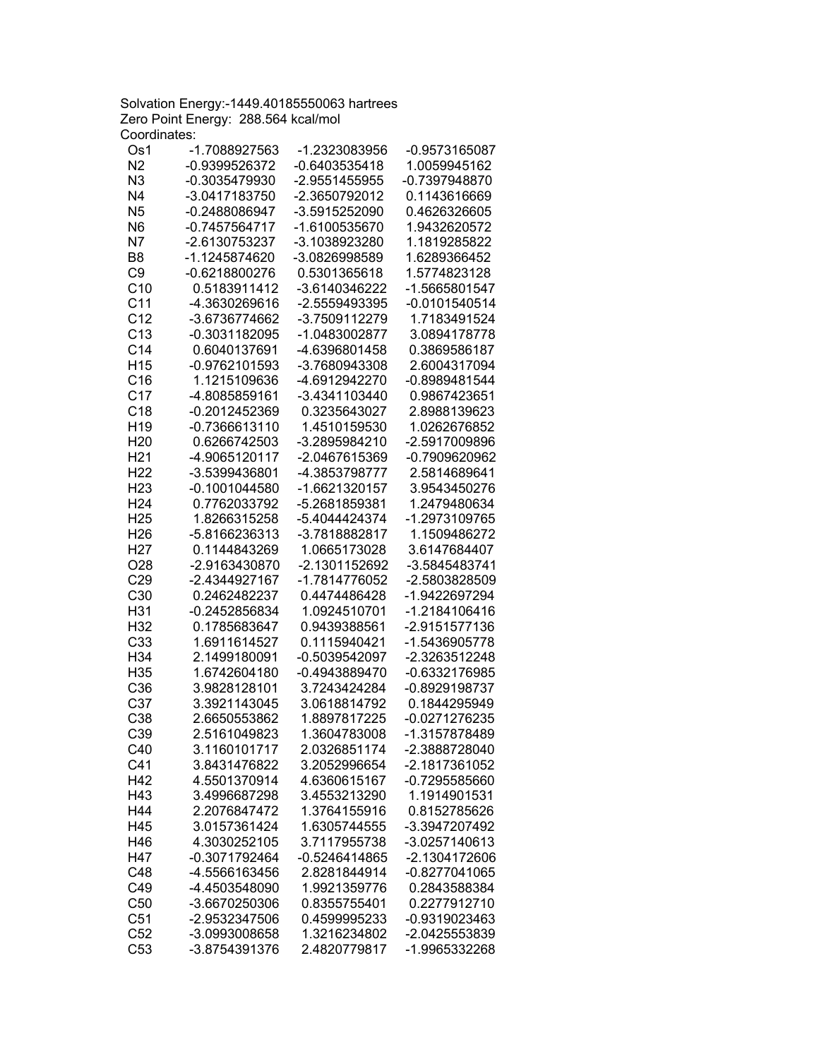Solvation Energy:-1449.40185550063 hartrees Zero Point Energy: 288.564 kcal/mol Coordinates:

| Os1             | -1.7088927563   | -1.2323083956   | -0.9573165087   |
|-----------------|-----------------|-----------------|-----------------|
| N <sub>2</sub>  | -0.9399526372   | -0.6403535418   | 1.0059945162    |
| N <sub>3</sub>  | -0.3035479930   | -2.9551455955   | -0.7397948870   |
| N <sub>4</sub>  | -3.0417183750   | -2.3650792012   | 0.1143616669    |
| N <sub>5</sub>  | -0.2488086947   | -3.5915252090   | 0.4626326605    |
| N <sub>6</sub>  | $-0.7457564717$ | -1.6100535670   | 1.9432620572    |
| N7              | -2.6130753237   | -3.1038923280   | 1.1819285822    |
| B <sub>8</sub>  | -1.1245874620   | -3.0826998589   | 1.6289366452    |
| C <sub>9</sub>  | $-0.6218800276$ | 0.5301365618    | 1.5774823128    |
| C <sub>10</sub> | 0.5183911412    | -3.6140346222   | -1.5665801547   |
| C <sub>11</sub> | -4.3630269616   | -2.5559493395   | $-0.0101540514$ |
| C <sub>12</sub> |                 | -3.7509112279   |                 |
|                 | -3.6736774662   |                 | 1.7183491524    |
| C13             | -0.3031182095   | -1.0483002877   | 3.0894178778    |
| C <sub>14</sub> | 0.6040137691    | -4.6396801458   | 0.3869586187    |
| H <sub>15</sub> | -0.9762101593   | -3.7680943308   | 2.6004317094    |
| C16             | 1.1215109636    | -4.6912942270   | -0.8989481544   |
| C <sub>17</sub> | -4.8085859161   | -3.4341103440   | 0.9867423651    |
| C18             | -0.2012452369   | 0.3235643027    | 2.8988139623    |
| H <sub>19</sub> | -0.7366613110   | 1.4510159530    | 1.0262676852    |
| H <sub>20</sub> | 0.6266742503    | -3.2895984210   | -2.5917009896   |
| H <sub>21</sub> | -4.9065120117   | -2.0467615369   | -0.7909620962   |
| H <sub>22</sub> | -3.5399436801   | -4.3853798777   | 2.5814689641    |
| H <sub>23</sub> | $-0.1001044580$ | -1.6621320157   | 3.9543450276    |
| H <sub>24</sub> | 0.7762033792    | -5.2681859381   | 1.2479480634    |
| H <sub>25</sub> | 1.8266315258    | -5.4044424374   | -1.2973109765   |
| H <sub>26</sub> | -5.8166236313   | -3.7818882817   | 1.1509486272    |
| H <sub>27</sub> | 0.1144843269    | 1.0665173028    | 3.6147684407    |
| O28             | -2.9163430870   | -2.1301152692   | -3.5845483741   |
| C29             | -2.4344927167   | -1.7814776052   | -2.5803828509   |
| C30             | 0.2462482237    | 0.4474486428    | -1.9422697294   |
| H31             | -0.2452856834   | 1.0924510701    | -1.2184106416   |
| H32             | 0.1785683647    | 0.9439388561    | -2.9151577136   |
| C33             | 1.6911614527    | 0.1115940421    | -1.5436905778   |
| H34             | 2.1499180091    | -0.5039542097   | -2.3263512248   |
|                 | 1.6742604180    | -0.4943889470   |                 |
| H35             |                 |                 | -0.6332176985   |
| C36             | 3.9828128101    | 3.7243424284    | -0.8929198737   |
| C <sub>37</sub> | 3.3921143045    | 3.0618814792    | 0.1844295949    |
| C38             | 2.6650553862    | 1.8897817225    | -0.0271276235   |
| C39             | 2.5161049823    | 1.3604783008    | -1.3157878489   |
| C40             | 3.1160101717    | 2.0326851174    | -2.3888728040   |
| C41             | 3.8431476822    | 3.2052996654    | -2.1817361052   |
| H42             | 4.5501370914    | 4.6360615167    | -0.7295585660   |
| H43             | 3.4996687298    | 3.4553213290    | 1.1914901531    |
| H44             | 2.2076847472    | 1.3764155916    | 0.8152785626    |
| H45             | 3.0157361424    | 1.6305744555    | -3.3947207492   |
| H46             | 4.3030252105    | 3.7117955738    | -3.0257140613   |
| H47             | -0.3071792464   | $-0.5246414865$ | -2.1304172606   |
| C48             | -4.5566163456   | 2.8281844914    | -0.8277041065   |
| C49             | -4.4503548090   | 1.9921359776    | 0.2843588384    |
| C50             | -3.6670250306   | 0.8355755401    | 0.2277912710    |
| C51             | -2.9532347506   | 0.4599995233    | -0.9319023463   |
| C52             | -3.0993008658   | 1.3216234802    | -2.0425553839   |
| C53             | -3.8754391376   | 2.4820779817    | -1.9965332268   |
|                 |                 |                 |                 |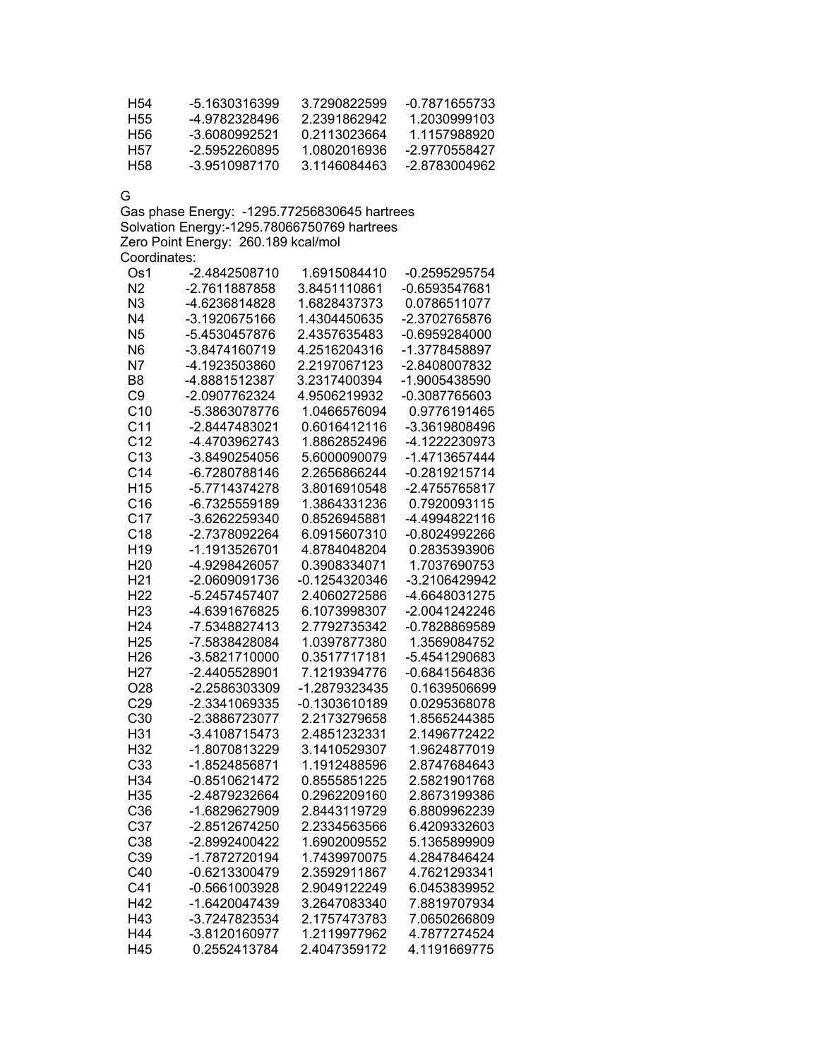| H54 | -5 1630316399 | 3.7290822599 | -0.7871655733 |
|-----|---------------|--------------|---------------|
| H55 | -4.9782328496 | 2 2391862942 | 1.2030999103  |
| H56 | -3.6080992521 | 0.2113023664 | 1 1157988920  |
| H57 | -2.5952260895 | 1 0802016936 | -2.9770558427 |
| H58 | -3.9510987170 | 3.1146084463 | -2 8783004962 |

G

Gas phase Energy: -1295.77256830645 hartrees Solvation Energy:-1295.78066750769 hartrees Zero Point Energy: 260.189 kcal/mol Coordinates:

| Os1             | -2.4842508710 | 1.6915084410    | $-0.2595295754$ |
|-----------------|---------------|-----------------|-----------------|
| N <sub>2</sub>  | -2.7611887858 | 3.8451110861    | -0.6593547681   |
| N <sub>3</sub>  | -4.6236814828 | 1.6828437373    | 0.0786511077    |
| N <sub>4</sub>  | -3.1920675166 | 1.4304450635    | -2.3702765876   |
| N <sub>5</sub>  | -5.4530457876 | 2.4357635483    | -0.6959284000   |
| N <sub>6</sub>  | -3.8474160719 | 4.2516204316    | -1.3778458897   |
| N <sub>7</sub>  | -4.1923503860 | 2.2197067123    | -2.8408007832   |
| B <sub>8</sub>  | -4.8881512387 | 3.2317400394    | -1.9005438590   |
| C <sub>9</sub>  | -2.0907762324 | 4.9506219932    | -0.3087765603   |
| C <sub>10</sub> | -5.3863078776 | 1.0466576094    | 0.9776191465    |
| C <sub>11</sub> | -2.8447483021 | 0.6016412116    | -3.3619808496   |
| C <sub>12</sub> | -4.4703962743 | 1.8862852496    | -4.1222230973   |
| C <sub>13</sub> | -3.8490254056 | 5.6000090079    | -1.4713657444   |
| C <sub>14</sub> | -6.7280788146 | 2.2656866244    | $-0.2819215714$ |
| H <sub>15</sub> | -5.7714374278 | 3.8016910548    | -2.4755765817   |
| C16             | -6.7325559189 | 1.3864331236    | 0.7920093115    |
| C <sub>17</sub> | -3.6262259340 | 0.8526945881    | -4.4994822116   |
| C18             | -2.7378092264 | 6.0915607310    | -0.8024992266   |
| H <sub>19</sub> | -1.1913526701 | 4.8784048204    | 0.2835393906    |
| H <sub>20</sub> | -4.9298426057 | 0.3908334071    | 1.7037690753    |
| H <sub>21</sub> | -2.0609091736 | $-0.1254320346$ | -3.2106429942   |
| H <sub>22</sub> | -5.2457457407 | 2.4060272586    | -4.6648031275   |
| H <sub>23</sub> | -4.6391676825 | 6.1073998307    | -2.0041242246   |
| H <sub>24</sub> | -7.5348827413 | 2.7792735342    | -0.7828869589   |
| H <sub>25</sub> | -7.5838428084 | 1.0397877380    | 1.3569084752    |
| H <sub>26</sub> | -3.5821710000 | 0.3517717181    | -5.4541290683   |
| H <sub>27</sub> | -2.4405528901 | 7.1219394776    | -0.6841564836   |
| O28             | -2.2586303309 | -1.2879323435   | 0.1639506699    |
| C29             | -2.3341069335 | -0.1303610189   | 0.0295368078    |
| C30             | -2.3886723077 | 2.2173279658    | 1.8565244385    |
| H31             | -3.4108715473 | 2.4851232331    | 2.1496772422    |
| H32             | -1.8070813229 | 3.1410529307    | 1.9624877019    |
| C33             | -1.8524856871 | 1.1912488596    | 2.8747684643    |
| H34             | -0.8510621472 | 0.8555851225    | 2.5821901768    |
| H35             | -2.4879232664 | 0.2962209160    | 2.8673199386    |
| C36             | -1.6829627909 | 2.8443119729    | 6.8809962239    |
| C37             | -2.8512674250 | 2.2334563566    | 6.4209332603    |
| C38             | -2.8992400422 | 1.6902009552    | 5.1365899909    |
| C39             | -1.7872720194 | 1.7439970075    | 4.2847846424    |
| C40             | -0.6213300479 | 2.3592911867    | 4.7621293341    |
| C41             | -0.5661003928 | 2.9049122249    | 6.0453839952    |
| H42             | -1.6420047439 | 3.2647083340    | 7.8819707934    |
| H43             | -3.7247823534 | 2.1757473783    | 7.0650266809    |
| H44             | -3.8120160977 | 1.2119977962    | 4.7877274524    |
| H45             | 0.2552413784  | 2.4047359172    | 4.1191669775    |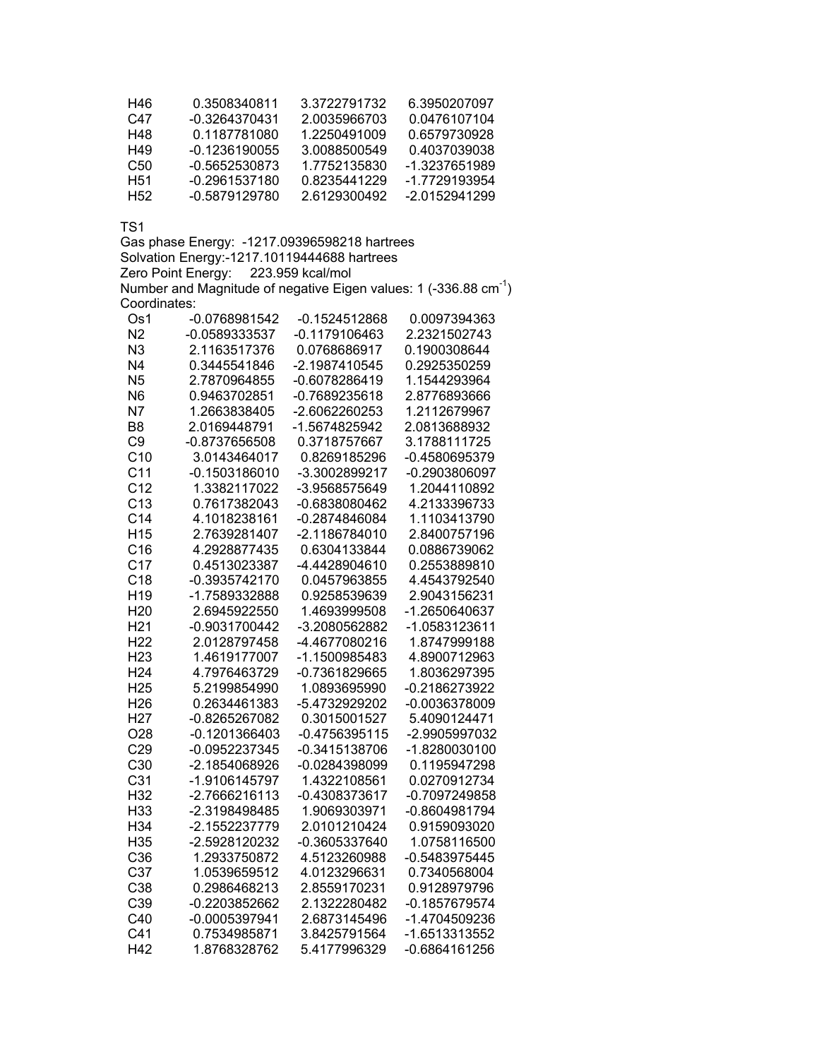| H46             | 0.3508340811  | 3.3722791732 | 6.3950207097  |
|-----------------|---------------|--------------|---------------|
| C47             | -0.3264370431 | 2 0035966703 | 0.0476107104  |
| H48             | 0.1187781080  | 1.2250491009 | 0.6579730928  |
| H49             | -0.1236190055 | 3 0088500549 | 0.4037039038  |
| C50             | -0.5652530873 | 1.7752135830 | -1.3237651989 |
| H <sub>51</sub> | -0.2961537180 | 0.8235441229 | -1.7729193954 |
| H52             | -0.5879129780 | 26129300492  | -2.0152941299 |

Gas phase Energy: -1217.09396598218 hartrees Solvation Energy:-1217.10119444688 hartrees Zero Point Energy: 223.959 kcal/mol Number and Magnitude of negative Eigen values: 1 (-336.88  $cm^{-1}$ ) Coordinates:

| -0.0768981542   | -0.1524512868                                                                                                                                                                                      | 0.0097394363                                                                                                                                                                                                                                        |
|-----------------|----------------------------------------------------------------------------------------------------------------------------------------------------------------------------------------------------|-----------------------------------------------------------------------------------------------------------------------------------------------------------------------------------------------------------------------------------------------------|
| -0.0589333537   | -0.1179106463                                                                                                                                                                                      | 2.2321502743                                                                                                                                                                                                                                        |
| 2.1163517376    | 0.0768686917                                                                                                                                                                                       | 0.1900308644                                                                                                                                                                                                                                        |
| 0.3445541846    | -2.1987410545                                                                                                                                                                                      | 0.2925350259                                                                                                                                                                                                                                        |
| 2.7870964855    | -0.6078286419                                                                                                                                                                                      | 1.1544293964                                                                                                                                                                                                                                        |
| 0.9463702851    | -0.7689235618                                                                                                                                                                                      | 2.8776893666                                                                                                                                                                                                                                        |
| 1.2663838405    | -2.6062260253                                                                                                                                                                                      | 1.2112679967                                                                                                                                                                                                                                        |
| 2.0169448791    | -1.5674825942                                                                                                                                                                                      | 2.0813688932                                                                                                                                                                                                                                        |
| -0.8737656508   | 0.3718757667                                                                                                                                                                                       | 3.1788111725                                                                                                                                                                                                                                        |
| 3.0143464017    | 0.8269185296                                                                                                                                                                                       | -0.4580695379                                                                                                                                                                                                                                       |
| $-0.1503186010$ | -3.3002899217                                                                                                                                                                                      | -0.2903806097                                                                                                                                                                                                                                       |
| 1.3382117022    | -3.9568575649                                                                                                                                                                                      | 1.2044110892                                                                                                                                                                                                                                        |
|                 | -0.6838080462                                                                                                                                                                                      | 4.2133396733                                                                                                                                                                                                                                        |
| 4.1018238161    | -0.2874846084                                                                                                                                                                                      | 1.1103413790                                                                                                                                                                                                                                        |
| 2.7639281407    | -2.1186784010                                                                                                                                                                                      | 2.8400757196                                                                                                                                                                                                                                        |
| 4.2928877435    | 0.6304133844                                                                                                                                                                                       | 0.0886739062                                                                                                                                                                                                                                        |
| 0.4513023387    | -4.4428904610                                                                                                                                                                                      | 0.2553889810                                                                                                                                                                                                                                        |
| -0.3935742170   | 0.0457963855                                                                                                                                                                                       | 4.4543792540                                                                                                                                                                                                                                        |
| -1.7589332888   | 0.9258539639                                                                                                                                                                                       | 2.9043156231                                                                                                                                                                                                                                        |
| 2.6945922550    | 1.4693999508                                                                                                                                                                                       | -1.2650640637                                                                                                                                                                                                                                       |
| -0.9031700442   | -3.2080562882                                                                                                                                                                                      | -1.0583123611                                                                                                                                                                                                                                       |
| 2.0128797458    | -4.4677080216                                                                                                                                                                                      | 1.8747999188                                                                                                                                                                                                                                        |
| 1.4619177007    | -1.1500985483                                                                                                                                                                                      | 4.8900712963                                                                                                                                                                                                                                        |
| 4.7976463729    | $-0.7361829665$                                                                                                                                                                                    | 1.8036297395                                                                                                                                                                                                                                        |
| 5.2199854990    | 1.0893695990                                                                                                                                                                                       | -0.2186273922                                                                                                                                                                                                                                       |
|                 |                                                                                                                                                                                                    | -0.0036378009                                                                                                                                                                                                                                       |
|                 |                                                                                                                                                                                                    | 5.4090124471                                                                                                                                                                                                                                        |
| $-0.1201366403$ |                                                                                                                                                                                                    | -2.9905997032                                                                                                                                                                                                                                       |
| $-0.0952237345$ | -0.3415138706                                                                                                                                                                                      | -1.8280030100                                                                                                                                                                                                                                       |
| -2.1854068926   |                                                                                                                                                                                                    | 0.1195947298                                                                                                                                                                                                                                        |
|                 |                                                                                                                                                                                                    | 0.0270912734                                                                                                                                                                                                                                        |
|                 |                                                                                                                                                                                                    | -0.7097249858                                                                                                                                                                                                                                       |
|                 |                                                                                                                                                                                                    | -0.8604981794                                                                                                                                                                                                                                       |
|                 |                                                                                                                                                                                                    | 0.9159093020                                                                                                                                                                                                                                        |
|                 |                                                                                                                                                                                                    | 1.0758116500                                                                                                                                                                                                                                        |
|                 |                                                                                                                                                                                                    | $-0.5483975445$                                                                                                                                                                                                                                     |
|                 |                                                                                                                                                                                                    | 0.7340568004                                                                                                                                                                                                                                        |
|                 |                                                                                                                                                                                                    | 0.9128979796                                                                                                                                                                                                                                        |
| -0.2203852662   | 2.1322280482                                                                                                                                                                                       | -0.1857679574                                                                                                                                                                                                                                       |
| $-0.0005397941$ |                                                                                                                                                                                                    | -1.4704509236                                                                                                                                                                                                                                       |
| 0.7534985871    |                                                                                                                                                                                                    | -1.6513313552                                                                                                                                                                                                                                       |
|                 |                                                                                                                                                                                                    | -0.6864161256                                                                                                                                                                                                                                       |
|                 | 0.7617382043<br>0.2634461383<br>-0.8265267082<br>-1.9106145797<br>-2.7666216113<br>-2.3198498485<br>-2.1552237779<br>-2.5928120232<br>1.2933750872<br>1.0539659512<br>0.2986468213<br>1.8768328762 | -5.4732929202<br>0.3015001527<br>$-0.4756395115$<br>-0.0284398099<br>1.4322108561<br>-0.4308373617<br>1.9069303971<br>2.0101210424<br>-0.3605337640<br>4.5123260988<br>4.0123296631<br>2.8559170231<br>2.6873145496<br>3.8425791564<br>5.4177996329 |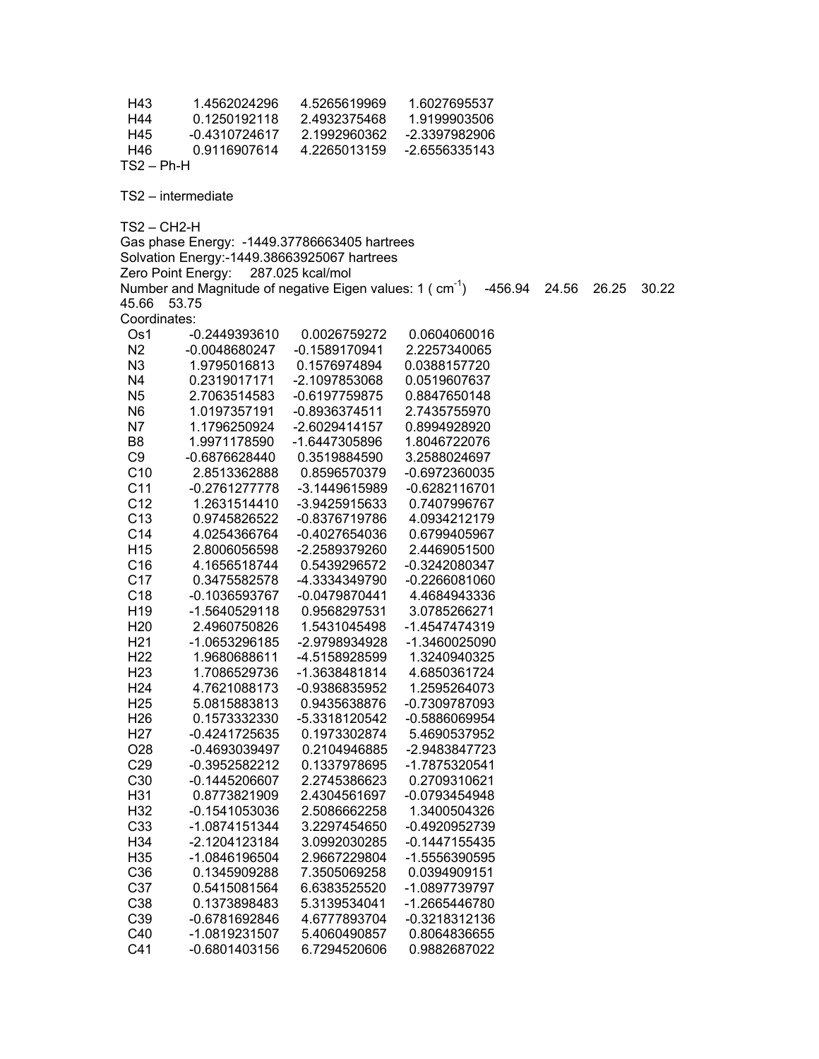H43 1.4562024296 4.5265619969 1.6027695537 H44 0.1250192118 2.4932375468 1.9199903506 H45 -0.4310724617 2.1992960362 -2.3397982906 H46 0.9116907614 4.2265013159 -2.6556335143 TS2 – Ph-H TS2 – intermediate TS2 – CH2-H Gas phase Energy: -1449.37786663405 hartrees Solvation Energy:-1449.38663925067 hartrees Zero Point Energy: 287.025 kcal/mol Number and Magnitude of negative Eigen values:  $1 \text{ (cm}^1\text{)}$   $-456.94$  24.56 26.25 30.22 45.66 53.75 Coordinates: Os1 -0.2449393610 0.0026759272 0.0604060016 N2 -0.0048680247 -0.1589170941 2.2257340065 N3 1.9795016813 0.1576974894 0.0388157720 N4 0.2319017171 -2.1097853068 0.0519607637 N5 2.7063514583 -0.6197759875 0.8847650148 N6 1.0197357191 -0.8936374511 2.7435755970 N7 1.1796250924 -2.6029414157 0.8994928920 B8 1.9971178590 -1.6447305896 1.8046722076 C9 -0.6876628440 0.3519884590 3.2588024697 C10 2.8513362888 0.8596570379 -0.6972360035 C11 -0.2761277778 -3.1449615989 -0.6282116701 C12 1.2631514410 -3.9425915633 0.7407996767 C13 0.9745826522 -0.8376719786 4.0934212179 C14 4.0254366764 -0.4027654036 0.6799405967 H15 2.8006056598 -2.2589379260 2.4469051500 C16 4.1656518744 0.5439296572 -0.3242080347 C17 0.3475582578 -4.3334349790 -0.2266081060 C18 -0.1036593767 -0.0479870441 4.4684943336 H19 -1.5640529118 0.9568297531 3.0785266271 H20 2.4960750826 1.5431045498 -1.4547474319 H21 -1.0653296185 -2.9798934928 -1.3460025090 H22 1.9680688611 -4.5158928599 1.3240940325 H23 1.7086529736 -1.3638481814 4.6850361724 H24 4.7621088173 -0.9386835952 1.2595264073 H25 5.0815883813 0.9435638876 -0.7309787093 H26 0.1573332330 -5.3318120542 -0.5886069954 H27 -0.4241725635 0.1973302874 5.4690537952 O28 -0.4693039497 0.2104946885 -2.9483847723 C29 -0.3952582212 0.1337978695 -1.7875320541 C30 -0.1445206607 2.2745386623 0.2709310621 H31 0.8773821909 2.4304561697 -0.0793454948 H32 -0.1541053036 2.5086662258 1.3400504326 C33 -1.0874151344 3.2297454650 -0.4920952739 H34 -2.1204123184 3.0992030285 -0.1447155435 H35 -1.0846196504 2.9667229804 -1.5556390595 C36 0.1345909288 7.3505069258 0.0394909151 C37 0.5415081564 6.6383525520 -1.0897739797 C38 0.1373898483 5.3139534041 -1.2665446780 C39 -0.6781692846 4.6777893704 -0.3218312136 C40 -1.0819231507 5.4060490857 0.8064836655 C41 -0.6801403156 6.7294520606 0.9882687022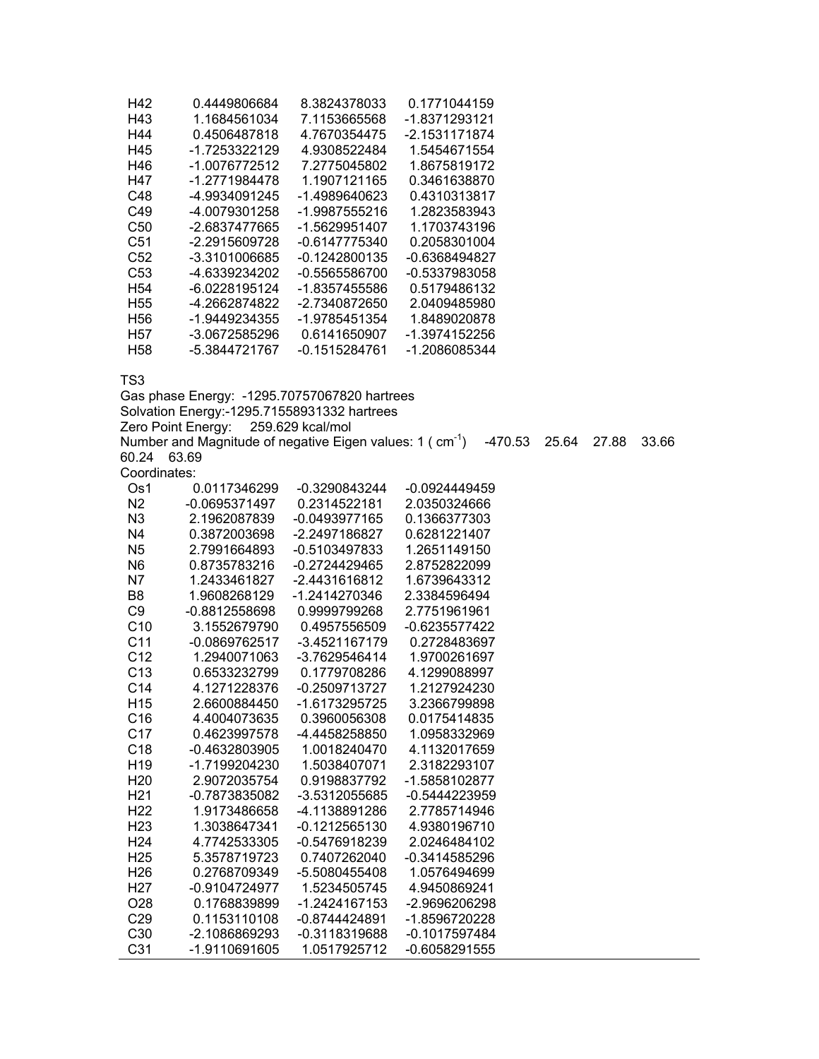| H42             | 0.4449806684  | 8.3824378033    | 0.1771044159  |
|-----------------|---------------|-----------------|---------------|
| H43             | 1.1684561034  | 7.1153665568    | -1.8371293121 |
| H44             | 0.4506487818  | 4.7670354475    | -2.1531171874 |
| H45             | -1.7253322129 | 4.9308522484    | 1.5454671554  |
| H46             | -1.0076772512 | 7.2775045802    | 1.8675819172  |
| H47             | -1.2771984478 | 1.1907121165    | 0.3461638870  |
| C48             | -4.9934091245 | -1.4989640623   | 0.4310313817  |
| C49             | -4.0079301258 | -1.9987555216   | 1.2823583943  |
| C50             | -2.6837477665 | -1.5629951407   | 1.1703743196  |
| C51             | -2.2915609728 | -0.6147775340   | 0.2058301004  |
| C52             | -3.3101006685 | -0.1242800135   | -0.6368494827 |
| C53             | -4.6339234202 | -0.5565586700   | -0.5337983058 |
| H <sub>54</sub> | -6.0228195124 | -1.8357455586   | 0.5179486132  |
| H <sub>55</sub> | -4.2662874822 | -2.7340872650   | 2.0409485980  |
| H <sub>56</sub> | -1.9449234355 | -1.9785451354   | 1.8489020878  |
| H <sub>57</sub> | -3.0672585296 | 0.6141650907    | -1.3974152256 |
| H58             | -5.3844721767 | $-0.1515284761$ | -1.2086085344 |

Gas phase Energy: -1295.70757067820 hartrees Solvation Energy:-1295.71558931332 hartrees Zero Point Energy: 259.629 kcal/mol Number and Magnitude of negative Eigen values: 1 ( cm<sup>-1</sup>) -470.53 25.64 27.88 33.66 60.24 63.69 Coordinates:<br>Os1 0  $\overline{0.0117346299}$  -0.3290843244 -0.0924449459

| ◡ ╷             | 0.0 1 1 1 0 T 0 L 0 0 | $0.02000 + 0211$ | 0.00 <del>LTT</del> VTO0 |  |
|-----------------|-----------------------|------------------|--------------------------|--|
| N2              | -0.0695371497         | 0.2314522181     | 2.0350324666             |  |
| N3              | 2.1962087839          | $-0.0493977165$  | 0.1366377303             |  |
| N4              | 0.3872003698          | -2.2497186827    | 0.6281221407             |  |
| N5              | 2.7991664893          | $-0.5103497833$  | 1.2651149150             |  |
| N <sub>6</sub>  | 0.8735783216          | $-0.2724429465$  | 2.8752822099             |  |
| N7              | 1.2433461827          | -2.4431616812    | 1.6739643312             |  |
| B <sub>8</sub>  | 1.9608268129          | -1.2414270346    | 2.3384596494             |  |
| C9              | -0.8812558698         | 0.9999799268     | 2.7751961961             |  |
| C10             | 3.1552679790          | 0.4957556509     | $-0.6235577422$          |  |
| C <sub>11</sub> | -0.0869762517         | -3.4521167179    | 0.2728483697             |  |
| C <sub>12</sub> | 1.2940071063          | -3.7629546414    | 1.9700261697             |  |
| C <sub>13</sub> | 0.6533232799          | 0.1779708286     | 4.1299088997             |  |
| C <sub>14</sub> | 4.1271228376          | $-0.2509713727$  | 1.2127924230             |  |
| H <sub>15</sub> | 2.6600884450          | -1.6173295725    | 3.2366799898             |  |
| C16             | 4.4004073635          | 0.3960056308     | 0.0175414835             |  |
| C <sub>17</sub> | 0.4623997578          | -4.4458258850    | 1.0958332969             |  |
| C <sub>18</sub> | -0.4632803905         | 1.0018240470     | 4.1132017659             |  |
| H <sub>19</sub> | -1.7199204230         | 1.5038407071     | 2.3182293107             |  |
| H <sub>20</sub> | 2.9072035754          | 0.9198837792     | -1.5858102877            |  |
| H <sub>21</sub> | -0.7873835082         | -3.5312055685    | -0.5444223959            |  |
| H <sub>22</sub> | 1.9173486658          | -4.1138891286    | 2.7785714946             |  |
| H <sub>23</sub> | 1.3038647341          | $-0.1212565130$  | 4.9380196710             |  |
| H <sub>24</sub> | 4.7742533305          | -0.5476918239    | 2.0246484102             |  |
| H <sub>25</sub> | 5.3578719723          | 0.7407262040     | -0.3414585296            |  |
| H <sub>26</sub> | 0.2768709349          | -5.5080455408    | 1.0576494699             |  |
| H27             | -0.9104724977         | 1.5234505745     | 4.9450869241             |  |
| O28             | 0.1768839899          | -1.2424167153    | -2.9696206298            |  |
| C <sub>29</sub> | 0.1153110108          | -0.8744424891    | -1.8596720228            |  |
| C30             | -2.1086869293         | -0.3118319688    | $-0.1017597484$          |  |
| C31             | -1.9110691605         | 1.0517925712     | $-0.6058291555$          |  |
|                 |                       |                  |                          |  |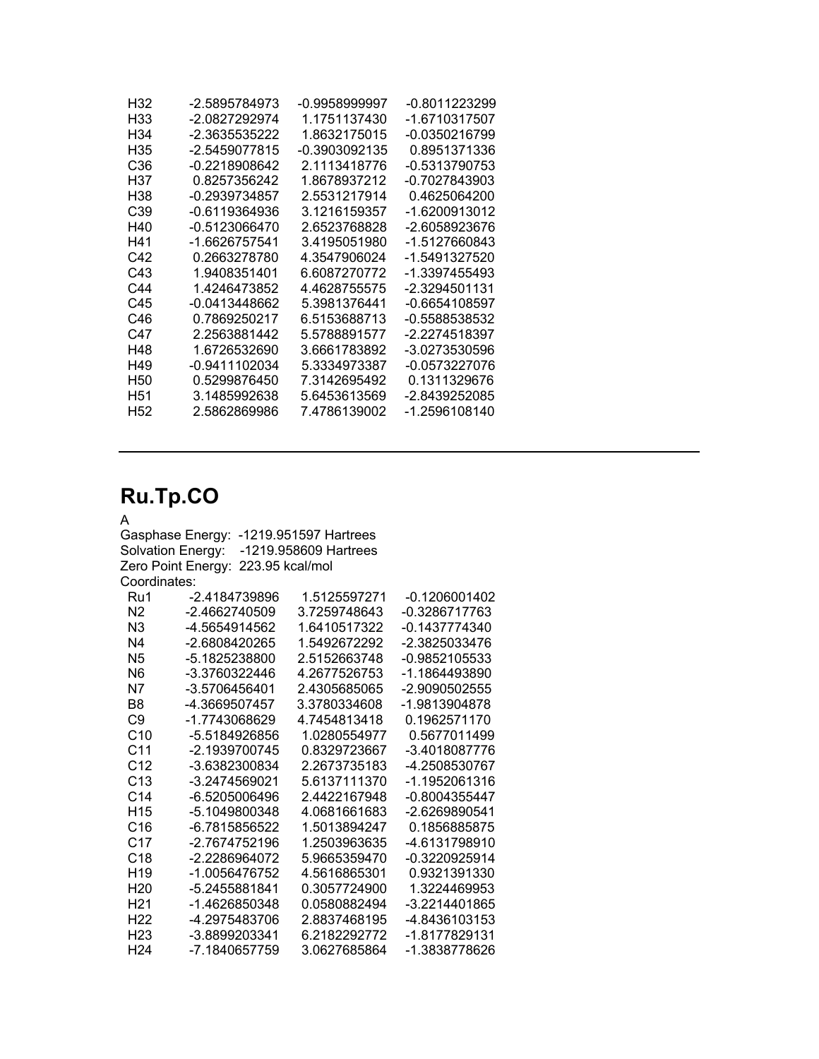| -2.5895784973   | -0.9958999997 | -0.8011223299 |
|-----------------|---------------|---------------|
| -2.0827292974   | 1.1751137430  | -1.6710317507 |
| -2.3635535222   | 1.8632175015  | -0.0350216799 |
| -2.5459077815   | -0.3903092135 | 0.8951371336  |
| -0.2218908642   | 2.1113418776  | -0.5313790753 |
| 0.8257356242    | 1.8678937212  | -0.7027843903 |
| $-0.2939734857$ | 2.5531217914  | 0.4625064200  |
| -0.6119364936   | 3.1216159357  | -1.6200913012 |
| -0.5123066470   | 2.6523768828  | -2.6058923676 |
| -1.6626757541   | 3.4195051980  | -1.5127660843 |
| 0.2663278780    | 4.3547906024  | -1.5491327520 |
| 1.9408351401    | 6.6087270772  | -1.3397455493 |
| 1.4246473852    | 4.4628755575  | -2.3294501131 |
| -0.0413448662   | 5.3981376441  | -0.6654108597 |
| 0.7869250217    | 6.5153688713  | -0.5588538532 |
| 2.2563881442    | 5.5788891577  | -2.2274518397 |
| 1.6726532690    | 3.6661783892  | -3.0273530596 |
| -0.9411102034   | 5.3334973387  | -0.0573227076 |
| 0.5299876450    | 7.3142695492  | 0.1311329676  |
| 3.1485992638    | 5.6453613569  | -2.8439252085 |
| 2.5862869986    | 7.4786139002  | -1.2596108140 |
|                 |               |               |

### **Ru.Tp.CO**

#### A

Gasphase Energy: -1219.951597 Hartrees Solvation Energy: -1219.958609 Hartrees Zero Point Energy: 223.95 kcal/mol Coordinates: Ru1 -2.4184739896 1.5125597271 -0.1206001402

| rw i            | -2.410473090  | 1.J123397271 | -U. IZUUUU I4UZ |
|-----------------|---------------|--------------|-----------------|
| N <sub>2</sub>  | -2.4662740509 | 3.7259748643 | -0.3286717763   |
| N <sub>3</sub>  | -4.5654914562 | 1.6410517322 | -0.1437774340   |
| N4              | -2.6808420265 | 1.5492672292 | -2.3825033476   |
| N <sub>5</sub>  | -5.1825238800 | 2.5152663748 | -0.9852105533   |
| N6              | -3.3760322446 | 4.2677526753 | -1.1864493890   |
| Ν7              | -3.5706456401 | 2.4305685065 | -2.9090502555   |
| B8              | -4.3669507457 | 3.3780334608 | -1.9813904878   |
| C9              | -1.7743068629 | 4.7454813418 | 0.1962571170    |
| C <sub>10</sub> | -5.5184926856 | 1.0280554977 | 0.5677011499    |
| C11             | -2.1939700745 | 0.8329723667 | -3.4018087776   |
| C12             | -3.6382300834 | 2.2673735183 | -4.2508530767   |
| C <sub>13</sub> | -3.2474569021 | 5.6137111370 | -1.1952061316   |
| C14             | -6.5205006496 | 2.4422167948 | -0.8004355447   |
| H <sub>15</sub> | -5.1049800348 | 4.0681661683 | -2.6269890541   |
| C16             | -6.7815856522 | 1.5013894247 | 0.1856885875    |
| C17             | -2.7674752196 | 1.2503963635 | -4.6131798910   |
| C <sub>18</sub> | -2.2286964072 | 5.9665359470 | -0.3220925914   |
| H19             | -1.0056476752 | 4.5616865301 | 0.9321391330    |
| H <sub>20</sub> | -5.2455881841 | 0.3057724900 | 1.3224469953    |
| H <sub>21</sub> | -1.4626850348 | 0.0580882494 | -3.2214401865   |
| H <sub>22</sub> | -4.2975483706 | 2.8837468195 | -4.8436103153   |
| H23             | -3.8899203341 | 6.2182292772 | -1.8177829131   |
| H <sub>24</sub> | -7.1840657759 | 3.0627685864 | -1.3838778626   |
|                 |               |              |                 |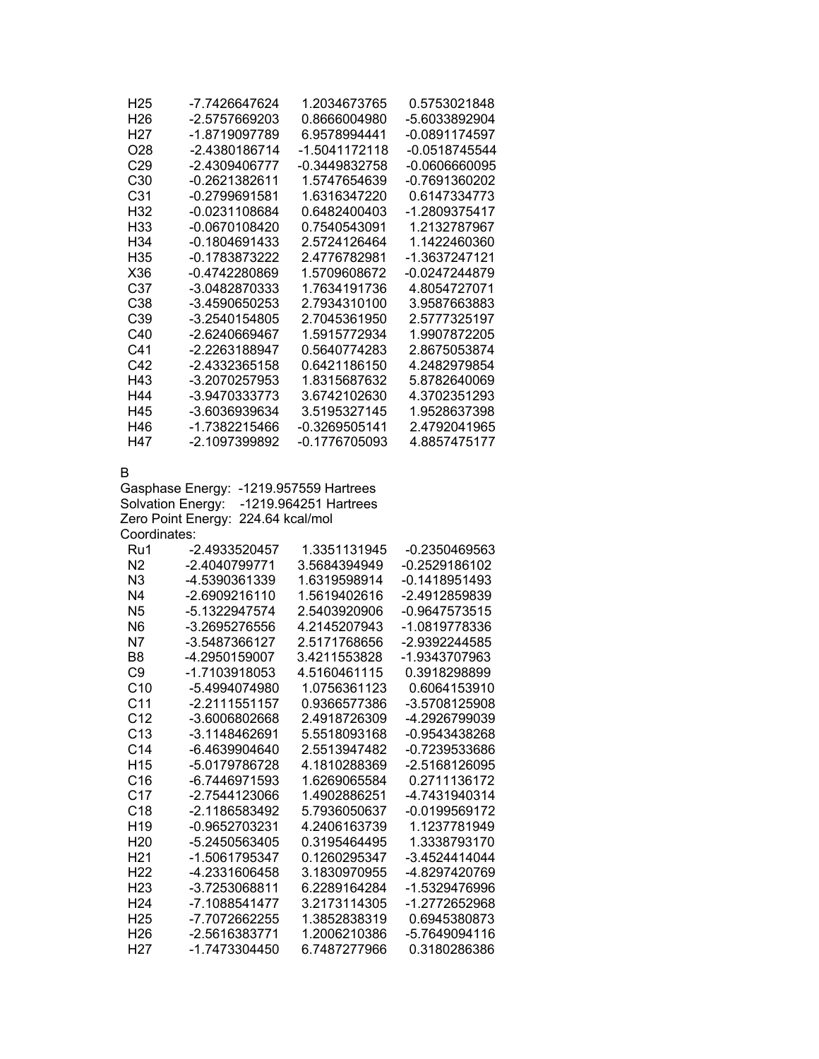| -7.7426647624                           | 1.2034673765                                                                                                                                                                                                                                                                                                                                                                                                                                                   | 0.5753021848                                                                                                                                                                                                                                                                                                                                                                                                                                                                       |
|-----------------------------------------|----------------------------------------------------------------------------------------------------------------------------------------------------------------------------------------------------------------------------------------------------------------------------------------------------------------------------------------------------------------------------------------------------------------------------------------------------------------|------------------------------------------------------------------------------------------------------------------------------------------------------------------------------------------------------------------------------------------------------------------------------------------------------------------------------------------------------------------------------------------------------------------------------------------------------------------------------------|
| -2.5757669203                           | 0.8666004980                                                                                                                                                                                                                                                                                                                                                                                                                                                   | -5.6033892904                                                                                                                                                                                                                                                                                                                                                                                                                                                                      |
| -1.8719097789                           | 6.9578994441                                                                                                                                                                                                                                                                                                                                                                                                                                                   | -0.0891174597                                                                                                                                                                                                                                                                                                                                                                                                                                                                      |
| -2.4380186714                           | -1.5041172118                                                                                                                                                                                                                                                                                                                                                                                                                                                  | $-0.0518745544$                                                                                                                                                                                                                                                                                                                                                                                                                                                                    |
| -2.4309406777                           | -0.3449832758                                                                                                                                                                                                                                                                                                                                                                                                                                                  | $-0.0606660095$                                                                                                                                                                                                                                                                                                                                                                                                                                                                    |
|                                         |                                                                                                                                                                                                                                                                                                                                                                                                                                                                | -0.7691360202                                                                                                                                                                                                                                                                                                                                                                                                                                                                      |
|                                         |                                                                                                                                                                                                                                                                                                                                                                                                                                                                | 0.6147334773                                                                                                                                                                                                                                                                                                                                                                                                                                                                       |
|                                         |                                                                                                                                                                                                                                                                                                                                                                                                                                                                | -1.2809375417                                                                                                                                                                                                                                                                                                                                                                                                                                                                      |
|                                         |                                                                                                                                                                                                                                                                                                                                                                                                                                                                | 1.2132787967                                                                                                                                                                                                                                                                                                                                                                                                                                                                       |
|                                         |                                                                                                                                                                                                                                                                                                                                                                                                                                                                | 1.1422460360                                                                                                                                                                                                                                                                                                                                                                                                                                                                       |
|                                         |                                                                                                                                                                                                                                                                                                                                                                                                                                                                | -1.3637247121                                                                                                                                                                                                                                                                                                                                                                                                                                                                      |
|                                         |                                                                                                                                                                                                                                                                                                                                                                                                                                                                | -0.0247244879                                                                                                                                                                                                                                                                                                                                                                                                                                                                      |
|                                         |                                                                                                                                                                                                                                                                                                                                                                                                                                                                | 4.8054727071                                                                                                                                                                                                                                                                                                                                                                                                                                                                       |
|                                         |                                                                                                                                                                                                                                                                                                                                                                                                                                                                | 3.9587663883<br>2.5777325197                                                                                                                                                                                                                                                                                                                                                                                                                                                       |
|                                         |                                                                                                                                                                                                                                                                                                                                                                                                                                                                | 1.9907872205                                                                                                                                                                                                                                                                                                                                                                                                                                                                       |
|                                         |                                                                                                                                                                                                                                                                                                                                                                                                                                                                | 2.8675053874                                                                                                                                                                                                                                                                                                                                                                                                                                                                       |
|                                         |                                                                                                                                                                                                                                                                                                                                                                                                                                                                | 4.2482979854                                                                                                                                                                                                                                                                                                                                                                                                                                                                       |
|                                         |                                                                                                                                                                                                                                                                                                                                                                                                                                                                | 5.8782640069                                                                                                                                                                                                                                                                                                                                                                                                                                                                       |
|                                         |                                                                                                                                                                                                                                                                                                                                                                                                                                                                | 4.3702351293                                                                                                                                                                                                                                                                                                                                                                                                                                                                       |
|                                         |                                                                                                                                                                                                                                                                                                                                                                                                                                                                | 1.9528637398                                                                                                                                                                                                                                                                                                                                                                                                                                                                       |
|                                         | -0.3269505141                                                                                                                                                                                                                                                                                                                                                                                                                                                  | 2.4792041965                                                                                                                                                                                                                                                                                                                                                                                                                                                                       |
| -2.1097399892                           | -0.1776705093                                                                                                                                                                                                                                                                                                                                                                                                                                                  | 4.8857475177                                                                                                                                                                                                                                                                                                                                                                                                                                                                       |
| Solvation Energy:<br>Zero Point Energy: |                                                                                                                                                                                                                                                                                                                                                                                                                                                                |                                                                                                                                                                                                                                                                                                                                                                                                                                                                                    |
|                                         |                                                                                                                                                                                                                                                                                                                                                                                                                                                                | -0.2350469563                                                                                                                                                                                                                                                                                                                                                                                                                                                                      |
|                                         |                                                                                                                                                                                                                                                                                                                                                                                                                                                                | -0.2529186102                                                                                                                                                                                                                                                                                                                                                                                                                                                                      |
|                                         |                                                                                                                                                                                                                                                                                                                                                                                                                                                                | $-0.1418951493$                                                                                                                                                                                                                                                                                                                                                                                                                                                                    |
| -2.6909216110                           | 1.5619402616                                                                                                                                                                                                                                                                                                                                                                                                                                                   | -2.4912859839                                                                                                                                                                                                                                                                                                                                                                                                                                                                      |
| -5.1322947574                           | 2.5403920906                                                                                                                                                                                                                                                                                                                                                                                                                                                   | $-0.9647573515$                                                                                                                                                                                                                                                                                                                                                                                                                                                                    |
| -3.2695276556                           | 4.2145207943                                                                                                                                                                                                                                                                                                                                                                                                                                                   | -1.0819778336                                                                                                                                                                                                                                                                                                                                                                                                                                                                      |
| -3.5487366127                           | 2.5171768656                                                                                                                                                                                                                                                                                                                                                                                                                                                   | -2.9392244585                                                                                                                                                                                                                                                                                                                                                                                                                                                                      |
| -4.2950159007                           | 3.4211553828                                                                                                                                                                                                                                                                                                                                                                                                                                                   | -1.9343707963                                                                                                                                                                                                                                                                                                                                                                                                                                                                      |
| -1.7103918053                           | 4.5160461115                                                                                                                                                                                                                                                                                                                                                                                                                                                   | 0.3918298899                                                                                                                                                                                                                                                                                                                                                                                                                                                                       |
|                                         |                                                                                                                                                                                                                                                                                                                                                                                                                                                                | 0.6064153910                                                                                                                                                                                                                                                                                                                                                                                                                                                                       |
|                                         |                                                                                                                                                                                                                                                                                                                                                                                                                                                                | -3.5708125908                                                                                                                                                                                                                                                                                                                                                                                                                                                                      |
|                                         |                                                                                                                                                                                                                                                                                                                                                                                                                                                                | -4.2926799039                                                                                                                                                                                                                                                                                                                                                                                                                                                                      |
|                                         |                                                                                                                                                                                                                                                                                                                                                                                                                                                                | -0.9543438268                                                                                                                                                                                                                                                                                                                                                                                                                                                                      |
|                                         |                                                                                                                                                                                                                                                                                                                                                                                                                                                                | -0.7239533686                                                                                                                                                                                                                                                                                                                                                                                                                                                                      |
|                                         |                                                                                                                                                                                                                                                                                                                                                                                                                                                                |                                                                                                                                                                                                                                                                                                                                                                                                                                                                                    |
| -5.0179786728                           | 4.1810288369                                                                                                                                                                                                                                                                                                                                                                                                                                                   | -2.5168126095                                                                                                                                                                                                                                                                                                                                                                                                                                                                      |
| -6.7446971593                           | 1.6269065584                                                                                                                                                                                                                                                                                                                                                                                                                                                   | 0.2711136172                                                                                                                                                                                                                                                                                                                                                                                                                                                                       |
| -2.7544123066                           | 1.4902886251                                                                                                                                                                                                                                                                                                                                                                                                                                                   | -4.7431940314                                                                                                                                                                                                                                                                                                                                                                                                                                                                      |
| -2.1186583492                           | 5.7936050637                                                                                                                                                                                                                                                                                                                                                                                                                                                   | -0.0199569172                                                                                                                                                                                                                                                                                                                                                                                                                                                                      |
| -0.9652703231                           | 4.2406163739                                                                                                                                                                                                                                                                                                                                                                                                                                                   | 1.1237781949                                                                                                                                                                                                                                                                                                                                                                                                                                                                       |
| -5.2450563405                           | 0.3195464495                                                                                                                                                                                                                                                                                                                                                                                                                                                   | 1.3338793170                                                                                                                                                                                                                                                                                                                                                                                                                                                                       |
| -1.5061795347                           | 0.1260295347                                                                                                                                                                                                                                                                                                                                                                                                                                                   | -3.4524414044                                                                                                                                                                                                                                                                                                                                                                                                                                                                      |
| -4.2331606458                           | 3.1830970955                                                                                                                                                                                                                                                                                                                                                                                                                                                   | -4.8297420769                                                                                                                                                                                                                                                                                                                                                                                                                                                                      |
| -3.7253068811                           | 6.2289164284                                                                                                                                                                                                                                                                                                                                                                                                                                                   | -1.5329476996                                                                                                                                                                                                                                                                                                                                                                                                                                                                      |
| -7.1088541477<br>-7.7072662255          | 3.2173114305<br>1.3852838319                                                                                                                                                                                                                                                                                                                                                                                                                                   | -1.2772652968<br>0.6945380873                                                                                                                                                                                                                                                                                                                                                                                                                                                      |
| -2.5616383771                           | 1.2006210386                                                                                                                                                                                                                                                                                                                                                                                                                                                   | -5.7649094116                                                                                                                                                                                                                                                                                                                                                                                                                                                                      |
|                                         | $-0.2621382611$<br>$-0.2799691581$<br>-0.0231108684<br>-0.0670108420<br>$-0.1804691433$<br>-0.1783873222<br>-0.4742280869<br>-3.0482870333<br>-3.4590650253<br>-3.2540154805<br>-2.6240669467<br>-2.2263188947<br>-2.4332365158<br>-3.2070257953<br>-3.9470333773<br>-3.6036939634<br>-1.7382215466<br>Gasphase Energy:<br>Coordinates:<br>-2.4933520457<br>-2.4040799771<br>-4.5390361339<br>-5.4994074980<br>-2.2111551157<br>-3.6006802668<br>-3.1148462691 | 1.5747654639<br>1.6316347220<br>0.6482400403<br>0.7540543091<br>2.5724126464<br>2.4776782981<br>1.5709608672<br>1.7634191736<br>2.7934310100<br>2.7045361950<br>1.5915772934<br>0.5640774283<br>0.6421186150<br>1.8315687632<br>3.6742102630<br>3.5195327145<br>-1219.957559 Hartrees<br>-1219.964251 Hartrees<br>224.64 kcal/mol<br>1.3351131945<br>3.5684394949<br>1.6319598914<br>1.0756361123<br>0.9366577386<br>2.4918726309<br>5.5518093168<br>-6.4639904640<br>2.5513947482 |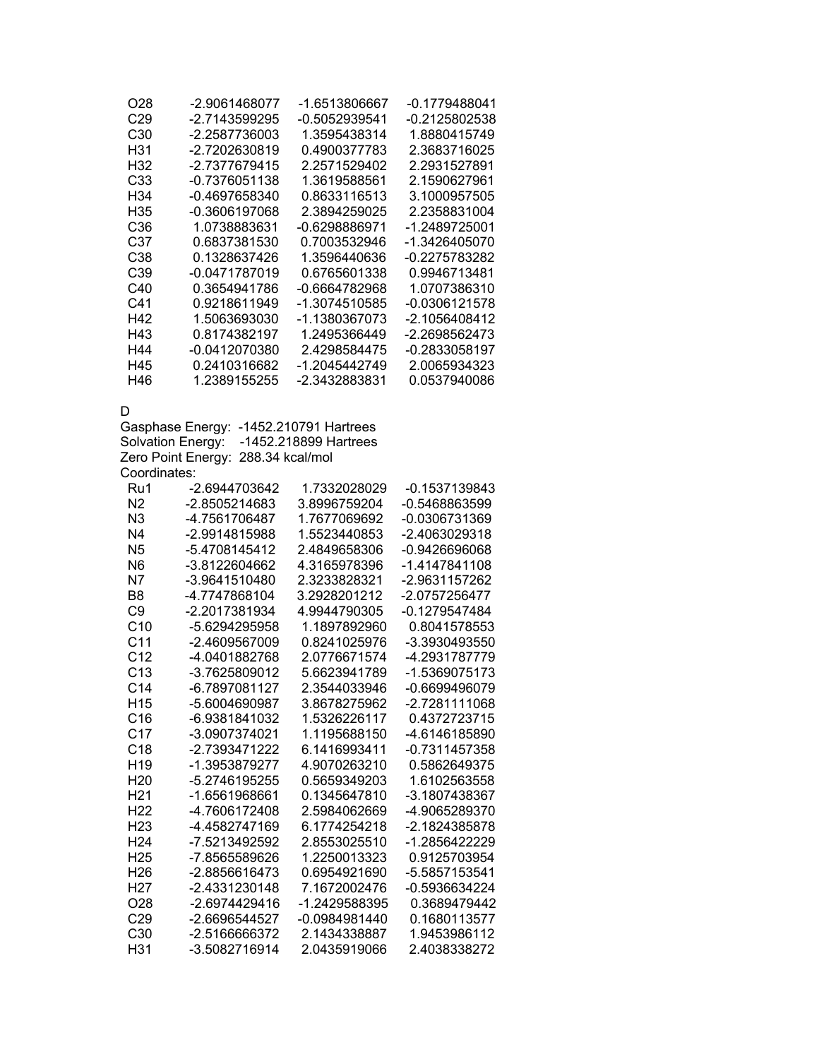| O28             | -2.9061468077   | -1.6513806667 | -0.1779488041 |
|-----------------|-----------------|---------------|---------------|
| C <sub>29</sub> | -2.7143599295   | -0.5052939541 | -0.2125802538 |
| C <sub>30</sub> | -2.2587736003   | 1.3595438314  | 1.8880415749  |
| H31             | -2.7202630819   | 0.4900377783  | 2.3683716025  |
| H32             | -2.7377679415   | 2.2571529402  | 2.2931527891  |
| C <sub>33</sub> | $-0.7376051138$ | 1.3619588561  | 2.1590627961  |
| H <sub>34</sub> | $-0.4697658340$ | 0.8633116513  | 3.1000957505  |
| H35             | -0.3606197068   | 2.3894259025  | 2.2358831004  |
| C <sub>36</sub> | 1.0738883631    | -0.6298886971 | -1.2489725001 |
| C37             | 0.6837381530    | 0.7003532946  | -1.3426405070 |
| C38             | 0.1328637426    | 1.3596440636  | -0.2275783282 |
| C39             | -0.0471787019   | 0.6765601338  | 0.9946713481  |
| C40             | 0.3654941786    | -0.6664782968 | 1.0707386310  |
| C41             | 0.9218611949    | -1.3074510585 | -0.0306121578 |
| H42             | 1.5063693030    | -1.1380367073 | -2.1056408412 |
| H43             | 0.8174382197    | 1.2495366449  | -2.2698562473 |
| H44             | -0.0412070380   | 2.4298584475  | -0.2833058197 |
| H45             | 0.2410316682    | -1.2045442749 | 2.0065934323  |
| H46             | 1.2389155255    | -2.3432883831 | 0.0537940086  |
| D               |                 |               |               |
|                 |                 |               |               |

Gasphase Energy: -1452.210791 Hartrees Solvation Energy: -1452.218899 Hartrees Zero Point Energy: 288.34 kcal/mol Coordinates:

| Ru1             | -2.6944703642 | 1.7332028029  | -0.1537139843   |
|-----------------|---------------|---------------|-----------------|
| N <sub>2</sub>  | -2.8505214683 | 3.8996759204  | $-0.5468863599$ |
| N <sub>3</sub>  | -4.7561706487 | 1.7677069692  | -0.0306731369   |
| N4              | -2.9914815988 | 1.5523440853  | -2.4063029318   |
| N <sub>5</sub>  | -5.4708145412 | 2.4849658306  | $-0.9426696068$ |
| N <sub>6</sub>  | -3.8122604662 | 4.3165978396  | -1.4147841108   |
| N7              | -3.9641510480 | 2.3233828321  | -2.9631157262   |
| B8              | -4.7747868104 | 3.2928201212  | -2.0757256477   |
| C9              | -2.2017381934 | 4.9944790305  | -0.1279547484   |
| C <sub>10</sub> | -5.6294295958 | 1.1897892960  | 0.8041578553    |
| C <sub>11</sub> | -2.4609567009 | 0.8241025976  | -3.3930493550   |
| C <sub>12</sub> | -4.0401882768 | 2.0776671574  | -4.2931787779   |
| C <sub>13</sub> | -3.7625809012 | 5.6623941789  | -1.5369075173   |
| C <sub>14</sub> | -6.7897081127 | 2.3544033946  | -0.6699496079   |
| H <sub>15</sub> | -5.6004690987 | 3.8678275962  | -2.7281111068   |
| C <sub>16</sub> | -6.9381841032 | 1.5326226117  | 0.4372723715    |
| C <sub>17</sub> | -3.0907374021 | 1.1195688150  | -4.6146185890   |
| C <sub>18</sub> | -2.7393471222 | 6.1416993411  | $-0.7311457358$ |
| H <sub>19</sub> | -1.3953879277 | 4.9070263210  | 0.5862649375    |
| H <sub>20</sub> | -5.2746195255 | 0.5659349203  | 1.6102563558    |
| H21             | -1.6561968661 | 0.1345647810  | -3.1807438367   |
| H <sub>22</sub> | -4.7606172408 | 2.5984062669  | -4.9065289370   |
| H23             | -4.4582747169 | 6.1774254218  | -2.1824385878   |
| H <sub>24</sub> | -7.5213492592 | 2.8553025510  | -1.2856422229   |
| H <sub>25</sub> | -7.8565589626 | 1.2250013323  | 0.9125703954    |
| H <sub>26</sub> | -2.8856616473 | 0.6954921690  | -5.5857153541   |
| H <sub>27</sub> | -2.4331230148 | 7.1672002476  | -0.5936634224   |
| O28             | -2.6974429416 | -1.2429588395 | 0.3689479442    |
| C <sub>29</sub> | -2.6696544527 | -0.0984981440 | 0.1680113577    |
| C <sub>30</sub> | -2.5166666372 | 2.1434338887  | 1.9453986112    |
| H31             | -3.5082716914 | 2.0435919066  | 2.4038338272    |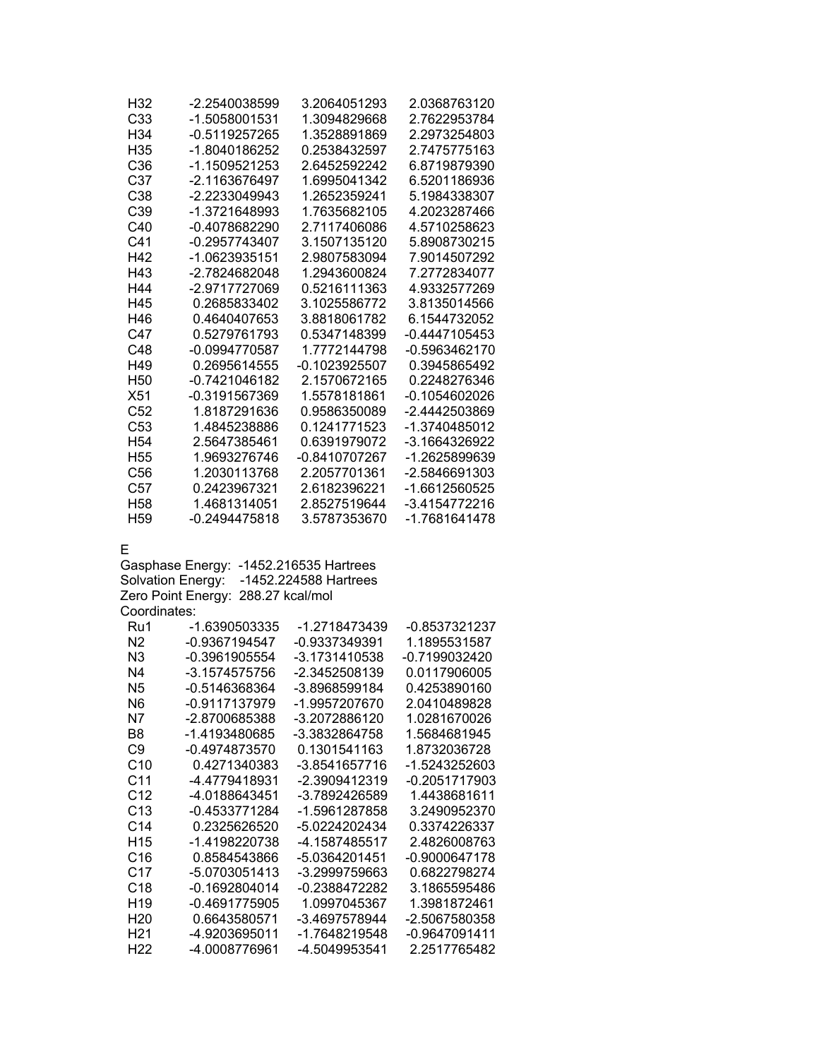| H32             | -2.2540038599   | 3.2064051293  | 2.0368763120  |
|-----------------|-----------------|---------------|---------------|
| C <sub>33</sub> | -1.5058001531   | 1.3094829668  | 2.7622953784  |
| H34             | -0.5119257265   | 1.3528891869  | 2.2973254803  |
| H <sub>35</sub> | -1.8040186252   | 0.2538432597  | 2.7475775163  |
| C <sub>36</sub> | -1.1509521253   | 2.6452592242  | 6.8719879390  |
| C37             | -2.1163676497   | 1.6995041342  | 6.5201186936  |
| C38             | $-2.2233049943$ | 1.2652359241  | 5.1984338307  |
| C <sub>39</sub> | -1.3721648993   | 1.7635682105  | 4.2023287466  |
| C40             | $-0.4078682290$ | 2.7117406086  | 4.5710258623  |
| C41             | $-0.2957743407$ | 3.1507135120  | 5.8908730215  |
| H42             | -1.0623935151   | 2.9807583094  | 7.9014507292  |
| H43             | -2.7824682048   | 1.2943600824  | 7.2772834077  |
| H44             | -2.9717727069   | 0.5216111363  | 4.9332577269  |
| H45             | 0.2685833402    | 3.1025586772  | 3.8135014566  |
| H46             | 0.4640407653    | 3.8818061782  | 6.1544732052  |
| C47             | 0.5279761793    | 0.5347148399  | -0.4447105453 |
| C48             | -0.0994770587   | 1.7772144798  | -0.5963462170 |
| H49             | 0.2695614555    | -0.1023925507 | 0.3945865492  |
| H <sub>50</sub> | $-0.7421046182$ | 2.1570672165  | 0.2248276346  |
| X51             | -0.3191567369   | 1.5578181861  | -0.1054602026 |
| C <sub>52</sub> | 1.8187291636    | 0.9586350089  | -2.4442503869 |
| C <sub>53</sub> | 1.4845238886    | 0.1241771523  | -1.3740485012 |
| H <sub>54</sub> | 2.5647385461    | 0.6391979072  | -3.1664326922 |
| H <sub>55</sub> | 1.9693276746    | -0.8410707267 | -1.2625899639 |
| C <sub>56</sub> | 1.2030113768    | 2.2057701361  | -2.5846691303 |
| C57             | 0.2423967321    | 2.6182396221  | -1.6612560525 |
| H58             | 1.4681314051    | 2.8527519644  | -3.4154772216 |
| H <sub>59</sub> | -0.2494475818   | 3.5787353670  | -1.7681641478 |

E

Gasphase Energy: -1452.216535 Hartrees Solvation Energy: -1452.224588 Hartrees Zero Point Energy: 288.27 kcal/mol Coordinates:

| Ru1             | -1.6390503335 | -1.2718473439 | -0.8537321237 |
|-----------------|---------------|---------------|---------------|
| N <sub>2</sub>  | -0.9367194547 | -0.9337349391 | 1.1895531587  |
| N3              | -0.3961905554 | -3.1731410538 | -0.7199032420 |
| N4              | -3.1574575756 | -2.3452508139 | 0.0117906005  |
| N5              | -0.5146368364 | -3.8968599184 | 0.4253890160  |
| N6              | -0.9117137979 | -1.9957207670 | 2.0410489828  |
| N7              | -2.8700685388 | -3.2072886120 | 1.0281670026  |
| B8              | -1.4193480685 | -3.3832864758 | 1.5684681945  |
| C9              | -0.4974873570 | 0.1301541163  | 1.8732036728  |
| C <sub>10</sub> | 0.4271340383  | -3.8541657716 | -1.5243252603 |
| C11             | -4.4779418931 | -2.3909412319 | -0.2051717903 |
| C <sub>12</sub> | -4.0188643451 | -3.7892426589 | 1.4438681611  |
| C13             | -0.4533771284 | -1.5961287858 | 3.2490952370  |
| C14             | 0.2325626520  | -5.0224202434 | 0.3374226337  |
| H <sub>15</sub> | -1.4198220738 | -4.1587485517 | 2.4826008763  |
| C16             | 0.8584543866  | -5.0364201451 | -0.9000647178 |
| C17             | -5.0703051413 | -3.2999759663 | 0.6822798274  |
| C18             | -0.1692804014 | -0.2388472282 | 3.1865595486  |
| H <sub>19</sub> | -0.4691775905 | 1.0997045367  | 1.3981872461  |
| H <sub>20</sub> | 0.6643580571  | -3.4697578944 | -2.5067580358 |
| H <sub>21</sub> | -4.9203695011 | -1.7648219548 | -0.9647091411 |
| H <sub>22</sub> | -4.0008776961 | -4.5049953541 | 2.2517765482  |
|                 |               |               |               |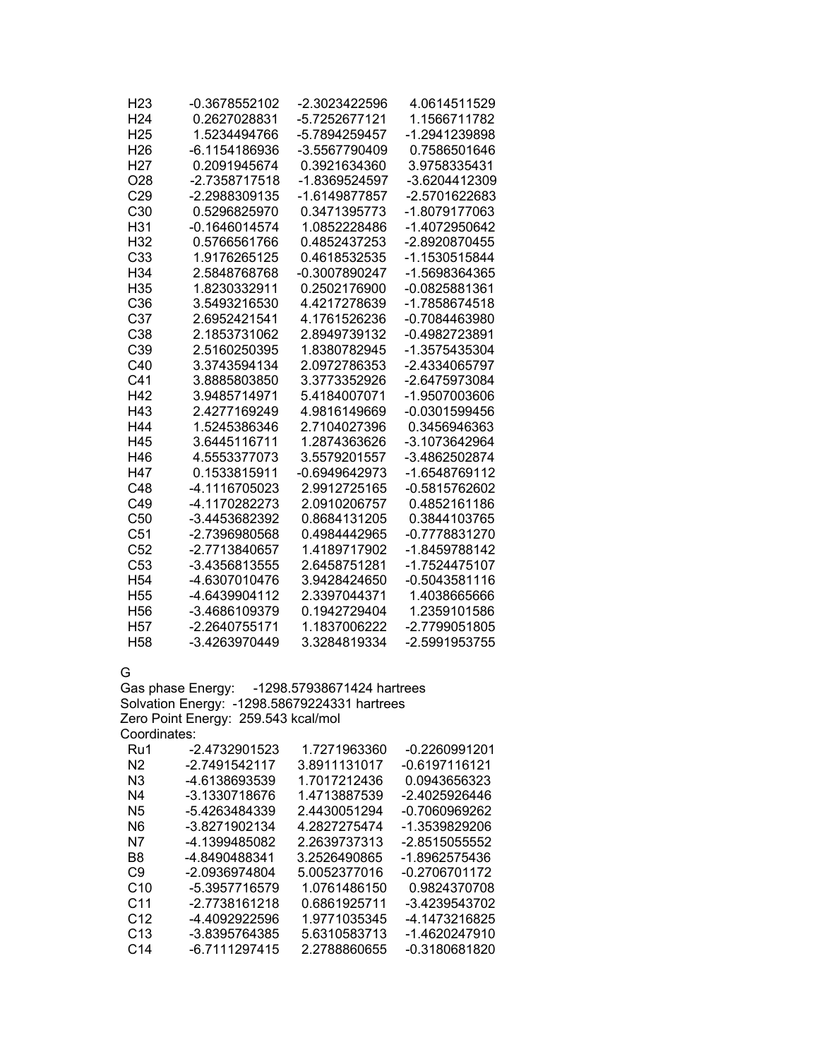| H23             | -0.3678552102   | -2.3023422596   | 4.0614511529  |
|-----------------|-----------------|-----------------|---------------|
| H <sub>24</sub> | 0.2627028831    | -5.7252677121   | 1.1566711782  |
| H <sub>25</sub> | 1.5234494766    | -5.7894259457   | -1.2941239898 |
| H <sub>26</sub> | -6.1154186936   | -3.5567790409   | 0.7586501646  |
| H <sub>27</sub> | 0.2091945674    | 0.3921634360    | 3.9758335431  |
| O <sub>28</sub> | -2.7358717518   | -1.8369524597   | -3.6204412309 |
| C <sub>29</sub> | -2.2988309135   | -1.6149877857   | -2.5701622683 |
| C <sub>30</sub> | 0.5296825970    | 0.3471395773    | -1.8079177063 |
| H31             | $-0.1646014574$ | 1.0852228486    | -1.4072950642 |
| H <sub>32</sub> | 0.5766561766    | 0.4852437253    | -2.8920870455 |
| C33             | 1.9176265125    | 0.4618532535    | -1.1530515844 |
| H <sub>34</sub> | 2.5848768768    | -0.3007890247   | -1.5698364365 |
| H35             | 1.8230332911    | 0.2502176900    | -0.0825881361 |
| C36             | 3.5493216530    | 4.4217278639    | -1.7858674518 |
| C <sub>37</sub> | 2.6952421541    | 4.1761526236    | -0.7084463980 |
| C38             | 2.1853731062    | 2.8949739132    | -0.4982723891 |
| C39             | 2.5160250395    | 1.8380782945    | -1.3575435304 |
| C40             | 3.3743594134    | 2.0972786353    | -2.4334065797 |
| C <sub>41</sub> | 3.8885803850    | 3.3773352926    | -2.6475973084 |
| H42             | 3.9485714971    | 5.4184007071    | -1.9507003606 |
| H43             | 2.4277169249    | 4.9816149669    | -0.0301599456 |
| H44             | 1.5245386346    | 2.7104027396    | 0.3456946363  |
| H45             | 3.6445116711    | 1.2874363626    | -3.1073642964 |
| H46             | 4.5553377073    | 3.5579201557    | -3.4862502874 |
| H47             | 0.1533815911    | $-0.6949642973$ | -1.6548769112 |
| C48             | -4.1116705023   | 2.9912725165    | -0.5815762602 |
| C49             | -4.1170282273   | 2.0910206757    | 0.4852161186  |
| C <sub>50</sub> | -3.4453682392   | 0.8684131205    | 0.3844103765  |
| C51             | -2.7396980568   | 0.4984442965    | -0.7778831270 |
| C <sub>52</sub> | -2.7713840657   | 1.4189717902    | -1.8459788142 |
| C53             | -3.4356813555   | 2.6458751281    | -1.7524475107 |
| H <sub>54</sub> | -4.6307010476   | 3.9428424650    | -0.5043581116 |
| H <sub>55</sub> | -4.6439904112   | 2.3397044371    | 1.4038665666  |
| H <sub>56</sub> | -3.4686109379   | 0.1942729404    | 1.2359101586  |
| H <sub>57</sub> | -2.2640755171   | 1.1837006222    | -2.7799051805 |
| H <sub>58</sub> | -3.4263970449   | 3.3284819334    | -2.5991953755 |

G

Gas phase Energy: -1298.57938671424 hartrees Solvation Energy: -1298.58679224331 hartrees Zero Point Energy: 259.543 kcal/mol Coordinates:

| Ru1             | -2.4732901523 | 1.7271963360 | -0.2260991201   |
|-----------------|---------------|--------------|-----------------|
| N2              | -2.7491542117 | 3.8911131017 | -0.6197116121   |
| N3              | -4.6138693539 | 1.7017212436 | 0.0943656323    |
| N4              | -3.1330718676 | 1.4713887539 | -2.4025926446   |
| N5              | -5.4263484339 | 2.4430051294 | -0.7060969262   |
| N6              | -3.8271902134 | 4.2827275474 | -1.3539829206   |
| N7              | -4.1399485082 | 2.2639737313 | -2.8515055552   |
| B8              | -4.8490488341 | 3.2526490865 | -1.8962575436   |
| C9              | -2.0936974804 | 5.0052377016 | -0.2706701172   |
| C10             | -5.3957716579 | 1.0761486150 | 0.9824370708    |
| C <sub>11</sub> | -2.7738161218 | 0.6861925711 | $-3.4239543702$ |
| C <sub>12</sub> | -4.4092922596 | 1.9771035345 | -4.1473216825   |
| C <sub>13</sub> | -3.8395764385 | 5.6310583713 | -1.4620247910   |
| C14             | -6.7111297415 | 2.2788860655 | $-0.3180681820$ |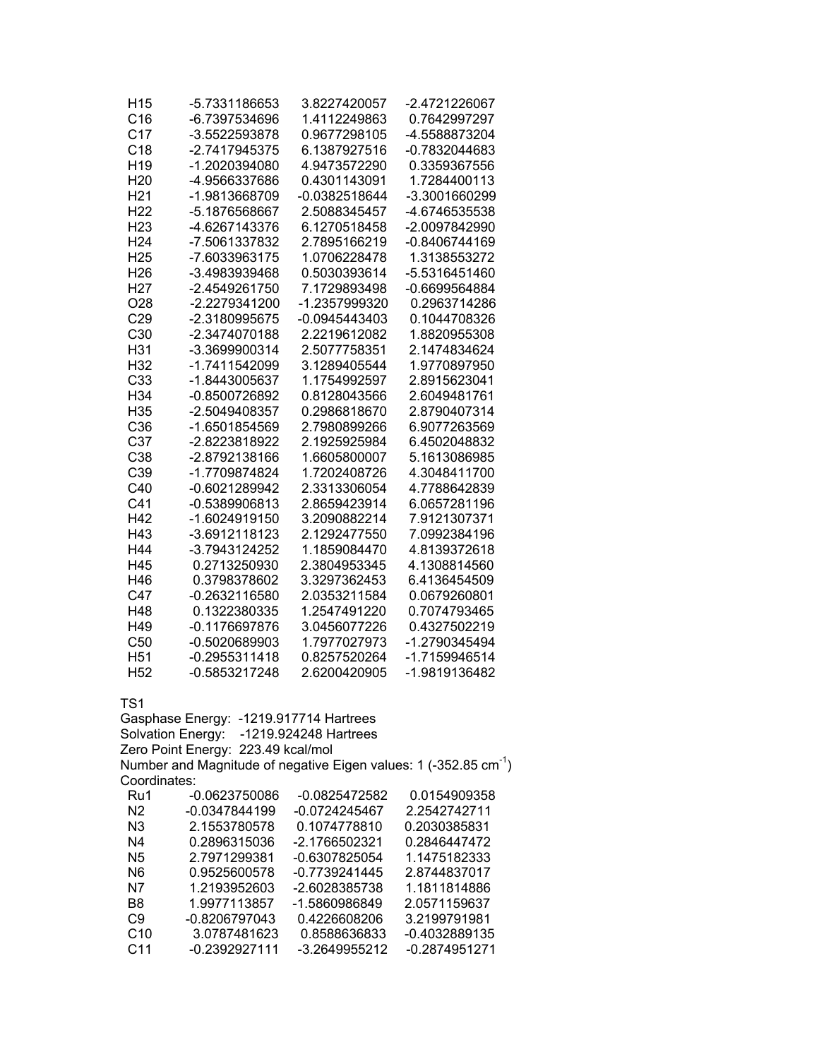| H <sub>15</sub><br>C16 | -5.7331186653<br>-6.7397534696          | 3.8227420057<br>1.4112249863 | -2.4721226067<br>0.7642997297                                         |
|------------------------|-----------------------------------------|------------------------------|-----------------------------------------------------------------------|
| C <sub>17</sub>        | -3.5522593878                           | 0.9677298105                 | -4.5588873204                                                         |
| C18                    | -2.7417945375                           | 6.1387927516                 | -0.7832044683                                                         |
| H <sub>19</sub>        | -1.2020394080                           | 4.9473572290                 | 0.3359367556                                                          |
| H <sub>20</sub>        | -4.9566337686                           | 0.4301143091                 | 1.7284400113                                                          |
| H <sub>21</sub>        | -1.9813668709                           | -0.0382518644                | -3.3001660299                                                         |
| H <sub>22</sub>        | -5.1876568667                           | 2.5088345457                 | -4.6746535538                                                         |
| H <sub>23</sub>        | -4.6267143376                           | 6.1270518458                 | -2.0097842990                                                         |
| H <sub>24</sub>        | -7.5061337832                           | 2.7895166219                 | $-0.8406744169$                                                       |
| H <sub>25</sub>        | -7.6033963175                           | 1.0706228478                 | 1.3138553272                                                          |
| H <sub>26</sub>        | -3.4983939468                           | 0.5030393614                 | -5.5316451460                                                         |
| H <sub>27</sub>        | -2.4549261750                           | 7.1729893498                 | -0.6699564884                                                         |
| O <sub>28</sub>        | -2.2279341200                           | -1.2357999320                | 0.2963714286                                                          |
| C29                    | -2.3180995675                           | $-0.0945443403$              | 0.1044708326                                                          |
| C <sub>30</sub>        | -2.3474070188                           | 2.2219612082                 | 1.8820955308                                                          |
| H31                    | -3.3699900314                           | 2.5077758351                 | 2.1474834624                                                          |
| H32                    | -1.7411542099                           | 3.1289405544                 | 1.9770897950                                                          |
| C <sub>33</sub>        | -1.8443005637                           | 1.1754992597                 | 2.8915623041                                                          |
| H34                    | -0.8500726892                           | 0.8128043566                 | 2.6049481761                                                          |
| H35                    | -2.5049408357                           | 0.2986818670                 | 2.8790407314                                                          |
| C36                    | -1.6501854569                           | 2.7980899266                 | 6.9077263569                                                          |
| C <sub>37</sub>        | -2.8223818922                           | 2.1925925984                 | 6.4502048832                                                          |
| C38                    | -2.8792138166                           | 1.6605800007                 | 5.1613086985                                                          |
| C39                    | -1.7709874824                           | 1.7202408726                 | 4.3048411700                                                          |
| C40                    | -0.6021289942                           | 2.3313306054                 | 4.7788642839                                                          |
| C <sub>41</sub>        | -0.5389906813                           | 2.8659423914                 | 6.0657281196                                                          |
| H42                    | -1.6024919150                           | 3.2090882214                 | 7.9121307371                                                          |
| H43                    | -3.6912118123                           | 2.1292477550                 | 7.0992384196                                                          |
| H44                    | -3.7943124252                           | 1.1859084470                 | 4.8139372618                                                          |
| H45                    | 0.2713250930                            | 2.3804953345                 | 4.1308814560                                                          |
| H46                    | 0.3798378602                            | 3.3297362453                 | 6.4136454509                                                          |
| C47                    | -0.2632116580                           | 2.0353211584                 | 0.0679260801                                                          |
| H48                    | 0.1322380335                            | 1.2547491220                 | 0.7074793465                                                          |
| H49                    | $-0.1176697876$                         | 3.0456077226                 | 0.4327502219                                                          |
| C50                    | -0.5020689903                           | 1.7977027973                 | -1.2790345494                                                         |
| H <sub>51</sub>        | $-0.2955311418$                         | 0.8257520264                 | -1.7159946514                                                         |
| H <sub>52</sub>        | -0.5853217248                           | 2.6200420905                 | -1.9819136482                                                         |
| TS1                    |                                         |                              |                                                                       |
|                        | Gasphase Energy: -1219.917714 Hartrees  |                              |                                                                       |
|                        | Solvation Energy: -1219.924248 Hartrees |                              |                                                                       |
|                        | Zero Point Energy: 223.49 kcal/mol      |                              |                                                                       |
|                        |                                         |                              | Number and Magnitude of negative Eigen values: 1 (-352.85 $cm^{-1}$ ) |
| Coordinates:           |                                         |                              |                                                                       |
| Ru1                    | -0.0623750086                           | $-0.0825472582$              | 0.0154909358                                                          |
| N <sub>2</sub>         | -0.0347844199                           | $-0.0724245467$              | 2.2542742711                                                          |
| N <sub>3</sub>         | 2.1553780578                            | 0.1074778810                 | 0.2030385831                                                          |
| N4                     | 0.2896315036                            | -2.1766502321                | 0.2846447472                                                          |
| N <sub>5</sub>         | 2.7971299381                            | -0.6307825054                | 1.1475182333                                                          |
| N <sub>6</sub>         | 0.9525600578                            | -0.7739241445                | 2.8744837017                                                          |
| N7                     | 1.2193952603                            | -2.6028385738                | 1.1811814886                                                          |
| B <sub>8</sub>         | 1.9977113857                            | -1.5860986849                | 2.0571159637                                                          |
| C <sub>9</sub>         | -0.8206797043                           | 0.4226608206                 | 3.2199791981                                                          |
| C10                    | 3.0787481623                            | 0.8588636833                 | -0.4032889135                                                         |
| C <sub>11</sub>        | -0.2392927111                           | -3.2649955212                | -0.2874951271                                                         |
|                        |                                         |                              |                                                                       |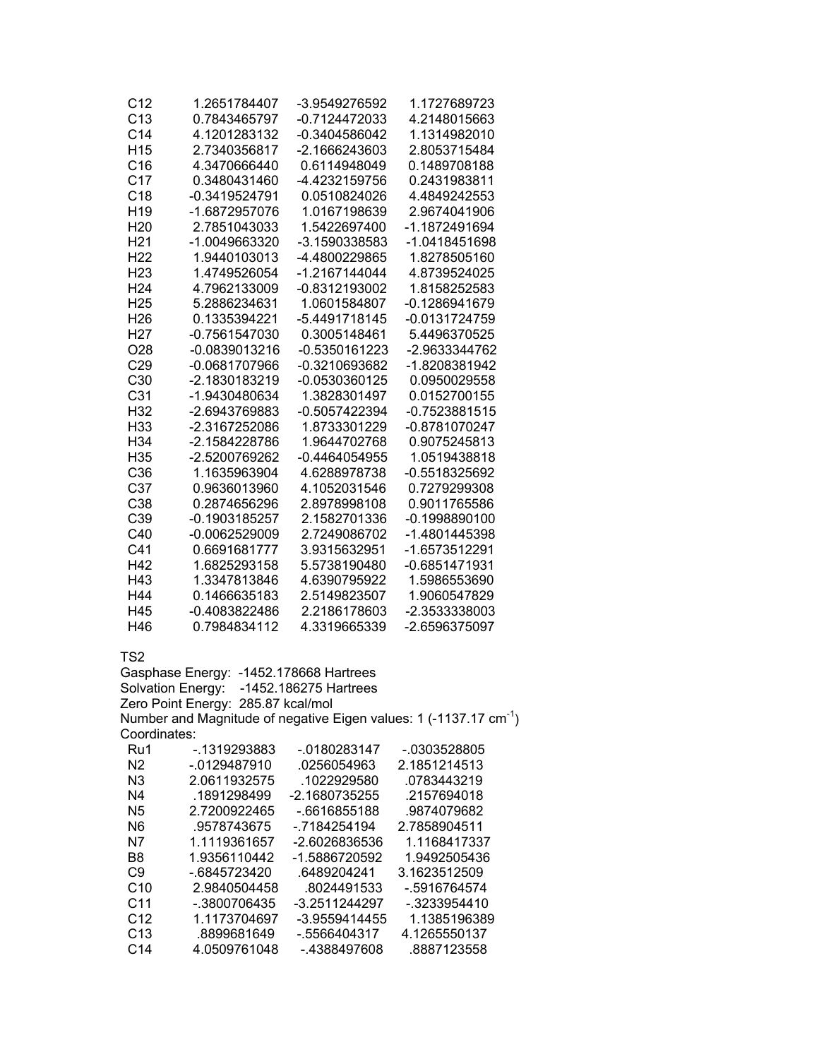| C12             | 1.2651784407    | -3.9549276592   | 1.1727689723    |
|-----------------|-----------------|-----------------|-----------------|
| C13             | 0.7843465797    | -0.7124472033   | 4.2148015663    |
| C <sub>14</sub> | 4.1201283132    | $-0.3404586042$ | 1.1314982010    |
| H <sub>15</sub> | 2.7340356817    | $-2.1666243603$ | 2.8053715484    |
| C16             | 4.3470666440    | 0.6114948049    | 0.1489708188    |
| C <sub>17</sub> | 0.3480431460    | -4.4232159756   | 0.2431983811    |
| C <sub>18</sub> | -0.3419524791   | 0.0510824026    | 4.4849242553    |
| H <sub>19</sub> | -1.6872957076   | 1.0167198639    | 2.9674041906    |
| H <sub>20</sub> | 2.7851043033    | 1.5422697400    | -1.1872491694   |
| H <sub>21</sub> | -1.0049663320   | -3.1590338583   | -1.0418451698   |
| H <sub>22</sub> | 1.9440103013    | -4.4800229865   | 1.8278505160    |
| H <sub>23</sub> | 1.4749526054    | -1.2167144044   | 4.8739524025    |
| H <sub>24</sub> | 4.7962133009    | -0.8312193002   | 1.8158252583    |
| H <sub>25</sub> | 5.2886234631    | 1.0601584807    | -0.1286941679   |
| H <sub>26</sub> | 0.1335394221    | -5.4491718145   | -0.0131724759   |
| H <sub>27</sub> | -0.7561547030   | 0.3005148461    | 5.4496370525    |
| O <sub>28</sub> | -0.0839013216   | -0.5350161223   | -2.9633344762   |
| C <sub>29</sub> | -0.0681707966   | -0.3210693682   | -1.8208381942   |
| C <sub>30</sub> | -2.1830183219   | $-0.0530360125$ | 0.0950029558    |
| C <sub>31</sub> | -1.9430480634   | 1.3828301497    | 0.0152700155    |
| H32             | -2.6943769883   | -0.5057422394   | $-0.7523881515$ |
| H33             | -2.3167252086   | 1.8733301229    | -0.8781070247   |
| H <sub>34</sub> | -2.1584228786   | 1.9644702768    | 0.9075245813    |
| H35             | -2.5200769262   | $-0.4464054955$ | 1.0519438818    |
| C <sub>36</sub> | 1.1635963904    | 4.6288978738    | -0.5518325692   |
| C <sub>37</sub> | 0.9636013960    | 4.1052031546    | 0.7279299308    |
| C38             | 0.2874656296    | 2.8978998108    | 0.9011765586    |
| C <sub>39</sub> | $-0.1903185257$ | 2.1582701336    | $-0.1998890100$ |
| C40             | $-0.0062529009$ | 2.7249086702    | -1.4801445398   |
| C <sub>41</sub> | 0.6691681777    | 3.9315632951    | -1.6573512291   |
| H42             | 1.6825293158    | 5.5738190480    | -0.6851471931   |
| H43             | 1.3347813846    | 4.6390795922    | 1.5986553690    |
| H44             | 0.1466635183    | 2.5149823507    | 1.9060547829    |
| H45             | -0.4083822486   | 2.2186178603    | -2.3533338003   |
| H46             | 0.7984834112    | 4.3319665339    | -2.6596375097   |

Gasphase Energy: -1452.178668 Hartrees Solvation Energy: -1452.186275 Hartrees Zero Point Energy: 285.87 kcal/mol Number and Magnitude of negative Eigen values: 1 (-1137.17 cm-1) Coordinates: Ru1 -.1319293883 -.0180283147 -.0303528805

| Ru i            | -. 1919299009 | -.u 100203147   | -.ບວບວວ∠໐໐ບວ |
|-----------------|---------------|-----------------|--------------|
| N2              | -.0129487910  | .0256054963     | 2.1851214513 |
| N3              | 2.0611932575  | .1022929580     | .0783443219  |
| N4              | .1891298499   | -2.1680735255   | .2157694018  |
| N5              | 2.7200922465  | -.6616855188    | .9874079682  |
| N6              | .9578743675   | -.7184254194    | 2.7858904511 |
| N7              | 1.1119361657  | -2.6026836536   | 1.1168417337 |
| B8              | 1.9356110442  | -1.5886720592   | 1.9492505436 |
| C9              | -.6845723420  | .6489204241     | 3.1623512509 |
| C10             | 2.9840504458  | .8024491533     | -.5916764574 |
| C11             | -.3800706435  | -3.2511244297   | -.3233954410 |
| C <sub>12</sub> | 1.1173704697  | -3.9559414455   | 1.1385196389 |
| C13             | .8899681649   | $-0.5566404317$ | 4.1265550137 |
| C14             | 4.0509761048  | -.4388497608    | .8887123558  |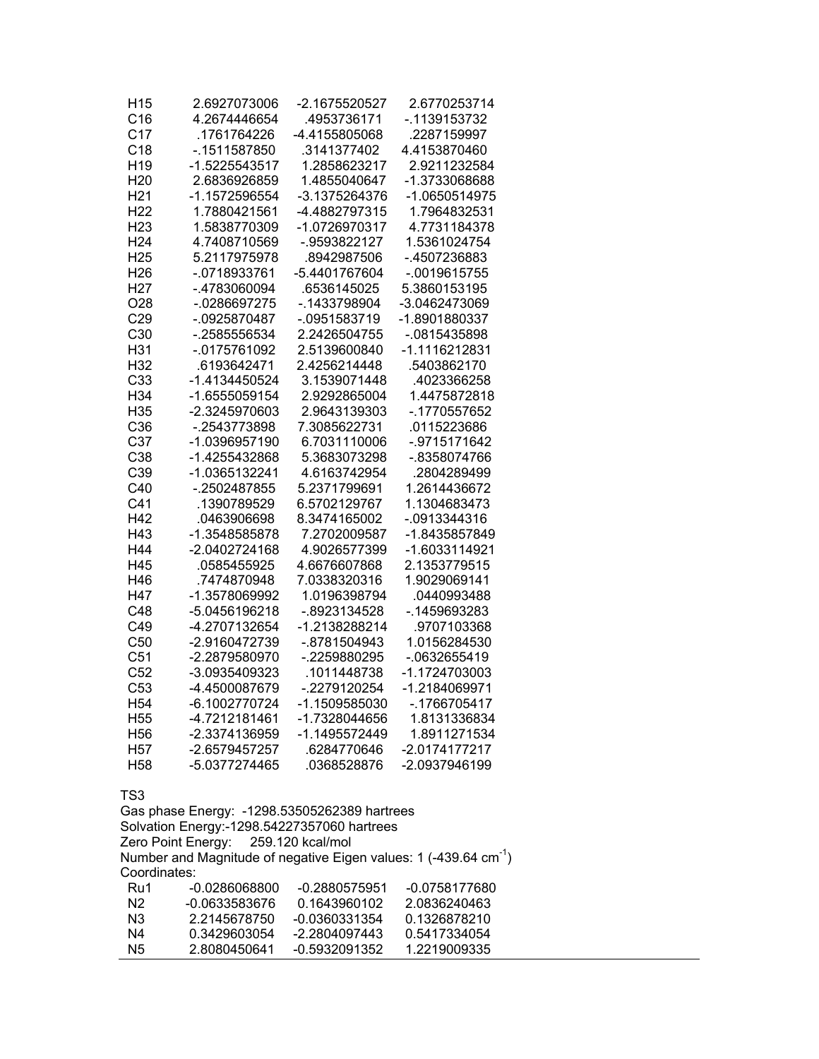| H <sub>15</sub><br>C16<br>C <sub>17</sub><br>C18<br>H <sub>19</sub><br>H <sub>20</sub><br>H <sub>21</sub><br>H <sub>22</sub><br>H <sub>23</sub><br>H <sub>24</sub> | 2.6927073006<br>4.2674446654<br>.1761764226<br>$-0.1511587850$<br>-1.5225543517<br>2.6836926859<br>-1.1572596554<br>1.7880421561<br>1.5838770309<br>4.7408710569 | -2.1675520527<br>.4953736171<br>-4.4155805068<br>.3141377402<br>1.2858623217<br>1.4855040647<br>-3.1375264376<br>-4.4882797315<br>-1.0726970317<br>-.9593822127 | 2.6770253714<br>-.1139153732<br>.2287159997<br>4.4153870460<br>2.9211232584<br>-1.3733068688<br>-1.0650514975<br>1.7964832531<br>4.7731184378<br>1.5361024754 |
|--------------------------------------------------------------------------------------------------------------------------------------------------------------------|------------------------------------------------------------------------------------------------------------------------------------------------------------------|-----------------------------------------------------------------------------------------------------------------------------------------------------------------|---------------------------------------------------------------------------------------------------------------------------------------------------------------|
| H <sub>25</sub><br>H <sub>26</sub>                                                                                                                                 | 5.2117975978<br>$-0718933761$                                                                                                                                    | .8942987506<br>-5.4401767604                                                                                                                                    | -.4507236883<br>$-0019615755$                                                                                                                                 |
| H <sub>27</sub><br>O <sub>28</sub>                                                                                                                                 | -.4783060094<br>-.0286697275                                                                                                                                     | .6536145025<br>$-0.1433798904$                                                                                                                                  | 5.3860153195<br>-3.0462473069                                                                                                                                 |
| C29<br>C30                                                                                                                                                         | $-0925870487$<br>-.2585556534                                                                                                                                    | $-0.0951583719$<br>2.2426504755                                                                                                                                 | -1.8901880337<br>$-0815435898$                                                                                                                                |
| H31                                                                                                                                                                | $-0175761092$                                                                                                                                                    | 2.5139600840                                                                                                                                                    | -1.1116212831                                                                                                                                                 |
| H32<br>C <sub>33</sub>                                                                                                                                             | .6193642471<br>-1.4134450524                                                                                                                                     | 2.4256214448<br>3.1539071448                                                                                                                                    | .5403862170<br>.4023366258                                                                                                                                    |
| H34                                                                                                                                                                | -1.6555059154                                                                                                                                                    | 2.9292865004                                                                                                                                                    | 1.4475872818                                                                                                                                                  |
| H35                                                                                                                                                                | -2.3245970603                                                                                                                                                    | 2.9643139303                                                                                                                                                    | -.1770557652                                                                                                                                                  |
| C36                                                                                                                                                                | -.2543773898                                                                                                                                                     | 7.3085622731                                                                                                                                                    | .0115223686                                                                                                                                                   |
| C <sub>37</sub><br>C38                                                                                                                                             | -1.0396957190<br>-1.4255432868                                                                                                                                   | 6.7031110006<br>5.3683073298                                                                                                                                    | -.9715171642<br>-.8358074766                                                                                                                                  |
| C <sub>39</sub>                                                                                                                                                    | -1.0365132241                                                                                                                                                    | 4.6163742954                                                                                                                                                    | .2804289499                                                                                                                                                   |
| C40                                                                                                                                                                | -.2502487855                                                                                                                                                     | 5.2371799691                                                                                                                                                    | 1.2614436672                                                                                                                                                  |
| C <sub>41</sub>                                                                                                                                                    | .1390789529                                                                                                                                                      | 6.5702129767                                                                                                                                                    | 1.1304683473                                                                                                                                                  |
| H42                                                                                                                                                                | .0463906698                                                                                                                                                      | 8.3474165002                                                                                                                                                    | -.0913344316                                                                                                                                                  |
| H43                                                                                                                                                                | -1.3548585878                                                                                                                                                    | 7.2702009587                                                                                                                                                    | -1.8435857849                                                                                                                                                 |
| H44                                                                                                                                                                | -2.0402724168                                                                                                                                                    | 4.9026577399                                                                                                                                                    | -1.6033114921                                                                                                                                                 |
| H45                                                                                                                                                                | .0585455925                                                                                                                                                      | 4.6676607868                                                                                                                                                    | 2.1353779515                                                                                                                                                  |
| H46<br>H47                                                                                                                                                         | .7474870948<br>-1.3578069992                                                                                                                                     | 7.0338320316<br>1.0196398794                                                                                                                                    | 1.9029069141<br>.0440993488                                                                                                                                   |
| C48                                                                                                                                                                | -5.0456196218                                                                                                                                                    | -.8923134528                                                                                                                                                    | -. 1459693283                                                                                                                                                 |
| C49                                                                                                                                                                | -4.2707132654                                                                                                                                                    | -1.2138288214                                                                                                                                                   | .9707103368                                                                                                                                                   |
| C50                                                                                                                                                                | -2.9160472739                                                                                                                                                    | -.8781504943                                                                                                                                                    | 1.0156284530                                                                                                                                                  |
| C <sub>51</sub>                                                                                                                                                    | -2.2879580970                                                                                                                                                    | -.2259880295                                                                                                                                                    | $-0632655419$                                                                                                                                                 |
| C52                                                                                                                                                                | -3.0935409323                                                                                                                                                    | .1011448738                                                                                                                                                     | -1.1724703003                                                                                                                                                 |
| C53                                                                                                                                                                | -4.4500087679                                                                                                                                                    | -.2279120254                                                                                                                                                    | -1.2184069971                                                                                                                                                 |
| H <sub>54</sub>                                                                                                                                                    | -6.1002770724                                                                                                                                                    | -1.1509585030                                                                                                                                                   | $-.1766705417$                                                                                                                                                |
| H <sub>55</sub>                                                                                                                                                    | -4.7212181461                                                                                                                                                    | -1.7328044656                                                                                                                                                   | 1.8131336834                                                                                                                                                  |
| H <sub>56</sub><br>H <sub>57</sub>                                                                                                                                 | -2.3374136959<br>-2.6579457257                                                                                                                                   | -1.1495572449<br>.6284770646                                                                                                                                    | 1.8911271534<br>-2.0174177217                                                                                                                                 |
| H <sub>58</sub>                                                                                                                                                    | -5.0377274465                                                                                                                                                    | .0368528876                                                                                                                                                     | -2.0937946199                                                                                                                                                 |
| TS3                                                                                                                                                                |                                                                                                                                                                  |                                                                                                                                                                 |                                                                                                                                                               |
|                                                                                                                                                                    | Gas phase Energy: -1298.53505262389 hartrees                                                                                                                     |                                                                                                                                                                 |                                                                                                                                                               |
|                                                                                                                                                                    | Solvation Energy:-1298.54227357060 hartrees                                                                                                                      |                                                                                                                                                                 |                                                                                                                                                               |
|                                                                                                                                                                    | Zero Point Energy: 259.120 kcal/mol                                                                                                                              |                                                                                                                                                                 |                                                                                                                                                               |
| Coordinates:                                                                                                                                                       |                                                                                                                                                                  |                                                                                                                                                                 | Number and Magnitude of negative Eigen values: 1 (-439.64 cm <sup>-1</sup> )                                                                                  |
| Ru1                                                                                                                                                                | $-0.0286068800$                                                                                                                                                  | $-0.2880575951$                                                                                                                                                 | -0.0758177680                                                                                                                                                 |
| N <sub>2</sub>                                                                                                                                                     | -0.0633583676                                                                                                                                                    | 0.1643960102                                                                                                                                                    | 2.0836240463                                                                                                                                                  |
| N <sub>3</sub>                                                                                                                                                     | 2.2145678750                                                                                                                                                     | -0.0360331354                                                                                                                                                   | 0.1326878210                                                                                                                                                  |
| N4                                                                                                                                                                 | 0.3429603054                                                                                                                                                     | -2.2804097443                                                                                                                                                   | 0.5417334054                                                                                                                                                  |
| N <sub>5</sub>                                                                                                                                                     | 2.8080450641                                                                                                                                                     | -0.5932091352                                                                                                                                                   | 1.2219009335                                                                                                                                                  |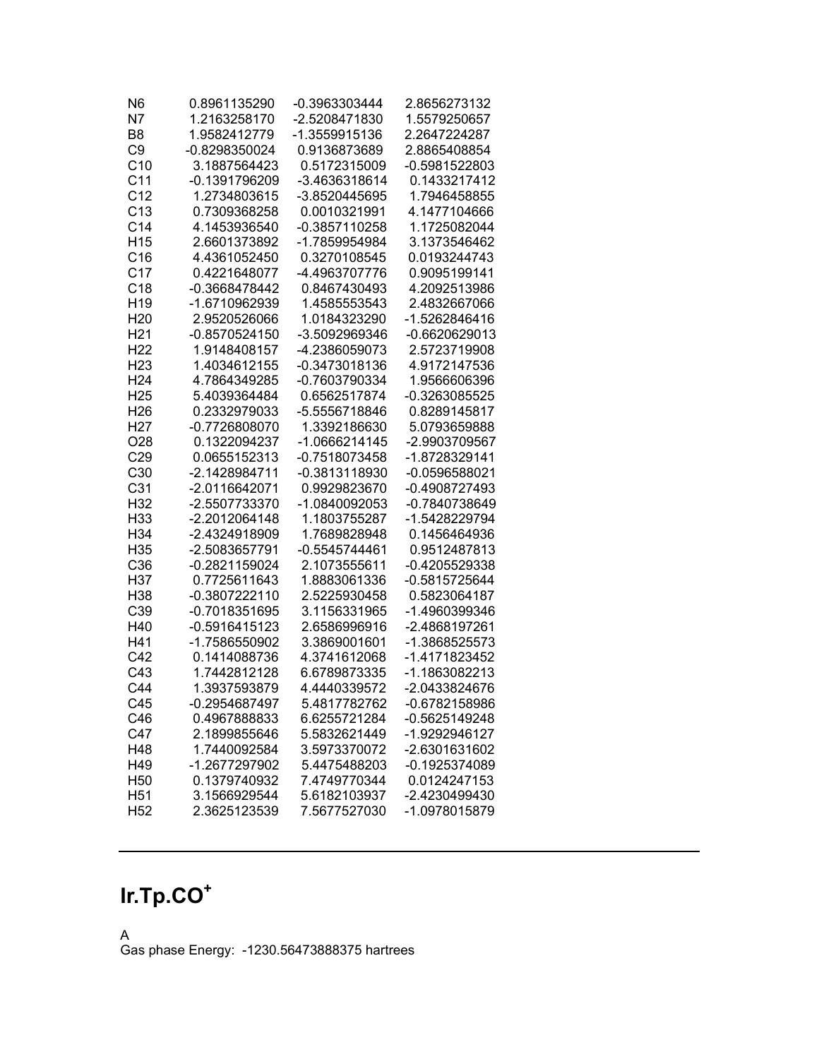| N <sub>6</sub>  | 0.8961135290    | -0.3963303444   | 2.8656273132    |
|-----------------|-----------------|-----------------|-----------------|
| N7              | 1.2163258170    | -2.5208471830   | 1.5579250657    |
| B <sub>8</sub>  | 1.9582412779    | -1.3559915136   | 2.2647224287    |
| C <sub>9</sub>  | -0.8298350024   | 0.9136873689    | 2.8865408854    |
| C <sub>10</sub> | 3.1887564423    | 0.5172315009    | -0.5981522803   |
| C <sub>11</sub> | -0.1391796209   | -3.4636318614   | 0.1433217412    |
| C <sub>12</sub> | 1.2734803615    | -3.8520445695   | 1.7946458855    |
| C13             | 0.7309368258    | 0.0010321991    | 4.1477104666    |
| C <sub>14</sub> | 4.1453936540    | $-0.3857110258$ | 1.1725082044    |
| H <sub>15</sub> | 2.6601373892    | -1.7859954984   | 3.1373546462    |
| C16             | 4.4361052450    | 0.3270108545    | 0.0193244743    |
| C <sub>17</sub> | 0.4221648077    | -4.4963707776   | 0.9095199141    |
| C <sub>18</sub> | -0.3668478442   | 0.8467430493    | 4.2092513986    |
| H <sub>19</sub> | -1.6710962939   | 1.4585553543    | 2.4832667066    |
| H <sub>20</sub> | 2.9520526066    | 1.0184323290    | -1.5262846416   |
| H <sub>21</sub> | $-0.8570524150$ | -3.5092969346   | -0.6620629013   |
| H <sub>22</sub> | 1.9148408157    | -4.2386059073   | 2.5723719908    |
| H <sub>23</sub> | 1.4034612155    | -0.3473018136   | 4.9172147536    |
| H <sub>24</sub> | 4.7864349285    | -0.7603790334   | 1.9566606396    |
| H <sub>25</sub> | 5.4039364484    | 0.6562517874    | -0.3263085525   |
| H <sub>26</sub> | 0.2332979033    | -5.5556718846   | 0.8289145817    |
| H <sub>27</sub> | -0.7726808070   | 1.3392186630    | 5.0793659888    |
| O28             | 0.1322094237    | -1.0666214145   | -2.9903709567   |
| C29             | 0.0655152313    | -0.7518073458   | -1.8728329141   |
| C30             | -2.1428984711   | -0.3813118930   | $-0.0596588021$ |
| C <sub>31</sub> | -2.0116642071   | 0.9929823670    | -0.4908727493   |
| H32             | -2.5507733370   | -1.0840092053   | -0.7840738649   |
| H33             | -2.2012064148   | 1.1803755287    | -1.5428229794   |
| H34             | -2.4324918909   | 1.7689828948    | 0.1456464936    |
| H <sub>35</sub> | -2.5083657791   | -0.5545744461   | 0.9512487813    |
| C36             | $-0.2821159024$ | 2.1073555611    | -0.4205529338   |
| H37             | 0.7725611643    | 1.8883061336    | -0.5815725644   |
| H38             | $-0.3807222110$ | 2.5225930458    | 0.5823064187    |
| C39             | $-0.7018351695$ | 3.1156331965    | -1.4960399346   |
| H40             | $-0.5916415123$ | 2.6586996916    | -2.4868197261   |
| H41             | -1.7586550902   | 3.3869001601    | -1.3868525573   |
| C42             | 0.1414088736    | 4.3741612068    | -1.4171823452   |
| C43             | 1.7442812128    | 6.6789873335    | -1.1863082213   |
| C44             | 1.3937593879    | 4.4440339572    | -2.0433824676   |
| C45             | -0.2954687497   | 5.4817782762    | -0.6782158986   |
| C46             | 0.4967888833    | 6.6255721284    | -0.5625149248   |
| C47             | 2.1899855646    | 5.5832621449    | -1.9292946127   |
| H48             | 1.7440092584    | 3.5973370072    | -2.6301631602   |
| H49             | -1.2677297902   | 5.4475488203    | -0.1925374089   |
| H <sub>50</sub> | 0.1379740932    | 7.4749770344    | 0.0124247153    |
| H <sub>51</sub> | 3.1566929544    | 5.6182103937    | -2.4230499430   |
| H <sub>52</sub> | 2.3625123539    | 7.5677527030    | -1.0978015879   |

# **Ir.Tp.CO<sup>+</sup>**

A Gas phase Energy: -1230.56473888375 hartrees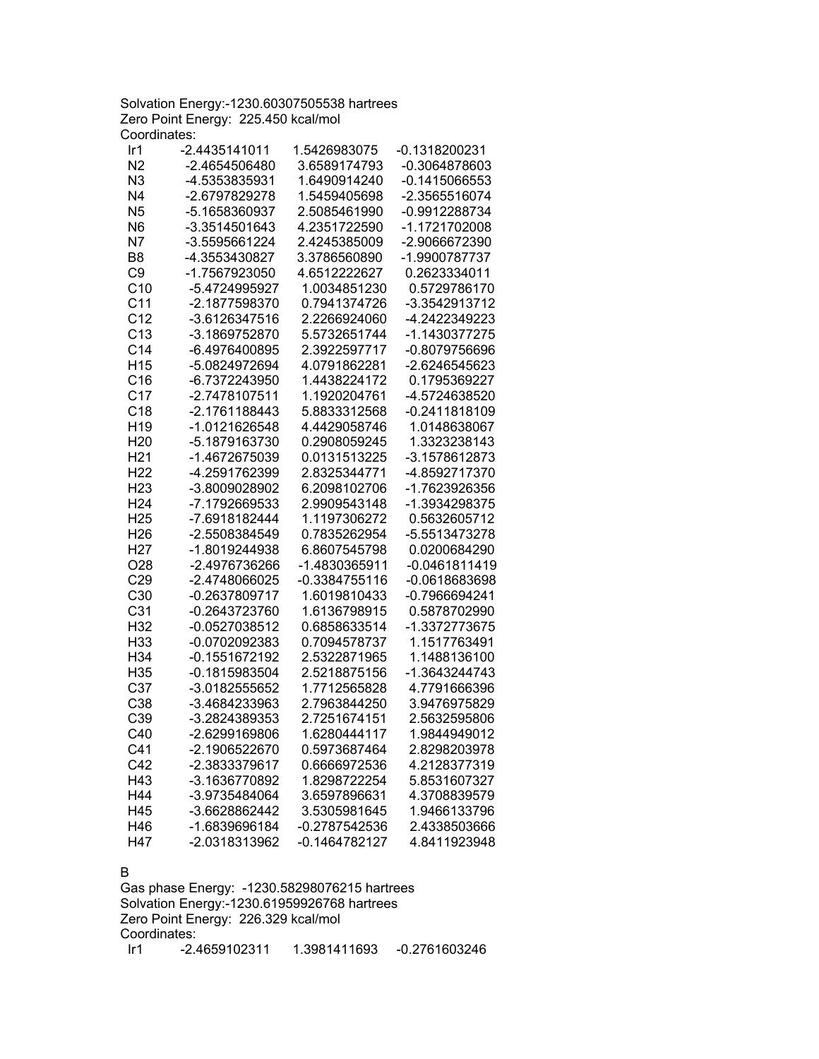Solvation Energy:-1230.60307505538 hartrees Zero Point Energy: 225.450 kcal/mol Coordinates:

| Ir <sub>1</sub> | -2.4435141011 | 1.5426983075    | -0.1318200231   |
|-----------------|---------------|-----------------|-----------------|
| N <sub>2</sub>  | -2.4654506480 | 3.6589174793    | -0.3064878603   |
| N <sub>3</sub>  | -4.5353835931 | 1.6490914240    | $-0.1415066553$ |
| N <sub>4</sub>  | -2.6797829278 | 1.5459405698    | -2.3565516074   |
| N <sub>5</sub>  | -5.1658360937 | 2.5085461990    | -0.9912288734   |
| N <sub>6</sub>  | -3.3514501643 | 4.2351722590    | -1.1721702008   |
| N7              | -3.5595661224 | 2.4245385009    | -2.9066672390   |
| B <sub>8</sub>  | -4.3553430827 | 3.3786560890    | -1.9900787737   |
| C <sub>9</sub>  | -1.7567923050 | 4.6512222627    | 0.2623334011    |
| C10             | -5.4724995927 | 1.0034851230    | 0.5729786170    |
| C <sub>11</sub> | -2.1877598370 | 0.7941374726    | -3.3542913712   |
| C <sub>12</sub> | -3.6126347516 | 2.2266924060    | -4.2422349223   |
| C <sub>13</sub> | -3.1869752870 | 5.5732651744    | -1.1430377275   |
| C <sub>14</sub> | -6.4976400895 | 2.3922597717    | -0.8079756696   |
| H <sub>15</sub> | -5.0824972694 | 4.0791862281    | -2.6246545623   |
| C16             | -6.7372243950 | 1.4438224172    | 0.1795369227    |
| C <sub>17</sub> | -2.7478107511 | 1.1920204761    | -4.5724638520   |
| C18             | -2.1761188443 | 5.8833312568    | -0.2411818109   |
| H <sub>19</sub> | -1.0121626548 | 4.4429058746    | 1.0148638067    |
| H <sub>20</sub> | -5.1879163730 | 0.2908059245    | 1.3323238143    |
| H <sub>21</sub> | -1.4672675039 | 0.0131513225    | -3.1578612873   |
| H <sub>22</sub> | -4.2591762399 | 2.8325344771    | -4.8592717370   |
| H <sub>23</sub> | -3.8009028902 | 6.2098102706    | -1.7623926356   |
| H <sub>24</sub> | -7.1792669533 | 2.9909543148    | -1.3934298375   |
| H <sub>25</sub> | -7.6918182444 | 1.1197306272    | 0.5632605712    |
| H <sub>26</sub> | -2.5508384549 | 0.7835262954    | -5.5513473278   |
| H <sub>27</sub> | -1.8019244938 | 6.8607545798    | 0.0200684290    |
| O28             | -2.4976736266 | -1.4830365911   | $-0.0461811419$ |
| C29             | -2.4748066025 | $-0.3384755116$ | $-0.0618683698$ |
| C30             | -0.2637809717 | 1.6019810433    | -0.7966694241   |
| C <sub>31</sub> | -0.2643723760 | 1.6136798915    | 0.5878702990    |
| H32             | -0.0527038512 | 0.6858633514    | -1.3372773675   |
| H33             | -0.0702092383 | 0.7094578737    | 1.1517763491    |
| H34             | -0.1551672192 | 2.5322871965    | 1.1488136100    |
| H35             | -0.1815983504 | 2.5218875156    | -1.3643244743   |
| C <sub>37</sub> | -3.0182555652 | 1.7712565828    | 4.7791666396    |
| C38             | -3.4684233963 | 2.7963844250    | 3.9476975829    |
| C39             | -3.2824389353 | 2.7251674151    | 2.5632595806    |
| C40             | -2.6299169806 | 1.6280444117    | 1.9844949012    |
| C41             | -2.1906522670 | 0.5973687464    | 2.8298203978    |
| C42             | -2.3833379617 | 0.6666972536    | 4.2128377319    |
| H43             | -3.1636770892 | 1.8298722254    | 5.8531607327    |
| H44             | -3.9735484064 | 3.6597896631    | 4.3708839579    |
| H45             | -3.6628862442 | 3.5305981645    | 1.9466133796    |
| H46             | -1.6839696184 | -0.2787542536   | 2.4338503666    |
| H47             | -2.0318313962 | -0.1464782127   | 4.8411923948    |
|                 |               |                 |                 |

#### B

Gas phase Energy: -1230.58298076215 hartrees Solvation Energy:-1230.61959926768 hartrees Zero Point Energy: 226.329 kcal/mol Coordinates: Ir1 -2.4659102311 1.3981411693 -0.2761603246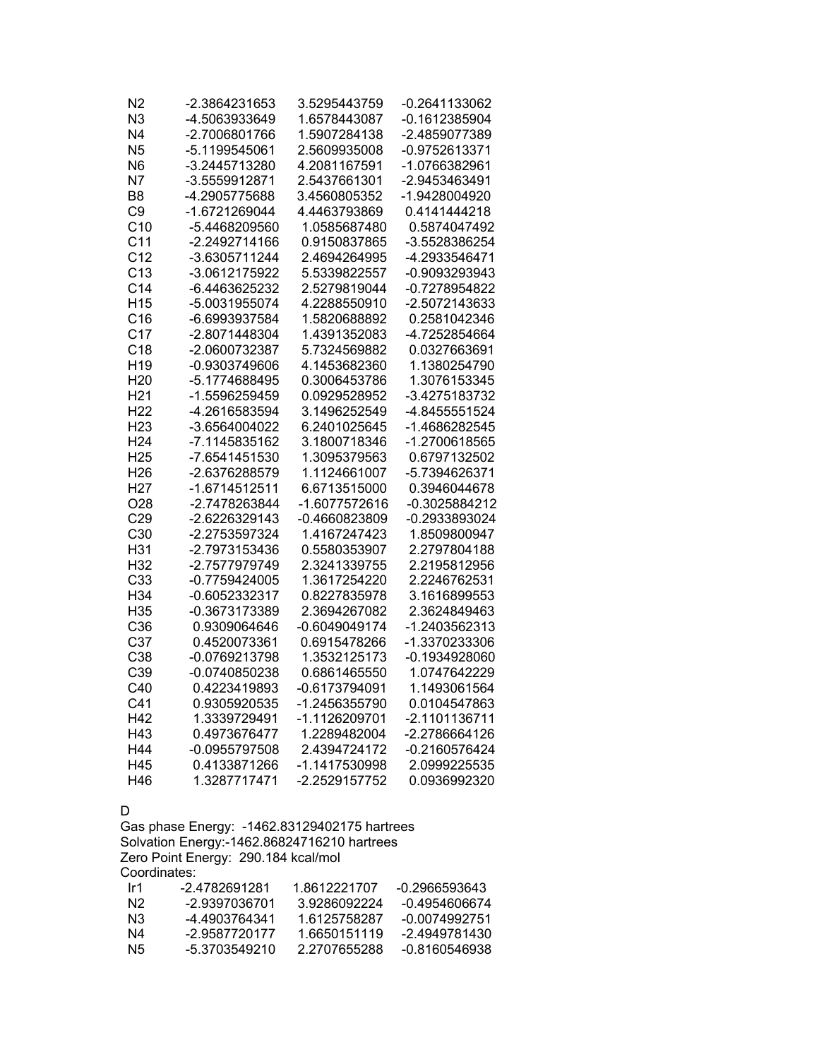| N2              | -2.3864231653   | 3.5295443759  | -0.2641133062   |
|-----------------|-----------------|---------------|-----------------|
| N <sub>3</sub>  | -4.5063933649   | 1.6578443087  | $-0.1612385904$ |
| N <sub>4</sub>  | -2.7006801766   | 1.5907284138  | -2.4859077389   |
| N <sub>5</sub>  | -5.1199545061   | 2.5609935008  | -0.9752613371   |
| N <sub>6</sub>  | -3.2445713280   | 4.2081167591  | -1.0766382961   |
| N7              | -3.5559912871   | 2.5437661301  | -2.9453463491   |
| B <sub>8</sub>  | -4.2905775688   | 3.4560805352  | -1.9428004920   |
| C <sub>9</sub>  | -1.6721269044   | 4.4463793869  | 0.4141444218    |
| C <sub>10</sub> | -5.4468209560   | 1.0585687480  | 0.5874047492    |
| C <sub>11</sub> | -2.2492714166   | 0.9150837865  | -3.5528386254   |
| C <sub>12</sub> | -3.6305711244   | 2.4694264995  | -4.2933546471   |
| C <sub>13</sub> | -3.0612175922   | 5.5339822557  | -0.9093293943   |
| C <sub>14</sub> | -6.4463625232   | 2.5279819044  | -0.7278954822   |
| H <sub>15</sub> | -5.0031955074   | 4.2288550910  | -2.5072143633   |
| C16             | -6.6993937584   | 1.5820688892  | 0.2581042346    |
| C <sub>17</sub> | -2.8071448304   | 1.4391352083  | -4.7252854664   |
| C <sub>18</sub> | -2.0600732387   | 5.7324569882  | 0.0327663691    |
| H <sub>19</sub> | -0.9303749606   | 4.1453682360  | 1.1380254790    |
| H <sub>20</sub> | -5.1774688495   | 0.3006453786  | 1.3076153345    |
| H <sub>21</sub> | -1.5596259459   | 0.0929528952  | -3.4275183732   |
| H <sub>22</sub> | -4.2616583594   | 3.1496252549  | -4.8455551524   |
| H <sub>23</sub> | -3.6564004022   | 6.2401025645  | -1.4686282545   |
| H <sub>24</sub> | -7.1145835162   | 3.1800718346  | -1.2700618565   |
| H <sub>25</sub> | -7.6541451530   | 1.3095379563  | 0.6797132502    |
| H <sub>26</sub> | -2.6376288579   | 1.1124661007  | -5.7394626371   |
| H <sub>27</sub> | -1.6714512511   | 6.6713515000  | 0.3946044678    |
| O <sub>28</sub> | -2.7478263844   | -1.6077572616 | -0.3025884212   |
| C29             | -2.6226329143   | -0.4660823809 | -0.2933893024   |
| C30             | -2.2753597324   | 1.4167247423  | 1.8509800947    |
| H31             | -2.7973153436   | 0.5580353907  | 2.2797804188    |
| H32             | -2.7577979749   | 2.3241339755  | 2.2195812956    |
| C33             | $-0.7759424005$ | 1.3617254220  | 2.2246762531    |
| H34             | -0.6052332317   | 0.8227835978  | 3.1616899553    |
| H35             | -0.3673173389   | 2.3694267082  | 2.3624849463    |
| C36             | 0.9309064646    | -0.6049049174 | -1.2403562313   |
| C <sub>37</sub> | 0.4520073361    | 0.6915478266  | -1.3370233306   |
| C38             | -0.0769213798   | 1.3532125173  | -0.1934928060   |
| C39             | -0.0740850238   | 0.6861465550  | 1.0747642229    |
| C40             | 0.4223419893    | -0.6173794091 | 1.1493061564    |
| C <sub>41</sub> | 0.9305920535    | -1.2456355790 | 0.0104547863    |
| H42             | 1.3339729491    | -1.1126209701 | -2.1101136711   |
| H43             | 0.4973676477    | 1.2289482004  | -2.2786664126   |
| H44             | -0.0955797508   | 2.4394724172  | $-0.2160576424$ |
| H45             | 0.4133871266    | -1.1417530998 | 2.0999225535    |
| H46             | 1.3287717471    | -2.2529157752 | 0.0936992320    |

#### D

Gas phase Energy: -1462.83129402175 hartrees Solvation Energy:-1462.86824716210 hartrees Zero Point Energy: 290.184 kcal/mol Coordinates:

| -0 2966593643 |
|---------------|
| -0.4954606674 |
| -0.0074992751 |
| -2.4949781430 |
| -0.8160546938 |
|               |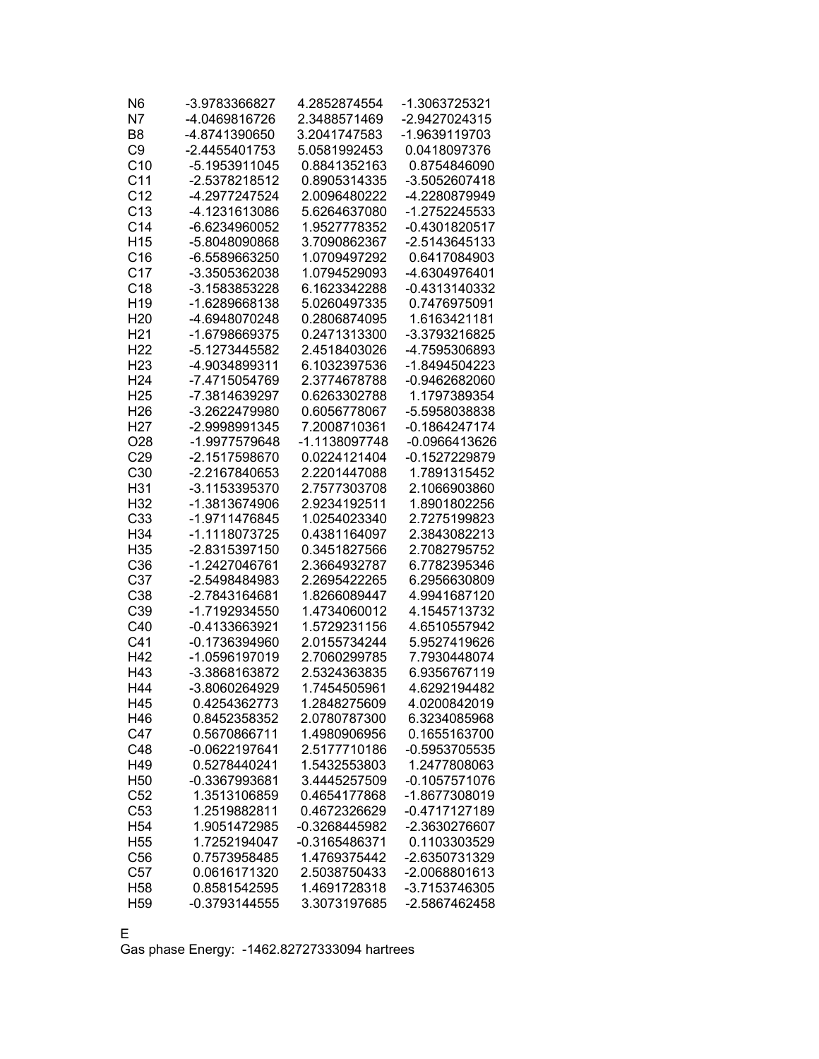| N <sub>6</sub>         | -3.9783366827                  | 4.2852874554                 | -1.3063725321                |
|------------------------|--------------------------------|------------------------------|------------------------------|
| N7                     | -4.0469816726                  | 2.3488571469                 | -2.9427024315                |
| B <sub>8</sub>         | -4.8741390650                  | 3.2041747583                 | -1.9639119703                |
| C <sub>9</sub>         | -2.4455401753                  | 5.0581992453                 | 0.0418097376                 |
| C <sub>10</sub>        | -5.1953911045                  | 0.8841352163                 | 0.8754846090                 |
| C <sub>11</sub>        | -2.5378218512                  | 0.8905314335                 | -3.5052607418                |
| C <sub>12</sub>        | -4.2977247524                  | 2.0096480222                 | -4.2280879949                |
| C13                    | -4.1231613086                  | 5.6264637080                 | -1.2752245533                |
| C <sub>14</sub>        | -6.6234960052                  | 1.9527778352                 | -0.4301820517                |
| H <sub>15</sub>        | -5.8048090868                  | 3.7090862367                 | -2.5143645133                |
| C16                    | -6.5589663250                  | 1.0709497292                 | 0.6417084903                 |
| C <sub>17</sub>        | -3.3505362038                  | 1.0794529093                 | -4.6304976401                |
| C <sub>18</sub>        | -3.1583853228                  | 6.1623342288                 | -0.4313140332                |
| H <sub>19</sub>        | -1.6289668138                  | 5.0260497335                 | 0.7476975091                 |
| H <sub>20</sub>        | -4.6948070248                  | 0.2806874095                 | 1.6163421181                 |
| H <sub>21</sub>        | -1.6798669375                  | 0.2471313300                 | -3.3793216825                |
| H <sub>22</sub>        | -5.1273445582                  | 2.4518403026                 | -4.7595306893                |
| H <sub>23</sub>        | -4.9034899311                  | 6.1032397536                 | -1.8494504223                |
| H <sub>24</sub>        | -7.4715054769                  | 2.3774678788                 | -0.9462682060                |
| H <sub>25</sub>        | -7.3814639297                  | 0.6263302788                 | 1.1797389354                 |
| H <sub>26</sub>        | -3.2622479980                  | 0.6056778067                 | -5.5958038838                |
| H <sub>27</sub>        | -2.9998991345                  | 7.2008710361                 | -0.1864247174                |
| O28                    | -1.9977579648                  | -1.1138097748                | -0.0966413626                |
| C29                    | -2.1517598670                  | 0.0224121404                 | -0.1527229879                |
| C <sub>30</sub>        | -2.2167840653                  | 2.2201447088                 | 1.7891315452                 |
| H31                    | -3.1153395370                  | 2.7577303708                 | 2.1066903860                 |
| H32                    | -1.3813674906                  | 2.9234192511                 | 1.8901802256                 |
| C33                    | -1.9711476845                  | 1.0254023340                 | 2.7275199823                 |
| H34                    | -1.1118073725                  | 0.4381164097                 | 2.3843082213                 |
| H <sub>35</sub>        | -2.8315397150                  | 0.3451827566                 | 2.7082795752                 |
| C36                    | -1.2427046761                  | 2.3664932787                 | 6.7782395346                 |
| C37                    | -2.5498484983                  | 2.2695422265                 | 6.2956630809                 |
| C38                    | -2.7843164681                  | 1.8266089447                 | 4.9941687120                 |
| C39                    | -1.7192934550                  | 1.4734060012                 | 4.1545713732                 |
| C40<br>C <sub>41</sub> | -0.4133663921                  | 1.5729231156                 | 4.6510557942                 |
| H42                    | -0.1736394960<br>-1.0596197019 | 2.0155734244                 | 5.9527419626                 |
| H43                    | -3.3868163872                  | 2.7060299785<br>2.5324363835 | 7.7930448074<br>6.9356767119 |
| H44                    | -3.8060264929                  | 1.7454505961                 | 4.6292194482                 |
| H45                    | 0.4254362773                   | 1.2848275609                 | 4.0200842019                 |
| H46                    | 0.8452358352                   | 2.0780787300                 | 6.3234085968                 |
| C47                    | 0.5670866711                   | 1.4980906956                 | 0.1655163700                 |
| C48                    | -0.0622197641                  | 2.5177710186                 | $-0.5953705535$              |
| H49                    | 0.5278440241                   | 1.5432553803                 | 1.2477808063                 |
| H <sub>50</sub>        | -0.3367993681                  | 3.4445257509                 | $-0.1057571076$              |
| C52                    | 1.3513106859                   | 0.4654177868                 | -1.8677308019                |
| C <sub>53</sub>        | 1.2519882811                   | 0.4672326629                 | -0.4717127189                |
| H <sub>54</sub>        | 1.9051472985                   | -0.3268445982                | -2.3630276607                |
| H <sub>55</sub>        | 1.7252194047                   | -0.3165486371                | 0.1103303529                 |
| C56                    | 0.7573958485                   | 1.4769375442                 | -2.6350731329                |
| C57                    | 0.0616171320                   | 2.5038750433                 | -2.0068801613                |
| H <sub>58</sub>        | 0.8581542595                   | 1.4691728318                 | -3.7153746305                |
| H <sub>59</sub>        | -0.3793144555                  | 3.3073197685                 | -2.5867462458                |
|                        |                                |                              |                              |

E

Gas phase Energy: -1462.82727333094 hartrees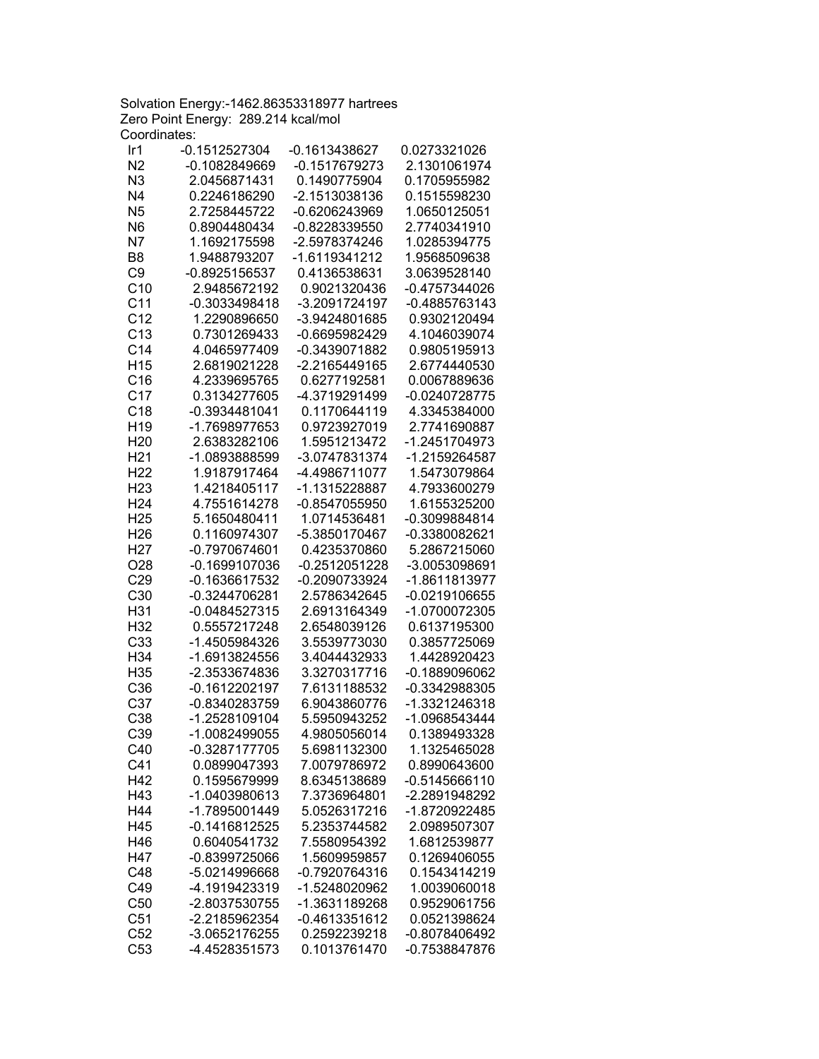Solvation Energy:-1462.86353318977 hartrees Zero Point Energy: 289.214 kcal/mol Coordinates:

| Ir1             | -0.1512527304   | -0.1613438627   | 0.0273321026    |
|-----------------|-----------------|-----------------|-----------------|
| N <sub>2</sub>  | -0.1082849669   | -0.1517679273   | 2.1301061974    |
| N3              | 2.0456871431    | 0.1490775904    | 0.1705955982    |
| N <sub>4</sub>  | 0.2246186290    | -2.1513038136   | 0.1515598230    |
| N <sub>5</sub>  | 2.7258445722    | -0.6206243969   | 1.0650125051    |
| N <sub>6</sub>  | 0.8904480434    | -0.8228339550   | 2.7740341910    |
| N7              | 1.1692175598    | -2.5978374246   | 1.0285394775    |
| B <sub>8</sub>  | 1.9488793207    | -1.6119341212   | 1.9568509638    |
| C <sub>9</sub>  | -0.8925156537   | 0.4136538631    | 3.0639528140    |
| C10             | 2.9485672192    | 0.9021320436    | -0.4757344026   |
| C <sub>11</sub> | -0.3033498418   | -3.2091724197   | -0.4885763143   |
| C <sub>12</sub> | 1.2290896650    | -3.9424801685   | 0.9302120494    |
| C <sub>13</sub> | 0.7301269433    | $-0.6695982429$ | 4.1046039074    |
| C <sub>14</sub> | 4.0465977409    | -0.3439071882   | 0.9805195913    |
| H <sub>15</sub> |                 |                 |                 |
|                 | 2.6819021228    | -2.2165449165   | 2.6774440530    |
| C16             | 4.2339695765    | 0.6277192581    | 0.0067889636    |
| C <sub>17</sub> | 0.3134277605    | -4.3719291499   | -0.0240728775   |
| C <sub>18</sub> | -0.3934481041   | 0.1170644119    | 4.3345384000    |
| H <sub>19</sub> | -1.7698977653   | 0.9723927019    | 2.7741690887    |
| H <sub>20</sub> | 2.6383282106    | 1.5951213472    | -1.2451704973   |
| H <sub>21</sub> | -1.0893888599   | -3.0747831374   | -1.2159264587   |
| H <sub>22</sub> | 1.9187917464    | -4.4986711077   | 1.5473079864    |
| H <sub>23</sub> | 1.4218405117    | -1.1315228887   | 4.7933600279    |
| H <sub>24</sub> | 4.7551614278    | -0.8547055950   | 1.6155325200    |
| H <sub>25</sub> | 5.1650480411    | 1.0714536481    | -0.3099884814   |
| H <sub>26</sub> | 0.1160974307    | -5.3850170467   | -0.3380082621   |
| H <sub>27</sub> | -0.7970674601   | 0.4235370860    | 5.2867215060    |
| O <sub>28</sub> | -0.1699107036   | $-0.2512051228$ | -3.0053098691   |
| C <sub>29</sub> | -0.1636617532   | -0.2090733924   | -1.8611813977   |
| C30             | -0.3244706281   | 2.5786342645    | -0.0219106655   |
| H31             | -0.0484527315   | 2.6913164349    | -1.0700072305   |
| H32             | 0.5557217248    | 2.6548039126    | 0.6137195300    |
| C33             | -1.4505984326   | 3.5539773030    | 0.3857725069    |
| H34             | -1.6913824556   | 3.4044432933    | 1.4428920423    |
| H35             | -2.3533674836   | 3.3270317716    | $-0.1889096062$ |
| C36             | $-0.1612202197$ | 7.6131188532    | -0.3342988305   |
| C37             | -0.8340283759   | 6.9043860776    | -1.3321246318   |
| C38             | -1.2528109104   | 5.5950943252    | -1.0968543444   |
| C39             | -1.0082499055   | 4.9805056014    | 0.1389493328    |
| C40             | -0.3287177705   | 5.6981132300    | 1.1325465028    |
| C41             | 0.0899047393    | 7.0079786972    | 0.8990643600    |
| H42             | 0.1595679999    | 8.6345138689    | $-0.5145666110$ |
|                 | -1.0403980613   |                 | -2.2891948292   |
| H43             | -1.7895001449   | 7.3736964801    |                 |
| H44             |                 | 5.0526317216    | -1.8720922485   |
| H45             | $-0.1416812525$ | 5.2353744582    | 2.0989507307    |
| H46             | 0.6040541732    | 7.5580954392    | 1.6812539877    |
| H47             | $-0.8399725066$ | 1.5609959857    | 0.1269406055    |
| C48             | -5.0214996668   | -0.7920764316   | 0.1543414219    |
| C49             | -4.1919423319   | -1.5248020962   | 1.0039060018    |
| C50             | -2.8037530755   | -1.3631189268   | 0.9529061756    |
| C51             | -2.2185962354   | $-0.4613351612$ | 0.0521398624    |
| C52             | -3.0652176255   | 0.2592239218    | -0.8078406492   |
| C53             | -4.4528351573   | 0.1013761470    | -0.7538847876   |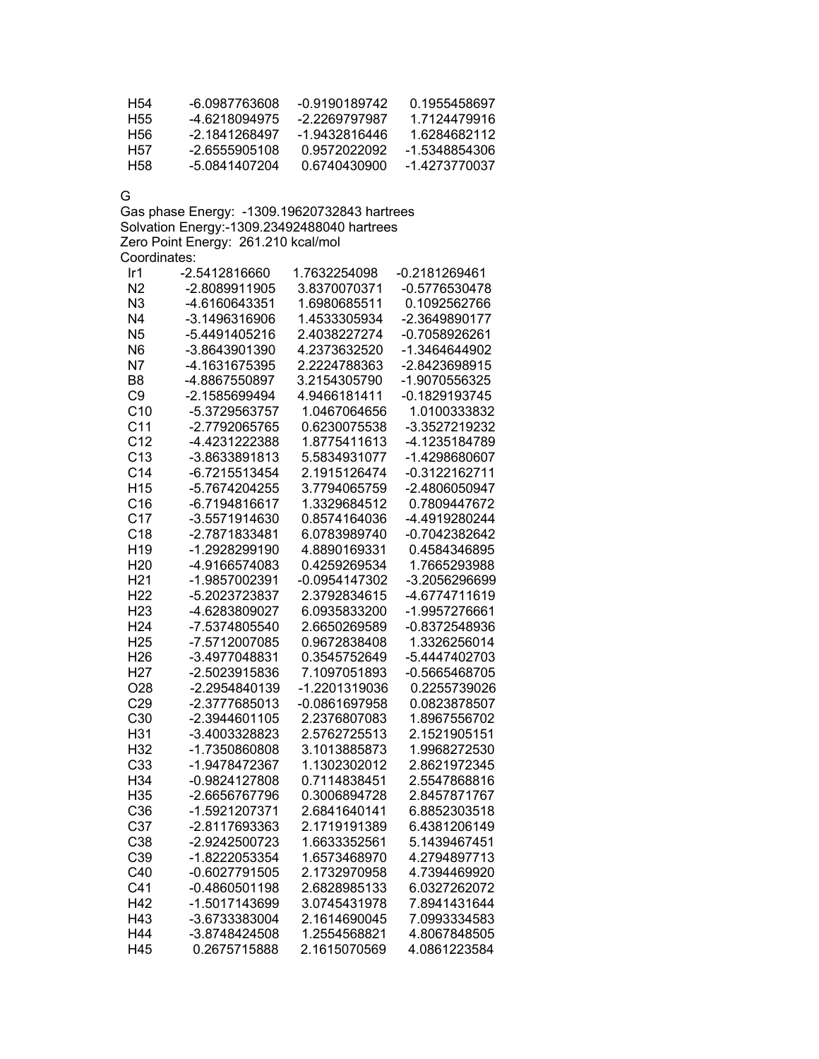| H54 | -6 0987763608   | -0.9190189742 | 0 1955458697  |
|-----|-----------------|---------------|---------------|
| H55 | -4 6218094975   | -2 2269797987 | 1 7124479916  |
| H56 | -2 1841268497   | -1.9432816446 | 1 6284682112  |
| H57 | $-2.6555905108$ | 0.9572022092  | -1.5348854306 |
| H58 | -5 0841407204   | 0.6740430900  | -1 4273770037 |

G

Gas phase Energy: -1309.19620732843 hartrees Solvation Energy:-1309.23492488040 hartrees Zero Point Energy: 261.210 kcal/mol Coordinates:

| Ir1             | -2.5412816660   | 1.7632254098    | -0.2181269461   |
|-----------------|-----------------|-----------------|-----------------|
| N <sub>2</sub>  | -2.8089911905   | 3.8370070371    | -0.5776530478   |
| N <sub>3</sub>  | -4.6160643351   | 1.6980685511    | 0.1092562766    |
| N <sub>4</sub>  | -3.1496316906   | 1.4533305934    | -2.3649890177   |
| N <sub>5</sub>  | -5.4491405216   | 2.4038227274    | $-0.7058926261$ |
| N <sub>6</sub>  | -3.8643901390   | 4.2373632520    | -1.3464644902   |
| <b>N7</b>       | -4.1631675395   | 2.2224788363    | -2.8423698915   |
| B <sub>8</sub>  | -4.8867550897   | 3.2154305790    | -1.9070556325   |
| C <sub>9</sub>  | -2.1585699494   | 4.9466181411    | $-0.1829193745$ |
| C10             | -5.3729563757   | 1.0467064656    | 1.0100333832    |
| C <sub>11</sub> | -2.7792065765   | 0.6230075538    | -3.3527219232   |
| C <sub>12</sub> | -4.4231222388   | 1.8775411613    | -4.1235184789   |
| C13             | -3.8633891813   | 5.5834931077    | -1.4298680607   |
| C <sub>14</sub> | -6.7215513454   | 2.1915126474    | $-0.3122162711$ |
| H <sub>15</sub> | -5.7674204255   | 3.7794065759    | -2.4806050947   |
| C16             | -6.7194816617   | 1.3329684512    | 0.7809447672    |
| C <sub>17</sub> | -3.5571914630   | 0.8574164036    | -4.4919280244   |
| C <sub>18</sub> | -2.7871833481   | 6.0783989740    | -0.7042382642   |
| H <sub>19</sub> | -1.2928299190   | 4.8890169331    | 0.4584346895    |
| H <sub>20</sub> | -4.9166574083   | 0.4259269534    | 1.7665293988    |
| H <sub>21</sub> | -1.9857002391   | $-0.0954147302$ | -3.2056296699   |
| H <sub>22</sub> | -5.2023723837   | 2.3792834615    | -4.6774711619   |
| H <sub>23</sub> | -4.6283809027   | 6.0935833200    | -1.9957276661   |
| H <sub>24</sub> | -7.5374805540   | 2.6650269589    | -0.8372548936   |
| H <sub>25</sub> | -7.5712007085   | 0.9672838408    | 1.3326256014    |
| H <sub>26</sub> | -3.4977048831   | 0.3545752649    | -5.4447402703   |
| H <sub>27</sub> | -2.5023915836   | 7.1097051893    | $-0.5665468705$ |
| O <sub>28</sub> | -2.2954840139   | -1.2201319036   | 0.2255739026    |
| C29             | -2.3777685013   | $-0.0861697958$ | 0.0823878507    |
| C30             | -2.3944601105   | 2.2376807083    | 1.8967556702    |
| H31             | -3.4003328823   | 2.5762725513    | 2.1521905151    |
| H32             | -1.7350860808   | 3.1013885873    | 1.9968272530    |
| C33             | -1.9478472367   | 1.1302302012    | 2.8621972345    |
| H34             | -0.9824127808   | 0.7114838451    | 2.5547868816    |
| H35             | -2.6656767796   | 0.3006894728    | 2.8457871767    |
| C36             | -1.5921207371   | 2.6841640141    | 6.8852303518    |
| C37             | -2.8117693363   | 2.1719191389    | 6.4381206149    |
| C38             | -2.9242500723   | 1.6633352561    | 5.1439467451    |
| C39             | -1.8222053354   | 1.6573468970    | 4.2794897713    |
| C40             | $-0.6027791505$ | 2.1732970958    | 4.7394469920    |
| C41             | $-0.4860501198$ | 2.6828985133    | 6.0327262072    |
| H42             | -1.5017143699   | 3.0745431978    | 7.8941431644    |
| H43             | -3.6733383004   | 2.1614690045    | 7.0993334583    |
| H44             | -3.8748424508   | 1.2554568821    | 4.8067848505    |
| H45             | 0.2675715888    | 2.1615070569    | 4.0861223584    |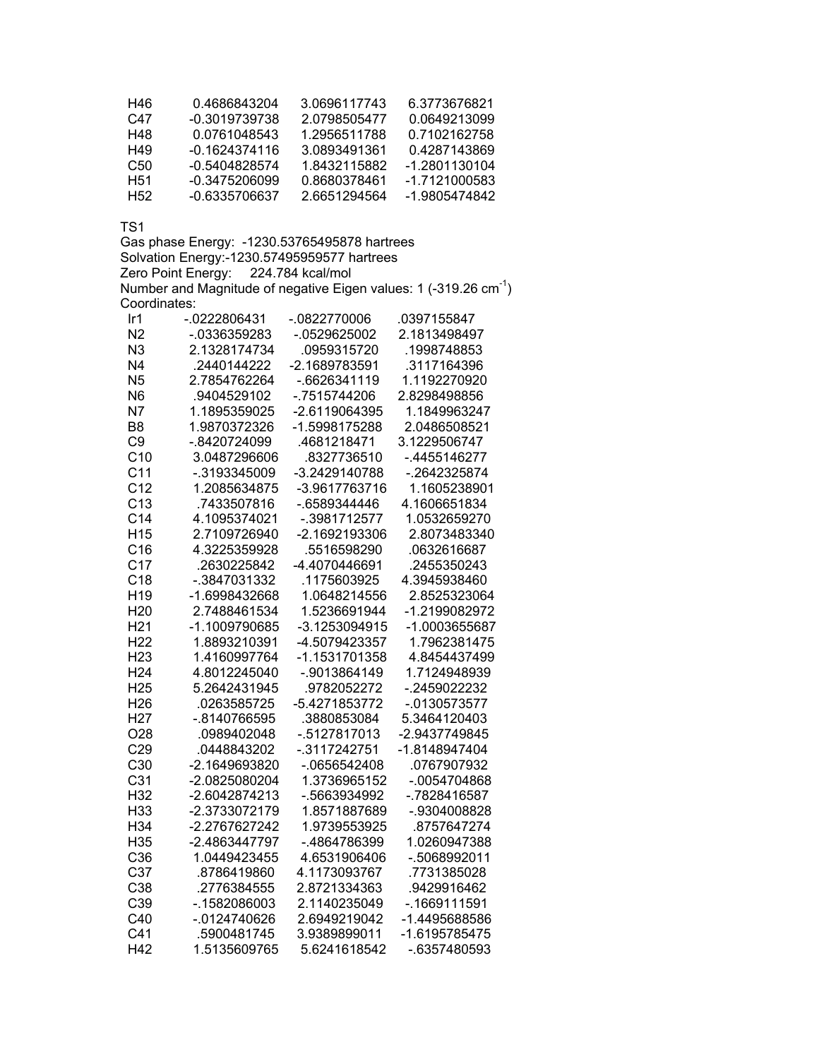| H46 | 0 4686843204  | 3.0696117743 | 6.3773676821  |
|-----|---------------|--------------|---------------|
| C47 | -0.3019739738 | 2.0798505477 | 0.0649213099  |
| H48 | 0.0761048543  | 1.2956511788 | 0.7102162758  |
| H49 | -0 1624374116 | 3 0893491361 | 0.4287143869  |
| C50 | -0.5404828574 | 1 8432115882 | -1 2801130104 |
| H51 | -0.3475206099 | 0.8680378461 | -1 7121000583 |
| H52 | -0.6335706637 | 2 6651294564 | -1.9805474842 |

Gas phase Energy: -1230.53765495878 hartrees Solvation Energy:-1230.57495959577 hartrees Zero Point Energy: 224.784 kcal/mol Number and Magnitude of negative Eigen values: 1 (-319.26  $cm^{-1}$ ) Coordinates:

| Ir <sub>1</sub> | -.0222806431    | $-0822770006$  | 0397155847      |
|-----------------|-----------------|----------------|-----------------|
| N <sub>2</sub>  | -.0336359283    | -.0529625002   | 2.1813498497    |
| N3              | 2.1328174734    | .0959315720    | .1998748853     |
| N <sub>4</sub>  | .2440144222     | -2.1689783591  | .3117164396     |
| N <sub>5</sub>  | 2.7854762264    | -.6626341119   | 1.1192270920    |
| N <sub>6</sub>  | .9404529102     | -.7515744206   | 2.8298498856    |
| N <sub>7</sub>  | 1.1895359025    | -2.6119064395  | 1.1849963247    |
| B <sub>8</sub>  | 1.9870372326    | -1.5998175288  | 2.0486508521    |
| C <sub>9</sub>  | -.8420724099    | .4681218471    | 3.1229506747    |
| C <sub>10</sub> | 3.0487296606    | .8327736510    | -.4455146277    |
| C <sub>11</sub> | -.3193345009    | -3.2429140788  | -.2642325874    |
| C <sub>12</sub> | 1.2085634875    | -3.9617763716  | 1.1605238901    |
| C <sub>13</sub> | .7433507816     | -.6589344446   | 4.1606651834    |
| C <sub>14</sub> | 4.1095374021    | -.3981712577   | 1.0532659270    |
| H <sub>15</sub> | 2.7109726940    | -2.1692193306  | 2.8073483340    |
| C16             | 4.3225359928    | .5516598290    | .0632616687     |
| C <sub>17</sub> | .2630225842     | -4.4070446691  | .2455350243     |
| C18             | -.3847031332    | .1175603925    | 4.3945938460    |
| H <sub>19</sub> | -1.6998432668   | 1.0648214556   | 2.8525323064    |
| H <sub>20</sub> | 2.7488461534    | 1.5236691944   | -1.2199082972   |
| H <sub>21</sub> | -1.1009790685   | -3.1253094915  | -1.0003655687   |
| H <sub>22</sub> | 1.8893210391    | -4.5079423357  | 1.7962381475    |
| H <sub>23</sub> | 1.4160997764    | -1.1531701358  | 4.8454437499    |
| H <sub>24</sub> | 4.8012245040    | -.9013864149   | 1.7124948939    |
| H <sub>25</sub> | 5.2642431945    | .9782052272    | $-2459022232$   |
| H <sub>26</sub> | .0263585725     | -5.4271853772  | $-0130573577$   |
| H <sub>27</sub> | -.8140766595    | .3880853084    | 5.3464120403    |
| O <sub>28</sub> | .0989402048     | -.5127817013   | -2.9437749845   |
| C29             | .0448843202     | $-.3117242751$ | -1.8148947404   |
| C <sub>30</sub> | -2.1649693820   | $-0656542408$  | .0767907932     |
| C <sub>31</sub> | -2.0825080204   | 1.3736965152   | $-0.0054704868$ |
| H32             | -2.6042874213   | -.5663934992   | -.7828416587    |
| H <sub>33</sub> | -2.3733072179   | 1.8571887689   | -.9304008828    |
| H34             | -2.2767627242   | 1.9739553925   | .8757647274     |
| H35             | -2.4863447797   | -.4864786399   | 1.0260947388    |
| C36             | 1.0449423455    | 4.6531906406   | -.5068992011    |
| C37             | .8786419860     | 4.1173093767   | .7731385028     |
| C38             | .2776384555     | 2.8721334363   | .9429916462     |
| C39             | $-0.1582086003$ | 2.1140235049   | $-0.1669111591$ |
| C40             | $-0124740626$   | 2.6949219042   | -1.4495688586   |
| C <sub>41</sub> | .5900481745     | 3.9389899011   | -1.6195785475   |
| H42             | 1.5135609765    | 5.6241618542   | -.6357480593    |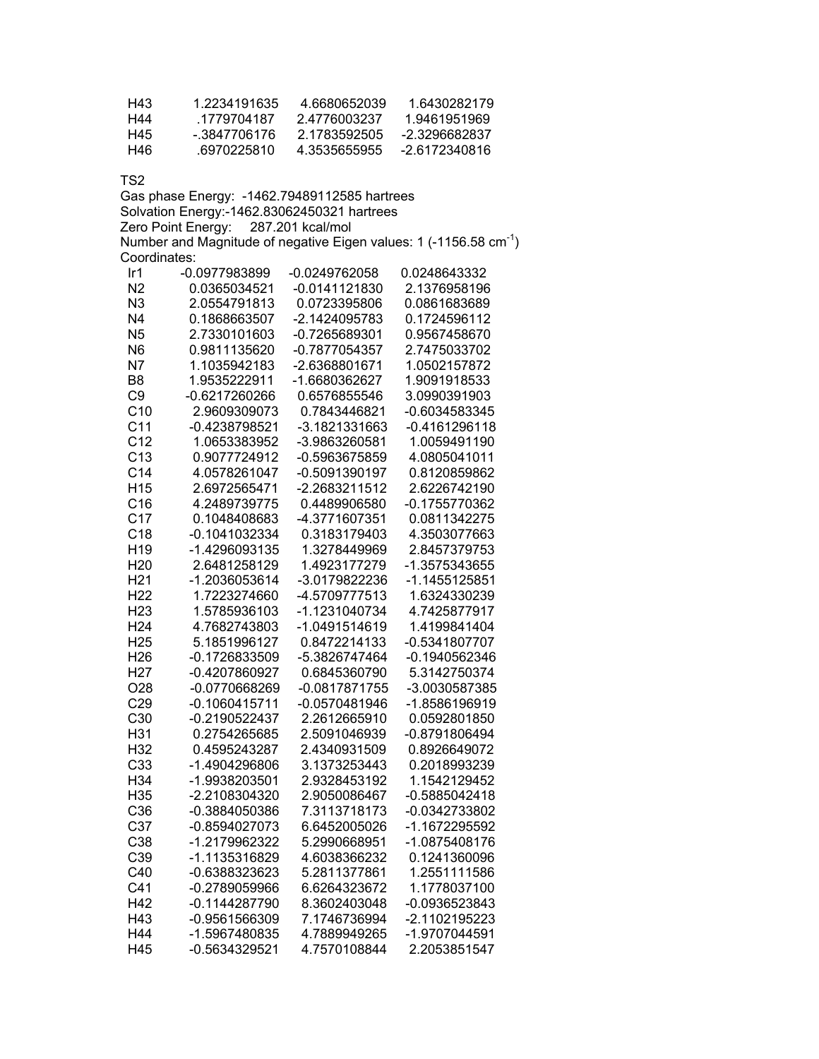| H43 | 1.2234191635 | 4 6680652039 | 16430282179   |
|-----|--------------|--------------|---------------|
| H44 | 1779704187   | 24776003237  | 1.9461951969  |
| H45 | - 3847706176 | 2 1783592505 | -2 3296682837 |
| H46 | 6970225810   | 4 3535655955 | -2 6172340816 |

Gas phase Energy: -1462.79489112585 hartrees Solvation Energy:-1462.83062450321 hartrees Zero Point Energy: 287.201 kcal/mol Number and Magnitude of negative Eigen values: 1 (-1156.58  $cm^{-1}$ ) Coordinates:

| Ir1             | -0.0977983899   | -0.0249762058   | 0.0248643332    |
|-----------------|-----------------|-----------------|-----------------|
| N2              | 0.0365034521    | $-0.0141121830$ | 2.1376958196    |
| N <sub>3</sub>  | 2.0554791813    | 0.0723395806    | 0.0861683689    |
| N <sub>4</sub>  | 0.1868663507    | -2.1424095783   | 0.1724596112    |
| N <sub>5</sub>  | 2.7330101603    | -0.7265689301   | 0.9567458670    |
| N <sub>6</sub>  | 0.9811135620    | -0.7877054357   | 2.7475033702    |
| N <sub>7</sub>  | 1.1035942183    | -2.6368801671   | 1.0502157872    |
| B <sub>8</sub>  | 1.9535222911    | -1.6680362627   | 1.9091918533    |
| C <sub>9</sub>  | -0.6217260266   | 0.6576855546    | 3.0990391903    |
| C10             | 2.9609309073    | 0.7843446821    | -0.6034583345   |
| C <sub>11</sub> | -0.4238798521   | -3.1821331663   | $-0.4161296118$ |
| C <sub>12</sub> | 1.0653383952    | -3.9863260581   | 1.0059491190    |
| C <sub>13</sub> | 0.9077724912    | -0.5963675859   | 4.0805041011    |
| C <sub>14</sub> | 4.0578261047    | -0.5091390197   | 0.8120859862    |
| H <sub>15</sub> | 2.6972565471    | -2.2683211512   | 2.6226742190    |
| C16             | 4.2489739775    | 0.4489906580    | -0.1755770362   |
| C <sub>17</sub> | 0.1048408683    | -4.3771607351   | 0.0811342275    |
| C18             | -0.1041032334   | 0.3183179403    | 4.3503077663    |
| H <sub>19</sub> | -1.4296093135   | 1.3278449969    | 2.8457379753    |
| H <sub>20</sub> | 2.6481258129    | 1.4923177279    | -1.3575343655   |
| H <sub>21</sub> | -1.2036053614   | -3.0179822236   | -1.1455125851   |
| H <sub>22</sub> | 1.7223274660    | -4.5709777513   | 1.6324330239    |
| H <sub>23</sub> | 1.5785936103    | -1.1231040734   | 4.7425877917    |
| H <sub>24</sub> | 4.7682743803    | -1.0491514619   | 1.4199841404    |
| H <sub>25</sub> | 5.1851996127    | 0.8472214133    | -0.5341807707   |
| H <sub>26</sub> | -0.1726833509   | -5.3826747464   | -0.1940562346   |
| H <sub>27</sub> | -0.4207860927   | 0.6845360790    | 5.3142750374    |
| O28             | -0.0770668269   | $-0.0817871755$ | -3.0030587385   |
| C29             | $-0.1060415711$ | -0.0570481946   | -1.8586196919   |
| C <sub>30</sub> | -0.2190522437   | 2.2612665910    | 0.0592801850    |
| H31             | 0.2754265685    | 2.5091046939    | -0.8791806494   |
| H32             | 0.4595243287    | 2.4340931509    | 0.8926649072    |
| C <sub>33</sub> | -1.4904296806   | 3.1373253443    | 0.2018993239    |
| H34             | -1.9938203501   | 2.9328453192    | 1.1542129452    |
| H <sub>35</sub> | -2.2108304320   | 2.9050086467    | -0.5885042418   |
| C36             | -0.3884050386   | 7.3113718173    | -0.0342733802   |
| C37             | -0.8594027073   | 6.6452005026    | -1.1672295592   |
| C38             | -1.2179962322   | 5.2990668951    | -1.0875408176   |
| C39             | -1.1135316829   | 4.6038366232    | 0.1241360096    |
| C40             | -0.6388323623   | 5.2811377861    | 1.2551111586    |
| C <sub>41</sub> | -0.2789059966   | 6.6264323672    | 1.1778037100    |
| H42             | $-0.1144287790$ | 8.3602403048    | -0.0936523843   |
| H43             | -0.9561566309   | 7.1746736994    | -2.1102195223   |
| H44             | -1.5967480835   | 4.7889949265    | -1.9707044591   |
| H45             | -0.5634329521   | 4.7570108844    | 2.2053851547    |
|                 |                 |                 |                 |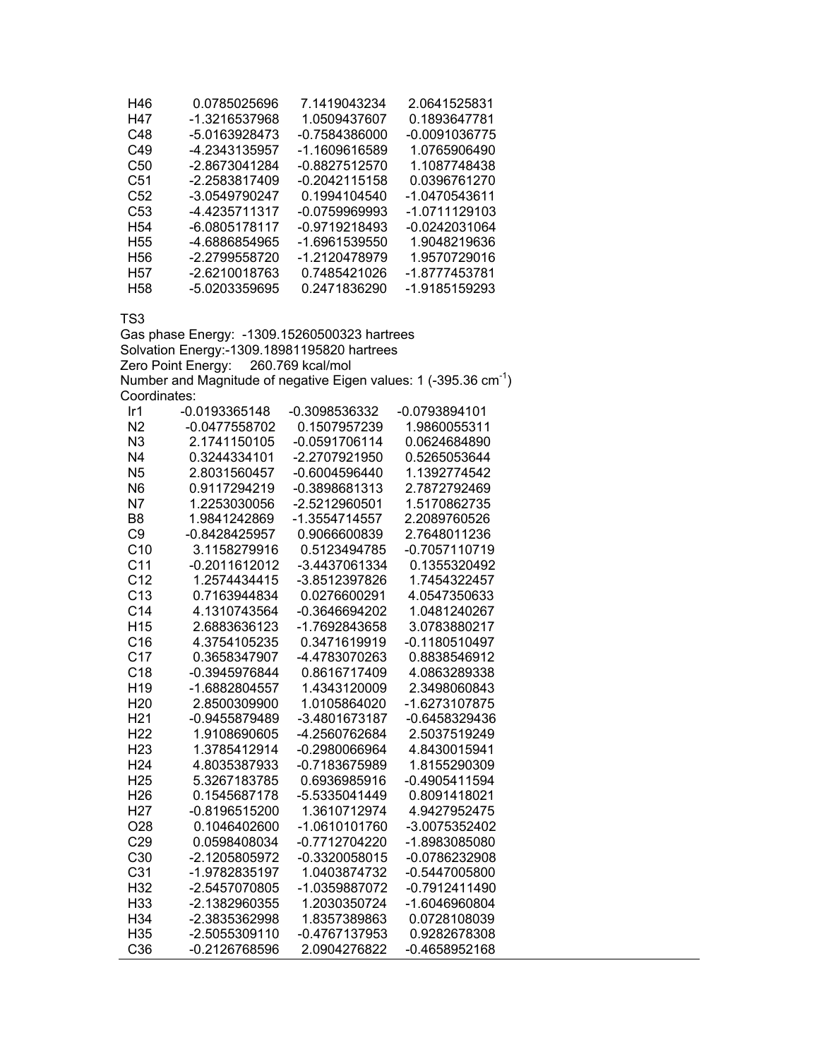| H46             | 0.0785025696  | 7.1419043234    | 2.0641525831  |
|-----------------|---------------|-----------------|---------------|
| H47             | -1.3216537968 | 1.0509437607    | 0.1893647781  |
| C48             | -5.0163928473 | -0.7584386000   | -0.0091036775 |
| C49             | -4.2343135957 | -1.1609616589   | 1.0765906490  |
| C <sub>50</sub> | -2.8673041284 | -0.8827512570   | 1.1087748438  |
| C51             | -2.2583817409 | -0.2042115158   | 0.0396761270  |
| C52             | -3.0549790247 | 0.1994104540    | -1.0470543611 |
| C53             | -4.4235711317 | $-0.0759969993$ | -1.0711129103 |
| H <sub>54</sub> | -6.0805178117 | -0.9719218493   | -0.0242031064 |
| H <sub>55</sub> | -4.6886854965 | -1.6961539550   | 1.9048219636  |
| H <sub>56</sub> | -2.2799558720 | -1.2120478979   | 1.9570729016  |
| H <sub>57</sub> | -2.6210018763 | 0.7485421026    | -1.8777453781 |
| H58             | -5.0203359695 | 0.2471836290    | -1.9185159293 |

Gas phase Energy: -1309.15260500323 hartrees Solvation Energy:-1309.18981195820 hartrees Zero Point Energy: 260.769 kcal/mol Number and Magnitude of negative Eigen values: 1 (-395.36  $cm^{-1}$ ) Coordinates:

| Ir1             | -0.0193365148 | -0.3098536332   | -0.0793894101   |
|-----------------|---------------|-----------------|-----------------|
| N <sub>2</sub>  | -0.0477558702 | 0.1507957239    | 1.9860055311    |
| N3              | 2.1741150105  | -0.0591706114   | 0.0624684890    |
| N4              | 0.3244334101  | -2.2707921950   | 0.5265053644    |
| N <sub>5</sub>  | 2.8031560457  | -0.6004596440   | 1.1392774542    |
| N <sub>6</sub>  | 0.9117294219  | -0.3898681313   | 2.7872792469    |
| N7              | 1.2253030056  | -2.5212960501   | 1.5170862735    |
| B <sub>8</sub>  | 1.9841242869  | -1.3554714557   | 2.2089760526    |
| C <sub>9</sub>  | -0.8428425957 | 0.9066600839    | 2.7648011236    |
| C <sub>10</sub> | 3.1158279916  | 0.5123494785    | -0.7057110719   |
| C <sub>11</sub> | -0.2011612012 | -3.4437061334   | 0.1355320492    |
| C <sub>12</sub> | 1.2574434415  | -3.8512397826   | 1.7454322457    |
| C <sub>13</sub> | 0.7163944834  | 0.0276600291    | 4.0547350633    |
| C <sub>14</sub> | 4.1310743564  | -0.3646694202   | 1.0481240267    |
| H <sub>15</sub> | 2.6883636123  | -1.7692843658   | 3.0783880217    |
| C16             | 4.3754105235  | 0.3471619919    | $-0.1180510497$ |
| C <sub>17</sub> | 0.3658347907  | -4.4783070263   | 0.8838546912    |
| C18             | -0.3945976844 | 0.8616717409    | 4.0863289338    |
| H <sub>19</sub> | -1.6882804557 | 1.4343120009    | 2.3498060843    |
| H <sub>20</sub> | 2.8500309900  | 1.0105864020    | -1.6273107875   |
| H <sub>21</sub> | -0.9455879489 | -3.4801673187   | -0.6458329436   |
| H <sub>22</sub> | 1.9108690605  | -4.2560762684   | 2.5037519249    |
| H <sub>23</sub> | 1.3785412914  | -0.2980066964   | 4.8430015941    |
| H <sub>24</sub> | 4.8035387933  | -0.7183675989   | 1.8155290309    |
| H <sub>25</sub> | 5.3267183785  | 0.6936985916    | -0.4905411594   |
| H <sub>26</sub> | 0.1545687178  | -5.5335041449   | 0.8091418021    |
| H <sub>27</sub> | -0.8196515200 | 1.3610712974    | 4.9427952475    |
| O <sub>28</sub> | 0.1046402600  | -1.0610101760   | -3.0075352402   |
| C <sub>29</sub> | 0.0598408034  | -0.7712704220   | -1.8983085080   |
| C30             | -2.1205805972 | $-0.3320058015$ | -0.0786232908   |
| C <sub>31</sub> | -1.9782835197 | 1.0403874732    | $-0.5447005800$ |
| H32             | -2.5457070805 | -1.0359887072   | -0.7912411490   |
| H33             | -2.1382960355 | 1.2030350724    | -1.6046960804   |
| H34             | -2.3835362998 | 1.8357389863    | 0.0728108039    |
| H35             | -2.5055309110 | -0.4767137953   | 0.9282678308    |
| C <sub>36</sub> | -0.2126768596 | 2.0904276822    | -0.4658952168   |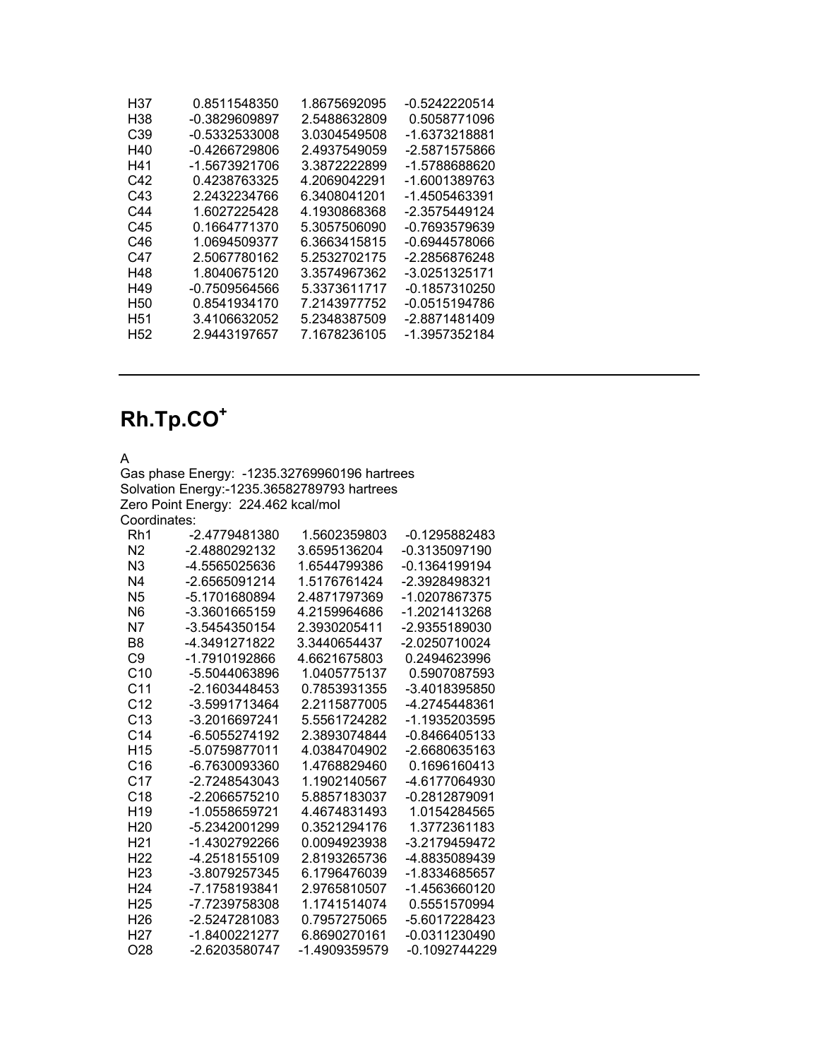| H37             | 0.8511548350    | 1.8675692095 | -0.5242220514   |
|-----------------|-----------------|--------------|-----------------|
| H38             | -0.3829609897   | 2.5488632809 | 0.5058771096    |
| C39             | $-0.5332533008$ | 3.0304549508 | -1.6373218881   |
| H40             | $-0.4266729806$ | 2.4937549059 | -2.5871575866   |
| H41             | -1.5673921706   | 3.3872222899 | -1.5788688620   |
| C42             | 0.4238763325    | 4.2069042291 | -1.6001389763   |
| C43             | 2.2432234766    | 6.3408041201 | -1.4505463391   |
| C44             | 1.6027225428    | 4.1930868368 | -2.3575449124   |
| C45             | 0.1664771370    | 5.3057506090 | -0.7693579639   |
| C46             | 1.0694509377    | 6.3663415815 | -0.6944578066   |
| C47             | 2.5067780162    | 5.2532702175 | -2.2856876248   |
| H48             | 1.8040675120    | 3.3574967362 | -3.0251325171   |
| H49             | $-0.7509564566$ | 5.3373611717 | $-0.1857310250$ |
| H <sub>50</sub> | 0.8541934170    | 7.2143977752 | -0.0515194786   |
| H51             | 3.4106632052    | 5.2348387509 | -2.8871481409   |
| H <sub>52</sub> | 2.9443197657    | 7.1678236105 | -1.3957352184   |
|                 |                 |              |                 |

## **Rh.Tp.CO<sup>+</sup>**

A

Gas phase Energy: -1235.32769960196 hartrees Solvation Energy:-1235.36582789793 hartrees Zero Point Energy: 224.462 kcal/mol Coordinates:

| Rh1             | -2.4779481380   | 1.5602359803  | -0.1295882483   |
|-----------------|-----------------|---------------|-----------------|
| N <sub>2</sub>  | -2.4880292132   | 3.6595136204  | -0.3135097190   |
| N3              | -4.5565025636   | 1.6544799386  | -0.1364199194   |
| N4              | -2.6565091214   | 1.5176761424  | -2.3928498321   |
| N5              | -5.1701680894   | 2.4871797369  | -1.0207867375   |
| N6              | -3.3601665159   | 4.2159964686  | -1.2021413268   |
| Ν7              | -3.5454350154   | 2.3930205411  | -2.9355189030   |
| B8              | -4.3491271822   | 3.3440654437  | -2.0250710024   |
| C9              | -1.7910192866   | 4.6621675803  | 0.2494623996    |
| C <sub>10</sub> | -5.5044063896   | 1.0405775137  | 0.5907087593    |
| C <sub>11</sub> | $-2.1603448453$ | 0.7853931355  | -3.4018395850   |
| C <sub>12</sub> | -3.5991713464   | 2.2115877005  | -4.2745448361   |
| C <sub>13</sub> | -3.2016697241   | 5.5561724282  | -1.1935203595   |
| C <sub>14</sub> | -6.5055274192   | 2.3893074844  | $-0.8466405133$ |
| H <sub>15</sub> | -5.0759877011   | 4.0384704902  | -2.6680635163   |
| C16             | -6.7630093360   | 1.4768829460  | 0.1696160413    |
| C <sub>17</sub> | $-2.7248543043$ | 1.1902140567  | -4.6177064930   |
| C <sub>18</sub> | -2.2066575210   | 5.8857183037  | -0.2812879091   |
| H <sub>19</sub> | -1.0558659721   | 4.4674831493  | 1.0154284565    |
| H <sub>20</sub> | -5.2342001299   | 0.3521294176  | 1.3772361183    |
| H <sub>21</sub> | -1.4302792266   | 0.0094923938  | -3.2179459472   |
| H <sub>22</sub> | -4.2518155109   | 2.8193265736  | -4.8835089439   |
| H23             | -3.8079257345   | 6.1796476039  | -1.8334685657   |
| H <sub>24</sub> | -7.1758193841   | 2.9765810507  | -1.4563660120   |
| H <sub>25</sub> | -7.7239758308   | 1.1741514074  | 0.5551570994    |
| H <sub>26</sub> | -2.5247281083   | 0.7957275065  | -5.6017228423   |
| H27             | -1.8400221277   | 6.8690270161  | -0.0311230490   |
| O28             | -2.6203580747   | -1.4909359579 | -0.1092744229   |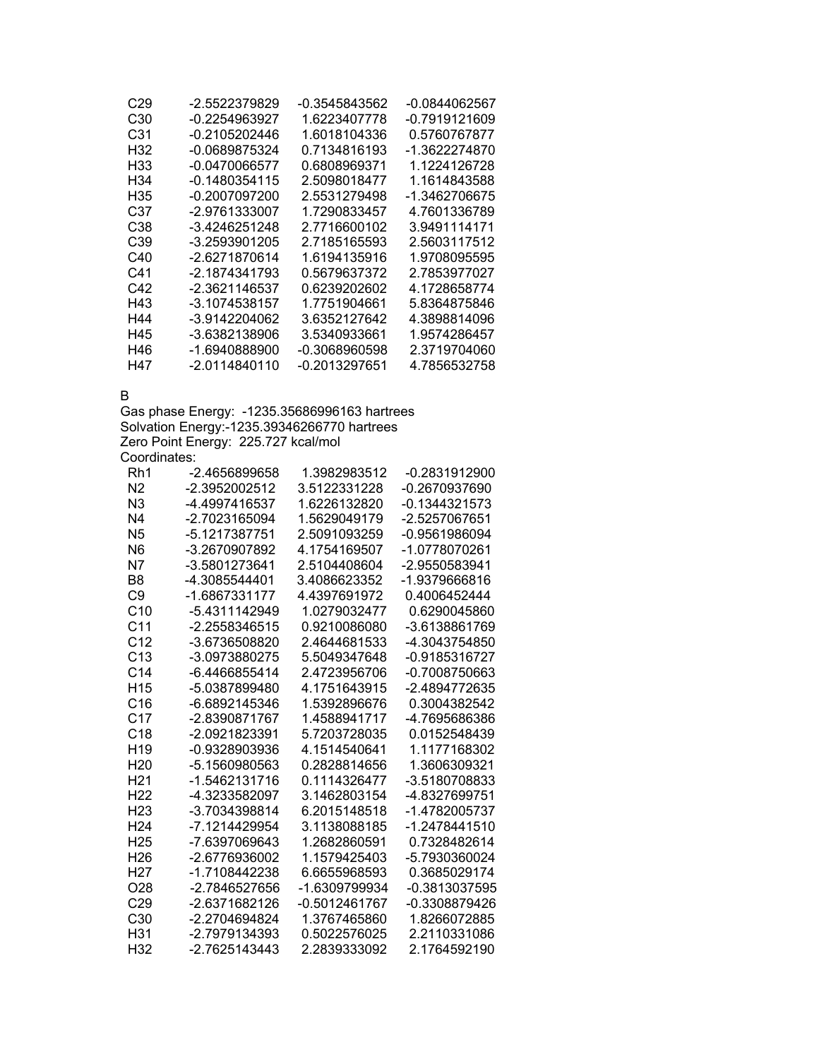| C29             | -2.5522379829   | -0.3545843562 | -0.0844062567 |
|-----------------|-----------------|---------------|---------------|
| C30             | -0.2254963927   | 1.6223407778  | -0.7919121609 |
| C31             | -0.2105202446   | 1.6018104336  | 0.5760767877  |
| H32             | -0.0689875324   | 0.7134816193  | -1.3622274870 |
| H33             | -0.0470066577   | 0.6808969371  | 1.1224126728  |
| H <sub>34</sub> | -0.1480354115   | 2.5098018477  | 1.1614843588  |
| H35             | -0.2007097200   | 2.5531279498  | -1.3462706675 |
| C37             | -2.9761333007   | 1.7290833457  | 4.7601336789  |
| C38             | -3.4246251248   | 2.7716600102  | 3.9491114171  |
| C39             | -3.2593901205   | 2.7185165593  | 2.5603117512  |
| C40             | -2.6271870614   | 1.6194135916  | 1.9708095595  |
| C41             | -2.1874341793   | 0.5679637372  | 2.7853977027  |
| C42             | -2.3621146537   | 0.6239202602  | 4.1728658774  |
| H43             | -3.1074538157   | 1.7751904661  | 5.8364875846  |
| H44             | -3.9142204062   | 3.6352127642  | 4.3898814096  |
| H45             | -3.6382138906   | 3.5340933661  | 1.9574286457  |
| H46             | -1.6940888900   | -0.3068960598 | 2.3719704060  |
| H47             | $-2.0114840110$ | -0.2013297651 | 4.7856532758  |

B

Gas phase Energy: -1235.35686996163 hartrees Solvation Energy:-1235.39346266770 hartrees Zero Point Energy: 225.727 kcal/mol Coordinates:

| Rh1             | -2.4656899658   | 1.3982983512  | -0.2831912900 |
|-----------------|-----------------|---------------|---------------|
| N <sub>2</sub>  | -2.3952002512   | 3.5122331228  | -0.2670937690 |
| N3              | -4.4997416537   | 1.6226132820  | -0.1344321573 |
| N4              | -2.7023165094   | 1.5629049179  | -2.5257067651 |
| N <sub>5</sub>  | -5.1217387751   | 2.5091093259  | -0.9561986094 |
| N <sub>6</sub>  | -3.2670907892   | 4.1754169507  | -1.0778070261 |
| N7              | -3.5801273641   | 2.5104408604  | -2.9550583941 |
| B <sub>8</sub>  | -4.3085544401   | 3.4086623352  | -1.9379666816 |
| C9              | -1.6867331177   | 4.4397691972  | 0.4006452444  |
| C <sub>10</sub> | -5.4311142949   | 1.0279032477  | 0.6290045860  |
| C <sub>11</sub> | -2.2558346515   | 0.9210086080  | -3.6138861769 |
| C <sub>12</sub> | -3.6736508820   | 2.4644681533  | -4.3043754850 |
| C <sub>13</sub> | $-3.0973880275$ | 5.5049347648  | -0.9185316727 |
| C <sub>14</sub> | -6.4466855414   | 2.4723956706  | -0.7008750663 |
| H <sub>15</sub> | -5.0387899480   | 4.1751643915  | -2.4894772635 |
| C <sub>16</sub> | -6.6892145346   | 1.5392896676  | 0.3004382542  |
| C <sub>17</sub> | -2.8390871767   | 1.4588941717  | -4.7695686386 |
| C <sub>18</sub> | -2.0921823391   | 5.7203728035  | 0.0152548439  |
| H <sub>19</sub> | -0.9328903936   | 4.1514540641  | 1.1177168302  |
| H <sub>20</sub> | -5.1560980563   | 0.2828814656  | 1.3606309321  |
| H <sub>21</sub> | -1.5462131716   | 0.1114326477  | -3.5180708833 |
| H <sub>22</sub> | -4.3233582097   | 3.1462803154  | -4.8327699751 |
| H <sub>23</sub> | -3.7034398814   | 6.2015148518  | -1.4782005737 |
| H <sub>24</sub> | -7.1214429954   | 3.1138088185  | -1.2478441510 |
| H <sub>25</sub> | -7.6397069643   | 1.2682860591  | 0.7328482614  |
| H <sub>26</sub> | -2.6776936002   | 1.1579425403  | -5.7930360024 |
| H27             | -1.7108442238   | 6.6655968593  | 0.3685029174  |
| O <sub>28</sub> | -2.7846527656   | -1.6309799934 | -0.3813037595 |
| C <sub>29</sub> | -2.6371682126   | -0.5012461767 | -0.3308879426 |
| C <sub>30</sub> | -2.2704694824   | 1.3767465860  | 1.8266072885  |
| H31             | -2.7979134393   | 0.5022576025  | 2.2110331086  |
| H32             | -2.7625143443   | 2.2839333092  | 2.1764592190  |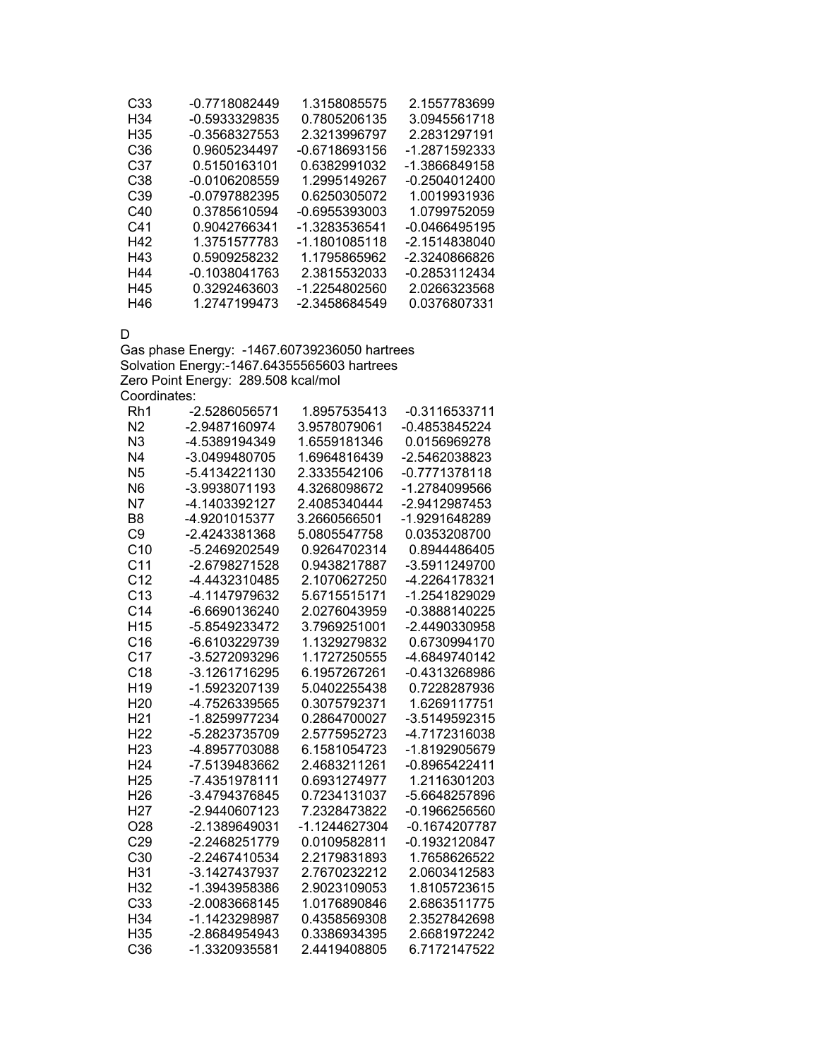| C33             | $-0.7718082449$ | 1.3158085575  | 2.1557783699    |
|-----------------|-----------------|---------------|-----------------|
| H34             | $-0.5933329835$ | 0.7805206135  | 3.0945561718    |
| H35             | -0.3568327553   | 2.3213996797  | 2.2831297191    |
| C <sub>36</sub> | 0.9605234497    | -0.6718693156 | -1.2871592333   |
| C37             | 0.5150163101    | 0.6382991032  | -1.3866849158   |
| C <sub>38</sub> | -0.0106208559   | 1.2995149267  | $-0.2504012400$ |
| C39             | -0.0797882395   | 0.6250305072  | 1.0019931936    |
| C40             | 0.3785610594    | -0.6955393003 | 1.0799752059    |
| C41             | 0.9042766341    | -1.3283536541 | -0.0466495195   |
| H42             | 1.3751577783    | -1.1801085118 | -2.1514838040   |
| H43             | 0.5909258232    | 1.1795865962  | -2.3240866826   |
| H44             | $-0.1038041763$ | 2.3815532033  | -0.2853112434   |
| H45             | 0.3292463603    | -1.2254802560 | 2.0266323568    |
| H46             | 1.2747199473    | -2.3458684549 | 0.0376807331    |

D

Gas phase Energy: -1467.60739236050 hartrees Solvation Energy:-1467.64355565603 hartrees Zero Point Energy: 289.508 kcal/mol Coordinates:

| Rh1             | -2.5286056571 | 1.8957535413  | -0.3116533711   |
|-----------------|---------------|---------------|-----------------|
| N <sub>2</sub>  | -2.9487160974 | 3.9578079061  | $-0.4853845224$ |
| N <sub>3</sub>  | -4.5389194349 | 1.6559181346  | 0.0156969278    |
| N <sub>4</sub>  | -3.0499480705 | 1.6964816439  | -2.5462038823   |
| N <sub>5</sub>  | -5.4134221130 | 2.3335542106  | -0.7771378118   |
| N <sub>6</sub>  | -3.9938071193 | 4.3268098672  | -1.2784099566   |
| N7              | -4.1403392127 | 2.4085340444  | -2.9412987453   |
| B <sub>8</sub>  | -4.9201015377 | 3.2660566501  | -1.9291648289   |
| C <sub>9</sub>  | -2.4243381368 | 5.0805547758  | 0.0353208700    |
| C10             | -5.2469202549 | 0.9264702314  | 0.8944486405    |
| C <sub>11</sub> | -2.6798271528 | 0.9438217887  | -3.5911249700   |
| C <sub>12</sub> | -4.4432310485 | 2.1070627250  | -4.2264178321   |
| C <sub>13</sub> | -4.1147979632 | 5.6715515171  | -1.2541829029   |
| C <sub>14</sub> | -6.6690136240 | 2.0276043959  | -0.3888140225   |
| H <sub>15</sub> | -5.8549233472 | 3.7969251001  | -2.4490330958   |
| C16             | -6.6103229739 | 1.1329279832  | 0.6730994170    |
| C <sub>17</sub> | -3.5272093296 | 1.1727250555  | -4.6849740142   |
| C18             | -3.1261716295 | 6.1957267261  | -0.4313268986   |
| H <sub>19</sub> | -1.5923207139 | 5.0402255438  | 0.7228287936    |
| H <sub>20</sub> | -4.7526339565 | 0.3075792371  | 1.6269117751    |
| H <sub>21</sub> | -1.8259977234 | 0.2864700027  | -3.5149592315   |
| H <sub>22</sub> | -5.2823735709 | 2.5775952723  | -4.7172316038   |
| H <sub>23</sub> | -4.8957703088 | 6.1581054723  | -1.8192905679   |
| H <sub>24</sub> | -7.5139483662 | 2.4683211261  | -0.8965422411   |
| H <sub>25</sub> | -7.4351978111 | 0.6931274977  | 1.2116301203    |
| H26             | -3.4794376845 | 0.7234131037  | -5.6648257896   |
| H <sub>27</sub> | -2.9440607123 | 7.2328473822  | $-0.1966256560$ |
| O <sub>28</sub> | -2.1389649031 | -1.1244627304 | -0.1674207787   |
| C29             | -2.2468251779 | 0.0109582811  | -0.1932120847   |
| C <sub>30</sub> | -2.2467410534 | 2.2179831893  | 1.7658626522    |
| H31             | -3.1427437937 | 2.7670232212  | 2.0603412583    |
| H32             | -1.3943958386 | 2.9023109053  | 1.8105723615    |
| C33             | -2.0083668145 | 1.0176890846  | 2.6863511775    |
| H34             | -1.1423298987 | 0.4358569308  | 2.3527842698    |
| H <sub>35</sub> | -2.8684954943 | 0.3386934395  | 2.6681972242    |
| C36             | -1.3320935581 | 2.4419408805  | 6.7172147522    |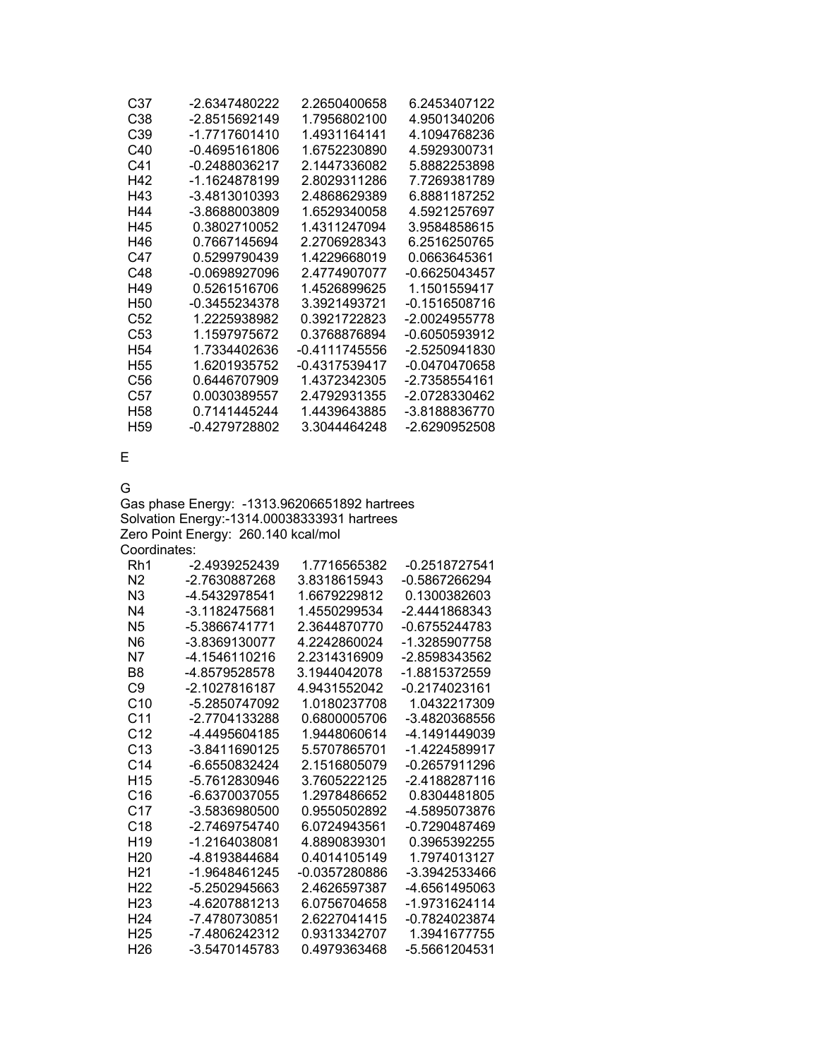| -2.6347480222 | 2.2650400658  | 6.2453407122    |
|---------------|---------------|-----------------|
| -2.8515692149 | 1.7956802100  | 4.9501340206    |
| -1.7717601410 | 1.4931164141  | 4.1094768236    |
| -0.4695161806 | 1.6752230890  | 4.5929300731    |
| -0.2488036217 | 2.1447336082  | 5.8882253898    |
| -1.1624878199 | 2.8029311286  | 7.7269381789    |
| -3.4813010393 | 2.4868629389  | 6.8881187252    |
| -3.8688003809 | 1.6529340058  | 4.5921257697    |
| 0.3802710052  | 1.4311247094  | 3.9584858615    |
| 0.7667145694  | 2.2706928343  | 6.2516250765    |
| 0.5299790439  | 1.4229668019  | 0.0663645361    |
| -0.0698927096 | 2.4774907077  | $-0.6625043457$ |
| 0.5261516706  | 1.4526899625  | 1.1501559417    |
| -0.3455234378 | 3.3921493721  | -0.1516508716   |
| 1.2225938982  | 0.3921722823  | -2.0024955778   |
| 1.1597975672  | 0.3768876894  | -0.6050593912   |
| 1.7334402636  | -0.4111745556 | -2.5250941830   |
| 1.6201935752  | -0.4317539417 | -0.0470470658   |
| 0.6446707909  | 1.4372342305  | -2.7358554161   |
| 0.0030389557  | 2.4792931355  | -2.0728330462   |
| 0.7141445244  | 1.4439643885  | -3.8188836770   |
| -0.4279728802 | 3.3044464248  | -2.6290952508   |
|               |               |                 |

E

G

Gas phase Energy: -1313.96206651892 hartrees Solvation Energy:-1314.00038333931 hartrees Zero Point Energy: 260.140 kcal/mol Coordinates:

| Rh1             | -2.4939252439 | 1.7716565382  | -0.2518727541 |
|-----------------|---------------|---------------|---------------|
| N <sub>2</sub>  | -2.7630887268 | 3.8318615943  | -0.5867266294 |
| N <sub>3</sub>  | -4.5432978541 | 1.6679229812  | 0.1300382603  |
| N4              | -3.1182475681 | 1.4550299534  | -2.4441868343 |
| N <sub>5</sub>  | -5 3866741771 | 2.3644870770  | -0.6755244783 |
| N6              | -3.8369130077 | 4.2242860024  | -1.3285907758 |
| N7              | -4.1546110216 | 2.2314316909  | -2.8598343562 |
| B8              | -4.8579528578 | 3 1944042078  | -1 8815372559 |
| C9              | -2 1027816187 | 4 9431552042  | -0.2174023161 |
| C <sub>10</sub> | -5.2850747092 | 1.0180237708  | 1.0432217309  |
| C <sub>11</sub> | -2.7704133288 | 0.6800005706  | -3.4820368556 |
| C <sub>12</sub> | -4 4495604185 | 1 9448060614  | -4.1491449039 |
| C <sub>13</sub> | -3.8411690125 | 5.5707865701  | -1.4224589917 |
| C14             | -6 6550832424 | 2 1516805079  | -0.2657911296 |
| H <sub>15</sub> | -5.7612830946 | 3.7605222125  | -2 4188287116 |
| C16             | -6.6370037055 | 1.2978486652  | 0.8304481805  |
| C17             | -3.5836980500 | 0.9550502892  | -4.5895073876 |
| C <sub>18</sub> | -2 7469754740 | 6 0724943561  | -0.7290487469 |
| H <sub>19</sub> | -1.2164038081 | 4.8890839301  | 0.3965392255  |
| H <sub>20</sub> | -4.8193844684 | 0 4014105149  | 1.7974013127  |
| H21             | -1.9648461245 | -0.0357280886 | -3 3942533466 |
| H <sub>22</sub> | -5.2502945663 | 2.4626597387  | -4.6561495063 |
| H <sub>23</sub> | -4.6207881213 | 6 0756704658  | -1.9731624114 |
| H <sub>24</sub> | -7.4780730851 | 26227041415   | -0.7824023874 |
| H <sub>25</sub> | -7.4806242312 | 0.9313342707  | 1.3941677755  |
| H26             | -3.5470145783 | 0.4979363468  | -5.5661204531 |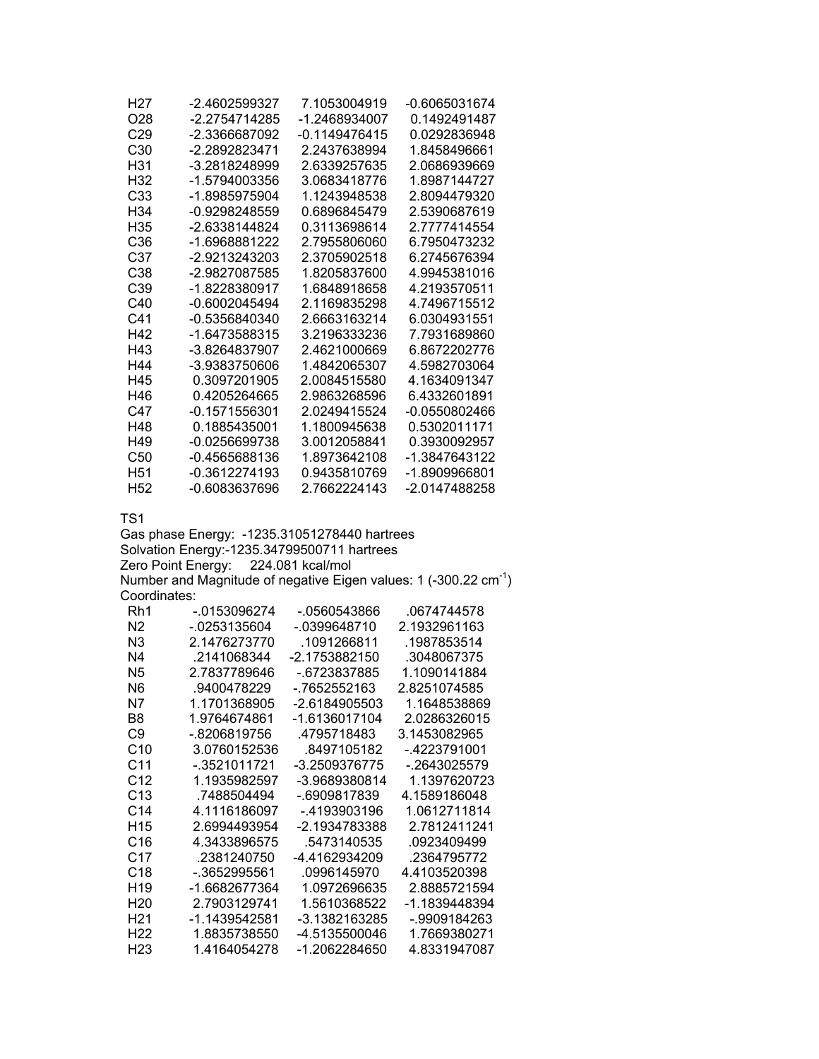| H27                              | -2.4602599327                                 | 7.1053004919     | -0.6065031674                                                                |
|----------------------------------|-----------------------------------------------|------------------|------------------------------------------------------------------------------|
| O <sub>28</sub>                  | -2.2754714285                                 | -1.2468934007    | 0.1492491487                                                                 |
| C <sub>29</sub>                  | -2.3366687092                                 | $-0.1149476415$  | 0.0292836948                                                                 |
| C30                              | -2.2892823471                                 | 2.2437638994     | 1.8458496661                                                                 |
| H31                              | -3.2818248999                                 | 2.6339257635     | 2.0686939669                                                                 |
| H32                              | -1.5794003356                                 | 3.0683418776     | 1.8987144727                                                                 |
| C33                              | -1.8985975904                                 | 1.1243948538     | 2.8094479320                                                                 |
| H34                              | -0.9298248559                                 | 0.6896845479     | 2.5390687619                                                                 |
| H35                              | -2.6338144824                                 | 0.3113698614     | 2.7777414554                                                                 |
| C <sub>36</sub>                  | -1.6968881222                                 | 2.7955806060     | 6.7950473232                                                                 |
| C37                              | -2.9213243203                                 | 2.3705902518     | 6.2745676394                                                                 |
| C38                              | -2.9827087585                                 | 1.8205837600     | 4.9945381016                                                                 |
| C39                              | -1.8228380917                                 | 1.6848918658     | 4.2193570511                                                                 |
| C40                              | $-0.6002045494$                               | 2.1169835298     | 4.7496715512                                                                 |
| C <sub>41</sub>                  | -0.5356840340                                 | 2.6663163214     | 6.0304931551                                                                 |
| H42                              | -1.6473588315                                 | 3.2196333236     | 7.7931689860                                                                 |
| H43                              | -3.8264837907                                 | 2.4621000669     | 6.8672202776                                                                 |
| H44                              | -3.9383750606                                 | 1.4842065307     | 4.5982703064                                                                 |
| H45                              | 0.3097201905                                  | 2.0084515580     | 4.1634091347                                                                 |
| H46                              | 0.4205264665                                  | 2.9863268596     | 6.4332601891                                                                 |
| C47                              | $-0.1571556301$                               | 2.0249415524     | -0.0550802466                                                                |
| H48                              | 0.1885435001                                  | 1.1800945638     | 0.5302011171                                                                 |
| H49                              | $-0.0256699738$                               | 3.0012058841     | 0.3930092957                                                                 |
| C50                              | -0.4565688136                                 | 1.8973642108     | -1.3847643122                                                                |
| H <sub>51</sub>                  | -0.3612274193                                 | 0.9435810769     | -1.8909966801                                                                |
| H <sub>52</sub>                  | -0.6083637696                                 | 2.7662224143     | -2.0147488258                                                                |
|                                  |                                               |                  |                                                                              |
| TS <sub>1</sub>                  |                                               |                  |                                                                              |
|                                  | Gas phase Energy: - 1235.31051278440 hartrees |                  |                                                                              |
|                                  | Solvation Energy:-1235.34799500711 hartrees   |                  |                                                                              |
|                                  | Zero Point Energy:                            | 224.081 kcal/mol |                                                                              |
|                                  |                                               |                  | Number and Magnitude of negative Eigen values: 1 (-300.22 cm <sup>-1</sup> ) |
| Coordinates:<br>Rh1              | $-0153096274$                                 | $-0560543866$    | .0674744578                                                                  |
|                                  | $-0.0253135604$                               | $-0399648710$    | 2.1932961163                                                                 |
| N <sub>2</sub><br>N <sub>3</sub> | 2.1476273770                                  | .1091266811      | .1987853514                                                                  |
| N <sub>4</sub>                   |                                               | -2.1753882150    |                                                                              |
| N <sub>5</sub>                   | .2141068344<br>2.7837789646                   |                  | .3048067375<br>1.1090141884                                                  |
| N <sub>6</sub>                   |                                               | -.6723837885     |                                                                              |
| N7                               | .9400478229                                   | -.7652552163     | 2.8251074585<br>1.1648538869                                                 |
|                                  | 1.1701368905                                  | -2.6184905503    |                                                                              |

| N6              | .9400478229   | - 7652552163  | 2.8251074585  |
|-----------------|---------------|---------------|---------------|
| N7              | 1.1701368905  | -2.6184905503 | 1.1648538869  |
| B8              | 1.9764674861  | -1.6136017104 | 2.0286326015  |
| C9              | - 8206819756  | 4795718483    | 3.1453082965  |
| C <sub>10</sub> | 3.0760152536  | .8497105182   | - 4223791001  |
| C11             | - 3521011721  | -3.2509376775 | - 2643025579  |
| C <sub>12</sub> | 1.1935982597  | -3.9689380814 | 1.1397620723  |
| C <sub>13</sub> | .7488504494   | - 6909817839  | 4.1589186048  |
| C <sub>14</sub> | 4.1116186097  | - 4193903196  | 1.0612711814  |
| H <sub>15</sub> | 2.6994493954  | -2.1934783388 | 2.7812411241  |
| C16             | 4.3433896575  | .5473140535   | .0923409499   |
| C17             | .2381240750   | -4.4162934209 | .2364795772   |
| C <sub>18</sub> | -.3652995561  | .0996145970   | 4.4103520398  |
| H <sub>19</sub> | -1.6682677364 | 1.0972696635  | 2.8885721594  |
| H20             | 2.7903129741  | 1.5610368522  | -1.1839448394 |
| H21             | -1.1439542581 | -3.1382163285 | - 9909184263  |
| H <sub>22</sub> | 1.8835738550  | -4.5135500046 | 1.7669380271  |
| H <sub>23</sub> | 1.4164054278  | -1.2062284650 | 4.8331947087  |
|                 |               |               |               |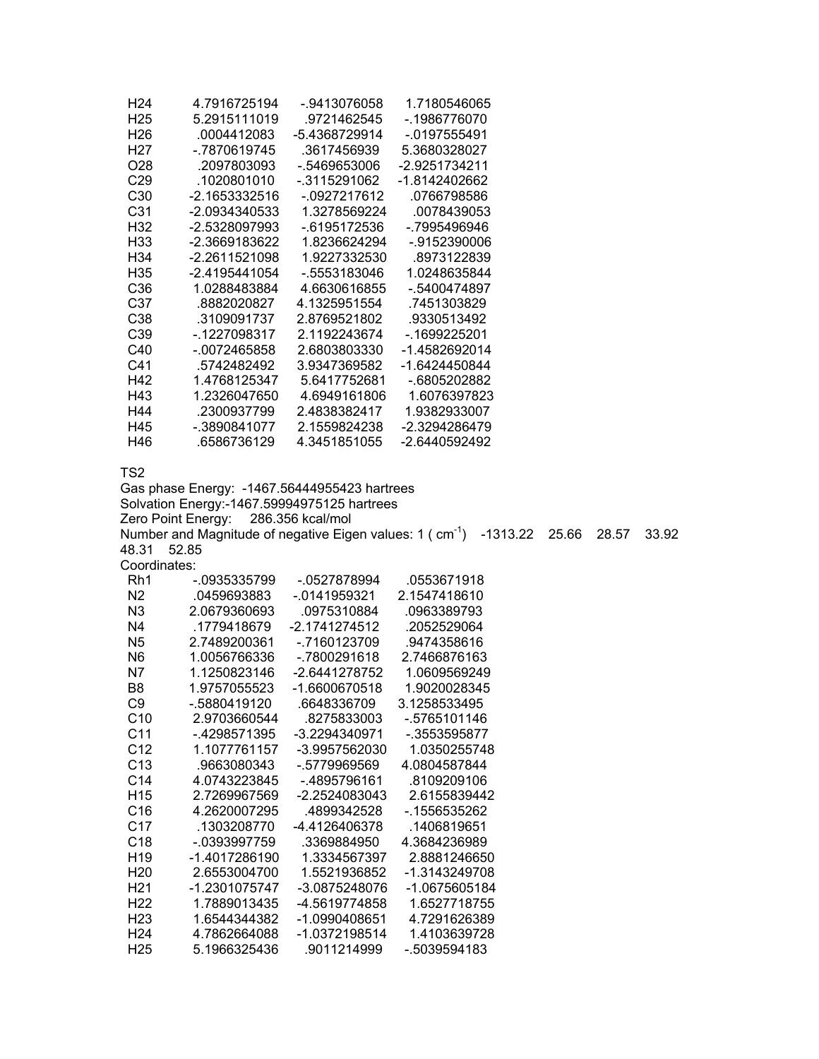| H <sub>24</sub>                    | 4.7916725194                                                                                                                       | -.9413076058                   | 1.7180546065                                                                  |       |       |       |
|------------------------------------|------------------------------------------------------------------------------------------------------------------------------------|--------------------------------|-------------------------------------------------------------------------------|-------|-------|-------|
| H <sub>25</sub>                    | 5.2915111019                                                                                                                       | .9721462545                    | $-0.1986776070$                                                               |       |       |       |
| H <sub>26</sub>                    | .0004412083                                                                                                                        | -5.4368729914                  | $-0197555491$                                                                 |       |       |       |
| H <sub>27</sub>                    | -.7870619745                                                                                                                       | .3617456939                    | 5.3680328027                                                                  |       |       |       |
| O28                                | .2097803093                                                                                                                        | $-0.5469653006$                | -2.9251734211                                                                 |       |       |       |
| C <sub>29</sub>                    | .1020801010                                                                                                                        | $-0.3115291062$                | -1.8142402662                                                                 |       |       |       |
| C30                                | $-2.1653332516$                                                                                                                    | $-0927217612$                  | .0766798586                                                                   |       |       |       |
| C31                                | -2.0934340533                                                                                                                      | 1.3278569224                   | .0078439053                                                                   |       |       |       |
| H32                                | -2.5328097993                                                                                                                      | $-0.6195172536$                | -.7995496946                                                                  |       |       |       |
| H33                                | -2.3669183622                                                                                                                      | 1.8236624294                   | $-0.9152390006$                                                               |       |       |       |
| H34                                | -2.2611521098                                                                                                                      | 1.9227332530                   | .8973122839                                                                   |       |       |       |
| H35                                | -2.4195441054                                                                                                                      | -.5553183046                   | 1.0248635844                                                                  |       |       |       |
| C36                                | 1.0288483884                                                                                                                       | 4.6630616855                   | $-.5400474897$                                                                |       |       |       |
| C37                                | .8882020827                                                                                                                        | 4.1325951554                   | .7451303829                                                                   |       |       |       |
| C38                                | .3109091737                                                                                                                        | 2.8769521802                   | .9330513492                                                                   |       |       |       |
| C39                                | $-1227098317$                                                                                                                      | 2.1192243674                   | $-0.1699225201$                                                               |       |       |       |
| C40                                | $-0072465858$                                                                                                                      | 2.6803803330                   | -1.4582692014                                                                 |       |       |       |
| C41                                | .5742482492                                                                                                                        | 3.9347369582                   | -1.6424450844                                                                 |       |       |       |
| H42                                | 1.4768125347                                                                                                                       | 5.6417752681                   | -.6805202882                                                                  |       |       |       |
| H43                                | 1.2326047650                                                                                                                       | 4.6949161806                   | 1.6076397823                                                                  |       |       |       |
| H44                                | .2300937799                                                                                                                        | 2.4838382417                   | 1.9382933007                                                                  |       |       |       |
| H45                                | $-.3890841077$                                                                                                                     | 2.1559824238                   | -2.3294286479                                                                 |       |       |       |
| H46                                | .6586736129                                                                                                                        | 4.3451851055                   | -2.6440592492                                                                 |       |       |       |
|                                    | Gas phase Energy: -1467.56444955423 hartrees<br>Solvation Energy:-1467.59994975125 hartrees<br>Zero Point Energy: 286.356 kcal/mol |                                | Number and Magnitude of negative Eigen values: 1 (cm <sup>-1</sup> ) -1313.22 | 25.66 | 28.57 | 33.92 |
| 48.31                              | 52.85                                                                                                                              |                                |                                                                               |       |       |       |
| Coordinates:                       |                                                                                                                                    |                                |                                                                               |       |       |       |
| Rh1                                | -.0935335799                                                                                                                       | -.0527878994                   | .0553671918                                                                   |       |       |       |
| N <sub>2</sub>                     | .0459693883                                                                                                                        | $-0141959321$                  | 2.1547418610                                                                  |       |       |       |
| N <sub>3</sub>                     | 2.0679360693                                                                                                                       | .0975310884                    | .0963389793                                                                   |       |       |       |
| N <sub>4</sub>                     | .1779418679                                                                                                                        | $-2.1741274512$                | .2052529064                                                                   |       |       |       |
| N <sub>5</sub>                     | 2.7489200361                                                                                                                       | $-0.7160123709$                | .9474358616                                                                   |       |       |       |
| N <sub>6</sub>                     | 1.0056766336                                                                                                                       | $-7800291618$                  | 2.7466876163                                                                  |       |       |       |
| N7                                 | 1.1250823146                                                                                                                       | -2.6441278752                  | 1.0609569249                                                                  |       |       |       |
| B <sub>8</sub>                     | 1.9757055523                                                                                                                       | -1.6600670518                  | 1.9020028345                                                                  |       |       |       |
| C <sub>9</sub>                     | $-0.5880419120$                                                                                                                    | .6648336709                    | 3.1258533495                                                                  |       |       |       |
| C10                                | 2.9703660544                                                                                                                       | .8275833003                    | -.5765101146                                                                  |       |       |       |
| C <sub>11</sub>                    | -.4298571395                                                                                                                       | -3.2294340971                  | $-.3553595877$                                                                |       |       |       |
| C12                                | 1.1077761157                                                                                                                       | -3.9957562030                  | 1.0350255748                                                                  |       |       |       |
| C13                                | .9663080343                                                                                                                        | -.5779969569                   | 4.0804587844                                                                  |       |       |       |
| C14                                | 4.0743223845                                                                                                                       | -.4895796161                   | .8109209106                                                                   |       |       |       |
| H <sub>15</sub>                    | 2.7269967569                                                                                                                       | -2.2524083043                  | 2.6155839442                                                                  |       |       |       |
| C16                                | 4.2620007295                                                                                                                       | .4899342528                    | -.1556535262                                                                  |       |       |       |
| C17                                | .1303208770                                                                                                                        | -4.4126406378                  | .1406819651                                                                   |       |       |       |
| C18                                | $-.0393997759$                                                                                                                     | .3369884950                    | 4.3684236989                                                                  |       |       |       |
| H <sub>19</sub>                    | -1.4017286190                                                                                                                      | 1.3334567397                   | 2.8881246650                                                                  |       |       |       |
| H <sub>20</sub>                    | 2.6553004700                                                                                                                       | 1.5521936852                   | -1.3143249708                                                                 |       |       |       |
| H <sub>21</sub>                    | -1.2301075747                                                                                                                      | -3.0875248076                  | -1.0675605184                                                                 |       |       |       |
| H <sub>22</sub>                    | 1.7889013435<br>1.6544344382                                                                                                       | -4.5619774858<br>-1.0990408651 | 1.6527718755<br>4.7291626389                                                  |       |       |       |
| H <sub>23</sub>                    |                                                                                                                                    |                                |                                                                               |       |       |       |
|                                    |                                                                                                                                    |                                |                                                                               |       |       |       |
| H <sub>24</sub><br>H <sub>25</sub> | 4.7862664088<br>5.1966325436                                                                                                       | -1.0372198514<br>.9011214999   | 1.4103639728<br>-.5039594183                                                  |       |       |       |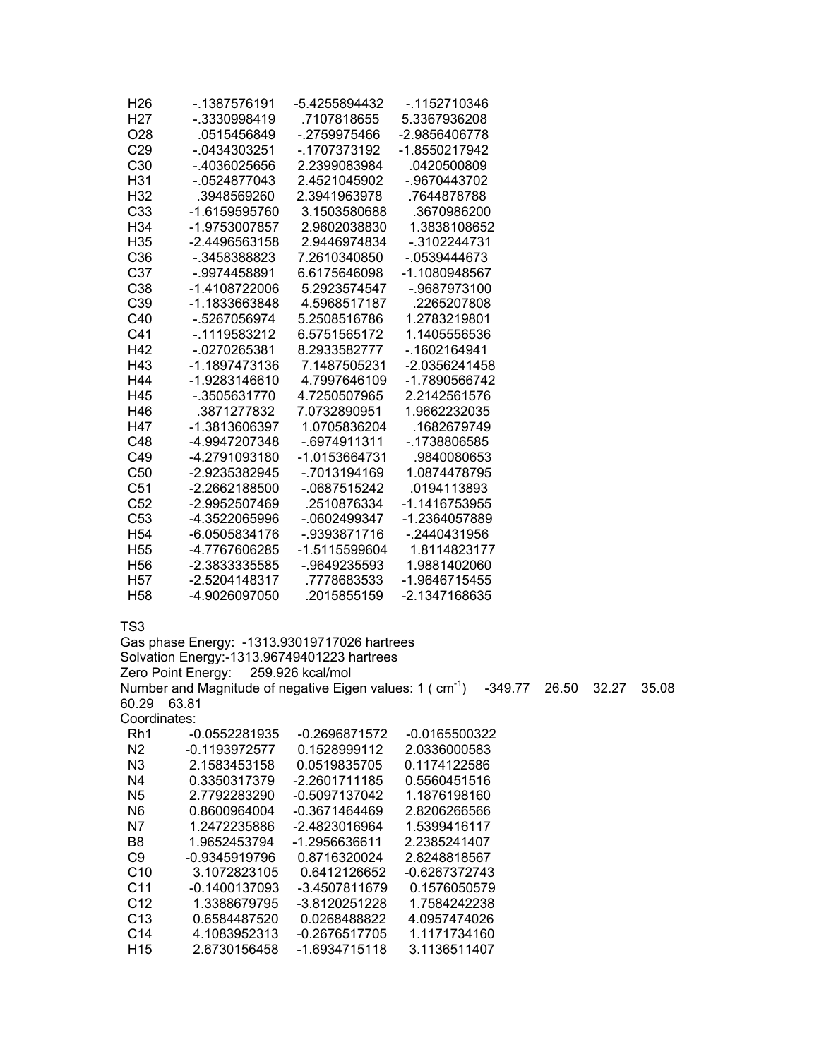| H26             | - 1387576191    | -5.4255894432 | - 1152710346    |
|-----------------|-----------------|---------------|-----------------|
| H <sub>27</sub> | -.3330998419    | .7107818655   | 5.3367936208    |
| O <sub>28</sub> | .0515456849     | -.2759975466  | -2.9856406778   |
| C <sub>29</sub> | $-0.0434303251$ | -.1707373192  | -1.8550217942   |
| C30             | -.4036025656    | 2.2399083984  | .0420500809     |
| H31             | $-0524877043$   | 2.4521045902  | -.9670443702    |
| H <sub>32</sub> | .3948569260     | 2.3941963978  | .7644878788     |
| C33             | -1.6159595760   | 3.1503580688  | .3670986200     |
| H <sub>34</sub> | -1.9753007857   | 2.9602038830  | 1.3838108652    |
| H <sub>35</sub> | -2.4496563158   | 2.9446974834  | $-0.3102244731$ |
| C <sub>36</sub> | -.3458388823    | 7.2610340850  | $-0539444673$   |
| C37             | -.9974458891    | 6.6175646098  | -1.1080948567   |
| C38             | $-1.4108722006$ | 5.2923574547  | $-9687973100$   |
| C39             | -1.1833663848   | 4.5968517187  | .2265207808     |
| C40             | -.5267056974    | 5.2508516786  | 1.2783219801    |
| C <sub>41</sub> | -.1119583212    | 6.5751565172  | 1.1405556536    |
| H42             | -.0270265381    | 8.2933582777  | -.1602164941    |
| H43             | -1.1897473136   | 7.1487505231  | -2.0356241458   |
| H44             | -1.9283146610   | 4.7997646109  | -1.7890566742   |
| H45             | -.3505631770    | 4.7250507965  | 2.2142561576    |
| H46             | .3871277832     | 7.0732890951  | 1.9662232035    |
| H47             | -1.3813606397   | 1.0705836204  | .1682679749     |
| C48             | -4.9947207348   | -.6974911311  | - 1738806585    |
| C49             | -4.2791093180   | -1.0153664731 | .9840080653     |
| C50             | -2.9235382945   | -.7013194169  | 1.0874478795    |
| C <sub>51</sub> | -2.2662188500   | -.0687515242  | .0194113893     |
| C <sub>52</sub> | -2.9952507469   | .2510876334   | -1.1416753955   |
| C53             | -4.3522065996   | -.0602499347  | -1.2364057889   |
| H <sub>54</sub> | -6.0505834176   | -.9393871716  | -.2440431956    |
| H <sub>55</sub> | -4.7767606285   | -1.5115599604 | 1.8114823177    |
| H <sub>56</sub> | -2.3833335585   | -.9649235593  | 1.9881402060    |
| H <sub>57</sub> | -2.5204148317   | .7778683533   | -1.9646715455   |
| H <sub>58</sub> | -4.9026097050   | .2015855159   | -2.1347168635   |

TS3

Gas phase Energy: -1313.93019717026 hartrees Solvation Energy:-1313.96749401223 hartrees Zero Point Energy: 259.926 kcal/mol Number and Magnitude of negative Eigen values:  $1 \text{ (cm}^1\text{)} -349.77 \quad 26.50 \quad 32.27 \quad 35.08$ 60.29 63.81 Coordinates: Rh1 -0.0552281935 -0.2696871572 -0.0165500322 -0.1193972577 0.1528999112 N3 2.1583453158 0.0519835705 0.1174122586 N4 0.3350317379 -2.2601711185 0.5560451516 N5 2.7792283290 -0.5097137042 1.1876198160 N6 0.8600964004 -0.3671464469 2.8206266566 N7 1.2472235886 -2.4823016964 1.5399416117 B8 1.9652453794 -1.2956636611 2.2385241407 C9 -0.9345919796 0.8716320024 2.8248818567 C10 3.1072823105 0.6412126652 -0.6267372743 C11 -0.1400137093 -3.4507811679 0.1576050579 C12 1.3388679795 -3.8120251228 1.7584242238 C13 0.6584487520 0.0268488822 4.0957474026 C14 4.1083952313 -0.2676517705 1.1171734160 H15 2.6730156458 -1.6934715118 3.1136511407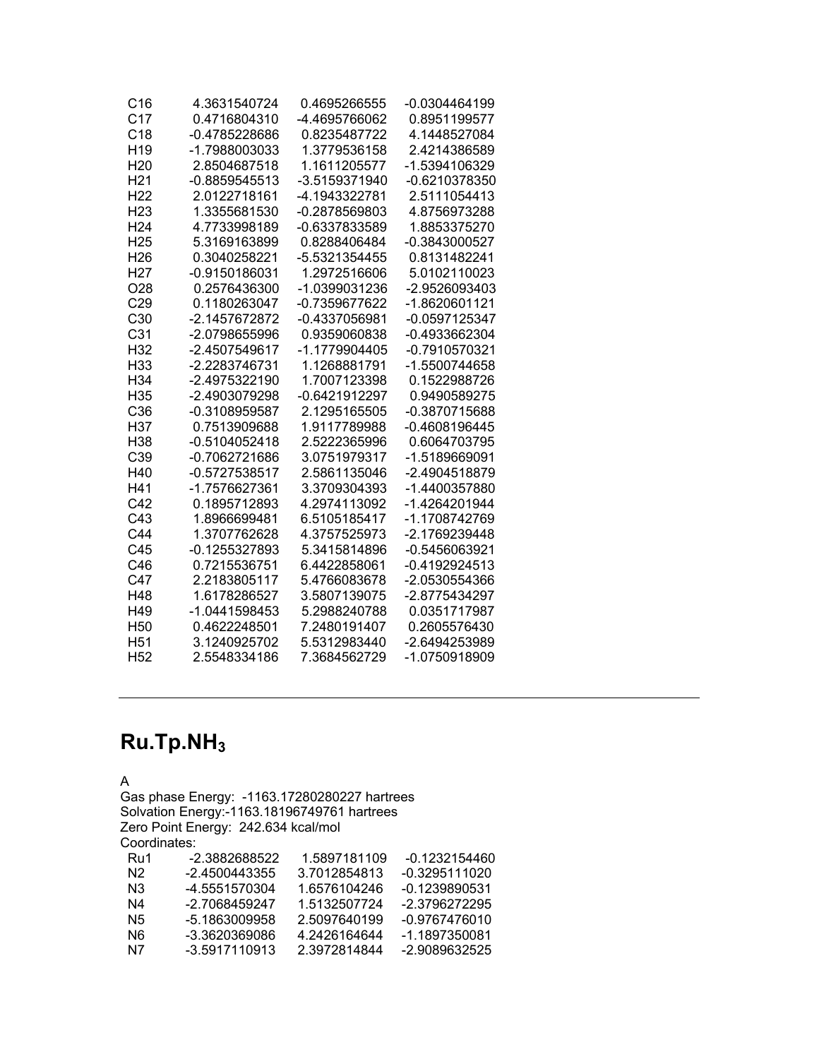| C <sub>16</sub> | 4.3631540724    | 0.4695266555  | -0.0304464199   |
|-----------------|-----------------|---------------|-----------------|
| C <sub>17</sub> | 0.4716804310    | -4.4695766062 | 0.8951199577    |
| C <sub>18</sub> | -0.4785228686   | 0.8235487722  | 4.1448527084    |
| H <sub>19</sub> | -1.7988003033   | 1.3779536158  | 2.4214386589    |
| H <sub>20</sub> | 2.8504687518    | 1.1611205577  | -1.5394106329   |
| H <sub>21</sub> | $-0.8859545513$ | -3.5159371940 | -0.6210378350   |
| H <sub>22</sub> | 2.0122718161    | -4.1943322781 | 2.5111054413    |
| H <sub>23</sub> | 1.3355681530    | -0.2878569803 | 4.8756973288    |
| H <sub>24</sub> | 4.7733998189    | -0.6337833589 | 1.8853375270    |
| H <sub>25</sub> | 5.3169163899    | 0.8288406484  | -0.3843000527   |
| H <sub>26</sub> | 0.3040258221    | -5.5321354455 | 0.8131482241    |
| H <sub>27</sub> | -0.9150186031   | 1.2972516606  | 5.0102110023    |
| O <sub>28</sub> | 0.2576436300    | -1.0399031236 | -2.9526093403   |
| C29             | 0.1180263047    | -0.7359677622 | -1.8620601121   |
| C30             | -2.1457672872   | -0.4337056981 | -0.0597125347   |
| C <sub>31</sub> | -2.0798655996   | 0.9359060838  | -0.4933662304   |
| H32             | -2.4507549617   | -1.1779904405 | -0.7910570321   |
| H <sub>33</sub> | -2.2283746731   | 1.1268881791  | -1.5500744658   |
| H <sub>34</sub> | -2.4975322190   | 1.7007123398  | 0.1522988726    |
| H35             | -2.4903079298   | -0.6421912297 | 0.9490589275    |
| C36             | -0.3108959587   | 2.1295165505  | -0.3870715688   |
| H37             | 0.7513909688    | 1.9117789988  | $-0.4608196445$ |
| H <sub>38</sub> | $-0.5104052418$ | 2.5222365996  | 0.6064703795    |
| C39             | -0.7062721686   | 3.0751979317  | -1.5189669091   |
| H40             | $-0.5727538517$ | 2.5861135046  | -2.4904518879   |
| H41             | -1.7576627361   | 3.3709304393  | -1.4400357880   |
| C <sub>42</sub> | 0.1895712893    | 4.2974113092  | -1.4264201944   |
| C43             | 1.8966699481    | 6.5105185417  | -1.1708742769   |
| C44             | 1.3707762628    | 4.3757525973  | -2.1769239448   |
| C45             | -0.1255327893   | 5.3415814896  | -0.5456063921   |
| C46             | 0.7215536751    | 6.4422858061  | $-0.4192924513$ |
| C47             | 2.2183805117    | 5.4766083678  | -2.0530554366   |
| H48             | 1.6178286527    | 3.5807139075  | -2.8775434297   |
| H49             | -1.0441598453   | 5.2988240788  | 0.0351717987    |
| H <sub>50</sub> | 0.4622248501    | 7.2480191407  | 0.2605576430    |
| H <sub>51</sub> | 3.1240925702    | 5.5312983440  | -2.6494253989   |
| H <sub>52</sub> | 2.5548334186    | 7.3684562729  | -1.0750918909   |

## **Ru.Tp.NH3**

A

Gas phase Energy: -1163.17280280227 hartrees Solvation Energy:-1163.18196749761 hartrees Zero Point Energy: 242.634 kcal/mol Coordinates: Ru1 -2.3882688522 1.5897181109 -0.1232154460<br>N2 -2.4500443355 3.7012854813 -0.3295111020 N2 -2.4500443355 3.7012854813<br>N3 -4.5551570304 1.6576104246 N3 -4.5551570304 1.6576104246 -0.1239890531 N4 -2.7068459247 1.5132507724 -2.3796272295<br>N5 -5.1863009958 2.5097640199 -0.9767476010 2.5097640199 -0.9767476010<br>4.2426164644 -1.1897350081 N6 -3.3620369086<br>N7 -3.5917110913 -3.5917110913 2.3972814844 -2.9089632525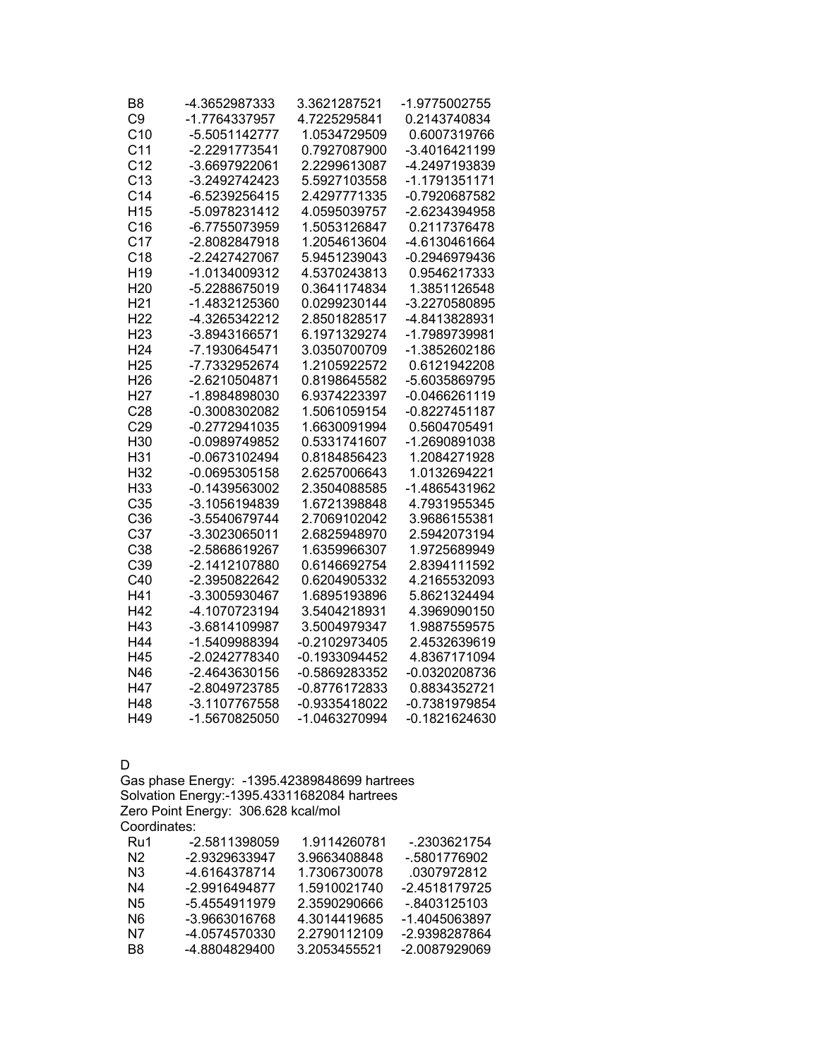| B8              | -4.3652987333   | 3.3621287521  | -1.9775002755 |
|-----------------|-----------------|---------------|---------------|
| C <sub>9</sub>  | -1.7764337957   | 4.7225295841  | 0.2143740834  |
| C <sub>10</sub> | -5.5051142777   | 1.0534729509  | 0.6007319766  |
| C <sub>11</sub> | -2.2291773541   | 0.7927087900  | -3.4016421199 |
| C <sub>12</sub> | -3.6697922061   | 2.2299613087  | -4.2497193839 |
| C <sub>13</sub> | $-3.2492742423$ | 5.5927103558  | -1.1791351171 |
| C <sub>14</sub> | -6.5239256415   | 2.4297771335  | -0.7920687582 |
| H <sub>15</sub> | -5.0978231412   | 4.0595039757  | -2.6234394958 |
| C16             | -6.7755073959   | 1.5053126847  | 0.2117376478  |
| C <sub>17</sub> | -2.8082847918   | 1.2054613604  | -4.6130461664 |
| C <sub>18</sub> | -2.2427427067   | 5.9451239043  | -0.2946979436 |
| H <sub>19</sub> | -1.0134009312   | 4.5370243813  | 0.9546217333  |
| H <sub>20</sub> | -5.2288675019   | 0.3641174834  | 1.3851126548  |
| H <sub>21</sub> | -1.4832125360   | 0.0299230144  | -3.2270580895 |
| H <sub>22</sub> | -4.3265342212   | 2.8501828517  | -4.8413828931 |
| H <sub>23</sub> | -3.8943166571   | 6.1971329274  | -1.7989739981 |
| H <sub>24</sub> | -7.1930645471   | 3.0350700709  | -1.3852602186 |
| H <sub>25</sub> | -7.7332952674   | 1.2105922572  | 0.6121942208  |
| H <sub>26</sub> | -2.6210504871   | 0.8198645582  | -5.6035869795 |
| H <sub>27</sub> | -1.8984898030   | 6.9374223397  | -0.0466261119 |
| C28             | -0.3008302082   | 1.5061059154  | -0.8227451187 |
| C29             | $-0.2772941035$ | 1.6630091994  | 0.5604705491  |
| H30             | -0.0989749852   | 0.5331741607  | -1.2690891038 |
| H31             | -0.0673102494   | 0.8184856423  | 1.2084271928  |
| H32             | $-0.0695305158$ | 2.6257006643  | 1.0132694221  |
| H <sub>33</sub> | $-0.1439563002$ | 2.3504088585  | -1.4865431962 |
| C35             | -3.1056194839   | 1.6721398848  | 4.7931955345  |
| C36             | -3.5540679744   | 2.7069102042  | 3.9686155381  |
| C <sub>37</sub> | -3.3023065011   | 2.6825948970  | 2.5942073194  |
| C38             | -2.5868619267   | 1.6359966307  | 1.9725689949  |
| C39             | -2.1412107880   | 0.6146692754  | 2.8394111592  |
| C40             | -2.3950822642   | 0.6204905332  | 4.2165532093  |
| H41             | -3.3005930467   | 1.6895193896  | 5.8621324494  |
| H42             | -4.1070723194   | 3.5404218931  | 4.3969090150  |
| H43             | -3.6814109987   | 3.5004979347  | 1.9887559575  |
| H44             | -1.5409988394   | -0.2102973405 | 2.4532639619  |
| H45             | -2.0242778340   | -0.1933094452 | 4.8367171094  |
| N46             | -2.4643630156   | -0.5869283352 | -0.0320208736 |
| H47             | -2.8049723785   | -0.8776172833 | 0.8834352721  |
| H48             | -3.1107767558   | -0.9335418022 | -0.7381979854 |
| H49             | -1.5670825050   | -1.0463270994 | -0.1821624630 |

D

Gas phase Energy: -1395.42389848699 hartrees Solvation Energy:-1395.43311682084 hartrees Zero Point Energy: 306.628 kcal/mol Coordinates:<br>Ru1 -2 Ru1 -2.5811398059 1.9114260781 -.2303621754 N2 -2.9329633947 3.9663408848 -.5801776902 N3 -4.6164378714 1.7306730078 .0307972812 -2.4518179725 N5 -5.4554911979 2.3590290666 -.8403125103<br>N6 -3.9663016768 4.3014419685 -1.4045063897 N6 -3.9663016768 4.3014419685<br>N7 -4.0574570330 2.2790112109 -2.9398287864

B8 -4.8804829400 3.2053455521 -2.0087929069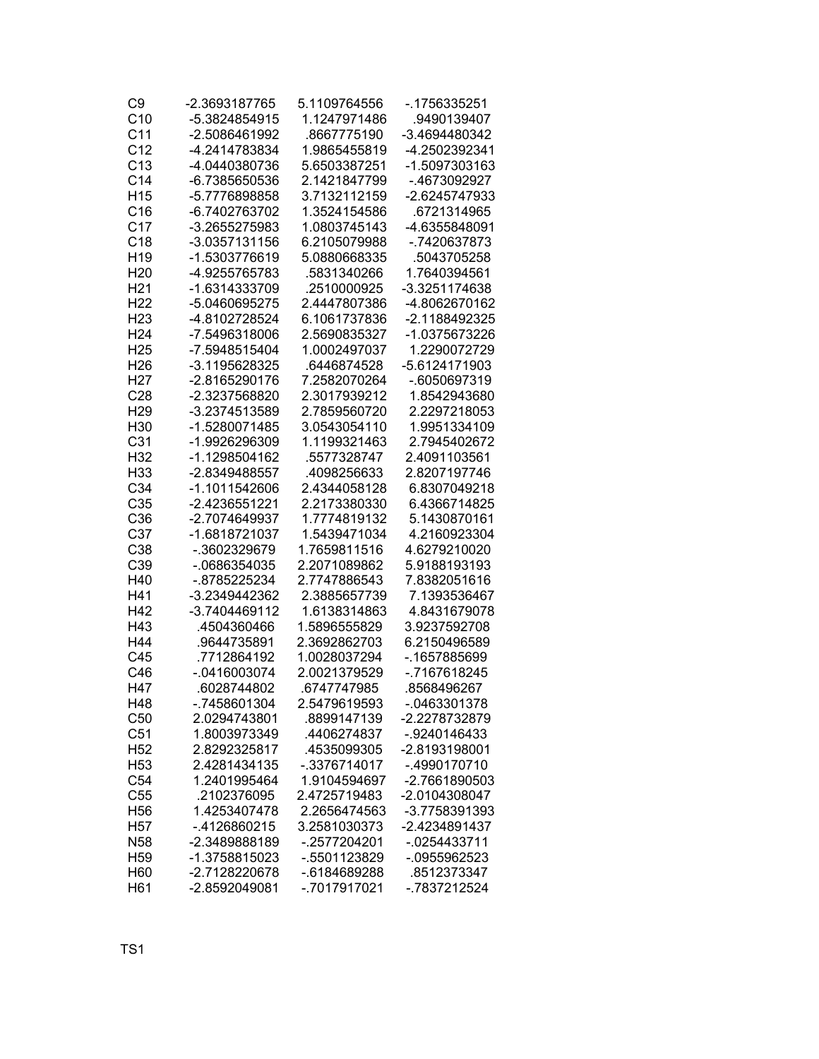| C9              | -2.3693187765  | 5.1109764556 | -.1756335251    |
|-----------------|----------------|--------------|-----------------|
| C10             | -5.3824854915  | 1.1247971486 | 9490139407      |
| C <sub>11</sub> | -2.5086461992  | .8667775190  | -3.4694480342   |
| C <sub>12</sub> | -4.2414783834  | 1.9865455819 | -4.2502392341   |
| C <sub>13</sub> | -4.0440380736  | 5.6503387251 | -1.5097303163   |
| C <sub>14</sub> | -6.7385650536  | 2.1421847799 | -.4673092927    |
| H <sub>15</sub> | -5.7776898858  | 3.7132112159 | -2.6245747933   |
| C16             | -6.7402763702  | 1.3524154586 | .6721314965     |
| C <sub>17</sub> | -3.2655275983  | 1.0803745143 | -4.6355848091   |
| C18             | -3.0357131156  | 6.2105079988 | -.7420637873    |
| H <sub>19</sub> | -1.5303776619  | 5.0880668335 | .5043705258     |
| H <sub>20</sub> | -4.9255765783  | .5831340266  | 1.7640394561    |
| H <sub>21</sub> | -1.6314333709  | .2510000925  | -3.3251174638   |
| H <sub>22</sub> | -5.0460695275  | 2.4447807386 | -4.8062670162   |
| H <sub>23</sub> | -4.8102728524  | 6.1061737836 | -2.1188492325   |
| H <sub>24</sub> | -7.5496318006  | 2.5690835327 | -1.0375673226   |
| H <sub>25</sub> | -7.5948515404  | 1.0002497037 | 1.2290072729    |
| H <sub>26</sub> | -3.1195628325  | .6446874528  | -5.6124171903   |
| H <sub>27</sub> | -2.8165290176  | 7.2582070264 | -.6050697319    |
| C <sub>28</sub> | -2.3237568820  | 2.3017939212 | 1.8542943680    |
| H <sub>29</sub> | -3.2374513589  | 2.7859560720 | 2.2297218053    |
| H30             | -1.5280071485  | 3.0543054110 | 1.9951334109    |
| C <sub>31</sub> | -1.9926296309  | 1.1199321463 | 2.7945402672    |
| H32             | -1.1298504162  | .5577328747  | 2.4091103561    |
| H33             | -2.8349488557  | 4098256633   | 2.8207197746    |
| C <sub>34</sub> | -1.1011542606  | 2.4344058128 | 6.8307049218    |
| C35             | -2.4236551221  | 2.2173380330 | 6.4366714825    |
| C36             | -2.7074649937  | 1.7774819132 | 5.1430870161    |
| C37             | -1.6818721037  | 1.5439471034 | 4.2160923304    |
| C38             | -.3602329679   | 1.7659811516 | 4.6279210020    |
| C39             | -.0686354035   | 2.2071089862 | 5.9188193193    |
| H40             | -.8785225234   | 2.7747886543 | 7.8382051616    |
| H41             | -3.2349442362  | 2.3885657739 | 7.1393536467    |
| H42             | -3.7404469112  | 1.6138314863 | 4.8431679078    |
| H43             | 4504360466     | 1.5896555829 | 3.9237592708    |
| H44             | .9644735891    | 2.3692862703 | 6.2150496589    |
| C45             | .7712864192    | 1.0028037294 | -.1657885699    |
| C46             | $-.0416003074$ | 2.0021379529 | -.7167618245    |
| H47             | .6028744802    | .6747747985  | .8568496267     |
| H48             | -.7458601304   | 2.5479619593 | -.0463301378    |
| C50             | 2.0294743801   | .8899147139  | -2.2278732879   |
| C51             | 1.8003973349   | .4406274837  | -.9240146433    |
| H <sub>52</sub> | 2.8292325817   | 4535099305   | -2.8193198001   |
| H <sub>53</sub> | 2.4281434135   | -.3376714017 | -.4990170710    |
| C54             | 1.2401995464   | 1.9104594697 | -2.7661890503   |
| C <sub>55</sub> | .2102376095    | 2.4725719483 | -2.0104308047   |
| H <sub>56</sub> | 1.4253407478   | 2.2656474563 | -3.7758391393   |
| H <sub>57</sub> | -.4126860215   | 3.2581030373 | -2.4234891437   |
| N <sub>58</sub> | -2.3489888189  | -.2577204201 | $-0.0254433711$ |
| H <sub>59</sub> | -1.3758815023  | -.5501123829 | -.0955962523    |
| H60             | -2.7128220678  | -.6184689288 | .8512373347     |
| H61             | -2.8592049081  | -.7017917021 | -.7837212524    |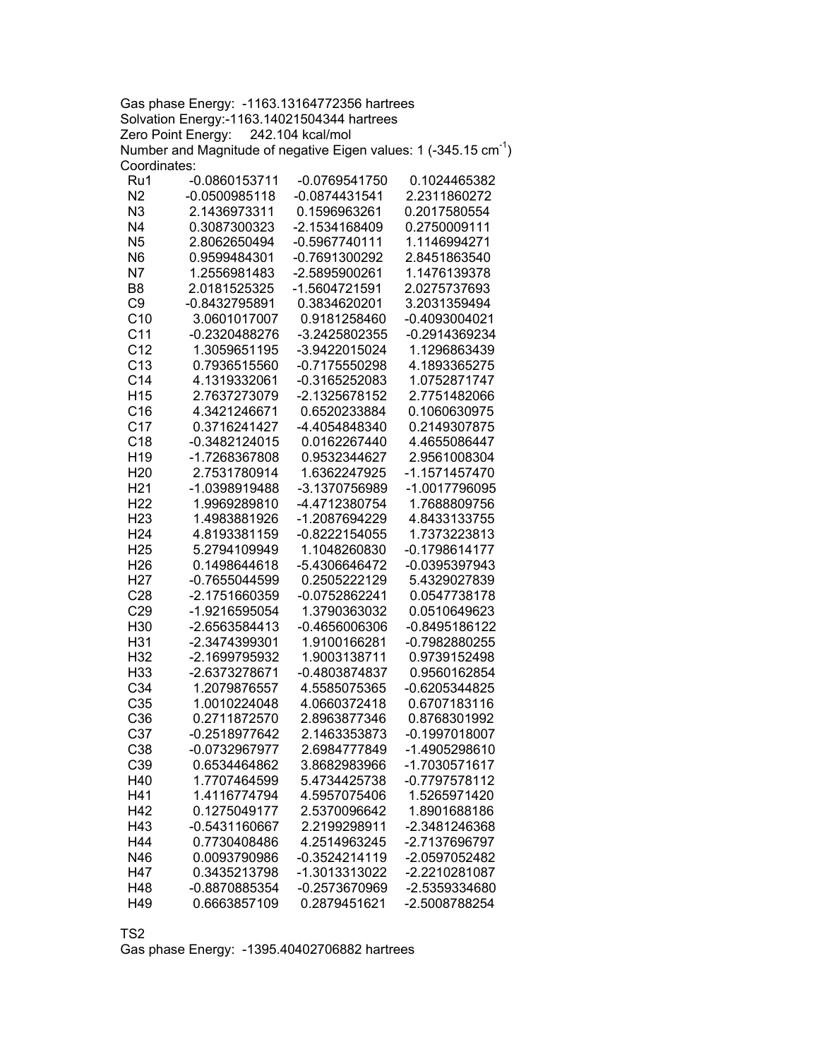Gas phase Energy: -1163.13164772356 hartrees Solvation Energy:-1163.14021504344 hartrees Zero Point Energy: 242.104 kcal/mol Number and Magnitude of negative Eigen values: 1 (-345.15  $cm^{-1}$ ) Coordinates:

| Ru1             | -0.0860153711   | -0.0769541750   | 0.1024465382                   |
|-----------------|-----------------|-----------------|--------------------------------|
| N <sub>2</sub>  | $-0.0500985118$ | $-0.0874431541$ | 2.2311860272                   |
| N3              | 2.1436973311    | 0.1596963261    | 0.2017580554                   |
| N <sub>4</sub>  | 0.3087300323    | -2.1534168409   | 0.2750009111                   |
| N <sub>5</sub>  | 2.8062650494    | -0.5967740111   | 1.1146994271                   |
| N <sub>6</sub>  | 0.9599484301    | -0.7691300292   | 2.8451863540                   |
| N7              | 1.2556981483    | -2.5895900261   | 1.1476139378                   |
| B <sub>8</sub>  | 2.0181525325    | -1.5604721591   | 2.0275737693                   |
| C <sub>9</sub>  | -0.8432795891   | 0.3834620201    | 3.2031359494                   |
| C10             | 3.0601017007    | 0.9181258460    | $-0.4093004021$                |
| C <sub>11</sub> | $-0.2320488276$ | -3.2425802355   | -0.2914369234                  |
| C <sub>12</sub> | 1.3059651195    | -3.9422015024   | 1.1296863439                   |
| C13             | 0.7936515560    | $-0.7175550298$ | 4.1893365275                   |
| C <sub>14</sub> | 4.1319332061    | -0.3165252083   | 1.0752871747                   |
| H <sub>15</sub> | 2.7637273079    | -2.1325678152   | 2.7751482066                   |
| C16             | 4.3421246671    | 0.6520233884    | 0.1060630975                   |
| C <sub>17</sub> | 0.3716241427    | -4.4054848340   | 0.2149307875                   |
| C <sub>18</sub> | -0.3482124015   | 0.0162267440    | 4.4655086447                   |
| H <sub>19</sub> | -1.7268367808   | 0.9532344627    | 2.9561008304                   |
| H <sub>20</sub> | 2.7531780914    | 1.6362247925    |                                |
| H <sub>21</sub> | -1.0398919488   | -3.1370756989   | -1.1571457470<br>-1.0017796095 |
| H <sub>22</sub> | 1.9969289810    | -4.4712380754   | 1.7688809756                   |
|                 |                 |                 |                                |
| H <sub>23</sub> | 1.4983881926    | -1.2087694229   | 4.8433133755                   |
| H <sub>24</sub> | 4.8193381159    | $-0.8222154055$ | 1.7373223813                   |
| H <sub>25</sub> | 5.2794109949    | 1.1048260830    | -0.1798614177                  |
| H <sub>26</sub> | 0.1498644618    | -5.4306646472   | -0.0395397943                  |
| H <sub>27</sub> | -0.7655044599   | 0.2505222129    | 5.4329027839                   |
| C28             | -2.1751660359   | -0.0752862241   | 0.0547738178                   |
| C <sub>29</sub> | -1.9216595054   | 1.3790363032    | 0.0510649623                   |
| H30             | -2.6563584413   | $-0.4656006306$ | -0.8495186122                  |
| H31             | -2.3474399301   | 1.9100166281    | -0.7982880255                  |
| H32             | -2.1699795932   | 1.9003138711    | 0.9739152498                   |
| H33             | -2.6373278671   | -0.4803874837   | 0.9560162854                   |
| C <sub>34</sub> | 1.2079876557    | 4.5585075365    | $-0.6205344825$                |
| C35             | 1.0010224048    | 4.0660372418    | 0.6707183116                   |
| C36             | 0.2711872570    | 2.8963877346    | 0.8768301992                   |
| C37             | -0.2518977642   | 2.1463353873    | $-0.1997018007$                |
| C38             | -0.0732967977   | 2.6984777849    | -1.4905298610                  |
| C39             | 0.6534464862    | 3.8682983966    | -1.7030571617                  |
| H40             | 1.7707464599    | 5.4734425738    | -0.7797578112                  |
| H41             | 1.4116774794    | 4.5957075406    | 1.5265971420                   |
| H42             | 0.1275049177    | 2.5370096642    | 1.8901688186                   |
| H43             | $-0.5431160667$ | 2.2199298911    | -2.3481246368                  |
| H44             | 0.7730408486    | 4.2514963245    | -2.7137696797                  |
| N46             | 0.0093790986    | $-0.3524214119$ | -2.0597052482                  |
| H47             | 0.3435213798    | -1.3013313022   | -2.2210281087                  |
| H48             | -0.8870885354   | -0.2573670969   | -2.5359334680                  |
| H49             | 0.6663857109    | 0.2879451621    | -2.5008788254                  |

TS2

Gas phase Energy: -1395.40402706882 hartrees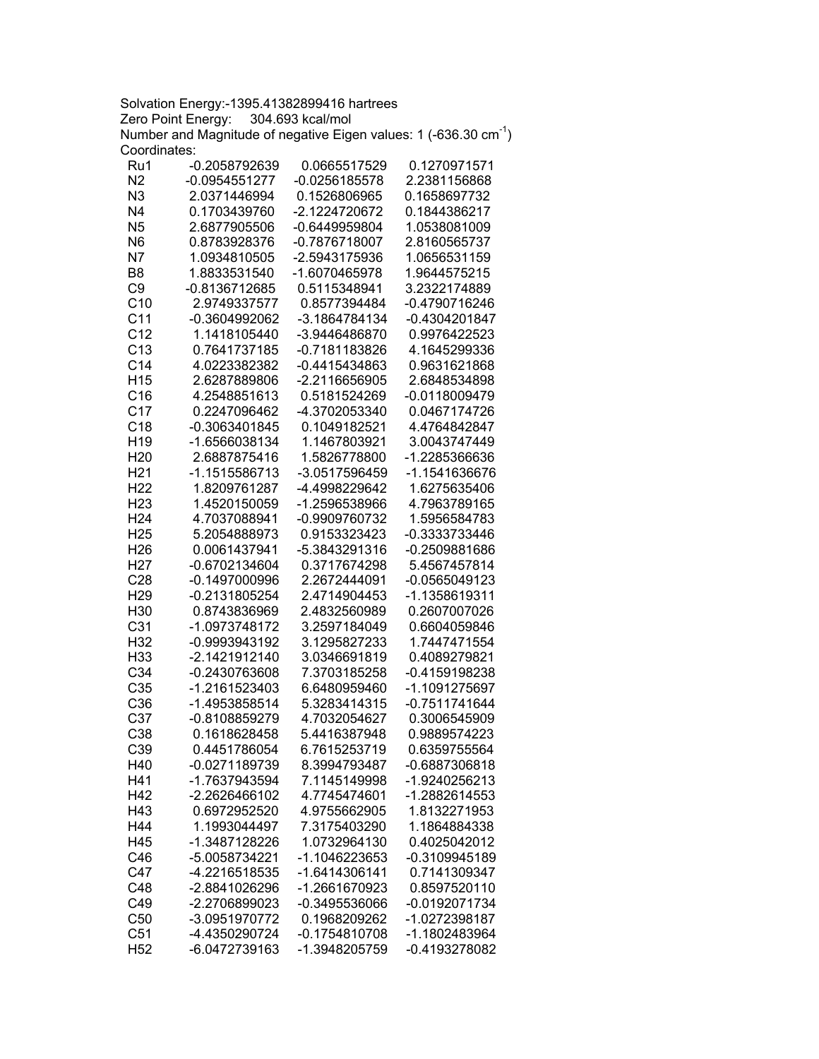Solvation Energy:-1395.41382899416 hartrees Zero Point Energy: 304.693 kcal/mol Number and Magnitude of negative Eigen values: 1 (-636.30  $cm^{-1}$ ) Coordinates:

| Ru1             | -0.2058792639   | 0.0665517529    | 0.1270971571    |
|-----------------|-----------------|-----------------|-----------------|
| N2              | $-0.0954551277$ | $-0.0256185578$ | 2.2381156868    |
| N <sub>3</sub>  | 2.0371446994    | 0.1526806965    | 0.1658697732    |
| N4              | 0.1703439760    | -2.1224720672   | 0.1844386217    |
| N <sub>5</sub>  | 2.6877905506    | -0.6449959804   | 1.0538081009    |
| N <sub>6</sub>  | 0.8783928376    | -0.7876718007   | 2.8160565737    |
| N7              | 1.0934810505    | -2.5943175936   | 1.0656531159    |
| B <sub>8</sub>  | 1.8833531540    | -1.6070465978   | 1.9644575215    |
| C <sub>9</sub>  | -0.8136712685   | 0.5115348941    | 3.2322174889    |
| C10             | 2.9749337577    | 0.8577394484    | -0.4790716246   |
| C <sub>11</sub> | -0.3604992062   | -3.1864784134   | -0.4304201847   |
| C <sub>12</sub> | 1.1418105440    | -3.9446486870   | 0.9976422523    |
|                 |                 |                 |                 |
| C <sub>13</sub> | 0.7641737185    | -0.7181183826   | 4.1645299336    |
| C <sub>14</sub> | 4.0223382382    | -0.4415434863   | 0.9631621868    |
| H <sub>15</sub> | 2.6287889806    | -2.2116656905   | 2.6848534898    |
| C16             | 4.2548851613    | 0.5181524269    | -0.0118009479   |
| C17             | 0.2247096462    | -4.3702053340   | 0.0467174726    |
| C18             | -0.3063401845   | 0.1049182521    | 4.4764842847    |
| H <sub>19</sub> | -1.6566038134   | 1.1467803921    | 3.0043747449    |
| H <sub>20</sub> | 2.6887875416    | 1.5826778800    | -1.2285366636   |
| H <sub>21</sub> | -1.1515586713   | -3.0517596459   | -1.1541636676   |
| H <sub>22</sub> | 1.8209761287    | -4.4998229642   | 1.6275635406    |
| H <sub>23</sub> | 1.4520150059    | -1.2596538966   | 4.7963789165    |
| H <sub>24</sub> | 4.7037088941    | -0.9909760732   | 1.5956584783    |
| H <sub>25</sub> | 5.2054888973    | 0.9153323423    | -0.3333733446   |
| H <sub>26</sub> | 0.0061437941    | -5.3843291316   | -0.2509881686   |
| H <sub>27</sub> | -0.6702134604   | 0.3717674298    | 5.4567457814    |
| C <sub>28</sub> | $-0.1497000996$ | 2.2672444091    | $-0.0565049123$ |
| H <sub>29</sub> | -0.2131805254   | 2.4714904453    | -1.1358619311   |
| H30             | 0.8743836969    | 2.4832560989    | 0.2607007026    |
| C <sub>31</sub> | -1.0973748172   | 3.2597184049    | 0.6604059846    |
| H32             | -0.9993943192   | 3.1295827233    | 1.7447471554    |
| H33             | -2.1421912140   |                 |                 |
|                 |                 | 3.0346691819    | 0.4089279821    |
| C <sub>34</sub> | -0.2430763608   | 7.3703185258    | -0.4159198238   |
| C35             | -1.2161523403   | 6.6480959460    | -1.1091275697   |
| C36             | -1.4953858514   | 5.3283414315    | -0.7511741644   |
| C <sub>37</sub> | -0.8108859279   | 4.7032054627    | 0.3006545909    |
| C <sub>38</sub> | 0.1618628458    | 5.4416387948    | 0.9889574223    |
| C39             | 0.4451786054    | 6.7615253719    | 0.6359755564    |
| H40             | -0.0271189739   | 8.3994793487    | -0.6887306818   |
| H41             | -1.7637943594   | 7.1145149998    | -1.9240256213   |
| H42             | -2.2626466102   | 4.7745474601    | -1.2882614553   |
| H43             | 0.6972952520    | 4.9755662905    | 1.8132271953    |
| H44             | 1.1993044497    | 7.3175403290    | 1.1864884338    |
| H45             | -1.3487128226   | 1.0732964130    | 0.4025042012    |
| C46             | -5.0058734221   | -1.1046223653   | -0.3109945189   |
| C47             | -4.2216518535   | -1.6414306141   | 0.7141309347    |
| C48             | -2.8841026296   | -1.2661670923   | 0.8597520110    |
| C49             | -2.2706899023   | -0.3495536066   | -0.0192071734   |
| C50             | -3.0951970772   | 0.1968209262    | -1.0272398187   |
| C <sub>51</sub> | -4.4350290724   | -0.1754810708   | -1.1802483964   |
| H <sub>52</sub> | -6.0472739163   | -1.3948205759   | -0.4193278082   |
|                 |                 |                 |                 |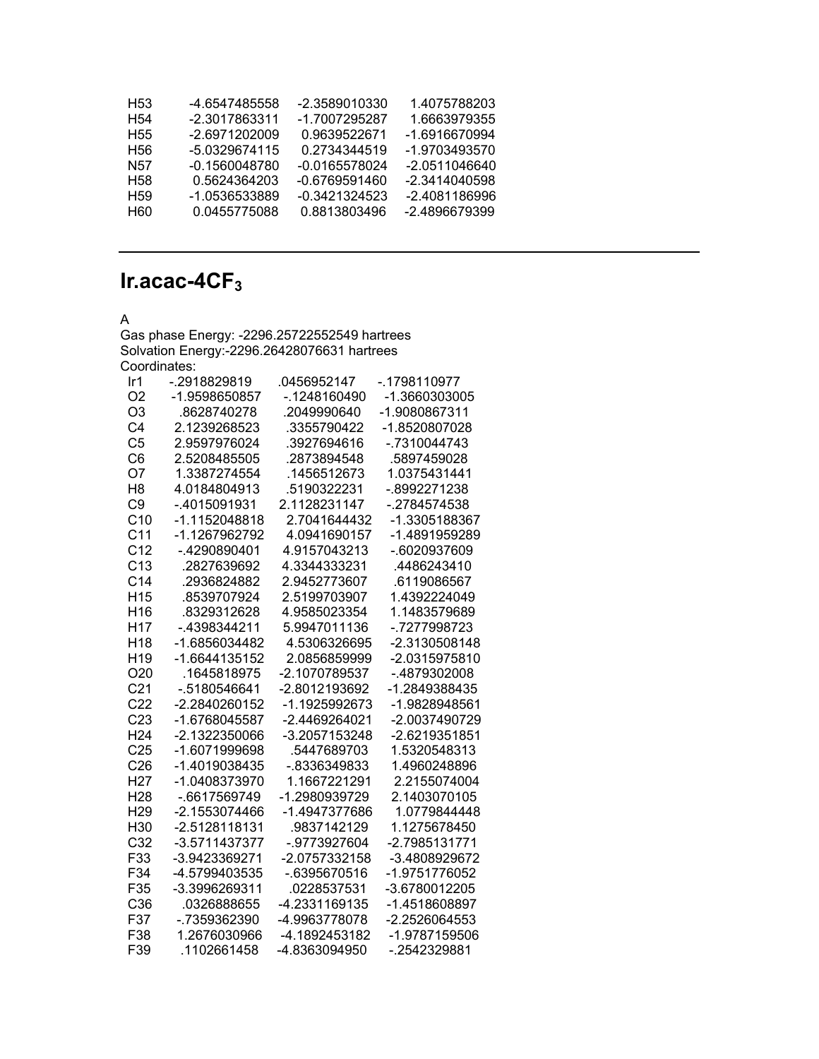| H53             | -4.6547485558 | -2.3589010330 | 1.4075788203  |
|-----------------|---------------|---------------|---------------|
| H <sub>54</sub> | -2.3017863311 | -1.7007295287 | 1.6663979355  |
| H55             | -2.6971202009 | 0.9639522671  | -1.6916670994 |
| H56             | -5.0329674115 | 0.2734344519  | -1.9703493570 |
| N57             | -0.1560048780 | -0.0165578024 | -2.0511046640 |
| H <sub>58</sub> | 0.5624364203  | -0.6769591460 | -2.3414040598 |
| H <sub>59</sub> | -1.0536533889 | -0.3421324523 | -2.4081186996 |
| <b>H60</b>      | 0.0455775088  | 0.8813803496  | -2.4896679399 |
|                 |               |               |               |

## **Ir.acac-4CF3**

## A

Gas phase Energy: -2296.25722552549 hartrees Solvation Energy:-2296.26428076631 hartrees Coordinates:

| Ir <sub>1</sub> | -.2918829819  | .0456952147   | -.1798110977  |
|-----------------|---------------|---------------|---------------|
| O <sub>2</sub>  | -1.9598650857 | -.1248160490  | -1.3660303005 |
| O <sub>3</sub>  | .8628740278   | .2049990640   | -1.9080867311 |
| C <sub>4</sub>  | 2.1239268523  | .3355790422   | -1.8520807028 |
| C <sub>5</sub>  | 2.9597976024  | .3927694616   | -.7310044743  |
| C <sub>6</sub>  | 2.5208485505  | .2873894548   | .5897459028   |
| O7              | 1.3387274554  | .1456512673   | 1.0375431441  |
| H <sub>8</sub>  | 4.0184804913  | .5190322231   | -.8992271238  |
| C <sub>9</sub>  | -.4015091931  | 2.1128231147  | -.2784574538  |
| C <sub>10</sub> | -1.1152048818 | 2.7041644432  | -1.3305188367 |
| C <sub>11</sub> | -1.1267962792 | 4.0941690157  | -1.4891959289 |
| C <sub>12</sub> | -.4290890401  | 4.9157043213  | -.6020937609  |
| C <sub>13</sub> | .2827639692   | 4.3344333231  | .4486243410   |
| C <sub>14</sub> | .2936824882   | 2.9452773607  | .6119086567   |
| H <sub>15</sub> | .8539707924   | 2.5199703907  | 1.4392224049  |
| H <sub>16</sub> | .8329312628   | 4.9585023354  | 1.1483579689  |
| H <sub>17</sub> | -.4398344211  | 5.9947011136  | -.7277998723  |
| H <sub>18</sub> | -1.6856034482 | 4.5306326695  | -2.3130508148 |
| H <sub>19</sub> | -1.6644135152 | 2.0856859999  | -2.0315975810 |
| O <sub>20</sub> | .1645818975   | -2.1070789537 | -.4879302008  |
| C <sub>21</sub> | -.5180546641  | -2.8012193692 | -1.2849388435 |
| C <sub>22</sub> | -2.2840260152 | -1.1925992673 | -1.9828948561 |
| C <sub>23</sub> | -1.6768045587 | -2.4469264021 | -2.0037490729 |
| H <sub>24</sub> | -2.1322350066 | -3.2057153248 | -2.6219351851 |
| C <sub>25</sub> | -1.6071999698 | .5447689703   | 1.5320548313  |
| C <sub>26</sub> | -1.4019038435 | -.8336349833  | 1.4960248896  |
| H <sub>27</sub> | -1.0408373970 | 1.1667221291  | 2.2155074004  |
| H <sub>28</sub> | -.6617569749  | -1.2980939729 | 2.1403070105  |
| H <sub>29</sub> | -2.1553074466 | -1.4947377686 | 1.0779844448  |
| H <sub>30</sub> | -2.5128118131 | .9837142129   | 1.1275678450  |
| C <sub>32</sub> | -3.5711437377 | -.9773927604  | -2.7985131771 |
| F33             | -3.9423369271 | -2.0757332158 | -3.4808929672 |
| F34             | -4.5799403535 | -.6395670516  | -1.9751776052 |
| F35             | -3.3996269311 | .0228537531   | -3.6780012205 |
| C36             | .0326888655   | -4.2331169135 | -1.4518608897 |
| F37             | -.7359362390  | -4.9963778078 | -2.2526064553 |
| F38             | 1.2676030966  | -4.1892453182 | -1.9787159506 |
| F39             | 1102661458    | -4.8363094950 | -.2542329881  |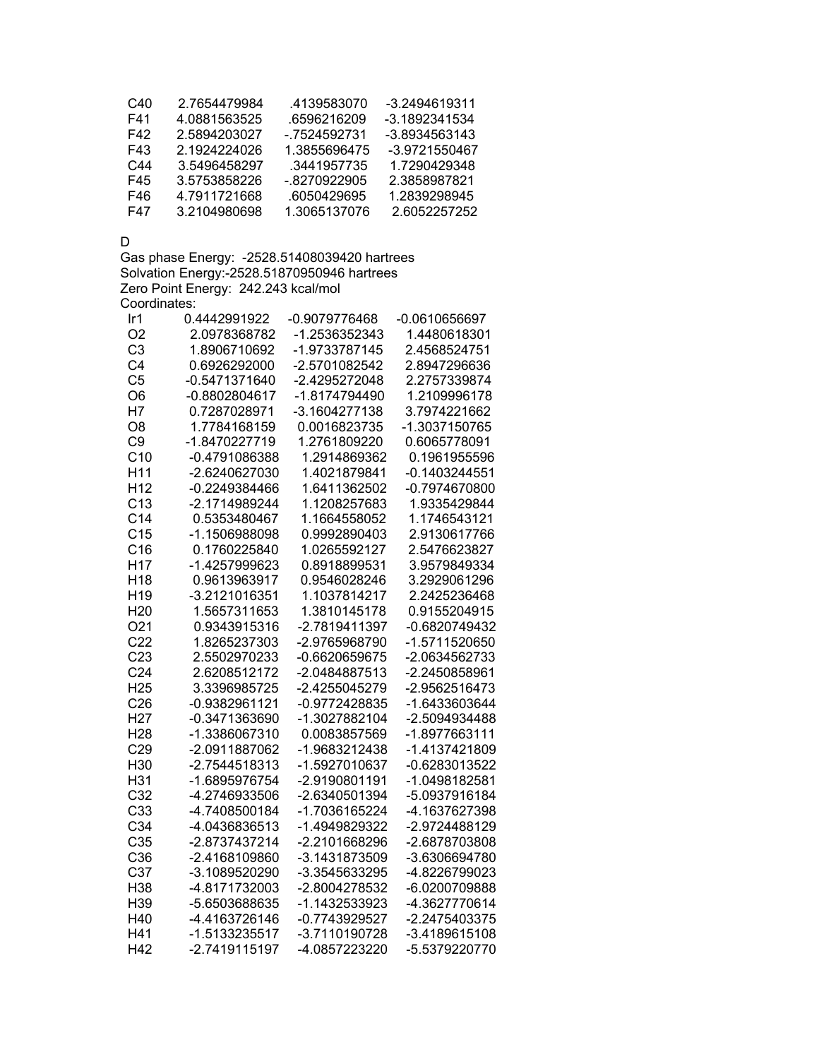| C40 | 2 7654479984 | .4139583070   | -3.2494619311 |
|-----|--------------|---------------|---------------|
| F41 | 4.0881563525 | .6596216209   | -3.1892341534 |
| F42 | 2.5894203027 | - 7524592731  | -3.8934563143 |
| F43 | 2 1924224026 | 1.3855696475  | -3.9721550467 |
| C44 | 3.5496458297 | .3441957735   | 1.7290429348  |
| F45 | 3.5753858226 | $-8270922905$ | 2 3858987821  |
| F46 | 4 7911721668 | 6050429695    | 1 2839298945  |
| F47 | 3 2104980698 | 1 3065137076  | 26052257252   |

D

Gas phase Energy: -2528.51408039420 hartrees Solvation Energy:-2528.51870950946 hartrees Zero Point Energy: 242.243 kcal/mol Coordinates:

| Ir <sub>1</sub> | 0.4442991922    | -0.9079776468 | $-0.0610656697$ |
|-----------------|-----------------|---------------|-----------------|
| O <sub>2</sub>  | 2.0978368782    | -1.2536352343 | 1.4480618301    |
| C <sub>3</sub>  | 1.8906710692    | -1.9733787145 | 2.4568524751    |
| C <sub>4</sub>  | 0.6926292000    | -2.5701082542 | 2.8947296636    |
| C <sub>5</sub>  | -0.5471371640   | -2.4295272048 | 2.2757339874    |
| O <sub>6</sub>  | -0.8802804617   | -1.8174794490 | 1.2109996178    |
| H7              | 0.7287028971    | -3.1604277138 | 3.7974221662    |
| O <sub>8</sub>  | 1.7784168159    | 0.0016823735  | -1.3037150765   |
| C <sub>9</sub>  | -1.8470227719   | 1.2761809220  | 0.6065778091    |
| C <sub>10</sub> | -0.4791086388   | 1.2914869362  | 0.1961955596    |
| H <sub>11</sub> | -2.6240627030   | 1.4021879841  | $-0.1403244551$ |
| H <sub>12</sub> | $-0.2249384466$ | 1.6411362502  | -0.7974670800   |
| C <sub>13</sub> | -2.1714989244   | 1.1208257683  | 1.9335429844    |
| C <sub>14</sub> | 0.5353480467    | 1.1664558052  | 1.1746543121    |
| C <sub>15</sub> | -1.1506988098   | 0.9992890403  | 2.9130617766    |
| C16             | 0.1760225840    | 1.0265592127  | 2.5476623827    |
| H <sub>17</sub> | -1.4257999623   | 0.8918899531  | 3.9579849334    |
| H <sub>18</sub> | 0.9613963917    | 0.9546028246  | 3.2929061296    |
| H <sub>19</sub> | -3.2121016351   | 1.1037814217  | 2.2425236468    |
| H <sub>20</sub> | 1.5657311653    | 1.3810145178  | 0.9155204915    |
| O21             | 0.9343915316    | -2.7819411397 | -0.6820749432   |
| C <sub>22</sub> | 1.8265237303    | -2.9765968790 | -1.5711520650   |
| C <sub>23</sub> | 2.5502970233    | -0.6620659675 | -2.0634562733   |
| C <sub>24</sub> | 2.6208512172    | -2.0484887513 | -2.2450858961   |
| H <sub>25</sub> | 3.3396985725    | -2.4255045279 | -2.9562516473   |
| C <sub>26</sub> | -0.9382961121   | -0.9772428835 | -1.6433603644   |
| H <sub>27</sub> | -0.3471363690   | -1.3027882104 | -2.5094934488   |
| H <sub>28</sub> | -1.3386067310   | 0.0083857569  | -1.8977663111   |
| C29             | -2.0911887062   | -1.9683212438 | -1.4137421809   |
| H30             | -2.7544518313   | -1.5927010637 | -0.6283013522   |
| H31             | -1.6895976754   | -2.9190801191 | -1.0498182581   |
| C <sub>32</sub> | -4.2746933506   | -2.6340501394 | -5.0937916184   |
| C33             | -4.7408500184   | -1.7036165224 | -4.1637627398   |
| C34             | -4.0436836513   | -1.4949829322 | -2.9724488129   |
| C35             | -2.8737437214   | -2.2101668296 | -2.6878703808   |
| C36             | -2.4168109860   | -3.1431873509 | -3.6306694780   |
| C37             | -3.1089520290   | -3.3545633295 | -4.8226799023   |
| H38             | -4.8171732003   | -2.8004278532 | -6.0200709888   |
| H39             | -5.6503688635   | -1.1432533923 | -4.3627770614   |
| H40             | -4.4163726146   | -0.7743929527 | -2.2475403375   |
| H41             | -1.5133235517   | -3.7110190728 | -3.4189615108   |
| H42             | -2.7419115197   | -4.0857223220 | -5.5379220770   |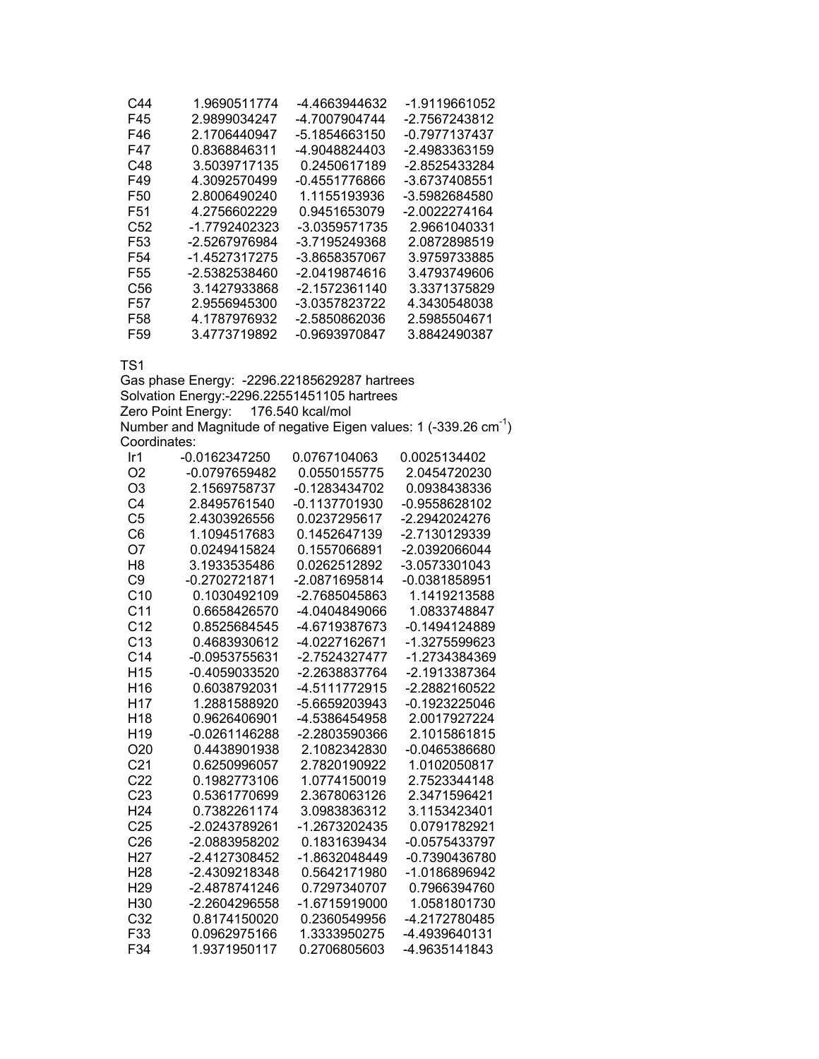| C44             | 1.9690511774  | -4.4663944632 | -1.9119661052 |
|-----------------|---------------|---------------|---------------|
| F45             | 2.9899034247  | -4.7007904744 | -2.7567243812 |
| F46             | 2.1706440947  | -5.1854663150 | -0.7977137437 |
| F47             | 0.8368846311  | -4.9048824403 | -2.4983363159 |
| C48             | 3.5039717135  | 0.2450617189  | -2.8525433284 |
| F49             | 4.3092570499  | -0.4551776866 | -3.6737408551 |
| F50             | 2.8006490240  | 1.1155193936  | -3.5982684580 |
| F51             | 4.2756602229  | 0.9451653079  | -2.0022274164 |
| C52             | -1.7792402323 | -3.0359571735 | 2.9661040331  |
| F53             | -2.5267976984 | -3.7195249368 | 2.0872898519  |
| F54             | -1.4527317275 | -3.8658357067 | 3.9759733885  |
| F55             | -2.5382538460 | -2.0419874616 | 3.4793749606  |
| C56             | 3.1427933868  | -2.1572361140 | 3.3371375829  |
| F57             | 2.9556945300  | -3.0357823722 | 4.3430548038  |
| F58             | 4.1787976932  | -2.5850862036 | 2.5985504671  |
| F <sub>59</sub> | 3.4773719892  | -0.9693970847 | 3.8842490387  |

TS1

Gas phase Energy: -2296.22185629287 hartrees Solvation Energy:-2296.22551451105 hartrees Zero Point Energy: 176.540 kcal/mol Number and Magnitude of negative Eigen values: 1 (-339.26  $cm^{-1}$ ) Coordinates:

| Ir1             | -0.0162347250   | 0.0767104063    | 0.0025134402    |
|-----------------|-----------------|-----------------|-----------------|
| O2              | -0.0797659482   | 0.0550155775    | 2.0454720230    |
| O <sub>3</sub>  | 2.1569758737    | $-0.1283434702$ | 0.0938438336    |
| C4              | 2.8495761540    | -0.1137701930   | $-0.9558628102$ |
| C <sub>5</sub>  | 2.4303926556    | 0.0237295617    | -2.2942024276   |
| C6              | 1.1094517683    | 0.1452647139    | -2.7130129339   |
| O7              | 0.0249415824    | 0.1557066891    | -2.0392066044   |
| H <sub>8</sub>  | 3.1933535486    | 0.0262512892    | -3.0573301043   |
| C <sub>9</sub>  | -0.2702721871   | -2.0871695814   | -0.0381858951   |
| C <sub>10</sub> | 0.1030492109    | -2.7685045863   | 1.1419213588    |
| C <sub>11</sub> | 0.6658426570    | -4.0404849066   | 1.0833748847    |
| C <sub>12</sub> | 0.8525684545    | -4.6719387673   | -0.1494124889   |
| C <sub>13</sub> | 0.4683930612    | -4.0227162671   | -1.3275599623   |
| C <sub>14</sub> | -0.0953755631   | -2.7524327477   | -1.2734384369   |
| H <sub>15</sub> | -0.4059033520   | -2.2638837764   | -2.1913387364   |
| H <sub>16</sub> | 0.6038792031    | -4.5111772915   | -2.2882160522   |
| H <sub>17</sub> | 1.2881588920    | -5.6659203943   | -0.1923225046   |
| H <sub>18</sub> | 0.9626406901    | -4.5386454958   | 2.0017927224    |
| H <sub>19</sub> | $-0.0261146288$ | -2.2803590366   | 2.1015861815    |
| O <sub>20</sub> | 0.4438901938    | 2.1082342830    | $-0.0465386680$ |
| C <sub>21</sub> | 0.6250996057    | 2.7820190922    | 1.0102050817    |
| C <sub>22</sub> | 0.1982773106    | 1.0774150019    | 2.7523344148    |
| C <sub>23</sub> | 0.5361770699    | 2.3678063126    | 2.3471596421    |
| H <sub>24</sub> | 0.7382261174    | 3.0983836312    | 3.1153423401    |
| C <sub>25</sub> | -2.0243789261   | -1.2673202435   | 0.0791782921    |
| C <sub>26</sub> | -2.0883958202   | 0.1831639434    | -0.0575433797   |
| H <sub>27</sub> | -2.4127308452   | -1.8632048449   | -0.7390436780   |
| H <sub>28</sub> | -2.4309218348   | 0.5642171980    | -1.0186896942   |
| H <sub>29</sub> | -2.4878741246   | 0.7297340707    | 0.7966394760    |
| H30             | -2.2604296558   | -1.6715919000   | 1.0581801730    |
| C <sub>32</sub> | 0.8174150020    | 0.2360549956    | -4.2172780485   |
| F33             | 0.0962975166    | 1.3333950275    | -4.4939640131   |
| F34             | 1.9371950117    | 0.2706805603    | -4.9635141843   |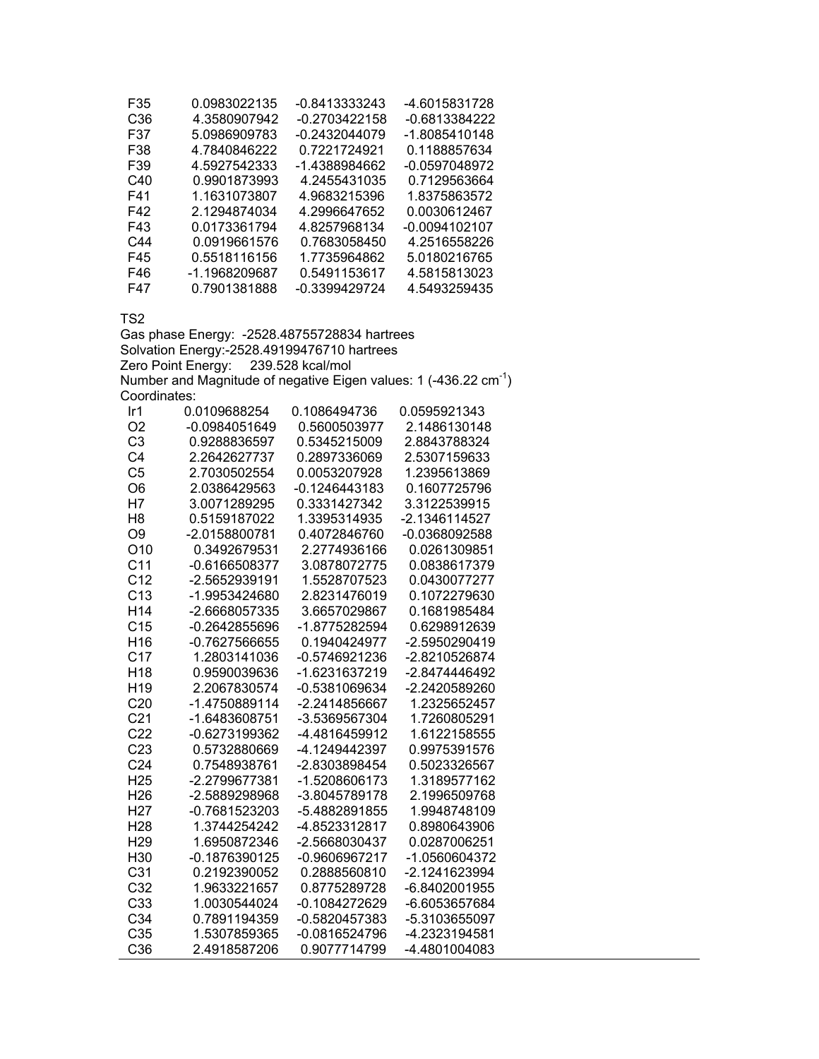| F35             | 0.0983022135  | -0.8413333243 | -4.6015831728   |
|-----------------|---------------|---------------|-----------------|
| C <sub>36</sub> | 4.3580907942  | -0.2703422158 | -0.6813384222   |
| F37             | 5.0986909783  | -0.2432044079 | -1.8085410148   |
| F38             | 4.7840846222  | 0.7221724921  | 0.1188857634    |
| F39             | 4.5927542333  | -1.4388984662 | -0.0597048972   |
| C40             | 0.9901873993  | 4.2455431035  | 0.7129563664    |
| F41             | 1.1631073807  | 4.9683215396  | 1.8375863572    |
| F42             | 2.1294874034  | 4.2996647652  | 0.0030612467    |
| F43             | 0.0173361794  | 4.8257968134  | $-0.0094102107$ |
| C44             | 0.0919661576  | 0.7683058450  | 4.2516558226    |
| F45             | 0.5518116156  | 1.7735964862  | 5.0180216765    |
| F46             | -1.1968209687 | 0.5491153617  | 4.5815813023    |
| F47             | 0.7901381888  | -0.3399429724 | 4.5493259435    |

TS2

Gas phase Energy: -2528.48755728834 hartrees Solvation Energy:-2528.49199476710 hartrees Zero Point Energy: 239.528 kcal/mol Number and Magnitude of negative Eigen values: 1 (-436.22  $cm^{-1}$ ) Coordinates:

| Ir1             | 0.0109688254    | 0.1086494736    | 0.0595921343  |
|-----------------|-----------------|-----------------|---------------|
| O <sub>2</sub>  | -0.0984051649   | 0.5600503977    | 2.1486130148  |
| C <sub>3</sub>  | 0.9288836597    | 0.5345215009    | 2.8843788324  |
| C <sub>4</sub>  | 2.2642627737    | 0.2897336069    | 2.5307159633  |
| C <sub>5</sub>  | 2.7030502554    | 0.0053207928    | 1.2395613869  |
| O <sub>6</sub>  | 2.0386429563    | -0.1246443183   | 0.1607725796  |
| H7              | 3.0071289295    | 0.3331427342    | 3.3122539915  |
| H <sub>8</sub>  | 0.5159187022    | 1.3395314935    | -2.1346114527 |
| O <sub>9</sub>  | -2.0158800781   | 0.4072846760    | -0.0368092588 |
| O <sub>10</sub> | 0.3492679531    | 2.2774936166    | 0.0261309851  |
| C <sub>11</sub> | $-0.6166508377$ | 3.0878072775    | 0.0838617379  |
| C <sub>12</sub> | -2.5652939191   | 1.5528707523    | 0.0430077277  |
| C <sub>13</sub> | -1.9953424680   | 2.8231476019    | 0.1072279630  |
| H <sub>14</sub> | -2.6668057335   | 3.6657029867    | 0.1681985484  |
| C <sub>15</sub> | -0.2642855696   | -1.8775282594   | 0.6298912639  |
| H <sub>16</sub> | $-0.7627566655$ | 0.1940424977    | -2.5950290419 |
| C <sub>17</sub> | 1.2803141036    | -0.5746921236   | -2.8210526874 |
| H <sub>18</sub> | 0.9590039636    | -1.6231637219   | -2.8474446492 |
| H <sub>19</sub> | 2.2067830574    | -0.5381069634   | -2.2420589260 |
| C20             | -1.4750889114   | -2.2414856667   | 1.2325652457  |
| C <sub>21</sub> | -1.6483608751   | -3.5369567304   | 1.7260805291  |
| C <sub>22</sub> | -0.6273199362   | -4.4816459912   | 1.6122158555  |
| C <sub>23</sub> | 0.5732880669    | -4.1249442397   | 0.9975391576  |
| C <sub>24</sub> | 0.7548938761    | -2.8303898454   | 0.5023326567  |
| H <sub>25</sub> | -2.2799677381   | -1.5208606173   | 1.3189577162  |
| H <sub>26</sub> | -2.5889298968   | -3.8045789178   | 2.1996509768  |
| H <sub>27</sub> | -0.7681523203   | -5.4882891855   | 1.9948748109  |
| H <sub>28</sub> | 1.3744254242    | -4.8523312817   | 0.8980643906  |
| H <sub>29</sub> | 1.6950872346    | -2.5668030437   | 0.0287006251  |
| H <sub>30</sub> | $-0.1876390125$ | -0.9606967217   | -1.0560604372 |
| C <sub>31</sub> | 0.2192390052    | 0.2888560810    | -2.1241623994 |
| C <sub>32</sub> | 1.9633221657    | 0.8775289728    | -6.8402001955 |
| C <sub>33</sub> | 1.0030544024    | -0.1084272629   | -6.6053657684 |
| C <sub>34</sub> | 0.7891194359    | -0.5820457383   | -5.3103655097 |
| C35             | 1.5307859365    | $-0.0816524796$ | -4.2323194581 |
| C <sub>36</sub> | 2.4918587206    | 0.9077714799    | -4.4801004083 |